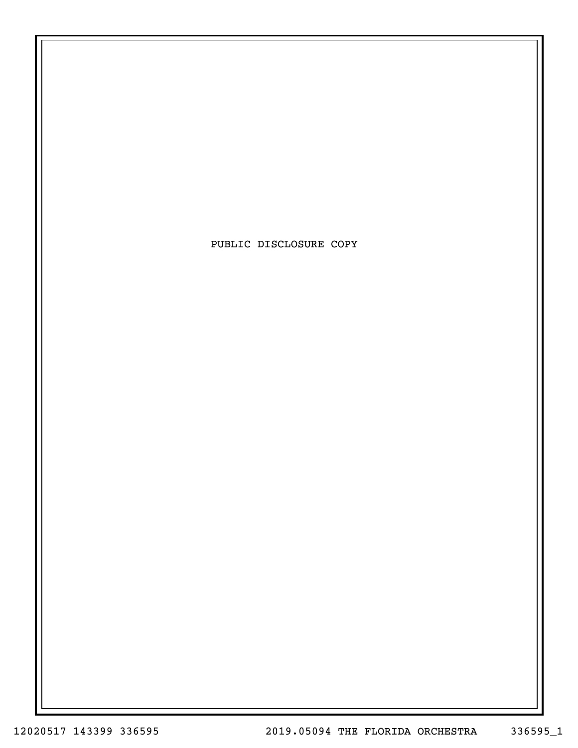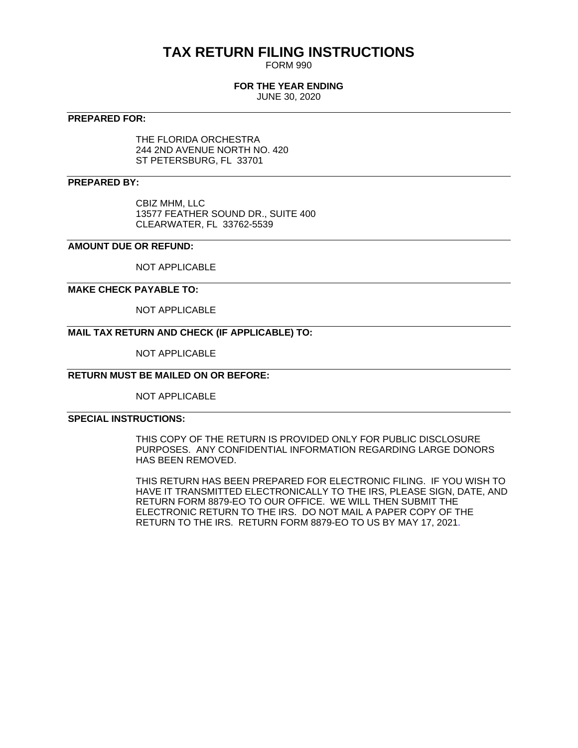## **TAX RETURN FILING INSTRUCTIONS**

FORM 990

#### **FOR THE YEAR ENDING**

JUNE 30, 2020

#### **PREPARED FOR:**

THE FLORIDA ORCHESTRA 244 2ND AVENUE NORTH NO. 420 ST PETERSBURG, FL 33701

#### **PREPARED BY:**

CBIZ MHM, LLC 13577 FEATHER SOUND DR., SUITE 400 CLEARWATER, FL 33762-5539

#### **AMOUNT DUE OR REFUND:**

NOT APPLICABLE

#### **MAKE CHECK PAYABLE TO:**

NOT APPLICABLE

#### **MAIL TAX RETURN AND CHECK (IF APPLICABLE) TO:**

NOT APPLICABLE

#### **RETURN MUST BE MAILED ON OR BEFORE:**

NOT APPLICABLE

#### **SPECIAL INSTRUCTIONS:**

THIS COPY OF THE RETURN IS PROVIDED ONLY FOR PUBLIC DISCLOSURE PURPOSES. ANY CONFIDENTIAL INFORMATION REGARDING LARGE DONORS HAS BEEN REMOVED.

THIS RETURN HAS BEEN PREPARED FOR ELECTRONIC FILING. IF YOU WISH TO HAVE IT TRANSMITTED ELECTRONICALLY TO THE IRS, PLEASE SIGN, DATE, AND RETURN FORM 8879-EO TO OUR OFFICE. WE WILL THEN SUBMIT THE ELECTRONIC RETURN TO THE IRS. DO NOT MAIL A PAPER COPY OF THE RETURN TO THE IRS. RETURN FORM 8879-EO TO US BY MAY 17, 2021.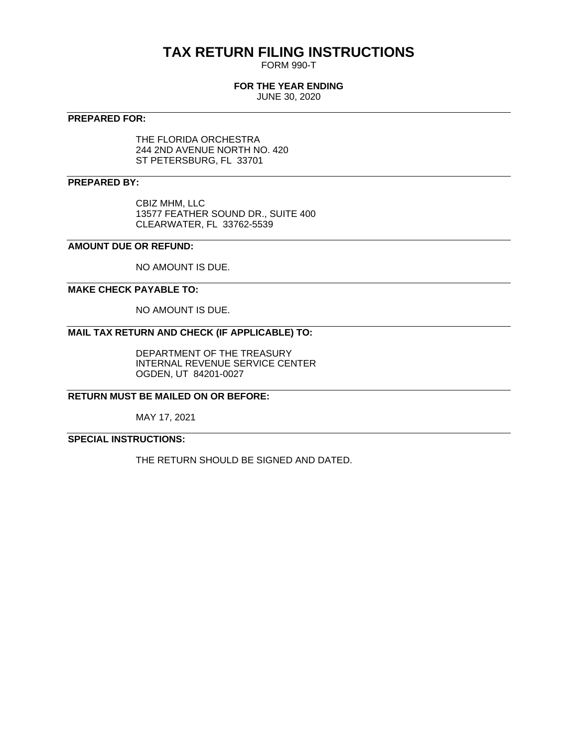## **TAX RETURN FILING INSTRUCTIONS**

FORM 990-T

#### **FOR THE YEAR ENDING**

JUNE 30, 2020

#### **PREPARED FOR:**

THE FLORIDA ORCHESTRA 244 2ND AVENUE NORTH NO. 420 ST PETERSBURG, FL 33701

#### **PREPARED BY:**

CBIZ MHM, LLC 13577 FEATHER SOUND DR., SUITE 400 CLEARWATER, FL 33762-5539

#### **AMOUNT DUE OR REFUND:**

NO AMOUNT IS DUE.

#### **MAKE CHECK PAYABLE TO:**

NO AMOUNT IS DUE.

### **MAIL TAX RETURN AND CHECK (IF APPLICABLE) TO:**

DEPARTMENT OF THE TREASURY INTERNAL REVENUE SERVICE CENTER OGDEN, UT 84201-0027

#### **RETURN MUST BE MAILED ON OR BEFORE:**

MAY 17, 2021

#### **SPECIAL INSTRUCTIONS:**

THE RETURN SHOULD BE SIGNED AND DATED.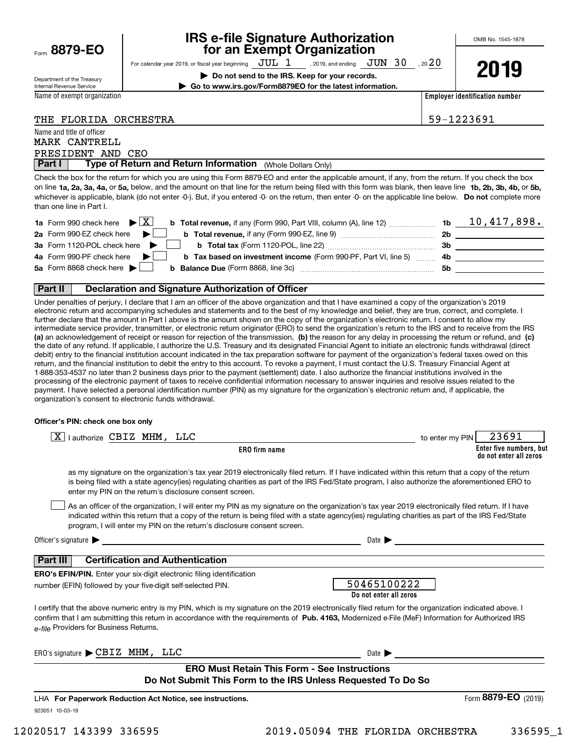|  | Form 8879-EO |
|--|--------------|
|  |              |

### **IRS e-file Signature Authorization for an Exempt Organization**

OMB No. 1545-1878

| Department of the Treasury |
|----------------------------|
| Internal Revenue Service   |

Name and title of officer

Name of exempt organization

For calendar year 2019, or fiscal year beginning  $\frac{\text{JUL}}{\text{DQ K}}$  , 2019, and ending  $\frac{\text{JUN}}{\text{DQ K}}$  , 20 $\frac{20}{\text{DQ K}}$ **| Do not send to the IRS. Keep for your records. | Go to www.irs.gov/Form8879EO for the latest information.**

**Employer identification number**

|  | THE FLORIDA ORCHESTRA |
|--|-----------------------|
|  |                       |

59-1223691

| <b>Part I</b>     |  | Type of Return and Return Information (Whole Dollars Only) |  |
|-------------------|--|------------------------------------------------------------|--|
| PRESIDENT AND CEO |  |                                                            |  |
| MARK CANTRELL     |  |                                                            |  |

on line **1a, 2a, 3a, 4a,** or **5a,** below, and the amount on that line for the return being filed with this form was blank, then leave line **1b, 2b, 3b, 4b,** or **5b,** whichever is applicable, blank (do not enter -0-). But, if you entered -0- on the return, then enter -0- on the applicable line below. **Do not** complete more **Part I Type of Return and Return Information** (Whole Dollars Only)<br>Check the box for the return for which you are using this Form 8879-EO and enter the applicable amount, if any, from the return. If you check the box than one line in Part I.

| <b>1a</b> Form 990 check here $\blacktriangleright \begin{bmatrix} X \end{bmatrix}$                                          |    | $10,417,898$ . |
|------------------------------------------------------------------------------------------------------------------------------|----|----------------|
| 2a Form 990-EZ check here $\blacktriangleright$<br><b>b</b> Total revenue, if any (Form 990-EZ, line 9) <i></i>              | 2b |                |
| 3a Form 1120-POL check here $\blacktriangleright$                                                                            | 3b |                |
| 4a Form 990-PF check here $\blacktriangleright$<br><b>b</b> Tax based on investment income (Form 990-PF, Part VI, line 5) 4b |    |                |
| 5a Form 8868 check here $\blacktriangleright$                                                                                | 5b |                |
|                                                                                                                              |    |                |

#### **Part II Declaration and Signature Authorization of Officer**

**(a)** an acknowledgement of receipt or reason for rejection of the transmission, (b) the reason for any delay in processing the return or refund, and (c) Under penalties of perjury, I declare that I am an officer of the above organization and that I have examined a copy of the organization's 2019 electronic return and accompanying schedules and statements and to the best of my knowledge and belief, they are true, correct, and complete. I further declare that the amount in Part I above is the amount shown on the copy of the organization's electronic return. I consent to allow my intermediate service provider, transmitter, or electronic return originator (ERO) to send the organization's return to the IRS and to receive from the IRS the date of any refund. If applicable, I authorize the U.S. Treasury and its designated Financial Agent to initiate an electronic funds withdrawal (direct debit) entry to the financial institution account indicated in the tax preparation software for payment of the organization's federal taxes owed on this return, and the financial institution to debit the entry to this account. To revoke a payment, I must contact the U.S. Treasury Financial Agent at 1-888-353-4537 no later than 2 business days prior to the payment (settlement) date. I also authorize the financial institutions involved in the processing of the electronic payment of taxes to receive confidential information necessary to answer inquiries and resolve issues related to the payment. I have selected a personal identification number (PIN) as my signature for the organization's electronic return and, if applicable, the organization's consent to electronic funds withdrawal.

#### **Officer's PIN: check one box only**

| lauthorize CBIZ MHM, LLC<br>X                                                                                                                                                                                                                                                                                                                                                    | to enter my PIN | 23691                                             |
|----------------------------------------------------------------------------------------------------------------------------------------------------------------------------------------------------------------------------------------------------------------------------------------------------------------------------------------------------------------------------------|-----------------|---------------------------------------------------|
| ERO firm name                                                                                                                                                                                                                                                                                                                                                                    |                 | Enter five numbers, but<br>do not enter all zeros |
| as my signature on the organization's tax year 2019 electronically filed return. If I have indicated within this return that a copy of the return<br>is being filed with a state agency(ies) regulating charities as part of the IRS Fed/State program, I also authorize the aforementioned ERO to<br>enter my PIN on the return's disclosure consent screen.                    |                 |                                                   |
| As an officer of the organization, I will enter my PIN as my signature on the organization's tax year 2019 electronically filed return. If I have<br>indicated within this return that a copy of the return is being filed with a state agency(ies) regulating charities as part of the IRS Fed/State<br>program, I will enter my PIN on the return's disclosure consent screen. |                 |                                                   |
| Officer's signature $\blacktriangleright$<br>Date $\blacksquare$                                                                                                                                                                                                                                                                                                                 |                 |                                                   |
| <b>Certification and Authentication</b><br><b>Part III</b>                                                                                                                                                                                                                                                                                                                       |                 |                                                   |
| <b>ERO's EFIN/PIN.</b> Enter your six-digit electronic filing identification                                                                                                                                                                                                                                                                                                     |                 |                                                   |
| 50465100222<br>number (EFIN) followed by your five-digit self-selected PIN.<br>Do not enter all zeros                                                                                                                                                                                                                                                                            |                 |                                                   |
| I certify that the above numeric entry is my PIN, which is my signature on the 2019 electronically filed return for the organization indicated above. I<br>confirm that I am submitting this return in accordance with the requirements of Pub. 4163. Modernized e-File (MeF) Information for Authorized IRS<br>e-file Providers for Business Returns.                           |                 |                                                   |
| ERO's signature CBIZ MHM, LLC<br>Date $\blacktriangleright$                                                                                                                                                                                                                                                                                                                      |                 |                                                   |
| <b>ERO Must Retain This Form - See Instructions</b>                                                                                                                                                                                                                                                                                                                              |                 |                                                   |
| Do Not Submit This Form to the IRS Unless Requested To Do So                                                                                                                                                                                                                                                                                                                     |                 |                                                   |
| LHA For Paperwork Reduction Act Notice, see instructions.                                                                                                                                                                                                                                                                                                                        |                 | Form 8879-EO<br>(2019)                            |
| 923051 10-03-19                                                                                                                                                                                                                                                                                                                                                                  |                 |                                                   |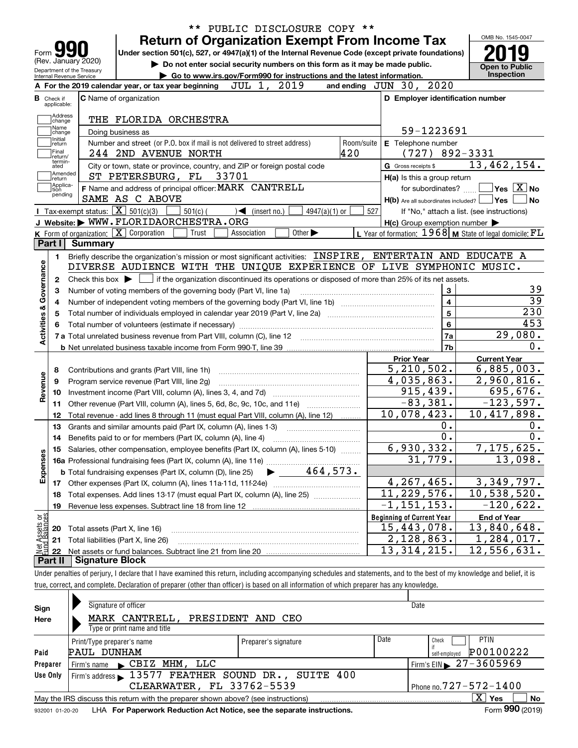|                                                  | PUBLIC DISCLOSURE COPY **<br>$***$                                                                                                                  |            |                                                             |                                                                                                                               |
|--------------------------------------------------|-----------------------------------------------------------------------------------------------------------------------------------------------------|------------|-------------------------------------------------------------|-------------------------------------------------------------------------------------------------------------------------------|
|                                                  | <b>Return of Organization Exempt From Income Tax</b>                                                                                                |            |                                                             | OMB No. 1545-0047                                                                                                             |
| Form $\Box$<br>(Rev. January 2020)               | Under section 501(c), 527, or 4947(a)(1) of the Internal Revenue Code (except private foundations)                                                  |            |                                                             |                                                                                                                               |
| Department of the Treasury                       | Do not enter social security numbers on this form as it may be made public.                                                                         |            |                                                             | <b>Open to Public</b><br>Inspection                                                                                           |
| Internal Revenue Service                         | Go to www.irs.gov/Form990 for instructions and the latest information.<br>A For the 2019 calendar year, or tax year beginning<br>JUL 1, 2019        |            | and ending JUN 30, 2020                                     |                                                                                                                               |
| <b>B</b> Check if                                | <b>C</b> Name of organization                                                                                                                       |            | D Employer identification number                            |                                                                                                                               |
| applicable:                                      |                                                                                                                                                     |            |                                                             |                                                                                                                               |
| Address<br>change                                | THE FLORIDA ORCHESTRA                                                                                                                               |            |                                                             |                                                                                                                               |
| Name<br>change                                   | Doing business as                                                                                                                                   |            | 59-1223691                                                  |                                                                                                                               |
| Initial<br>return                                | Number and street (or P.O. box if mail is not delivered to street address)                                                                          | Room/suite | E Telephone number                                          |                                                                                                                               |
| Final<br>return/                                 | 420<br>244 2ND AVENUE NORTH                                                                                                                         |            | $(727)$ 892-3331                                            |                                                                                                                               |
| termin-<br>ated                                  | City or town, state or province, country, and ZIP or foreign postal code                                                                            |            | G Gross receipts \$                                         | 13,462,154.                                                                                                                   |
| Amended<br> return                               | ST PETERSBURG, FL 33701                                                                                                                             |            | H(a) Is this a group return                                 |                                                                                                                               |
| Applica-<br>tion<br>pending                      | F Name and address of principal officer: MARK CANTRELL                                                                                              |            | for subordinates?                                           | $\overline{\mathsf{Yes}}$ $\overline{\mathsf{X}}$ No                                                                          |
|                                                  | SAME AS C ABOVE                                                                                                                                     |            | $H(b)$ Are all subordinates included? $\Box$ Yes            | No                                                                                                                            |
|                                                  | <b>I</b> Tax-exempt status: $\boxed{\mathbf{X}}$ 501(c)(3)<br>$501(c)$ (<br>$4947(a)(1)$ or<br>$\sqrt{\frac{4}{1}}$ (insert no.)                    | 527        |                                                             | If "No," attach a list. (see instructions)                                                                                    |
|                                                  | J Website: WWW.FLORIDAORCHESTRA.ORG                                                                                                                 |            | $H(c)$ Group exemption number $\blacktriangleright$         |                                                                                                                               |
| Part I                                           | K Form of organization: $\boxed{\mathbf{X}}$ Corporation<br>Trust<br>Other $\blacktriangleright$<br>Association                                     |            | L Year of formation: $1968$ M State of legal domicile: $FL$ |                                                                                                                               |
|                                                  | Summary                                                                                                                                             |            |                                                             |                                                                                                                               |
| 1.                                               | Briefly describe the organization's mission or most significant activities: INSPIRE, ENTERTAIN AND EDUCATE A                                        |            |                                                             |                                                                                                                               |
|                                                  | DIVERSE AUDIENCE WITH THE UNIQUE EXPERIENCE OF LIVE SYMPHONIC MUSIC.                                                                                |            |                                                             |                                                                                                                               |
| 2                                                | Check this box $\blacktriangleright$ $\blacksquare$ if the organization discontinued its operations or disposed of more than 25% of its net assets. |            |                                                             | 39                                                                                                                            |
| Activities & Governance                          | Number of voting members of the governing body (Part VI, line 1a)                                                                                   |            | $\mathbf{3}$<br>$\overline{4}$                              | $\overline{39}$                                                                                                               |
|                                                  |                                                                                                                                                     |            | $\overline{5}$                                              | 230                                                                                                                           |
|                                                  | Total number of individuals employed in calendar year 2019 (Part V, line 2a) manufacture controller to intervent                                    |            | $6\phantom{a}$                                              | 453                                                                                                                           |
|                                                  | 7 a Total unrelated business revenue from Part VIII, column (C), line 12 [11] [12] [11] [12] [11] [11] [12] [1                                      |            | 7a                                                          | 29,080.                                                                                                                       |
|                                                  |                                                                                                                                                     |            | 7b                                                          | 0.                                                                                                                            |
|                                                  |                                                                                                                                                     |            | <b>Prior Year</b>                                           | <b>Current Year</b>                                                                                                           |
| 8                                                | Contributions and grants (Part VIII, line 1h)                                                                                                       |            | 5, 210, 502.                                                | 6,885,003.                                                                                                                    |
| Revenue<br>9                                     | Program service revenue (Part VIII, line 2g)                                                                                                        |            | 4,035,863.                                                  | 2,960,816.                                                                                                                    |
| 10                                               |                                                                                                                                                     |            | 915,439.                                                    | 695,676.                                                                                                                      |
| 11                                               | Other revenue (Part VIII, column (A), lines 5, 6d, 8c, 9c, 10c, and 11e) <i>mummumm</i>                                                             |            | $-83,381.$                                                  | $-123,597.$                                                                                                                   |
| 12                                               | Total revenue - add lines 8 through 11 (must equal Part VIII, column (A), line 12)                                                                  |            | 10,078,423.                                                 |                                                                                                                               |
|                                                  |                                                                                                                                                     |            |                                                             |                                                                                                                               |
| 13                                               |                                                                                                                                                     |            | 0.                                                          |                                                                                                                               |
| 14                                               | Grants and similar amounts paid (Part IX, column (A), lines 1-3)                                                                                    |            | $\overline{0}$ .                                            |                                                                                                                               |
|                                                  | Benefits paid to or for members (Part IX, column (A), line 4)                                                                                       |            |                                                             |                                                                                                                               |
|                                                  | 15 Salaries, other compensation, employee benefits (Part IX, column (A), lines 5-10)                                                                |            | 6,930,332.<br>31,779.                                       |                                                                                                                               |
|                                                  |                                                                                                                                                     |            |                                                             |                                                                                                                               |
|                                                  |                                                                                                                                                     |            | 4, 267, 465.                                                |                                                                                                                               |
| 18                                               | Total expenses. Add lines 13-17 (must equal Part IX, column (A), line 25)                                                                           |            | 11,229,576.                                                 |                                                                                                                               |
| 19                                               |                                                                                                                                                     |            | $-1, 151, 153.$                                             |                                                                                                                               |
|                                                  |                                                                                                                                                     |            | <b>Beginning of Current Year</b>                            | <b>End of Year</b>                                                                                                            |
| 20                                               | Total assets (Part X, line 16)                                                                                                                      |            | 15,443,078.                                                 | 10,417,898.<br>0.<br>0.<br>7, 175, 625.<br>13,098.<br>3,349,797.<br>$\overline{10}$ , 538, 520.<br>$-120,622.$<br>13,840,648. |
| 21                                               | Total liabilities (Part X, line 26)                                                                                                                 |            | 2,128,863.                                                  | 1,284,017.                                                                                                                    |
| Expenses<br>Net Assets or<br>Eund Balances<br>22 | <b>Signature Block</b>                                                                                                                              |            | 13,314,215.                                                 | 12,556,631.                                                                                                                   |

true, correct, and complete. Declaration of preparer (other than officer) is based on all information of which preparer has any knowledge.

| Sign            | Signature of officer                                                                                        |                      |      | Date                                          |  |  |  |  |
|-----------------|-------------------------------------------------------------------------------------------------------------|----------------------|------|-----------------------------------------------|--|--|--|--|
| Here            | MARK CANTRELL, PRESIDENT AND CEO                                                                            |                      |      |                                               |  |  |  |  |
|                 | Type or print name and title                                                                                |                      |      |                                               |  |  |  |  |
|                 | Print/Type preparer's name                                                                                  | Preparer's signature | Date | <b>PTIN</b><br>Check                          |  |  |  |  |
| Paid            | PAUL DUNHAM                                                                                                 |                      |      | P00100222<br>self-emploved                    |  |  |  |  |
| Preparer        | Firm's name CBIZ MHM, LLC                                                                                   |                      |      | Firm's EIN $\blacktriangleright$ 27 - 3605969 |  |  |  |  |
| Use Only        | Firm's address 13577 FEATHER SOUND DR., SUITE 400                                                           |                      |      |                                               |  |  |  |  |
|                 | CLEARWATER, FL 33762-5539<br>Phone no. $727 - 572 - 1400$                                                   |                      |      |                                               |  |  |  |  |
|                 | X.<br>Yes<br><b>No</b><br>May the IRS discuss this return with the preparer shown above? (see instructions) |                      |      |                                               |  |  |  |  |
| 932001 01-20-20 | LHA For Paperwork Reduction Act Notice, see the separate instructions.                                      |                      |      | Form 990 (2019)                               |  |  |  |  |
|                 |                                                                                                             |                      |      |                                               |  |  |  |  |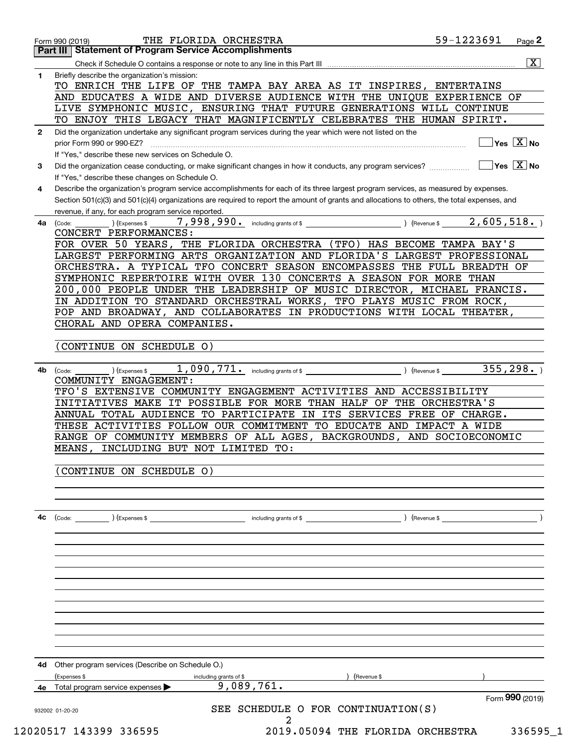|              | 59-1223691<br>THE FLORIDA ORCHESTRA<br>Page 2<br>Form 990 (2019)<br><b>Part III   Statement of Program Service Accomplishments</b>                                                                                                                                                                                                                                                                                                                                                                                                                                                                                                                                        |
|--------------|---------------------------------------------------------------------------------------------------------------------------------------------------------------------------------------------------------------------------------------------------------------------------------------------------------------------------------------------------------------------------------------------------------------------------------------------------------------------------------------------------------------------------------------------------------------------------------------------------------------------------------------------------------------------------|
|              | $\overline{\mathbf{x}}$                                                                                                                                                                                                                                                                                                                                                                                                                                                                                                                                                                                                                                                   |
| 1            | Briefly describe the organization's mission:<br>TO ENRICH THE LIFE OF THE TAMPA BAY AREA AS IT INSPIRES, ENTERTAINS<br>AND EDUCATES A WIDE AND DIVERSE AUDIENCE WITH THE UNIQUE EXPERIENCE OF<br>LIVE SYMPHONIC MUSIC, ENSURING THAT FUTURE GENERATIONS WILL CONTINUE                                                                                                                                                                                                                                                                                                                                                                                                     |
|              | TO ENJOY THIS LEGACY THAT MAGNIFICENTLY CELEBRATES THE HUMAN SPIRIT.                                                                                                                                                                                                                                                                                                                                                                                                                                                                                                                                                                                                      |
| $\mathbf{2}$ | Did the organization undertake any significant program services during the year which were not listed on the<br>$\sqrt{}$ Yes $\sqrt{}$ X $\sqrt{}$ No<br>prior Form 990 or 990-EZ?<br>If "Yes," describe these new services on Schedule O.                                                                                                                                                                                                                                                                                                                                                                                                                               |
| 3            | $\overline{\mathsf{Yes} \mathrel{\;\;\overline{\mathbf{X}}\;}}$ No<br>Did the organization cease conducting, or make significant changes in how it conducts, any program services?<br>If "Yes," describe these changes on Schedule O.                                                                                                                                                                                                                                                                                                                                                                                                                                     |
| 4            | Describe the organization's program service accomplishments for each of its three largest program services, as measured by expenses.<br>Section 501(c)(3) and 501(c)(4) organizations are required to report the amount of grants and allocations to others, the total expenses, and<br>revenue, if any, for each program service reported.                                                                                                                                                                                                                                                                                                                               |
| 4a           | 2,605,518.<br>) (Revenue \$<br>(Code:<br>(Expenses \$<br>CONCERT PERFORMANCES:<br>FOR OVER 50 YEARS, THE FLORIDA ORCHESTRA (TFO) HAS BECOME TAMPA BAY'S<br>LARGEST PERFORMING ARTS ORGANIZATION AND FLORIDA'S LARGEST PROFESSIONAL<br>ORCHESTRA. A TYPICAL TFO CONCERT SEASON ENCOMPASSES THE FULL BREADTH OF<br>SYMPHONIC REPERTOIRE WITH OVER 130 CONCERTS A SEASON FOR MORE THAN<br>200,000 PEOPLE UNDER THE LEADERSHIP OF MUSIC DIRECTOR, MICHAEL FRANCIS.<br>IN ADDITION TO STANDARD ORCHESTRAL WORKS, TFO PLAYS MUSIC FROM ROCK,<br>POP AND BROADWAY, AND COLLABORATES IN PRODUCTIONS WITH LOCAL THEATER,<br>CHORAL AND OPERA COMPANIES.<br>CONTINUE ON SCHEDULE O) |
| 4b           | 355, 298.<br>) (Revenue \$<br>) (Expenses \$<br>(Code:<br>COMMUNITY ENGAGEMENT:<br>TFO'S EXTENSIVE COMMUNITY ENGAGEMENT ACTIVITIES AND ACCESSIBILITY<br>INITIATIVES MAKE IT POSSIBLE FOR MORE THAN HALF OF THE ORCHESTRA'S<br>ANNUAL TOTAL AUDIENCE TO PARTICIPATE IN ITS SERVICES FREE OF CHARGE.<br>THESE ACTIVITIES FOLLOW OUR COMMITMENT TO EDUCATE AND IMPACT A WIDE<br>RANGE OF COMMUNITY MEMBERS OF ALL AGES, BACKGROUNDS, AND SOCIOECONOMIC<br>MEANS, INCLUDING BUT NOT LIMITED TO:                                                                                                                                                                               |
|              | CONTINUE ON SCHEDULE O)                                                                                                                                                                                                                                                                                                                                                                                                                                                                                                                                                                                                                                                   |
| 4c           | $\left(\text{Code:} \right)$ $\left(\text{Expenses $}\right)$<br>including grants of \$<br>) (Revenue \$                                                                                                                                                                                                                                                                                                                                                                                                                                                                                                                                                                  |
|              |                                                                                                                                                                                                                                                                                                                                                                                                                                                                                                                                                                                                                                                                           |
|              |                                                                                                                                                                                                                                                                                                                                                                                                                                                                                                                                                                                                                                                                           |
| 4d           | Other program services (Describe on Schedule O.)                                                                                                                                                                                                                                                                                                                                                                                                                                                                                                                                                                                                                          |
|              | (Expenses \$<br>(Revenue \$<br>including grants of \$                                                                                                                                                                                                                                                                                                                                                                                                                                                                                                                                                                                                                     |
|              | 9,089,761.<br>Total program service expenses<br>Form 990 (2019)<br>SEE SCHEDULE O FOR CONTINUATION(S)<br>932002 01-20-20                                                                                                                                                                                                                                                                                                                                                                                                                                                                                                                                                  |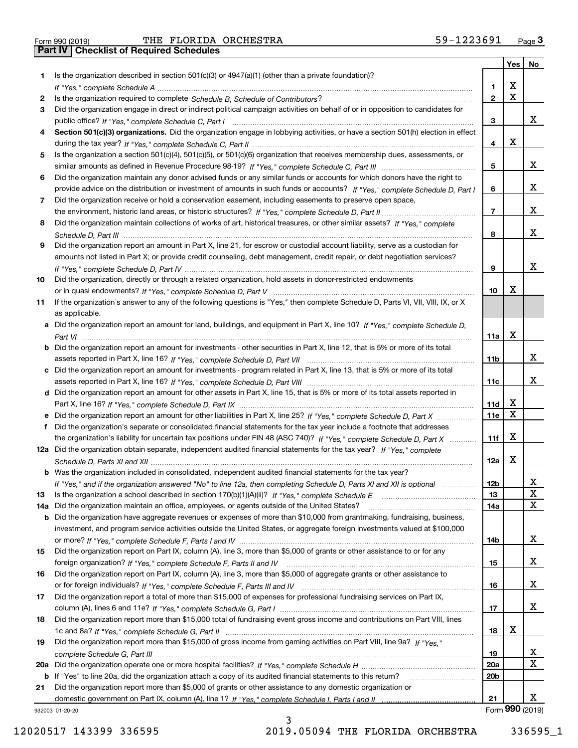Form 990 (2019) THE FLORIDA ORCHESTRA 59-1223691 <sub>Page</sub> 3<br>**Part IV | Checklist of Required Schedules** 

|     |                                                                                                                                       |                 | Yes                     | No              |
|-----|---------------------------------------------------------------------------------------------------------------------------------------|-----------------|-------------------------|-----------------|
| 1.  | Is the organization described in section $501(c)(3)$ or $4947(a)(1)$ (other than a private foundation)?                               |                 |                         |                 |
|     |                                                                                                                                       | 1               | X                       |                 |
| 2   |                                                                                                                                       | $\overline{2}$  | $\overline{\mathbf{x}}$ |                 |
| 3   | Did the organization engage in direct or indirect political campaign activities on behalf of or in opposition to candidates for       |                 |                         |                 |
|     |                                                                                                                                       | 3               |                         | x               |
| 4   | Section 501(c)(3) organizations. Did the organization engage in lobbying activities, or have a section 501(h) election in effect      |                 |                         |                 |
|     |                                                                                                                                       | 4               | X                       |                 |
| 5   | Is the organization a section 501(c)(4), 501(c)(5), or 501(c)(6) organization that receives membership dues, assessments, or          |                 |                         |                 |
|     |                                                                                                                                       | 5               |                         | x               |
| 6   | Did the organization maintain any donor advised funds or any similar funds or accounts for which donors have the right to             |                 |                         |                 |
|     | provide advice on the distribution or investment of amounts in such funds or accounts? If "Yes," complete Schedule D, Part I          | 6               |                         | x               |
| 7   | Did the organization receive or hold a conservation easement, including easements to preserve open space,                             |                 |                         |                 |
|     |                                                                                                                                       | $\overline{7}$  |                         | x               |
| 8   | Did the organization maintain collections of works of art, historical treasures, or other similar assets? If "Yes," complete          |                 |                         |                 |
|     |                                                                                                                                       | 8               |                         | x               |
| 9   | Did the organization report an amount in Part X, line 21, for escrow or custodial account liability, serve as a custodian for         |                 |                         |                 |
|     | amounts not listed in Part X; or provide credit counseling, debt management, credit repair, or debt negotiation services?             |                 |                         |                 |
|     |                                                                                                                                       | 9               |                         | x               |
| 10  | Did the organization, directly or through a related organization, hold assets in donor-restricted endowments                          |                 |                         |                 |
|     |                                                                                                                                       | 10              | X                       |                 |
| 11  | If the organization's answer to any of the following questions is "Yes," then complete Schedule D, Parts VI, VII, VIII, IX, or X      |                 |                         |                 |
|     | as applicable.                                                                                                                        |                 |                         |                 |
|     | a Did the organization report an amount for land, buildings, and equipment in Part X, line 10? If "Yes," complete Schedule D.         |                 |                         |                 |
|     |                                                                                                                                       | 11a             | X                       |                 |
|     | <b>b</b> Did the organization report an amount for investments - other securities in Part X, line 12, that is 5% or more of its total |                 |                         |                 |
|     |                                                                                                                                       | 11b             |                         | x               |
|     | c Did the organization report an amount for investments - program related in Part X, line 13, that is 5% or more of its total         |                 |                         |                 |
|     |                                                                                                                                       | 11c             |                         | x               |
|     | d Did the organization report an amount for other assets in Part X, line 15, that is 5% or more of its total assets reported in       |                 |                         |                 |
|     |                                                                                                                                       | 11d             | x                       |                 |
|     | e Did the organization report an amount for other liabilities in Part X, line 25? If "Yes," complete Schedule D, Part X               | 11e             | $\mathbf X$             |                 |
| f   | Did the organization's separate or consolidated financial statements for the tax year include a footnote that addresses               |                 |                         |                 |
|     | the organization's liability for uncertain tax positions under FIN 48 (ASC 740)? If "Yes," complete Schedule D, Part X                | 11f             | X                       |                 |
|     | 12a Did the organization obtain separate, independent audited financial statements for the tax year? If "Yes," complete               |                 |                         |                 |
|     |                                                                                                                                       | 12a             | х                       |                 |
|     | <b>b</b> Was the organization included in consolidated, independent audited financial statements for the tax year?                    |                 |                         |                 |
|     | If "Yes," and if the organization answered "No" to line 12a, then completing Schedule D, Parts XI and XII is optional                 | 12b             |                         | Δ.              |
| 13  |                                                                                                                                       | 13              |                         | X               |
| 14a | Did the organization maintain an office, employees, or agents outside of the United States?                                           | 14a             |                         | $\mathbf x$     |
|     | <b>b</b> Did the organization have aggregate revenues or expenses of more than \$10,000 from grantmaking, fundraising, business,      |                 |                         |                 |
|     | investment, and program service activities outside the United States, or aggregate foreign investments valued at \$100,000            |                 |                         |                 |
|     |                                                                                                                                       | 14b             |                         | X               |
| 15  | Did the organization report on Part IX, column (A), line 3, more than \$5,000 of grants or other assistance to or for any             |                 |                         |                 |
|     |                                                                                                                                       | 15              |                         | X               |
| 16  | Did the organization report on Part IX, column (A), line 3, more than \$5,000 of aggregate grants or other assistance to              |                 |                         |                 |
|     |                                                                                                                                       | 16              |                         | x               |
| 17  | Did the organization report a total of more than \$15,000 of expenses for professional fundraising services on Part IX,               |                 |                         |                 |
|     |                                                                                                                                       | 17              |                         | x               |
| 18  | Did the organization report more than \$15,000 total of fundraising event gross income and contributions on Part VIII, lines          |                 |                         |                 |
|     |                                                                                                                                       | 18              | х                       |                 |
| 19  | Did the organization report more than \$15,000 of gross income from gaming activities on Part VIII, line 9a? If "Yes."                |                 |                         |                 |
|     |                                                                                                                                       | 19              |                         | x               |
|     |                                                                                                                                       | 20a             |                         | $\mathbf X$     |
|     | <b>b</b> If "Yes" to line 20a, did the organization attach a copy of its audited financial statements to this return?                 | 20 <sub>b</sub> |                         |                 |
| 21  | Did the organization report more than \$5,000 of grants or other assistance to any domestic organization or                           |                 |                         |                 |
|     |                                                                                                                                       | 21              |                         | x               |
|     | 932003 01-20-20                                                                                                                       |                 |                         | Form 990 (2019) |
|     | ٦                                                                                                                                     |                 |                         |                 |

932003 01-20-20

3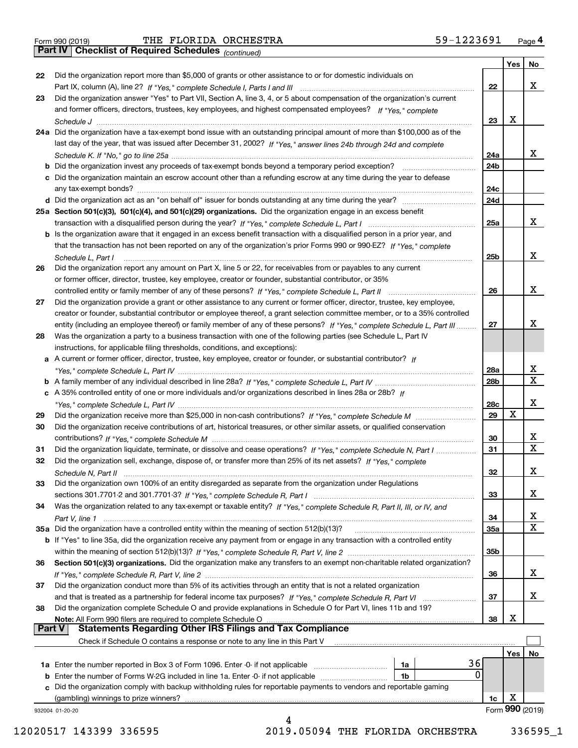*(continued)*

|               |                                                                                                                                    |                 | Yes | No              |
|---------------|------------------------------------------------------------------------------------------------------------------------------------|-----------------|-----|-----------------|
| 22            | Did the organization report more than \$5,000 of grants or other assistance to or for domestic individuals on                      |                 |     |                 |
|               |                                                                                                                                    | 22              |     | х               |
| 23            | Did the organization answer "Yes" to Part VII, Section A, line 3, 4, or 5 about compensation of the organization's current         |                 |     |                 |
|               | and former officers, directors, trustees, key employees, and highest compensated employees? If "Yes," complete                     |                 |     |                 |
|               |                                                                                                                                    | 23              | x   |                 |
|               | 24a Did the organization have a tax-exempt bond issue with an outstanding principal amount of more than \$100,000 as of the        |                 |     |                 |
|               | last day of the year, that was issued after December 31, 2002? If "Yes," answer lines 24b through 24d and complete                 |                 |     |                 |
|               |                                                                                                                                    | 24a             |     | x.              |
|               | <b>b</b> Did the organization invest any proceeds of tax-exempt bonds beyond a temporary period exception?                         | 24 <sub>b</sub> |     |                 |
|               | c Did the organization maintain an escrow account other than a refunding escrow at any time during the year to defease             |                 |     |                 |
|               | any tax-exempt bonds?                                                                                                              | 24c             |     |                 |
|               | d Did the organization act as an "on behalf of" issuer for bonds outstanding at any time during the year?                          | 24d             |     |                 |
|               | 25a Section 501(c)(3), 501(c)(4), and 501(c)(29) organizations. Did the organization engage in an excess benefit                   |                 |     |                 |
|               |                                                                                                                                    | 25a             |     | x               |
|               | b Is the organization aware that it engaged in an excess benefit transaction with a disqualified person in a prior year, and       |                 |     |                 |
|               | that the transaction has not been reported on any of the organization's prior Forms 990 or 990-EZ? If "Yes," complete              |                 |     |                 |
|               | Schedule L, Part I                                                                                                                 | 25b             |     | x               |
| 26            | Did the organization report any amount on Part X, line 5 or 22, for receivables from or payables to any current                    |                 |     |                 |
|               | or former officer, director, trustee, key employee, creator or founder, substantial contributor, or 35%                            |                 |     |                 |
|               |                                                                                                                                    | 26              |     | х               |
| 27            | Did the organization provide a grant or other assistance to any current or former officer, director, trustee, key employee,        |                 |     |                 |
|               | creator or founder, substantial contributor or employee thereof, a grant selection committee member, or to a 35% controlled        |                 |     |                 |
|               | entity (including an employee thereof) or family member of any of these persons? If "Yes," complete Schedule L, Part III           | 27              |     | x               |
| 28            | Was the organization a party to a business transaction with one of the following parties (see Schedule L, Part IV                  |                 |     |                 |
|               | instructions, for applicable filing thresholds, conditions, and exceptions):                                                       |                 |     |                 |
|               | a A current or former officer, director, trustee, key employee, creator or founder, or substantial contributor? If                 |                 |     | х               |
|               |                                                                                                                                    | 28a             |     | х               |
|               |                                                                                                                                    | 28 <sub>b</sub> |     |                 |
|               | c A 35% controlled entity of one or more individuals and/or organizations described in lines 28a or 28b? If                        | 28c             |     | x               |
| 29            |                                                                                                                                    | 29              | X   |                 |
| 30            | Did the organization receive contributions of art, historical treasures, or other similar assets, or qualified conservation        |                 |     |                 |
|               |                                                                                                                                    | 30              |     | x               |
| 31            | Did the organization liquidate, terminate, or dissolve and cease operations? If "Yes," complete Schedule N, Part I                 | 31              |     | X               |
| 32            | Did the organization sell, exchange, dispose of, or transfer more than 25% of its net assets? If "Yes," complete                   |                 |     |                 |
|               | Schedule N. Part II (1990) (1990) (1990) (1990) (1990) (1990) (1990) (1990) (1990) (1990) (1990) (1990) (1990)                     | 32              |     | х               |
| 33            | Did the organization own 100% of an entity disregarded as separate from the organization under Regulations                         |                 |     |                 |
|               |                                                                                                                                    | 33              |     | х               |
| 34            | Was the organization related to any tax-exempt or taxable entity? If "Yes," complete Schedule R, Part II, III, or IV, and          |                 |     |                 |
|               |                                                                                                                                    | 34              |     | х               |
|               | 35a Did the organization have a controlled entity within the meaning of section 512(b)(13)?                                        | 35a             |     | Χ               |
|               | <b>b</b> If "Yes" to line 35a, did the organization receive any payment from or engage in any transaction with a controlled entity |                 |     |                 |
|               |                                                                                                                                    | 35b             |     |                 |
| 36            | Section 501(c)(3) organizations. Did the organization make any transfers to an exempt non-charitable related organization?         |                 |     |                 |
|               |                                                                                                                                    | 36              |     | х               |
| 37            | Did the organization conduct more than 5% of its activities through an entity that is not a related organization                   |                 |     |                 |
|               |                                                                                                                                    | 37              |     | х               |
| 38            | Did the organization complete Schedule O and provide explanations in Schedule O for Part VI, lines 11b and 19?                     |                 |     |                 |
|               | Note: All Form 990 filers are required to complete Schedule O                                                                      | 38              | х   |                 |
| <b>Part V</b> | <b>Statements Regarding Other IRS Filings and Tax Compliance</b>                                                                   |                 |     |                 |
|               | Check if Schedule O contains a response or note to any line in this Part V                                                         |                 |     |                 |
|               |                                                                                                                                    |                 | Yes | No              |
|               | 36<br>1a                                                                                                                           |                 |     |                 |
|               | 0<br><b>b</b> Enter the number of Forms W-2G included in line 1a. Enter -0- if not applicable<br>1b                                |                 |     |                 |
|               | c Did the organization comply with backup withholding rules for reportable payments to vendors and reportable gaming               |                 |     |                 |
|               | (gambling) winnings to prize winners?                                                                                              | 1c              | X   |                 |
|               | 932004 01-20-20                                                                                                                    |                 |     | Form 990 (2019) |
|               | 4                                                                                                                                  |                 |     |                 |

12020517 143399 336595 2019.05094 THE FLORIDA ORCHESTRA 336595\_1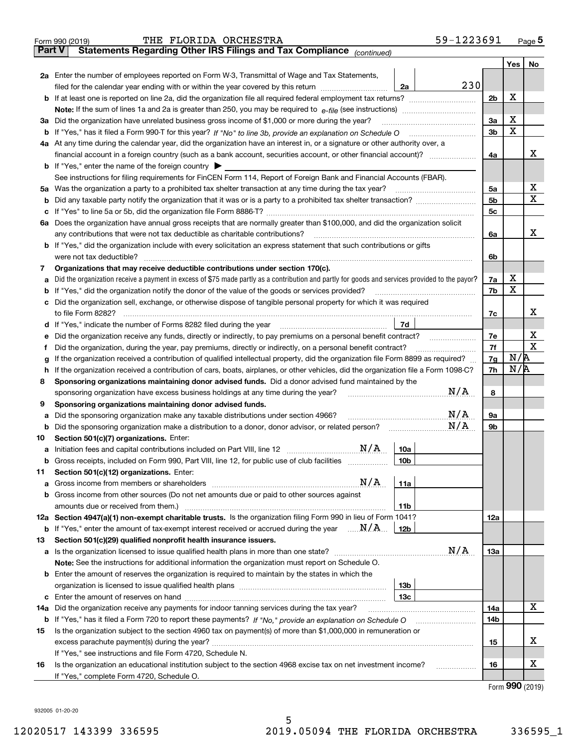|               | 59-1223691<br>THE FLORIDA ORCHESTRA<br>Form 990 (2019)                                                                                          |                |                             | Page $5$    |
|---------------|-------------------------------------------------------------------------------------------------------------------------------------------------|----------------|-----------------------------|-------------|
| <b>Part V</b> | Statements Regarding Other IRS Filings and Tax Compliance (continued)                                                                           |                |                             |             |
|               |                                                                                                                                                 |                | Yes                         | No          |
|               | 2a Enter the number of employees reported on Form W-3, Transmittal of Wage and Tax Statements,                                                  |                |                             |             |
|               | 230<br>2a<br>filed for the calendar year ending with or within the year covered by this return                                                  |                |                             |             |
|               | <b>b</b> If at least one is reported on line 2a, did the organization file all required federal employment tax returns?                         | 2 <sub>b</sub> | X                           |             |
|               |                                                                                                                                                 |                |                             |             |
| За            | Did the organization have unrelated business gross income of \$1,000 or more during the year?                                                   | 3a             | X                           |             |
|               |                                                                                                                                                 | 3 <sub>b</sub> | $\mathbf X$                 |             |
|               | 4a At any time during the calendar year, did the organization have an interest in, or a signature or other authority over, a                    |                |                             |             |
|               |                                                                                                                                                 | 4a             |                             | x           |
|               | <b>b</b> If "Yes," enter the name of the foreign country $\triangleright$                                                                       |                |                             |             |
|               | See instructions for filing requirements for FinCEN Form 114, Report of Foreign Bank and Financial Accounts (FBAR).                             |                |                             |             |
| 5a            | Was the organization a party to a prohibited tax shelter transaction at any time during the tax year?                                           | 5a             |                             | X           |
| b             |                                                                                                                                                 | 5 <sub>b</sub> |                             | X           |
|               |                                                                                                                                                 | 5 <sub>c</sub> |                             |             |
| ба            | Does the organization have annual gross receipts that are normally greater than \$100,000, and did the organization solicit                     |                |                             |             |
|               | any contributions that were not tax deductible as charitable contributions?                                                                     | 6a             |                             | x           |
|               | b If "Yes," did the organization include with every solicitation an express statement that such contributions or gifts                          |                |                             |             |
|               | were not tax deductible?                                                                                                                        | 6b             |                             |             |
| 7             | Organizations that may receive deductible contributions under section 170(c).                                                                   |                |                             |             |
|               | Did the organization receive a payment in excess of \$75 made partly as a contribution and partly for goods and services provided to the payor? | 7a             | х                           |             |
|               | If "Yes," did the organization notify the donor of the value of the goods or services provided?                                                 | 7b             | X                           |             |
|               | Did the organization sell, exchange, or otherwise dispose of tangible personal property for which it was required                               |                |                             |             |
|               | to file Form 8282?                                                                                                                              | 7c             |                             | x           |
|               | 7d<br>d If "Yes," indicate the number of Forms 8282 filed during the year manufactured in the second of the New York                            |                |                             |             |
|               | Did the organization receive any funds, directly or indirectly, to pay premiums on a personal benefit contract?                                 | 7e             |                             | х           |
|               | Did the organization, during the year, pay premiums, directly or indirectly, on a personal benefit contract?                                    | 7f             |                             | $\mathbf X$ |
|               | If the organization received a contribution of qualified intellectual property, did the organization file Form 8899 as required?                | 7g             | N/R                         |             |
|               | If the organization received a contribution of cars, boats, airplanes, or other vehicles, did the organization file a Form 1098-C?              | 7h             | N/R                         |             |
| 8             | Sponsoring organizations maintaining donor advised funds. Did a donor advised fund maintained by the                                            |                |                             |             |
|               | N/A<br>sponsoring organization have excess business holdings at any time during the year?                                                       | 8              |                             |             |
| 9             | Sponsoring organizations maintaining donor advised funds.                                                                                       |                |                             |             |
|               | N/A<br>Did the sponsoring organization make any taxable distributions under section 4966?                                                       | 9a             |                             |             |
| b             | N/A<br>Did the sponsoring organization make a distribution to a donor, donor advisor, or related person?<br><u>alimni sa shekara ta 1999</u>    | 9b             |                             |             |
| 10            | Section 501(c)(7) organizations. Enter:                                                                                                         |                |                             |             |
|               | 10a                                                                                                                                             |                |                             |             |
| b             | Gross receipts, included on Form 990, Part VIII, line 12, for public use of club facilities<br>  10b                                            |                |                             |             |
| 11            | Section 501(c)(12) organizations. Enter:                                                                                                        |                |                             |             |
| a             | N/A<br>11a                                                                                                                                      |                |                             |             |
| b             | Gross income from other sources (Do not net amounts due or paid to other sources against                                                        |                |                             |             |
|               | amounts due or received from them.)<br>11b                                                                                                      |                |                             |             |
|               | 12a Section 4947(a)(1) non-exempt charitable trusts. Is the organization filing Form 990 in lieu of Form 1041?                                  | 12a            |                             |             |
| b             | If "Yes," enter the amount of tax-exempt interest received or accrued during the year $\ldots \mathbf{N}/\mathbf{A}$<br>12b                     |                |                             |             |
| 13            | Section 501(c)(29) qualified nonprofit health insurance issuers.                                                                                |                |                             |             |
|               | N/A<br>a Is the organization licensed to issue qualified health plans in more than one state?                                                   | 13а            |                             |             |
|               | Note: See the instructions for additional information the organization must report on Schedule O.                                               |                |                             |             |
|               | <b>b</b> Enter the amount of reserves the organization is required to maintain by the states in which the                                       |                |                             |             |
|               | 13b                                                                                                                                             |                |                             |             |
| с             | 13с                                                                                                                                             |                |                             |             |
| 14a           | Did the organization receive any payments for indoor tanning services during the tax year?                                                      | 14a            |                             | х           |
|               |                                                                                                                                                 | 14b            |                             |             |
| 15            | Is the organization subject to the section 4960 tax on payment(s) of more than \$1,000,000 in remuneration or                                   |                |                             |             |
|               |                                                                                                                                                 | 15             |                             | x           |
|               | If "Yes," see instructions and file Form 4720, Schedule N.                                                                                      |                |                             |             |
| 16            | Is the organization an educational institution subject to the section 4968 excise tax on net investment income?                                 | 16             |                             | х           |
|               | If "Yes," complete Form 4720, Schedule O.                                                                                                       |                | $F_{\text{arm}}$ 990 (2010) |             |

5

Form (2019) **990**

932005 01-20-20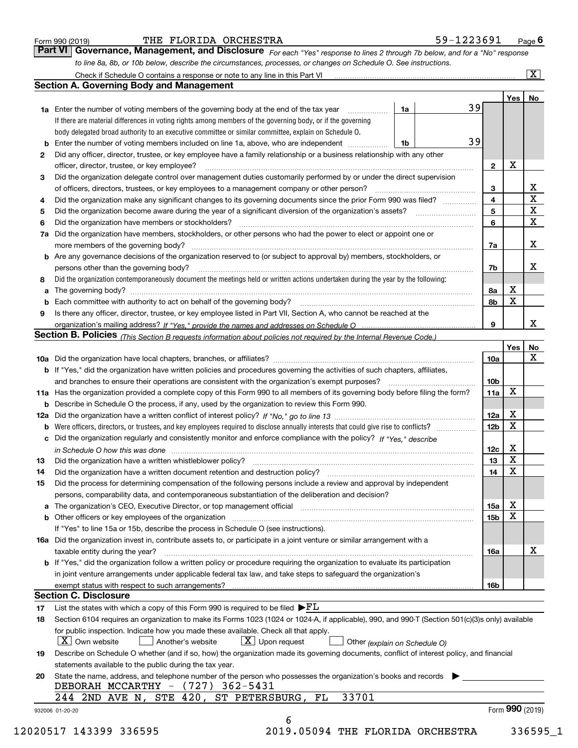|  | Form 990 (2019) |  |
|--|-----------------|--|
|  |                 |  |

#### THE FLORIDA ORCHESTRA 59-1223691

*For each "Yes" response to lines 2 through 7b below, and for a "No" response to line 8a, 8b, or 10b below, describe the circumstances, processes, or changes on Schedule O. See instructions.* Form 990 (2019) **THE FLORIDA ORCHESTRA** 59-1223691 Page 6<br>**Part VI Governance, Management, and Disclosure** For each "Yes" response to lines 2 through 7b below, and for a "No" response Check if Schedule O contains a response or note to any line in this Part VI

|    |                                                                                                                                                                            |    |    |                         | Yes             | No                      |
|----|----------------------------------------------------------------------------------------------------------------------------------------------------------------------------|----|----|-------------------------|-----------------|-------------------------|
|    | <b>1a</b> Enter the number of voting members of the governing body at the end of the tax year <i>manumum</i>                                                               | 1a | 39 |                         |                 |                         |
|    | If there are material differences in voting rights among members of the governing body, or if the governing                                                                |    |    |                         |                 |                         |
|    | body delegated broad authority to an executive committee or similar committee, explain on Schedule O.                                                                      |    |    |                         |                 |                         |
|    |                                                                                                                                                                            | 1b | 39 |                         |                 |                         |
| 2  | Did any officer, director, trustee, or key employee have a family relationship or a business relationship with any other                                                   |    |    |                         |                 |                         |
|    | officer, director, trustee, or key employee?                                                                                                                               |    |    | $\mathbf{2}$            | X               |                         |
| 3  | Did the organization delegate control over management duties customarily performed by or under the direct supervision                                                      |    |    |                         |                 |                         |
|    | of officers, directors, trustees, or key employees to a management company or other person?                                                                                |    |    | 3                       |                 | X                       |
| 4  | Did the organization make any significant changes to its governing documents since the prior Form 990 was filed?                                                           |    |    | $\overline{\mathbf{4}}$ |                 | $\overline{\mathbf{x}}$ |
| 5  |                                                                                                                                                                            |    |    | 5                       |                 | $\mathbf X$             |
| 6  | Did the organization have members or stockholders?                                                                                                                         |    |    | 6                       |                 | X                       |
| 7a | Did the organization have members, stockholders, or other persons who had the power to elect or appoint one or                                                             |    |    |                         |                 |                         |
|    |                                                                                                                                                                            |    |    | 7a                      |                 | х                       |
|    | <b>b</b> Are any governance decisions of the organization reserved to (or subject to approval by) members, stockholders, or                                                |    |    |                         |                 |                         |
|    | persons other than the governing body?                                                                                                                                     |    |    | 7b                      |                 | х                       |
| 8  | Did the organization contemporaneously document the meetings held or written actions undertaken during the year by the following:                                          |    |    |                         |                 |                         |
|    |                                                                                                                                                                            |    |    |                         | X               |                         |
| a  |                                                                                                                                                                            |    |    | 8a<br>8b                | X               |                         |
|    |                                                                                                                                                                            |    |    |                         |                 |                         |
| 9  | Is there any officer, director, trustee, or key employee listed in Part VII, Section A, who cannot be reached at the                                                       |    |    |                         |                 | x                       |
|    |                                                                                                                                                                            |    |    | 9                       |                 |                         |
|    | <b>Section B. Policies</b> (This Section B requests information about policies not required by the Internal Revenue Code.)                                                 |    |    |                         |                 |                         |
|    |                                                                                                                                                                            |    |    |                         | Yes             | No<br>X                 |
|    |                                                                                                                                                                            |    |    | 10a                     |                 |                         |
|    | <b>b</b> If "Yes," did the organization have written policies and procedures governing the activities of such chapters, affiliates,                                        |    |    |                         |                 |                         |
|    |                                                                                                                                                                            |    |    | 10 <sub>b</sub>         |                 |                         |
|    | 11a Has the organization provided a complete copy of this Form 990 to all members of its governing body before filing the form?                                            |    |    | 11a                     | X               |                         |
|    | <b>b</b> Describe in Schedule O the process, if any, used by the organization to review this Form 990.                                                                     |    |    |                         |                 |                         |
|    |                                                                                                                                                                            |    |    | 12a                     | X               |                         |
| b  | Were officers, directors, or trustees, and key employees required to disclose annually interests that could give rise to conflicts?                                        |    |    | 12 <sub>b</sub>         | X               |                         |
|    | c Did the organization regularly and consistently monitor and enforce compliance with the policy? If "Yes." describe                                                       |    |    |                         |                 |                         |
|    | in Schedule O how this was done manufactured and continuum control of the Schedule O how this was done manufactured and the state of the Schedule O how this was done      |    |    | 12c                     | Х               |                         |
| 13 |                                                                                                                                                                            |    |    | 13                      | X               |                         |
| 14 | Did the organization have a written document retention and destruction policy? manufactured and the organization have a written document retention and destruction policy? |    |    | 14                      | X               |                         |
| 15 | Did the process for determining compensation of the following persons include a review and approval by independent                                                         |    |    |                         |                 |                         |
|    | persons, comparability data, and contemporaneous substantiation of the deliberation and decision?                                                                          |    |    |                         |                 |                         |
|    |                                                                                                                                                                            |    |    | 15a                     | х               |                         |
|    |                                                                                                                                                                            |    |    | 15b                     | X               |                         |
|    | If "Yes" to line 15a or 15b, describe the process in Schedule O (see instructions).                                                                                        |    |    |                         |                 |                         |
|    | 16a Did the organization invest in, contribute assets to, or participate in a joint venture or similar arrangement with a                                                  |    |    |                         |                 |                         |
|    | taxable entity during the year?                                                                                                                                            |    |    | 16a                     |                 | х                       |
|    | <b>b</b> If "Yes," did the organization follow a written policy or procedure requiring the organization to evaluate its participation                                      |    |    |                         |                 |                         |
|    | in joint venture arrangements under applicable federal tax law, and take steps to safequard the organization's                                                             |    |    |                         |                 |                         |
|    | exempt status with respect to such arrangements?                                                                                                                           |    |    | 16b                     |                 |                         |
|    | <b>Section C. Disclosure</b>                                                                                                                                               |    |    |                         |                 |                         |
| 17 | List the states with which a copy of this Form 990 is required to be filed $\blacktriangleright$ FL                                                                        |    |    |                         |                 |                         |
| 18 | Section 6104 requires an organization to make its Forms 1023 (1024 or 1024-A, if applicable), 990, and 990-T (Section 501(c)(3)s only) available                           |    |    |                         |                 |                         |
|    | for public inspection. Indicate how you made these available. Check all that apply.                                                                                        |    |    |                         |                 |                         |
|    | $\vert X \vert$ Own website<br>$X$ Upon request<br>  Another's website<br>Other (explain on Schedule O)                                                                    |    |    |                         |                 |                         |
|    | Describe on Schedule O whether (and if so, how) the organization made its governing documents, conflict of interest policy, and financial                                  |    |    |                         |                 |                         |
| 19 |                                                                                                                                                                            |    |    |                         |                 |                         |
|    | statements available to the public during the tax year.                                                                                                                    |    |    |                         |                 |                         |
| 20 | State the name, address, and telephone number of the person who possesses the organization's books and records                                                             |    |    |                         |                 |                         |
|    | DEBORAH MCCARTHY - (727) 362-5431                                                                                                                                          |    |    |                         |                 |                         |
|    | 33701<br>244 2ND AVE N, STE 420, ST PETERSBURG, FL                                                                                                                         |    |    |                         | Form 990 (2019) |                         |
|    | 932006 01-20-20                                                                                                                                                            |    |    |                         |                 |                         |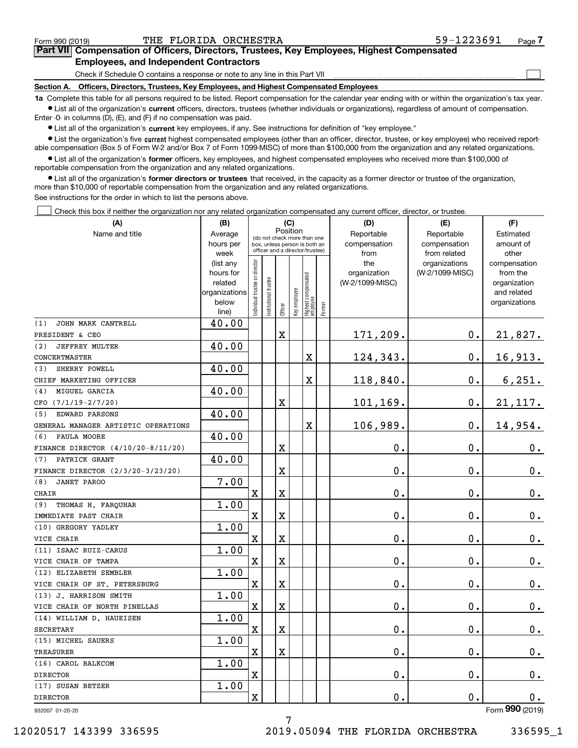| Form 990 (2019) |  |  |
|-----------------|--|--|
|                 |  |  |

 $\mathcal{L}^{\text{max}}$ 

| Form 990 (2019) |                                               | THE FLORIDA ORCHESTRA | 59-1223691                                                                                 | Page $\prime$ |
|-----------------|-----------------------------------------------|-----------------------|--------------------------------------------------------------------------------------------|---------------|
|                 |                                               |                       | Part VII Compensation of Officers, Directors, Trustees, Key Employees, Highest Compensated |               |
|                 | <b>Employees, and Independent Contractors</b> |                       |                                                                                            |               |

Check if Schedule O contains a response or note to any line in this Part VII

**Section A. Officers, Directors, Trustees, Key Employees, and Highest Compensated Employees**

**1a**  Complete this table for all persons required to be listed. Report compensation for the calendar year ending with or within the organization's tax year. **•** List all of the organization's current officers, directors, trustees (whether individuals or organizations), regardless of amount of compensation.

Enter -0- in columns (D), (E), and (F) if no compensation was paid.

 $\bullet$  List all of the organization's  $\,$ current key employees, if any. See instructions for definition of "key employee."

• List the organization's five current highest compensated employees (other than an officer, director, trustee, or key employee) who received report-■ List the organization's five current highest compensated employees (other than an officer, director, trustee, or key employee) who received report-<br>able compensation (Box 5 of Form W-2 and/or Box 7 of Form 1099-MISC) of

**•** List all of the organization's former officers, key employees, and highest compensated employees who received more than \$100,000 of reportable compensation from the organization and any related organizations.

**former directors or trustees**  ¥ List all of the organization's that received, in the capacity as a former director or trustee of the organization, more than \$10,000 of reportable compensation from the organization and any related organizations.

See instructions for the order in which to list the persons above.

Check this box if neither the organization nor any related organization compensated any current officer, director, or trustee.  $\mathcal{L}^{\text{max}}$ 

| Position<br>Name and title<br>Reportable<br>Reportable<br>Average<br>Estimated<br>(do not check more than one<br>compensation<br>hours per<br>compensation<br>amount of<br>box, unless person is both an<br>officer and a director/trustee)<br>week<br>from<br>from related<br>other<br>ndividual trustee or director<br>(list any<br>the<br>organizations<br>compensation<br>hours for<br>organization<br>(W-2/1099-MISC)<br>from the<br>Highest compensated<br> employee<br>nstitutional trustee<br>related<br>(W-2/1099-MISC)<br>organization<br>Key employee<br>organizations<br>and related<br>below<br>organizations<br>Former<br>Officer<br>line)<br>40.00<br>JOHN MARK CANTRELL<br>171,209.<br>0.<br>$\mathbf X$<br>21,827.<br>40.00<br>(2)<br><b>JEFFREY MULTER</b><br>16,913.<br>X<br>124,343.<br>$\mathbf 0$ .<br>40.00<br>SHERRY POWELL<br>(3)<br>118,840.<br>6, 251.<br>X<br>0.<br>40.00<br>MIGUEL GARCIA<br>(4)<br>X<br>101,169.<br>0.<br>21,117.<br>40.00<br><b>EDWARD PARSONS</b><br>(5)<br>106,989.<br>0.<br>14,954.<br>X<br>40.00<br>PAULA MOORE<br>(6)<br>0.<br>$\mathbf 0$ .<br>$0_{.}$<br>х<br>40.00<br>PATRICK GRANT<br>(7)<br>0.<br>X<br>$\mathbf 0$ .<br>0.<br>7.00<br><b>JANET PAROO</b><br>(8)<br>$\overline{\mathbf{X}}$<br>0.<br>$\mathbf 0$ .<br>X<br>$\mathbf 0$ .<br>1.00<br>THOMAS H. FARQUHAR<br>(9)<br>$\mathbf X$<br>X<br>0.<br>о.<br>0.<br>1.00<br>(10) GREGORY YADLEY<br>$\overline{\mathbf{X}}$<br>X<br>0.<br>$\mathbf 0$ .<br>$0_{.}$<br>1.00<br>(11) ISAAC RUIZ-CARUS<br>0.<br>$\mathbf X$<br>X<br>$\mathbf 0$ .<br>$\mathbf 0$ .<br>1.00<br>(12) ELIZABETH SEMBLER<br>0.<br>$\mathbf 0$ .<br>$0_{.}$<br>X<br>X<br>1.00<br>(13) J. HARRISON SMITH<br>0.<br>$\mathbf X$<br>X<br>$\mathbf 0$ .<br>0.<br>1.00<br>0.<br>$\mathbf X$<br>X<br>$\mathbf 0$ .<br>0.<br>1.00<br>(15) MICHEL SAUERS<br>$\mathbf X$<br>X<br>0.<br>0.<br>$\mathbf 0$ .<br>1.00<br>(16) CAROL BALKCOM<br>$\overline{\mathbf{X}}$<br>0.<br>0.<br>0.<br>1.00<br>(17) SUSAN BETZER<br>$\mathbf X$<br>0.<br>0.<br>0.<br><b>OOO</b> | (A)                                 | (B) |  |  | (C) |  | (D) | (E) | (F) |
|-------------------------------------------------------------------------------------------------------------------------------------------------------------------------------------------------------------------------------------------------------------------------------------------------------------------------------------------------------------------------------------------------------------------------------------------------------------------------------------------------------------------------------------------------------------------------------------------------------------------------------------------------------------------------------------------------------------------------------------------------------------------------------------------------------------------------------------------------------------------------------------------------------------------------------------------------------------------------------------------------------------------------------------------------------------------------------------------------------------------------------------------------------------------------------------------------------------------------------------------------------------------------------------------------------------------------------------------------------------------------------------------------------------------------------------------------------------------------------------------------------------------------------------------------------------------------------------------------------------------------------------------------------------------------------------------------------------------------------------------------------------------------------------------------------------------------------------------------------------------------------------------------------------------------------------------------------------------------------------------------------------------------------------------|-------------------------------------|-----|--|--|-----|--|-----|-----|-----|
|                                                                                                                                                                                                                                                                                                                                                                                                                                                                                                                                                                                                                                                                                                                                                                                                                                                                                                                                                                                                                                                                                                                                                                                                                                                                                                                                                                                                                                                                                                                                                                                                                                                                                                                                                                                                                                                                                                                                                                                                                                           |                                     |     |  |  |     |  |     |     |     |
|                                                                                                                                                                                                                                                                                                                                                                                                                                                                                                                                                                                                                                                                                                                                                                                                                                                                                                                                                                                                                                                                                                                                                                                                                                                                                                                                                                                                                                                                                                                                                                                                                                                                                                                                                                                                                                                                                                                                                                                                                                           |                                     |     |  |  |     |  |     |     |     |
|                                                                                                                                                                                                                                                                                                                                                                                                                                                                                                                                                                                                                                                                                                                                                                                                                                                                                                                                                                                                                                                                                                                                                                                                                                                                                                                                                                                                                                                                                                                                                                                                                                                                                                                                                                                                                                                                                                                                                                                                                                           |                                     |     |  |  |     |  |     |     |     |
|                                                                                                                                                                                                                                                                                                                                                                                                                                                                                                                                                                                                                                                                                                                                                                                                                                                                                                                                                                                                                                                                                                                                                                                                                                                                                                                                                                                                                                                                                                                                                                                                                                                                                                                                                                                                                                                                                                                                                                                                                                           |                                     |     |  |  |     |  |     |     |     |
|                                                                                                                                                                                                                                                                                                                                                                                                                                                                                                                                                                                                                                                                                                                                                                                                                                                                                                                                                                                                                                                                                                                                                                                                                                                                                                                                                                                                                                                                                                                                                                                                                                                                                                                                                                                                                                                                                                                                                                                                                                           |                                     |     |  |  |     |  |     |     |     |
|                                                                                                                                                                                                                                                                                                                                                                                                                                                                                                                                                                                                                                                                                                                                                                                                                                                                                                                                                                                                                                                                                                                                                                                                                                                                                                                                                                                                                                                                                                                                                                                                                                                                                                                                                                                                                                                                                                                                                                                                                                           |                                     |     |  |  |     |  |     |     |     |
|                                                                                                                                                                                                                                                                                                                                                                                                                                                                                                                                                                                                                                                                                                                                                                                                                                                                                                                                                                                                                                                                                                                                                                                                                                                                                                                                                                                                                                                                                                                                                                                                                                                                                                                                                                                                                                                                                                                                                                                                                                           |                                     |     |  |  |     |  |     |     |     |
|                                                                                                                                                                                                                                                                                                                                                                                                                                                                                                                                                                                                                                                                                                                                                                                                                                                                                                                                                                                                                                                                                                                                                                                                                                                                                                                                                                                                                                                                                                                                                                                                                                                                                                                                                                                                                                                                                                                                                                                                                                           |                                     |     |  |  |     |  |     |     |     |
|                                                                                                                                                                                                                                                                                                                                                                                                                                                                                                                                                                                                                                                                                                                                                                                                                                                                                                                                                                                                                                                                                                                                                                                                                                                                                                                                                                                                                                                                                                                                                                                                                                                                                                                                                                                                                                                                                                                                                                                                                                           | (1)                                 |     |  |  |     |  |     |     |     |
|                                                                                                                                                                                                                                                                                                                                                                                                                                                                                                                                                                                                                                                                                                                                                                                                                                                                                                                                                                                                                                                                                                                                                                                                                                                                                                                                                                                                                                                                                                                                                                                                                                                                                                                                                                                                                                                                                                                                                                                                                                           | PRESIDENT & CEO                     |     |  |  |     |  |     |     |     |
|                                                                                                                                                                                                                                                                                                                                                                                                                                                                                                                                                                                                                                                                                                                                                                                                                                                                                                                                                                                                                                                                                                                                                                                                                                                                                                                                                                                                                                                                                                                                                                                                                                                                                                                                                                                                                                                                                                                                                                                                                                           |                                     |     |  |  |     |  |     |     |     |
|                                                                                                                                                                                                                                                                                                                                                                                                                                                                                                                                                                                                                                                                                                                                                                                                                                                                                                                                                                                                                                                                                                                                                                                                                                                                                                                                                                                                                                                                                                                                                                                                                                                                                                                                                                                                                                                                                                                                                                                                                                           | CONCERTMASTER                       |     |  |  |     |  |     |     |     |
|                                                                                                                                                                                                                                                                                                                                                                                                                                                                                                                                                                                                                                                                                                                                                                                                                                                                                                                                                                                                                                                                                                                                                                                                                                                                                                                                                                                                                                                                                                                                                                                                                                                                                                                                                                                                                                                                                                                                                                                                                                           |                                     |     |  |  |     |  |     |     |     |
|                                                                                                                                                                                                                                                                                                                                                                                                                                                                                                                                                                                                                                                                                                                                                                                                                                                                                                                                                                                                                                                                                                                                                                                                                                                                                                                                                                                                                                                                                                                                                                                                                                                                                                                                                                                                                                                                                                                                                                                                                                           | CHIEF MARKETING OFFICER             |     |  |  |     |  |     |     |     |
|                                                                                                                                                                                                                                                                                                                                                                                                                                                                                                                                                                                                                                                                                                                                                                                                                                                                                                                                                                                                                                                                                                                                                                                                                                                                                                                                                                                                                                                                                                                                                                                                                                                                                                                                                                                                                                                                                                                                                                                                                                           |                                     |     |  |  |     |  |     |     |     |
|                                                                                                                                                                                                                                                                                                                                                                                                                                                                                                                                                                                                                                                                                                                                                                                                                                                                                                                                                                                                                                                                                                                                                                                                                                                                                                                                                                                                                                                                                                                                                                                                                                                                                                                                                                                                                                                                                                                                                                                                                                           | CFO (7/1/19-2/7/20)                 |     |  |  |     |  |     |     |     |
|                                                                                                                                                                                                                                                                                                                                                                                                                                                                                                                                                                                                                                                                                                                                                                                                                                                                                                                                                                                                                                                                                                                                                                                                                                                                                                                                                                                                                                                                                                                                                                                                                                                                                                                                                                                                                                                                                                                                                                                                                                           |                                     |     |  |  |     |  |     |     |     |
|                                                                                                                                                                                                                                                                                                                                                                                                                                                                                                                                                                                                                                                                                                                                                                                                                                                                                                                                                                                                                                                                                                                                                                                                                                                                                                                                                                                                                                                                                                                                                                                                                                                                                                                                                                                                                                                                                                                                                                                                                                           | GENERAL MANAGER ARTISTIC OPERATIONS |     |  |  |     |  |     |     |     |
|                                                                                                                                                                                                                                                                                                                                                                                                                                                                                                                                                                                                                                                                                                                                                                                                                                                                                                                                                                                                                                                                                                                                                                                                                                                                                                                                                                                                                                                                                                                                                                                                                                                                                                                                                                                                                                                                                                                                                                                                                                           |                                     |     |  |  |     |  |     |     |     |
|                                                                                                                                                                                                                                                                                                                                                                                                                                                                                                                                                                                                                                                                                                                                                                                                                                                                                                                                                                                                                                                                                                                                                                                                                                                                                                                                                                                                                                                                                                                                                                                                                                                                                                                                                                                                                                                                                                                                                                                                                                           | FINANCE DIRECTOR (4/10/20-8/11/20)  |     |  |  |     |  |     |     |     |
|                                                                                                                                                                                                                                                                                                                                                                                                                                                                                                                                                                                                                                                                                                                                                                                                                                                                                                                                                                                                                                                                                                                                                                                                                                                                                                                                                                                                                                                                                                                                                                                                                                                                                                                                                                                                                                                                                                                                                                                                                                           |                                     |     |  |  |     |  |     |     |     |
|                                                                                                                                                                                                                                                                                                                                                                                                                                                                                                                                                                                                                                                                                                                                                                                                                                                                                                                                                                                                                                                                                                                                                                                                                                                                                                                                                                                                                                                                                                                                                                                                                                                                                                                                                                                                                                                                                                                                                                                                                                           | FINANCE DIRECTOR (2/3/20-3/23/20)   |     |  |  |     |  |     |     |     |
|                                                                                                                                                                                                                                                                                                                                                                                                                                                                                                                                                                                                                                                                                                                                                                                                                                                                                                                                                                                                                                                                                                                                                                                                                                                                                                                                                                                                                                                                                                                                                                                                                                                                                                                                                                                                                                                                                                                                                                                                                                           |                                     |     |  |  |     |  |     |     |     |
|                                                                                                                                                                                                                                                                                                                                                                                                                                                                                                                                                                                                                                                                                                                                                                                                                                                                                                                                                                                                                                                                                                                                                                                                                                                                                                                                                                                                                                                                                                                                                                                                                                                                                                                                                                                                                                                                                                                                                                                                                                           | CHAIR                               |     |  |  |     |  |     |     |     |
|                                                                                                                                                                                                                                                                                                                                                                                                                                                                                                                                                                                                                                                                                                                                                                                                                                                                                                                                                                                                                                                                                                                                                                                                                                                                                                                                                                                                                                                                                                                                                                                                                                                                                                                                                                                                                                                                                                                                                                                                                                           |                                     |     |  |  |     |  |     |     |     |
|                                                                                                                                                                                                                                                                                                                                                                                                                                                                                                                                                                                                                                                                                                                                                                                                                                                                                                                                                                                                                                                                                                                                                                                                                                                                                                                                                                                                                                                                                                                                                                                                                                                                                                                                                                                                                                                                                                                                                                                                                                           | IMMEDIATE PAST CHAIR                |     |  |  |     |  |     |     |     |
|                                                                                                                                                                                                                                                                                                                                                                                                                                                                                                                                                                                                                                                                                                                                                                                                                                                                                                                                                                                                                                                                                                                                                                                                                                                                                                                                                                                                                                                                                                                                                                                                                                                                                                                                                                                                                                                                                                                                                                                                                                           |                                     |     |  |  |     |  |     |     |     |
|                                                                                                                                                                                                                                                                                                                                                                                                                                                                                                                                                                                                                                                                                                                                                                                                                                                                                                                                                                                                                                                                                                                                                                                                                                                                                                                                                                                                                                                                                                                                                                                                                                                                                                                                                                                                                                                                                                                                                                                                                                           | VICE CHAIR                          |     |  |  |     |  |     |     |     |
|                                                                                                                                                                                                                                                                                                                                                                                                                                                                                                                                                                                                                                                                                                                                                                                                                                                                                                                                                                                                                                                                                                                                                                                                                                                                                                                                                                                                                                                                                                                                                                                                                                                                                                                                                                                                                                                                                                                                                                                                                                           |                                     |     |  |  |     |  |     |     |     |
|                                                                                                                                                                                                                                                                                                                                                                                                                                                                                                                                                                                                                                                                                                                                                                                                                                                                                                                                                                                                                                                                                                                                                                                                                                                                                                                                                                                                                                                                                                                                                                                                                                                                                                                                                                                                                                                                                                                                                                                                                                           | VICE CHAIR OF TAMPA                 |     |  |  |     |  |     |     |     |
|                                                                                                                                                                                                                                                                                                                                                                                                                                                                                                                                                                                                                                                                                                                                                                                                                                                                                                                                                                                                                                                                                                                                                                                                                                                                                                                                                                                                                                                                                                                                                                                                                                                                                                                                                                                                                                                                                                                                                                                                                                           |                                     |     |  |  |     |  |     |     |     |
|                                                                                                                                                                                                                                                                                                                                                                                                                                                                                                                                                                                                                                                                                                                                                                                                                                                                                                                                                                                                                                                                                                                                                                                                                                                                                                                                                                                                                                                                                                                                                                                                                                                                                                                                                                                                                                                                                                                                                                                                                                           | VICE CHAIR OF ST. PETERSBURG        |     |  |  |     |  |     |     |     |
|                                                                                                                                                                                                                                                                                                                                                                                                                                                                                                                                                                                                                                                                                                                                                                                                                                                                                                                                                                                                                                                                                                                                                                                                                                                                                                                                                                                                                                                                                                                                                                                                                                                                                                                                                                                                                                                                                                                                                                                                                                           |                                     |     |  |  |     |  |     |     |     |
|                                                                                                                                                                                                                                                                                                                                                                                                                                                                                                                                                                                                                                                                                                                                                                                                                                                                                                                                                                                                                                                                                                                                                                                                                                                                                                                                                                                                                                                                                                                                                                                                                                                                                                                                                                                                                                                                                                                                                                                                                                           | VICE CHAIR OF NORTH PINELLAS        |     |  |  |     |  |     |     |     |
|                                                                                                                                                                                                                                                                                                                                                                                                                                                                                                                                                                                                                                                                                                                                                                                                                                                                                                                                                                                                                                                                                                                                                                                                                                                                                                                                                                                                                                                                                                                                                                                                                                                                                                                                                                                                                                                                                                                                                                                                                                           | (14) WILLIAM D. HAUEISEN            |     |  |  |     |  |     |     |     |
|                                                                                                                                                                                                                                                                                                                                                                                                                                                                                                                                                                                                                                                                                                                                                                                                                                                                                                                                                                                                                                                                                                                                                                                                                                                                                                                                                                                                                                                                                                                                                                                                                                                                                                                                                                                                                                                                                                                                                                                                                                           | SECRETARY                           |     |  |  |     |  |     |     |     |
|                                                                                                                                                                                                                                                                                                                                                                                                                                                                                                                                                                                                                                                                                                                                                                                                                                                                                                                                                                                                                                                                                                                                                                                                                                                                                                                                                                                                                                                                                                                                                                                                                                                                                                                                                                                                                                                                                                                                                                                                                                           |                                     |     |  |  |     |  |     |     |     |
|                                                                                                                                                                                                                                                                                                                                                                                                                                                                                                                                                                                                                                                                                                                                                                                                                                                                                                                                                                                                                                                                                                                                                                                                                                                                                                                                                                                                                                                                                                                                                                                                                                                                                                                                                                                                                                                                                                                                                                                                                                           | <b>TREASURER</b>                    |     |  |  |     |  |     |     |     |
|                                                                                                                                                                                                                                                                                                                                                                                                                                                                                                                                                                                                                                                                                                                                                                                                                                                                                                                                                                                                                                                                                                                                                                                                                                                                                                                                                                                                                                                                                                                                                                                                                                                                                                                                                                                                                                                                                                                                                                                                                                           |                                     |     |  |  |     |  |     |     |     |
|                                                                                                                                                                                                                                                                                                                                                                                                                                                                                                                                                                                                                                                                                                                                                                                                                                                                                                                                                                                                                                                                                                                                                                                                                                                                                                                                                                                                                                                                                                                                                                                                                                                                                                                                                                                                                                                                                                                                                                                                                                           | <b>DIRECTOR</b>                     |     |  |  |     |  |     |     |     |
|                                                                                                                                                                                                                                                                                                                                                                                                                                                                                                                                                                                                                                                                                                                                                                                                                                                                                                                                                                                                                                                                                                                                                                                                                                                                                                                                                                                                                                                                                                                                                                                                                                                                                                                                                                                                                                                                                                                                                                                                                                           |                                     |     |  |  |     |  |     |     |     |
|                                                                                                                                                                                                                                                                                                                                                                                                                                                                                                                                                                                                                                                                                                                                                                                                                                                                                                                                                                                                                                                                                                                                                                                                                                                                                                                                                                                                                                                                                                                                                                                                                                                                                                                                                                                                                                                                                                                                                                                                                                           | <b>DIRECTOR</b>                     |     |  |  |     |  |     |     |     |

7

932007 01-20-20

Form (2019) **990**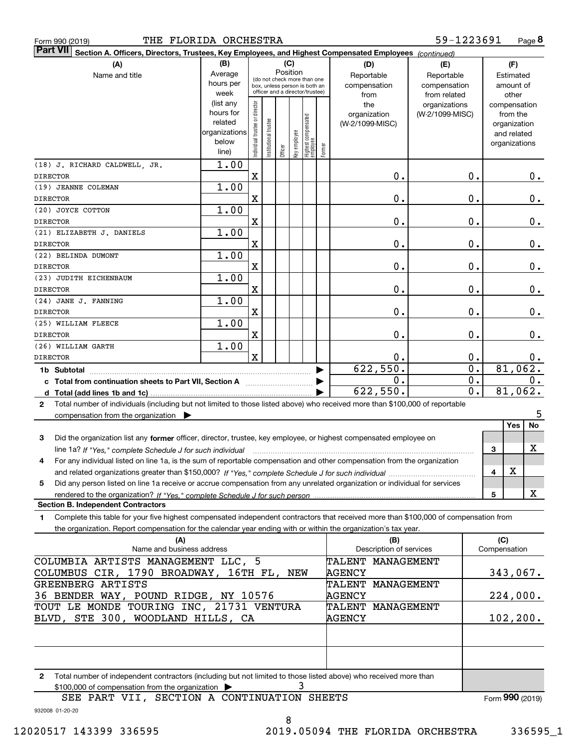|  | Form 990 (2019) |
|--|-----------------|

| <b>Part VII</b><br>Section A. Officers, Directors, Trustees, Key Employees, and Highest Compensated Employees (continued)                    |                      |                                |                                                              |          |              |                                   |        |                          |                  |                              |
|----------------------------------------------------------------------------------------------------------------------------------------------|----------------------|--------------------------------|--------------------------------------------------------------|----------|--------------|-----------------------------------|--------|--------------------------|------------------|------------------------------|
| (A)                                                                                                                                          | (B)<br>(C)           |                                |                                                              |          |              |                                   | (D)    | (E)                      | (F)              |                              |
| Name and title                                                                                                                               | Average              |                                |                                                              | Position |              |                                   |        | Reportable               | Reportable       | Estimated                    |
|                                                                                                                                              | hours per            |                                | (do not check more than one<br>box, unless person is both an |          |              |                                   |        | compensation             | compensation     | amount of                    |
|                                                                                                                                              | week                 |                                | officer and a director/trustee)                              |          |              |                                   |        | from                     | from related     | other                        |
|                                                                                                                                              | (list any            |                                |                                                              |          |              |                                   |        | the                      | organizations    | compensation                 |
|                                                                                                                                              | hours for<br>related |                                |                                                              |          |              |                                   |        | organization             | (W-2/1099-MISC)  | from the                     |
|                                                                                                                                              | organizations        |                                |                                                              |          |              |                                   |        | (W-2/1099-MISC)          |                  | organization                 |
|                                                                                                                                              | below                |                                |                                                              |          |              |                                   |        |                          |                  | and related<br>organizations |
|                                                                                                                                              | line)                | Individual trustee or director | Institutional trustee                                        | Officer  | Key employee | Highest compensated<br>  employee | Former |                          |                  |                              |
| (18) J. RICHARD CALDWELL, JR.                                                                                                                | 1.00                 |                                |                                                              |          |              |                                   |        |                          |                  |                              |
| <b>DIRECTOR</b>                                                                                                                              |                      | $\mathbf X$                    |                                                              |          |              |                                   |        | 0.                       | 0.               | $0$ .                        |
| (19) JEANNE COLEMAN                                                                                                                          | 1.00                 |                                |                                                              |          |              |                                   |        |                          |                  |                              |
| <b>DIRECTOR</b>                                                                                                                              |                      | $\mathbf X$                    |                                                              |          |              |                                   |        | 0.                       | $0$ .            | $\mathbf 0$ .                |
| (20) JOYCE COTTON                                                                                                                            | 1.00                 |                                |                                                              |          |              |                                   |        |                          |                  |                              |
| <b>DIRECTOR</b>                                                                                                                              |                      | $\mathbf X$                    |                                                              |          |              |                                   |        | 0.                       | 0.               | $0_{.}$                      |
| (21) ELIZABETH J. DANIELS                                                                                                                    | 1.00                 |                                |                                                              |          |              |                                   |        |                          |                  |                              |
| <b>DIRECTOR</b>                                                                                                                              |                      | $\mathbf X$                    |                                                              |          |              |                                   |        | 0.                       | 0.               | $0_{.}$                      |
| (22) BELINDA DUMONT                                                                                                                          | 1.00                 |                                |                                                              |          |              |                                   |        |                          |                  |                              |
| <b>DIRECTOR</b>                                                                                                                              |                      | $\mathbf X$                    |                                                              |          |              |                                   |        | 0.                       | 0.               | 0.                           |
| (23) JUDITH EICHENBAUM                                                                                                                       | 1.00                 |                                |                                                              |          |              |                                   |        |                          |                  |                              |
| <b>DIRECTOR</b>                                                                                                                              |                      | $\mathbf X$                    |                                                              |          |              |                                   |        | 0.                       | 0.               | 0.                           |
| (24) JANE J. FANNING                                                                                                                         | 1.00                 |                                |                                                              |          |              |                                   |        |                          |                  |                              |
| <b>DIRECTOR</b>                                                                                                                              |                      | $\mathbf X$                    |                                                              |          |              |                                   |        | 0.                       | 0.               | 0.                           |
| (25) WILLIAM FLEECE                                                                                                                          | 1.00                 |                                |                                                              |          |              |                                   |        |                          |                  |                              |
| <b>DIRECTOR</b>                                                                                                                              |                      | $\mathbf X$                    |                                                              |          |              |                                   |        | 0.                       | $0$ .            | 0.                           |
| (26) WILLIAM GARTH                                                                                                                           | 1.00                 |                                |                                                              |          |              |                                   |        |                          |                  |                              |
| <b>DIRECTOR</b>                                                                                                                              |                      | $\mathbf x$                    |                                                              |          |              |                                   |        | 0.                       | 0.               | $0$ .                        |
| 1b Subtotal                                                                                                                                  |                      |                                |                                                              |          |              |                                   |        | $6\overline{22}$ , 550.  | $\overline{0}$ . | 81,062.                      |
| c Total from continuation sheets to Part VII, Section A                                                                                      |                      |                                |                                                              |          |              |                                   |        | $\overline{0}$ .         | 0.               | 0.                           |
| d $Total (add lines 1b and 1c)$ .                                                                                                            |                      |                                |                                                              |          |              |                                   |        | 622,550.                 | $\overline{0}$ . | 81,062.                      |
| Total number of individuals (including but not limited to those listed above) who received more than \$100,000 of reportable<br>$\mathbf{2}$ |                      |                                |                                                              |          |              |                                   |        |                          |                  |                              |
| compensation from the organization $\blacktriangleright$                                                                                     |                      |                                |                                                              |          |              |                                   |        |                          |                  | 5                            |
|                                                                                                                                              |                      |                                |                                                              |          |              |                                   |        |                          |                  | No<br>Yes                    |
| Did the organization list any former officer, director, trustee, key employee, or highest compensated employee on<br>3                       |                      |                                |                                                              |          |              |                                   |        |                          |                  |                              |
| line 1a? If "Yes," complete Schedule J for such individual                                                                                   |                      |                                |                                                              |          |              |                                   |        |                          |                  | х<br>3                       |
| For any individual listed on line 1a, is the sum of reportable compensation and other compensation from the organization<br>4                |                      |                                |                                                              |          |              |                                   |        |                          |                  |                              |
|                                                                                                                                              |                      |                                |                                                              |          |              |                                   |        |                          |                  | X<br>4                       |
| Did any person listed on line 1a receive or accrue compensation from any unrelated organization or individual for services<br>5              |                      |                                |                                                              |          |              |                                   |        |                          |                  |                              |
|                                                                                                                                              |                      |                                |                                                              |          |              |                                   |        |                          |                  | X<br>5                       |
| <b>Section B. Independent Contractors</b>                                                                                                    |                      |                                |                                                              |          |              |                                   |        |                          |                  |                              |
| Complete this table for your five highest compensated independent contractors that received more than \$100,000 of compensation from<br>1    |                      |                                |                                                              |          |              |                                   |        |                          |                  |                              |
| the organization. Report compensation for the calendar year ending with or within the organization's tax year.                               |                      |                                |                                                              |          |              |                                   |        |                          |                  |                              |
| (A)                                                                                                                                          |                      |                                |                                                              |          |              |                                   |        | (B)                      |                  | (C)                          |
| Name and business address                                                                                                                    |                      |                                |                                                              |          |              |                                   |        | Description of services  |                  | Compensation                 |
| COLUMBIA ARTISTS MANAGEMENT LLC, 5                                                                                                           |                      |                                |                                                              |          |              |                                   |        | <b>TALENT MANAGEMENT</b> |                  |                              |
| COLUMBUS CIR, 1790 BROADWAY, 16TH FL, NEW                                                                                                    |                      |                                |                                                              |          |              |                                   |        | <b>AGENCY</b>            |                  | 343,067.                     |
| GREENBERG ARTISTS                                                                                                                            |                      |                                |                                                              |          |              |                                   |        | TALENT MANAGEMENT        |                  |                              |
| 36 BENDER WAY, POUND RIDGE, NY 10576                                                                                                         |                      |                                |                                                              |          |              |                                   |        | <b>AGENCY</b>            |                  | 224,000.                     |
| TOUT LE MONDE TOURING INC, 21731 VENTURA                                                                                                     |                      |                                |                                                              |          |              |                                   |        | TALENT MANAGEMENT        |                  |                              |
| BLVD, STE 300, WOODLAND HILLS, CA                                                                                                            |                      |                                |                                                              |          |              |                                   |        | AGENCY                   |                  | 102, 200.                    |
|                                                                                                                                              |                      |                                |                                                              |          |              |                                   |        |                          |                  |                              |
|                                                                                                                                              |                      |                                |                                                              |          |              |                                   |        |                          |                  |                              |
|                                                                                                                                              |                      |                                |                                                              |          |              |                                   |        |                          |                  |                              |

**2**Total number of independent contractors (including but not limited to those listed above) who received more than \$100,000 of compensation from the organization <sup>|</sup> SEE PART VII, SECTION A CONTINUATION SHEETS 3

8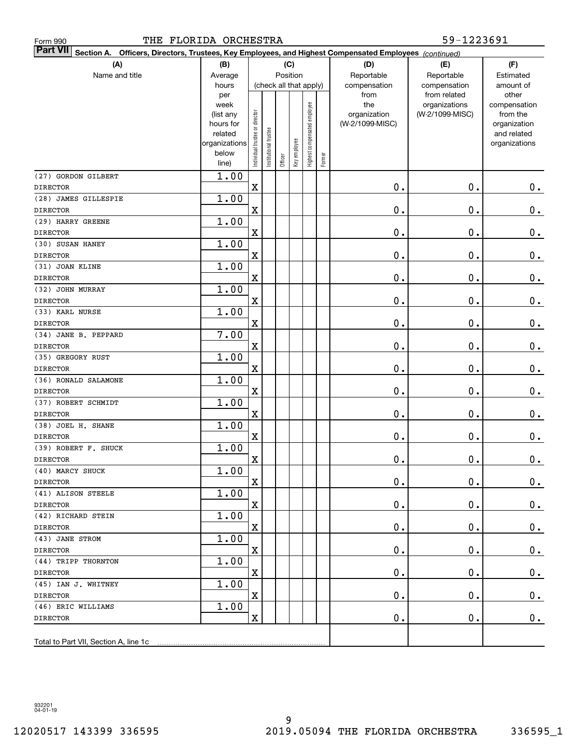| 59-1223691<br>THE FLORIDA ORCHESTRA<br>Form 990                                                                           |                   |                                |                       |         |                        |                              |        |                     |                                  |                          |
|---------------------------------------------------------------------------------------------------------------------------|-------------------|--------------------------------|-----------------------|---------|------------------------|------------------------------|--------|---------------------|----------------------------------|--------------------------|
| <b>Part VII</b><br>Section A. Officers, Directors, Trustees, Key Employees, and Highest Compensated Employees (continued) |                   |                                |                       |         |                        |                              |        |                     |                                  |                          |
| (A)                                                                                                                       | (B)               |                                |                       |         | (C)                    |                              |        | (D)                 | (E)                              | (F)                      |
| Name and title                                                                                                            | Average           |                                |                       |         | Position               |                              |        | Reportable          | Reportable                       | Estimated                |
|                                                                                                                           | hours             |                                |                       |         | (check all that apply) |                              |        | compensation        | compensation                     | amount of                |
|                                                                                                                           | per               |                                |                       |         |                        |                              |        | from                | from related                     | other                    |
|                                                                                                                           | week<br>(list any |                                |                       |         |                        |                              |        | the<br>organization | organizations<br>(W-2/1099-MISC) | compensation<br>from the |
|                                                                                                                           | hours for         |                                |                       |         |                        |                              |        | (W-2/1099-MISC)     |                                  | organization             |
|                                                                                                                           | related           |                                |                       |         |                        |                              |        |                     |                                  | and related              |
|                                                                                                                           | organizations     | Individual trustee or director | Institutional trustee |         |                        | Highest compensated employee |        |                     |                                  | organizations            |
|                                                                                                                           | below             |                                |                       |         | Key employee           |                              |        |                     |                                  |                          |
|                                                                                                                           | line)             |                                |                       | Officer |                        |                              | Former |                     |                                  |                          |
| (27) GORDON GILBERT                                                                                                       | 1.00              |                                |                       |         |                        |                              |        |                     |                                  |                          |
| <b>DIRECTOR</b>                                                                                                           |                   | $\mathbf X$                    |                       |         |                        |                              |        | 0.                  | 0.                               | $\mathbf 0$ .            |
| (28) JAMES GILLESPIE                                                                                                      | 1.00              |                                |                       |         |                        |                              |        |                     |                                  |                          |
| <b>DIRECTOR</b>                                                                                                           |                   | X                              |                       |         |                        |                              |        | 0.                  | 0.                               | $\mathbf 0$ .            |
| (29) HARRY GREENE                                                                                                         | 1.00              |                                |                       |         |                        |                              |        |                     |                                  |                          |
| <b>DIRECTOR</b>                                                                                                           |                   | X                              |                       |         |                        |                              |        | 0.                  | 0.                               | $\mathbf 0$ .            |
| (30) SUSAN HANEY                                                                                                          | 1.00              |                                |                       |         |                        |                              |        |                     |                                  |                          |
| <b>DIRECTOR</b>                                                                                                           |                   | X                              |                       |         |                        |                              |        | 0.                  | 0.                               | $\mathbf 0$ .            |
| (31) JOAN KLINE                                                                                                           | 1.00              |                                |                       |         |                        |                              |        |                     |                                  |                          |
| <b>DIRECTOR</b>                                                                                                           |                   | X                              |                       |         |                        |                              |        | 0.                  | 0.                               | $\mathbf 0$ .            |
| (32) JOHN MURRAY                                                                                                          | 1.00              |                                |                       |         |                        |                              |        |                     |                                  |                          |
| <b>DIRECTOR</b>                                                                                                           |                   | X                              |                       |         |                        |                              |        | 0.                  | 0.                               | $\mathbf 0$ .            |
| (33) KARL NURSE                                                                                                           | 1.00              |                                |                       |         |                        |                              |        |                     |                                  |                          |
| <b>DIRECTOR</b>                                                                                                           |                   | X                              |                       |         |                        |                              |        | 0.                  | 0.                               | $\mathbf 0$ .            |
| (34) JANE B. PEPPARD                                                                                                      | 7.00              |                                |                       |         |                        |                              |        |                     |                                  |                          |
| <b>DIRECTOR</b>                                                                                                           |                   | X                              |                       |         |                        |                              |        | 0.                  | 0.                               | $\mathbf 0$ .            |
| (35) GREGORY RUST                                                                                                         | 1.00              |                                |                       |         |                        |                              |        |                     |                                  |                          |
| <b>DIRECTOR</b>                                                                                                           |                   | X                              |                       |         |                        |                              |        | 0.                  | 0.                               | $\mathbf 0$ .            |
| (36) RONALD SALAMONE                                                                                                      | 1.00              |                                |                       |         |                        |                              |        |                     |                                  |                          |
| <b>DIRECTOR</b>                                                                                                           |                   | X                              |                       |         |                        |                              |        | 0.                  | 0.                               | $\mathbf 0$ .            |
| (37) ROBERT SCHMIDT                                                                                                       | 1.00              |                                |                       |         |                        |                              |        |                     |                                  |                          |
| <b>DIRECTOR</b>                                                                                                           |                   | X                              |                       |         |                        |                              |        | 0.                  | 0.                               | 0.                       |
| (38) JOEL H. SHANE                                                                                                        | 1.00              |                                |                       |         |                        |                              |        |                     |                                  |                          |
| <b>DIRECTOR</b>                                                                                                           |                   | X                              |                       |         |                        |                              |        | 0.                  | 0.                               | 0.                       |
| (39) ROBERT F. SHUCK                                                                                                      | 1.00              |                                |                       |         |                        |                              |        |                     |                                  |                          |
| <b>DIRECTOR</b>                                                                                                           |                   | X                              |                       |         |                        |                              |        | $\mathbf 0$ .       | $\mathbf 0$ .                    | $\mathbf 0$ .            |
| (40) MARCY SHUCK                                                                                                          | 1.00              |                                |                       |         |                        |                              |        |                     |                                  |                          |
| DIRECTOR                                                                                                                  |                   | $\mathbf X$                    |                       |         |                        |                              |        | 0.                  | $\mathbf 0$ .                    | 0.                       |
| (41) ALISON STEELE                                                                                                        | 1.00              |                                |                       |         |                        |                              |        |                     |                                  |                          |
| <b>DIRECTOR</b>                                                                                                           |                   | $\mathbf X$                    |                       |         |                        |                              |        | 0.                  | $\mathbf 0$ .                    | 0.                       |
| (42) RICHARD STEIN                                                                                                        | 1.00              |                                |                       |         |                        |                              |        |                     |                                  |                          |
| <b>DIRECTOR</b>                                                                                                           |                   | X                              |                       |         |                        |                              |        | 0.                  | 0.                               | 0.                       |
| (43) JANE STROM                                                                                                           | 1.00              |                                |                       |         |                        |                              |        |                     |                                  |                          |
| <b>DIRECTOR</b>                                                                                                           |                   | X                              |                       |         |                        |                              |        | $\mathbf 0$ .       | 0.                               | 0.                       |
| (44) TRIPP THORNTON                                                                                                       | 1.00              |                                |                       |         |                        |                              |        |                     |                                  |                          |
| <b>DIRECTOR</b>                                                                                                           |                   | $\mathbf X$                    |                       |         |                        |                              |        | $\mathbf 0$ .       | $\mathbf 0$ .                    | 0.                       |
| (45) IAN J. WHITNEY                                                                                                       | 1.00              |                                |                       |         |                        |                              |        |                     |                                  |                          |
| DIRECTOR                                                                                                                  |                   | $\mathbf X$                    |                       |         |                        |                              |        | 0.                  | $\mathbf 0$ .                    | 0.                       |
| (46) ERIC WILLIAMS                                                                                                        | 1.00              |                                |                       |         |                        |                              |        |                     |                                  |                          |
| <b>DIRECTOR</b>                                                                                                           |                   | X                              |                       |         |                        |                              |        | $\mathbf 0$ .       | $\mathbf 0$ .                    | $0$ .                    |
|                                                                                                                           |                   |                                |                       |         |                        |                              |        |                     |                                  |                          |
| Total to Part VII, Section A, line 1c                                                                                     |                   |                                |                       |         |                        |                              |        |                     |                                  |                          |
|                                                                                                                           |                   |                                |                       |         |                        |                              |        |                     |                                  |                          |

932201 04-01-19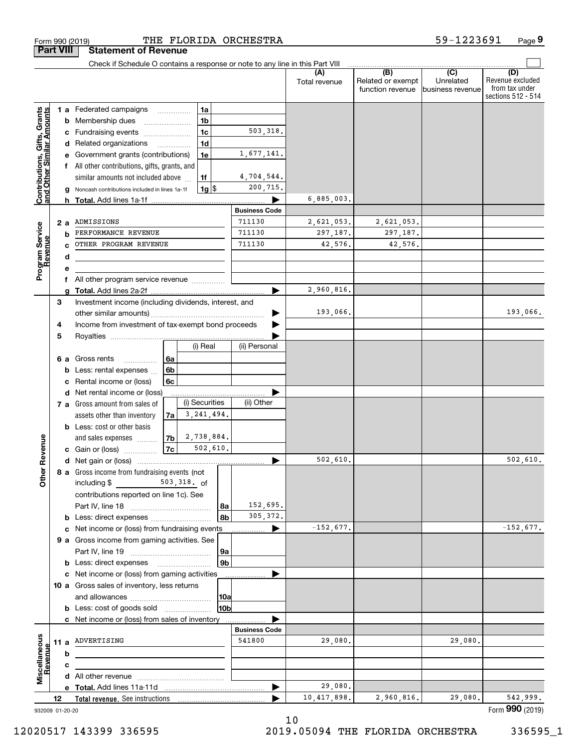| <b>Part VIII</b>                                          |    |                 | <b>Statement of Revenue</b>                                                         |                    |                |                |                      |                      |                                              |                                                 |                                                                 |
|-----------------------------------------------------------|----|-----------------|-------------------------------------------------------------------------------------|--------------------|----------------|----------------|----------------------|----------------------|----------------------------------------------|-------------------------------------------------|-----------------------------------------------------------------|
|                                                           |    |                 | Check if Schedule O contains a response or note to any line in this Part VIII       |                    |                |                |                      |                      |                                              |                                                 |                                                                 |
|                                                           |    |                 |                                                                                     |                    |                |                |                      | (A)<br>Total revenue | (B)<br>Related or exempt<br>function revenue | $\overline{C}$<br>Unrelated<br>business revenue | (D)<br>Revenue excluded<br>from tax under<br>sections 512 - 514 |
|                                                           |    |                 | 1 a Federated campaigns                                                             |                    | 1a             |                |                      |                      |                                              |                                                 |                                                                 |
|                                                           |    | b               | Membership dues                                                                     |                    | 1 <sub>b</sub> |                |                      |                      |                                              |                                                 |                                                                 |
|                                                           |    | c               | Fundraising events                                                                  |                    | 1 <sub>c</sub> |                | 503,318.             |                      |                                              |                                                 |                                                                 |
|                                                           |    |                 | d Related organizations                                                             |                    | 1 <sub>d</sub> |                |                      |                      |                                              |                                                 |                                                                 |
|                                                           |    |                 | Government grants (contributions)                                                   |                    | 1e             |                | 1,677,141.           |                      |                                              |                                                 |                                                                 |
|                                                           |    |                 | All other contributions, gifts, grants, and                                         |                    |                |                |                      |                      |                                              |                                                 |                                                                 |
|                                                           |    |                 | similar amounts not included above                                                  |                    | 1f             |                | 4,704,544.           |                      |                                              |                                                 |                                                                 |
| Contributions, Gifts, Grants<br>and Other Similar Amounts |    |                 | Noncash contributions included in lines 1a-1f                                       |                    | $1g$ \$        |                | 200,715.             |                      |                                              |                                                 |                                                                 |
|                                                           |    | h.              |                                                                                     |                    |                |                | <b>Business Code</b> | 6,885,003.           |                                              |                                                 |                                                                 |
|                                                           |    |                 | ADMISSIONS                                                                          |                    |                |                | 711130               | 2,621,053.           | 2,621,053.                                   |                                                 |                                                                 |
| Program Service<br>Revenue                                |    | 2 a<br>b        | PERFORMANCE REVENUE                                                                 |                    |                |                | 711130               | 297,187.             | 297,187.                                     |                                                 |                                                                 |
|                                                           |    |                 | OTHER PROGRAM REVENUE                                                               |                    |                |                | 711130               | 42,576.              | 42,576.                                      |                                                 |                                                                 |
|                                                           |    | d               |                                                                                     |                    |                |                |                      |                      |                                              |                                                 |                                                                 |
|                                                           |    | е               |                                                                                     |                    |                |                |                      |                      |                                              |                                                 |                                                                 |
|                                                           |    | f               | All other program service revenue                                                   |                    |                |                |                      |                      |                                              |                                                 |                                                                 |
|                                                           |    |                 |                                                                                     |                    |                |                |                      | 2,960,816.           |                                              |                                                 |                                                                 |
|                                                           | 3  |                 | Investment income (including dividends, interest, and                               |                    |                |                |                      |                      |                                              |                                                 |                                                                 |
|                                                           |    |                 |                                                                                     |                    |                |                |                      | 193,066.             |                                              |                                                 | 193,066.                                                        |
|                                                           | 4  |                 | Income from investment of tax-exempt bond proceeds                                  |                    |                |                |                      |                      |                                              |                                                 |                                                                 |
|                                                           | 5  |                 |                                                                                     |                    |                |                |                      |                      |                                              |                                                 |                                                                 |
|                                                           |    |                 |                                                                                     |                    | (i) Real       |                | (ii) Personal        |                      |                                              |                                                 |                                                                 |
|                                                           |    | 6а              | Gross rents<br>.                                                                    | 6a                 |                |                |                      |                      |                                              |                                                 |                                                                 |
|                                                           |    | b               | Less: rental expenses                                                               | 6 <sub>b</sub>     |                |                |                      |                      |                                              |                                                 |                                                                 |
|                                                           |    | с               | Rental income or (loss)                                                             | 6с                 |                |                |                      |                      |                                              |                                                 |                                                                 |
|                                                           |    |                 | d Net rental income or (loss)                                                       |                    | (i) Securities |                | (ii) Other           |                      |                                              |                                                 |                                                                 |
|                                                           |    |                 | 7 a Gross amount from sales of                                                      |                    | 3,241,494.     |                |                      |                      |                                              |                                                 |                                                                 |
|                                                           |    |                 | assets other than inventory<br><b>b</b> Less: cost or other basis                   | 7a                 |                |                |                      |                      |                                              |                                                 |                                                                 |
|                                                           |    |                 | and sales expenses                                                                  | 7b                 | 2,738,884.     |                |                      |                      |                                              |                                                 |                                                                 |
|                                                           |    |                 | c Gain or (loss)                                                                    | $\vert$ 7c $\vert$ | 502,610.       |                |                      |                      |                                              |                                                 |                                                                 |
| Revenue                                                   |    |                 |                                                                                     |                    |                |                |                      | 502,610.             |                                              |                                                 | 502,610.                                                        |
|                                                           |    |                 | 8 a Gross income from fundraising events (not                                       |                    |                |                |                      |                      |                                              |                                                 |                                                                 |
| <b>Othe</b>                                               |    |                 | including $$$                                                                       |                    | 503,318. of    |                |                      |                      |                                              |                                                 |                                                                 |
|                                                           |    |                 | contributions reported on line 1c). See                                             |                    |                |                |                      |                      |                                              |                                                 |                                                                 |
|                                                           |    |                 |                                                                                     |                    |                | 8a             | 152,695.             |                      |                                              |                                                 |                                                                 |
|                                                           |    |                 | <b>b</b> Less: direct expenses                                                      |                    |                | 8b             | 305, 372.            |                      |                                              |                                                 |                                                                 |
|                                                           |    |                 | c Net income or (loss) from fundraising events                                      |                    |                |                | ▶                    | $-152,677.$          |                                              |                                                 | $-152,677.$                                                     |
|                                                           |    |                 | 9 a Gross income from gaming activities. See                                        |                    |                |                |                      |                      |                                              |                                                 |                                                                 |
|                                                           |    |                 |                                                                                     |                    |                | 9a             |                      |                      |                                              |                                                 |                                                                 |
|                                                           |    |                 | <b>b</b> Less: direct expenses <b>manually</b>                                      |                    |                | 9 <sub>b</sub> |                      |                      |                                              |                                                 |                                                                 |
|                                                           |    |                 | c Net income or (loss) from gaming activities                                       |                    |                |                |                      |                      |                                              |                                                 |                                                                 |
|                                                           |    |                 | 10 a Gross sales of inventory, less returns                                         |                    |                |                |                      |                      |                                              |                                                 |                                                                 |
|                                                           |    |                 |                                                                                     |                    |                | 10a<br>10b     |                      |                      |                                              |                                                 |                                                                 |
|                                                           |    |                 | <b>b</b> Less: cost of goods sold<br>c Net income or (loss) from sales of inventory |                    |                |                |                      |                      |                                              |                                                 |                                                                 |
|                                                           |    |                 |                                                                                     |                    |                |                | <b>Business Code</b> |                      |                                              |                                                 |                                                                 |
|                                                           |    |                 | 11 a ADVERTISING                                                                    |                    |                |                | 541800               | 29,080.              |                                              | 29,080.                                         |                                                                 |
| Miscellaneous                                             |    | b               |                                                                                     |                    |                |                |                      |                      |                                              |                                                 |                                                                 |
| Revenue                                                   |    | с               |                                                                                     |                    |                |                |                      |                      |                                              |                                                 |                                                                 |
|                                                           |    |                 |                                                                                     |                    |                |                |                      |                      |                                              |                                                 |                                                                 |
|                                                           |    |                 |                                                                                     |                    |                |                |                      | 29,080.              |                                              |                                                 |                                                                 |
|                                                           | 12 |                 |                                                                                     |                    |                |                |                      | 10,417,898.          | 2,960,816.                                   | 29,080.                                         | 542,999.                                                        |
|                                                           |    | 932009 01-20-20 |                                                                                     |                    |                |                |                      |                      |                                              |                                                 | Form 990 (2019)                                                 |

12020517 143399 336595 2019.05094 THE FLORIDA ORCHESTRA 336595\_1

Form 990 (2019) 'I'HE' F'LORIDA ORCHES'I'RA 59-1223691 Page THE FLORIDA ORCHESTRA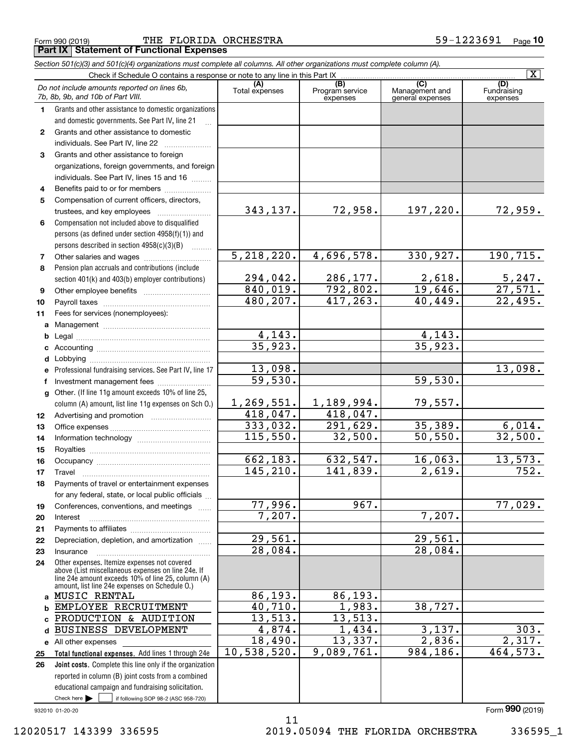|  | Form 990 (2019) |  |
|--|-----------------|--|

Form 990 (2019) Page THE FLORIDA ORCHESTRA 59-1223691 **Part IX Statement of Functional Expenses**

|              | Section 501(c)(3) and 501(c)(4) organizations must complete all columns. All other organizations must complete column (A).                                                                                 |                       |                                    |                                           |                                |
|--------------|------------------------------------------------------------------------------------------------------------------------------------------------------------------------------------------------------------|-----------------------|------------------------------------|-------------------------------------------|--------------------------------|
|              | Check if Schedule O contains a response or note to any line in this Part IX                                                                                                                                |                       |                                    |                                           | $\overline{\mathbf{x}}$        |
|              | Do not include amounts reported on lines 6b,<br>7b, 8b, 9b, and 10b of Part VIII.                                                                                                                          | (A)<br>Total expenses | (B)<br>Program service<br>expenses | (C)<br>Management and<br>general expenses | (D)<br>Fundraising<br>expenses |
| 1.           | Grants and other assistance to domestic organizations                                                                                                                                                      |                       |                                    |                                           |                                |
|              | and domestic governments. See Part IV, line 21                                                                                                                                                             |                       |                                    |                                           |                                |
| $\mathbf{2}$ | Grants and other assistance to domestic                                                                                                                                                                    |                       |                                    |                                           |                                |
|              | individuals. See Part IV, line 22                                                                                                                                                                          |                       |                                    |                                           |                                |
| 3            | Grants and other assistance to foreign                                                                                                                                                                     |                       |                                    |                                           |                                |
|              | organizations, foreign governments, and foreign                                                                                                                                                            |                       |                                    |                                           |                                |
|              | individuals. See Part IV, lines 15 and 16                                                                                                                                                                  |                       |                                    |                                           |                                |
| 4            | Benefits paid to or for members                                                                                                                                                                            |                       |                                    |                                           |                                |
| 5            | Compensation of current officers, directors,                                                                                                                                                               |                       |                                    |                                           |                                |
|              | trustees, and key employees                                                                                                                                                                                | 343,137.              | 72,958.                            | 197,220.                                  | 72,959.                        |
| 6            | Compensation not included above to disqualified                                                                                                                                                            |                       |                                    |                                           |                                |
|              | persons (as defined under section 4958(f)(1)) and                                                                                                                                                          |                       |                                    |                                           |                                |
|              | persons described in section 4958(c)(3)(B)<br>1.1.1.1.1.1.1                                                                                                                                                |                       |                                    |                                           |                                |
| 7            |                                                                                                                                                                                                            | 5,218,220.            | 4,696,578.                         | 330,927.                                  | 190, 715.                      |
| 8            | Pension plan accruals and contributions (include                                                                                                                                                           |                       |                                    |                                           |                                |
|              | section 401(k) and 403(b) employer contributions)                                                                                                                                                          | 294,042.              | 286,177.                           | $\frac{2,618}{19,646}$                    | $\frac{5,247}{27,571}$         |
| 9            |                                                                                                                                                                                                            | 840,019.              | 792,802.                           |                                           |                                |
| 10           |                                                                                                                                                                                                            | 480,207.              | 417, 263.                          | 40,449.                                   | 22,495.                        |
| 11           | Fees for services (nonemployees):                                                                                                                                                                          |                       |                                    |                                           |                                |
|              |                                                                                                                                                                                                            |                       |                                    |                                           |                                |
| b            |                                                                                                                                                                                                            | 4,143.                |                                    | 4,143.                                    |                                |
| c            |                                                                                                                                                                                                            | 35,923.               |                                    | 35,923.                                   |                                |
| d            |                                                                                                                                                                                                            |                       |                                    |                                           |                                |
| е            | Professional fundraising services. See Part IV, line 17                                                                                                                                                    | 13,098.               |                                    |                                           | 13,098.                        |
| f            | Investment management fees                                                                                                                                                                                 | $\overline{59,530}$ . |                                    | 59,530.                                   |                                |
|              | g Other. (If line 11g amount exceeds 10% of line 25,                                                                                                                                                       |                       |                                    |                                           |                                |
|              | column (A) amount, list line 11g expenses on Sch O.)                                                                                                                                                       | 1, 269, 551.          | 1,189,994.                         | 79,557.                                   |                                |
| 12           |                                                                                                                                                                                                            | 418,047.              | 418,047.                           |                                           |                                |
| 13           |                                                                                                                                                                                                            | 333,032.              | 291,629.                           | 35,389.                                   | 6,014.                         |
| 14           |                                                                                                                                                                                                            | 115,550.              | 32,500.                            | 50, 550.                                  | 32,500.                        |
| 15           |                                                                                                                                                                                                            |                       |                                    |                                           |                                |
| 16           |                                                                                                                                                                                                            | 662,183.              | 632,547.                           | 16,063.                                   | 13,573.                        |
| 17           |                                                                                                                                                                                                            | 145, 210.             | 141,839.                           | 2,619.                                    | $\overline{752}$ .             |
| 18           | Payments of travel or entertainment expenses                                                                                                                                                               |                       |                                    |                                           |                                |
|              | for any federal, state, or local public officials                                                                                                                                                          |                       |                                    |                                           |                                |
| 19           | Conferences, conventions, and meetings                                                                                                                                                                     | 77,996.               | 967.                               |                                           | $\overline{77}$ ,029.          |
| 20           | Interest                                                                                                                                                                                                   | 7,207.                |                                    | 7,207.                                    |                                |
| 21           |                                                                                                                                                                                                            |                       |                                    |                                           |                                |
| 22           | Depreciation, depletion, and amortization                                                                                                                                                                  | 29,561.               |                                    | 29,561.                                   |                                |
| 23           | Insurance                                                                                                                                                                                                  | 28,084.               |                                    | 28,084.                                   |                                |
| 24           | Other expenses. Itemize expenses not covered<br>above (List miscellaneous expenses on line 24e. If<br>line 24e amount exceeds 10% of line 25, column (A)<br>amount, list line 24e expenses on Schedule 0.) |                       |                                    |                                           |                                |
|              | a MUSIC RENTAL                                                                                                                                                                                             | 86,193.               | 86,193.                            |                                           |                                |
| b            | EMPLOYEE RECRUITMENT                                                                                                                                                                                       | 40,710.               | 1,983.                             | 38,727.                                   |                                |
| C.           | PRODUCTION & AUDITION                                                                                                                                                                                      | 13,513.               | 13,513.                            |                                           |                                |
| d            | BUSINESS DEVELOPMENT                                                                                                                                                                                       | 4,874.                | $\overline{1,434}$ .               | 3,137.                                    | 303.                           |
|              | e All other expenses                                                                                                                                                                                       | 18,490.               | 13,337.                            | 2,836.                                    | $\overline{2,317.}$            |
| 25           | Total functional expenses. Add lines 1 through 24e                                                                                                                                                         | 10,538,520.           | 9,089,761.                         | 984, 186.                                 | 464,573.                       |
| 26           | Joint costs. Complete this line only if the organization                                                                                                                                                   |                       |                                    |                                           |                                |
|              | reported in column (B) joint costs from a combined                                                                                                                                                         |                       |                                    |                                           |                                |
|              | educational campaign and fundraising solicitation.                                                                                                                                                         |                       |                                    |                                           |                                |
|              | Check here $\blacktriangleright$<br>if following SOP 98-2 (ASC 958-720)                                                                                                                                    |                       |                                    |                                           |                                |

11

932010 01-20-20

12020517 143399 336595 2019.05094 THE FLORIDA ORCHESTRA 336595\_1

Form (2019) **990**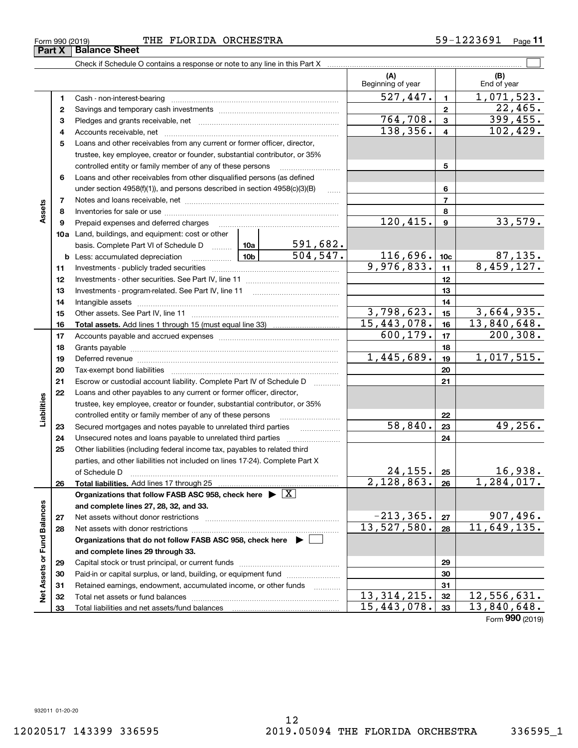**3132 33**

**Net Assets or Fund Balances**

Net Assets or Fund Balances

#### Form 990 (2019) Page THE FLORIDA ORCHESTRA 59-1223691

Check if Schedule O contains a response or note to any line in this Part X

Retained earnings, endowment, accumulated income, or other funds we have all the Total net assets or fund balances ~~~~~~~~~~~~~~~~~~~~~~

Total liabilities and net assets/fund balances

|    |                                                                                                                                            |                 |            | (A)<br>Beginning of year |                 | (B)<br>End of year          |
|----|--------------------------------------------------------------------------------------------------------------------------------------------|-----------------|------------|--------------------------|-----------------|-----------------------------|
| 1  | Cash - non-interest-bearing                                                                                                                |                 |            | 527,447.                 | $\mathbf{1}$    | 1,071,523.                  |
| 2  |                                                                                                                                            |                 |            |                          | $\mathbf{2}$    | 22,465.                     |
| З  |                                                                                                                                            |                 |            | $\overline{764,708}$ .   | 3               | 399,455.                    |
| 4  |                                                                                                                                            |                 |            | 138,356.                 | 4               | 102,429.                    |
| 5  | Loans and other receivables from any current or former officer, director,                                                                  |                 |            |                          |                 |                             |
|    | trustee, key employee, creator or founder, substantial contributor, or 35%                                                                 |                 |            |                          |                 |                             |
|    | controlled entity or family member of any of these persons                                                                                 |                 |            |                          | 5               |                             |
| 6  | Loans and other receivables from other disqualified persons (as defined                                                                    |                 |            |                          |                 |                             |
|    | under section 4958(f)(1)), and persons described in section 4958(c)(3)(B)                                                                  |                 | .          |                          | 6               |                             |
| 7  |                                                                                                                                            |                 |            |                          | $\overline{7}$  |                             |
| 8  |                                                                                                                                            |                 |            |                          | 8               |                             |
| 9  | Prepaid expenses and deferred charges                                                                                                      |                 |            | $\overline{120,415}$ .   | 9               | 33,579.                     |
|    | 10a Land, buildings, and equipment: cost or other                                                                                          |                 |            |                          |                 |                             |
|    | basis. Complete Part VI of Schedule D                                                                                                      | 10a             | 591,682.   |                          |                 |                             |
|    | <b>b</b> Less: accumulated depreciation                                                                                                    | 10 <sub>b</sub> | 504, 547.  | 116,696.                 | 10 <sub>c</sub> | $\frac{87,135}{8,459,127.}$ |
| 11 |                                                                                                                                            |                 |            | 9,976,833.               | 11              |                             |
| 12 |                                                                                                                                            |                 |            |                          | 12              |                             |
| 13 | Investments - program-related. See Part IV, line 11                                                                                        |                 |            |                          | 13              |                             |
| 14 |                                                                                                                                            |                 |            |                          | 14              |                             |
| 15 |                                                                                                                                            |                 |            | 3,798,623.               | 15              | 3,664,935.                  |
| 16 |                                                                                                                                            |                 |            | 15,443,078.              | 16              | $\overline{13,840,648}$ .   |
| 17 |                                                                                                                                            |                 |            | 600, 179.                | 17              | $\overline{200}$ , 308.     |
| 18 |                                                                                                                                            |                 |            |                          | 18              |                             |
| 19 |                                                                                                                                            |                 |            | 1,445,689.               | 19              | 1,017,515.                  |
| 20 |                                                                                                                                            |                 |            |                          | 20              |                             |
| 21 | Escrow or custodial account liability. Complete Part IV of Schedule D                                                                      |                 |            |                          | 21              |                             |
| 22 | Loans and other payables to any current or former officer, director,                                                                       |                 |            |                          |                 |                             |
|    | trustee, key employee, creator or founder, substantial contributor, or 35%                                                                 |                 |            |                          |                 |                             |
|    | controlled entity or family member of any of these persons                                                                                 |                 |            | 58,840.                  | 22              | 49,256.                     |
| 23 | Secured mortgages and notes payable to unrelated third parties                                                                             |                 |            |                          | 23              |                             |
| 24 | Unsecured notes and loans payable to unrelated third parties<br>Other liabilities (including federal income tax, payables to related third |                 |            |                          | 24              |                             |
| 25 | parties, and other liabilities not included on lines 17-24). Complete Part X                                                               |                 |            |                          |                 |                             |
|    | of Schedule D                                                                                                                              |                 |            | 24, 155.                 | 25              | 16,938.                     |
| 26 |                                                                                                                                            |                 | 2,128,863. | 26                       | 1,284,017.      |                             |
|    | Organizations that follow FASB ASC 958, check here $\blacktriangleright \boxed{X}$                                                         |                 |            |                          |                 |                             |
|    | and complete lines 27, 28, 32, and 33.                                                                                                     |                 |            |                          |                 |                             |
| 27 | Net assets without donor restrictions                                                                                                      |                 |            | $-213, 365.$             | 27              | 907,496.                    |
| 28 |                                                                                                                                            |                 |            | 13,527,580.              | 28              | 11,649,135.                 |
|    | Organizations that do not follow FASB ASC 958, check here $\blacktriangleright$                                                            |                 |            |                          |                 |                             |
|    | and complete lines 29 through 33.                                                                                                          |                 |            |                          |                 |                             |
| 29 |                                                                                                                                            |                 |            |                          | 29              |                             |
| 30 | Paid-in or capital surplus, or land, building, or equipment fund                                                                           |                 |            |                          | 30              |                             |

**313233**

 $\begin{array}{|c|c|c|c|c|c|}\n 13,314,215. & \text{32} & 12,556,631. \\
 \hline\n 15,443,078. & \text{33} & 13,840,648. \\
 \end{array}$ 

 $\mathcal{L}^{\text{max}}$ 

**Part X** | Balance Sheet

**Assets**

**Liabilities**

Liabilities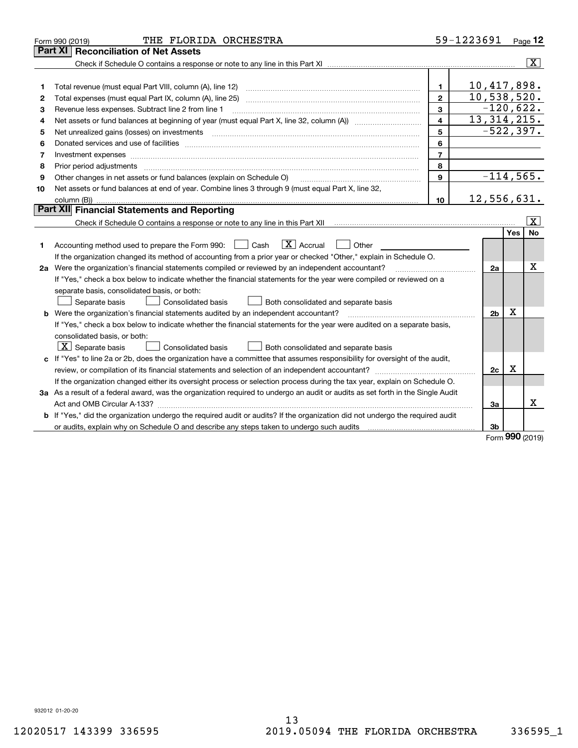|                                                                                                                                 | 59-1223691<br>THE FLORIDA ORCHESTRA<br>Form 990 (2019)                                                                                                                                                                              |                |                            |     |                         |  |  |  |
|---------------------------------------------------------------------------------------------------------------------------------|-------------------------------------------------------------------------------------------------------------------------------------------------------------------------------------------------------------------------------------|----------------|----------------------------|-----|-------------------------|--|--|--|
|                                                                                                                                 | <b>Part XI   Reconciliation of Net Assets</b>                                                                                                                                                                                       |                |                            |     |                         |  |  |  |
|                                                                                                                                 |                                                                                                                                                                                                                                     |                |                            |     | $\overline{\mathtt{x}}$ |  |  |  |
|                                                                                                                                 |                                                                                                                                                                                                                                     |                |                            |     |                         |  |  |  |
| 1                                                                                                                               |                                                                                                                                                                                                                                     | $\mathbf{1}$   | 10,417,898.                |     |                         |  |  |  |
| 2                                                                                                                               |                                                                                                                                                                                                                                     | $\mathbf{2}$   | 10,538,520.<br>$-120,622.$ |     |                         |  |  |  |
| З                                                                                                                               | 3<br>Revenue less expenses. Subtract line 2 from line 1                                                                                                                                                                             |                |                            |     |                         |  |  |  |
| 4                                                                                                                               |                                                                                                                                                                                                                                     | 4              | 13, 314, 215.              |     |                         |  |  |  |
| 5                                                                                                                               | Net unrealized gains (losses) on investments                                                                                                                                                                                        | 5              | $-522, 397.$               |     |                         |  |  |  |
| 6                                                                                                                               |                                                                                                                                                                                                                                     | 6              |                            |     |                         |  |  |  |
| 7                                                                                                                               | Investment expenses                                                                                                                                                                                                                 | $\overline{7}$ |                            |     |                         |  |  |  |
| 8                                                                                                                               |                                                                                                                                                                                                                                     | 8              |                            |     |                         |  |  |  |
| 9                                                                                                                               | Other changes in net assets or fund balances (explain on Schedule O)                                                                                                                                                                | $\mathbf{9}$   | $-114,565.$                |     |                         |  |  |  |
| 10                                                                                                                              | Net assets or fund balances at end of year. Combine lines 3 through 9 (must equal Part X, line 32,                                                                                                                                  |                | 12,556,631.                |     |                         |  |  |  |
|                                                                                                                                 | 10                                                                                                                                                                                                                                  |                |                            |     |                         |  |  |  |
|                                                                                                                                 | <b>Part XII</b> Financial Statements and Reporting                                                                                                                                                                                  |                |                            |     |                         |  |  |  |
|                                                                                                                                 | $\vert X \vert$                                                                                                                                                                                                                     |                |                            |     |                         |  |  |  |
|                                                                                                                                 |                                                                                                                                                                                                                                     |                |                            | Yes | No                      |  |  |  |
| 1                                                                                                                               | $\boxed{\mathbf{X}}$ Accrual<br>Accounting method used to prepare the Form 990: <u>[</u> Cash<br>Other                                                                                                                              |                |                            |     |                         |  |  |  |
| If the organization changed its method of accounting from a prior year or checked "Other," explain in Schedule O.               |                                                                                                                                                                                                                                     |                |                            |     |                         |  |  |  |
|                                                                                                                                 | 2a Were the organization's financial statements compiled or reviewed by an independent accountant?                                                                                                                                  |                |                            |     |                         |  |  |  |
|                                                                                                                                 | If "Yes," check a box below to indicate whether the financial statements for the year were compiled or reviewed on a                                                                                                                |                |                            |     |                         |  |  |  |
|                                                                                                                                 | separate basis, consolidated basis, or both:                                                                                                                                                                                        |                |                            |     |                         |  |  |  |
|                                                                                                                                 | Both consolidated and separate basis<br>Separate basis<br><b>Consolidated basis</b>                                                                                                                                                 |                |                            |     |                         |  |  |  |
|                                                                                                                                 | <b>b</b> Were the organization's financial statements audited by an independent accountant?                                                                                                                                         |                | 2 <sub>b</sub>             | X   |                         |  |  |  |
|                                                                                                                                 | If "Yes," check a box below to indicate whether the financial statements for the year were audited on a separate basis,                                                                                                             |                |                            |     |                         |  |  |  |
|                                                                                                                                 | consolidated basis, or both:                                                                                                                                                                                                        |                |                            |     |                         |  |  |  |
|                                                                                                                                 | $X$ Separate basis<br><b>Consolidated basis</b><br>Both consolidated and separate basis                                                                                                                                             |                |                            |     |                         |  |  |  |
|                                                                                                                                 | c If "Yes" to line 2a or 2b, does the organization have a committee that assumes responsibility for oversight of the audit,                                                                                                         |                |                            |     |                         |  |  |  |
|                                                                                                                                 |                                                                                                                                                                                                                                     |                |                            |     |                         |  |  |  |
|                                                                                                                                 | If the organization changed either its oversight process or selection process during the tax year, explain on Schedule O.                                                                                                           |                |                            |     |                         |  |  |  |
| 3a As a result of a federal award, was the organization required to undergo an audit or audits as set forth in the Single Audit |                                                                                                                                                                                                                                     |                |                            |     |                         |  |  |  |
|                                                                                                                                 |                                                                                                                                                                                                                                     |                | За                         |     | X                       |  |  |  |
|                                                                                                                                 | <b>b</b> If "Yes," did the organization undergo the required audit or audits? If the organization did not undergo the required audit                                                                                                |                |                            |     |                         |  |  |  |
|                                                                                                                                 | or audits, explain why on Schedule O and describe any steps taken to undergo such audits [11] contains the school of audits [11] or audits [11] or audits [11] or audits [11] or audits [11] or audits [11] or audits [11] or<br>3b |                |                            |     |                         |  |  |  |

Form (2019) **990**

932012 01-20-20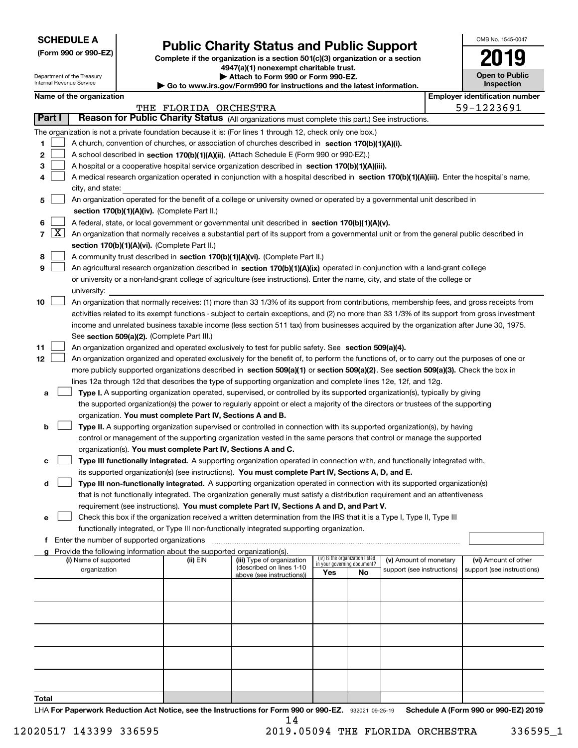| <b>SCHEDULE A</b> |
|-------------------|
|-------------------|

**(Form 990 or 990-EZ)**

## **Public Charity Status and Public Support**

**Complete if the organization is a section 501(c)(3) organization or a section 4947(a)(1) nonexempt charitable trust.**

| OMB No. 1545-0047                         |
|-------------------------------------------|
|                                           |
| <b>Open to Public</b><br><b>ispection</b> |

| Department of the Treasury<br>Internal Revenue Service |        |                                                                                           |  | Attach to Form 990 or Form 990-EZ.<br>$\blacktriangleright$ Go to www.irs.gov/Form990 for instructions and the latest information. |                                                                                                                                               |     |                                 |                            |  | <b>Open to Public</b><br>Inspection   |  |
|--------------------------------------------------------|--------|-------------------------------------------------------------------------------------------|--|------------------------------------------------------------------------------------------------------------------------------------|-----------------------------------------------------------------------------------------------------------------------------------------------|-----|---------------------------------|----------------------------|--|---------------------------------------|--|
|                                                        |        | Name of the organization                                                                  |  |                                                                                                                                    |                                                                                                                                               |     |                                 |                            |  | <b>Employer identification number</b> |  |
|                                                        |        |                                                                                           |  | THE FLORIDA ORCHESTRA                                                                                                              |                                                                                                                                               |     |                                 |                            |  | 59-1223691                            |  |
|                                                        | Part I |                                                                                           |  |                                                                                                                                    | Reason for Public Charity Status (All organizations must complete this part.) See instructions.                                               |     |                                 |                            |  |                                       |  |
|                                                        |        |                                                                                           |  |                                                                                                                                    | The organization is not a private foundation because it is: (For lines 1 through 12, check only one box.)                                     |     |                                 |                            |  |                                       |  |
| 1                                                      |        |                                                                                           |  |                                                                                                                                    | A church, convention of churches, or association of churches described in section 170(b)(1)(A)(i).                                            |     |                                 |                            |  |                                       |  |
| 2                                                      |        | A school described in section 170(b)(1)(A)(ii). (Attach Schedule E (Form 990 or 990-EZ).) |  |                                                                                                                                    |                                                                                                                                               |     |                                 |                            |  |                                       |  |
| 3                                                      |        |                                                                                           |  |                                                                                                                                    | A hospital or a cooperative hospital service organization described in section 170(b)(1)(A)(iii).                                             |     |                                 |                            |  |                                       |  |
| 4                                                      |        |                                                                                           |  |                                                                                                                                    | A medical research organization operated in conjunction with a hospital described in section 170(b)(1)(A)(iii). Enter the hospital's name,    |     |                                 |                            |  |                                       |  |
|                                                        |        | city, and state:                                                                          |  |                                                                                                                                    |                                                                                                                                               |     |                                 |                            |  |                                       |  |
| 5                                                      |        |                                                                                           |  |                                                                                                                                    | An organization operated for the benefit of a college or university owned or operated by a governmental unit described in                     |     |                                 |                            |  |                                       |  |
|                                                        |        |                                                                                           |  | section 170(b)(1)(A)(iv). (Complete Part II.)                                                                                      |                                                                                                                                               |     |                                 |                            |  |                                       |  |
| 6                                                      |        |                                                                                           |  |                                                                                                                                    | A federal, state, or local government or governmental unit described in section 170(b)(1)(A)(v).                                              |     |                                 |                            |  |                                       |  |
|                                                        | 7   X  |                                                                                           |  |                                                                                                                                    | An organization that normally receives a substantial part of its support from a governmental unit or from the general public described in     |     |                                 |                            |  |                                       |  |
|                                                        |        |                                                                                           |  | section 170(b)(1)(A)(vi). (Complete Part II.)                                                                                      |                                                                                                                                               |     |                                 |                            |  |                                       |  |
| 8                                                      |        |                                                                                           |  |                                                                                                                                    | A community trust described in section 170(b)(1)(A)(vi). (Complete Part II.)                                                                  |     |                                 |                            |  |                                       |  |
| 9                                                      |        |                                                                                           |  |                                                                                                                                    | An agricultural research organization described in section 170(b)(1)(A)(ix) operated in conjunction with a land-grant college                 |     |                                 |                            |  |                                       |  |
|                                                        |        |                                                                                           |  |                                                                                                                                    | or university or a non-land-grant college of agriculture (see instructions). Enter the name, city, and state of the college or                |     |                                 |                            |  |                                       |  |
|                                                        |        | university:                                                                               |  |                                                                                                                                    |                                                                                                                                               |     |                                 |                            |  |                                       |  |
| 10                                                     |        |                                                                                           |  |                                                                                                                                    | An organization that normally receives: (1) more than 33 1/3% of its support from contributions, membership fees, and gross receipts from     |     |                                 |                            |  |                                       |  |
|                                                        |        |                                                                                           |  |                                                                                                                                    | activities related to its exempt functions - subject to certain exceptions, and (2) no more than 33 1/3% of its support from gross investment |     |                                 |                            |  |                                       |  |
|                                                        |        |                                                                                           |  |                                                                                                                                    | income and unrelated business taxable income (less section 511 tax) from businesses acquired by the organization after June 30, 1975.         |     |                                 |                            |  |                                       |  |
|                                                        |        |                                                                                           |  | See section 509(a)(2). (Complete Part III.)                                                                                        |                                                                                                                                               |     |                                 |                            |  |                                       |  |
| 11                                                     |        |                                                                                           |  |                                                                                                                                    | An organization organized and operated exclusively to test for public safety. See section 509(a)(4).                                          |     |                                 |                            |  |                                       |  |
| 12                                                     |        |                                                                                           |  |                                                                                                                                    | An organization organized and operated exclusively for the benefit of, to perform the functions of, or to carry out the purposes of one or    |     |                                 |                            |  |                                       |  |
|                                                        |        |                                                                                           |  |                                                                                                                                    | more publicly supported organizations described in section 509(a)(1) or section 509(a)(2). See section 509(a)(3). Check the box in            |     |                                 |                            |  |                                       |  |
|                                                        |        |                                                                                           |  |                                                                                                                                    | lines 12a through 12d that describes the type of supporting organization and complete lines 12e, 12f, and 12g.                                |     |                                 |                            |  |                                       |  |
| а                                                      |        |                                                                                           |  |                                                                                                                                    | Type I. A supporting organization operated, supervised, or controlled by its supported organization(s), typically by giving                   |     |                                 |                            |  |                                       |  |
|                                                        |        |                                                                                           |  |                                                                                                                                    | the supported organization(s) the power to regularly appoint or elect a majority of the directors or trustees of the supporting               |     |                                 |                            |  |                                       |  |
|                                                        |        |                                                                                           |  | organization. You must complete Part IV, Sections A and B.                                                                         |                                                                                                                                               |     |                                 |                            |  |                                       |  |
| b                                                      |        |                                                                                           |  |                                                                                                                                    | Type II. A supporting organization supervised or controlled in connection with its supported organization(s), by having                       |     |                                 |                            |  |                                       |  |
|                                                        |        |                                                                                           |  |                                                                                                                                    | control or management of the supporting organization vested in the same persons that control or manage the supported                          |     |                                 |                            |  |                                       |  |
|                                                        |        |                                                                                           |  | organization(s). You must complete Part IV, Sections A and C.                                                                      |                                                                                                                                               |     |                                 |                            |  |                                       |  |
| с                                                      |        |                                                                                           |  |                                                                                                                                    | Type III functionally integrated. A supporting organization operated in connection with, and functionally integrated with,                    |     |                                 |                            |  |                                       |  |
|                                                        |        |                                                                                           |  |                                                                                                                                    | its supported organization(s) (see instructions). You must complete Part IV, Sections A, D, and E.                                            |     |                                 |                            |  |                                       |  |
| d                                                      |        |                                                                                           |  |                                                                                                                                    | Type III non-functionally integrated. A supporting organization operated in connection with its supported organization(s)                     |     |                                 |                            |  |                                       |  |
|                                                        |        |                                                                                           |  |                                                                                                                                    | that is not functionally integrated. The organization generally must satisfy a distribution requirement and an attentiveness                  |     |                                 |                            |  |                                       |  |
|                                                        |        |                                                                                           |  |                                                                                                                                    | requirement (see instructions). You must complete Part IV, Sections A and D, and Part V.                                                      |     |                                 |                            |  |                                       |  |
| е                                                      |        |                                                                                           |  |                                                                                                                                    | Check this box if the organization received a written determination from the IRS that it is a Type I, Type II, Type III                       |     |                                 |                            |  |                                       |  |
|                                                        |        |                                                                                           |  |                                                                                                                                    | functionally integrated, or Type III non-functionally integrated supporting organization.                                                     |     |                                 |                            |  |                                       |  |
|                                                        |        | f Enter the number of supported organizations                                             |  |                                                                                                                                    |                                                                                                                                               |     |                                 |                            |  |                                       |  |
| g                                                      |        | (i) Name of supported                                                                     |  | Provide the following information about the supported organization(s).<br>(ii) EIN                                                 | (iii) Type of organization                                                                                                                    |     | (iv) Is the organization listed | (v) Amount of monetary     |  | (vi) Amount of other                  |  |
|                                                        |        | organization                                                                              |  |                                                                                                                                    | (described on lines 1-10                                                                                                                      |     | in your governing document?     | support (see instructions) |  | support (see instructions)            |  |
|                                                        |        |                                                                                           |  |                                                                                                                                    | above (see instructions))                                                                                                                     | Yes | No                              |                            |  |                                       |  |
|                                                        |        |                                                                                           |  |                                                                                                                                    |                                                                                                                                               |     |                                 |                            |  |                                       |  |
|                                                        |        |                                                                                           |  |                                                                                                                                    |                                                                                                                                               |     |                                 |                            |  |                                       |  |
|                                                        |        |                                                                                           |  |                                                                                                                                    |                                                                                                                                               |     |                                 |                            |  |                                       |  |
|                                                        |        |                                                                                           |  |                                                                                                                                    |                                                                                                                                               |     |                                 |                            |  |                                       |  |
|                                                        |        |                                                                                           |  |                                                                                                                                    |                                                                                                                                               |     |                                 |                            |  |                                       |  |
|                                                        |        |                                                                                           |  |                                                                                                                                    |                                                                                                                                               |     |                                 |                            |  |                                       |  |
|                                                        |        |                                                                                           |  |                                                                                                                                    |                                                                                                                                               |     |                                 |                            |  |                                       |  |
|                                                        |        |                                                                                           |  |                                                                                                                                    |                                                                                                                                               |     |                                 |                            |  |                                       |  |
|                                                        |        |                                                                                           |  |                                                                                                                                    |                                                                                                                                               |     |                                 |                            |  |                                       |  |
|                                                        |        |                                                                                           |  |                                                                                                                                    |                                                                                                                                               |     |                                 |                            |  |                                       |  |

**Total**

LHA For Paperwork Reduction Act Notice, see the Instructions for Form 990 or 990-EZ. 932021 09-25-19 Schedule A (Form 990 or 990-EZ) 2019 14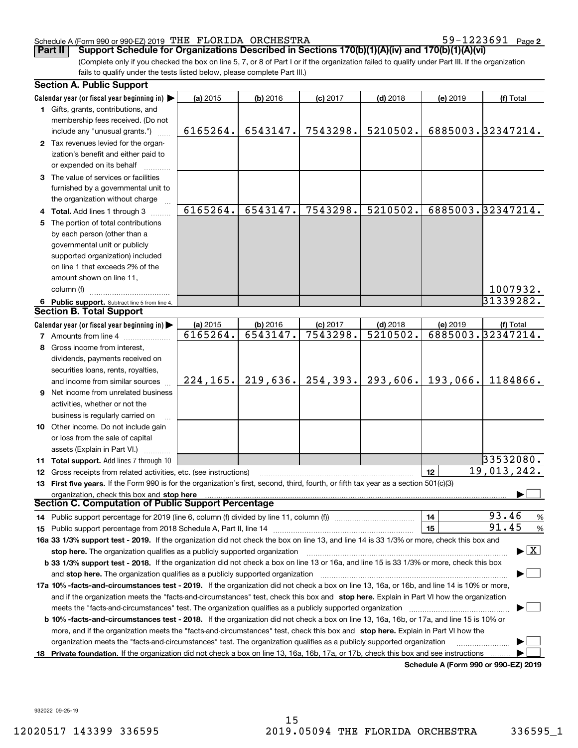59-1223691 Page 2

(Complete only if you checked the box on line 5, 7, or 8 of Part I or if the organization failed to qualify under Part III. If the organization fails to qualify under the tests listed below, please complete Part III.) **Part II** | Support Schedule for Organizations Described in Sections 170(b)(1)(A)(iv) and 170(b)(1)(A)(vi)

|    | <b>Section A. Public Support</b>                                                                                                               |           |            |            |            |          |                                      |
|----|------------------------------------------------------------------------------------------------------------------------------------------------|-----------|------------|------------|------------|----------|--------------------------------------|
|    | Calendar year (or fiscal year beginning in)                                                                                                    | (a) 2015  | (b) 2016   | $(c)$ 2017 | $(d)$ 2018 | (e) 2019 | (f) Total                            |
|    | 1 Gifts, grants, contributions, and                                                                                                            |           |            |            |            |          |                                      |
|    | membership fees received. (Do not                                                                                                              |           |            |            |            |          |                                      |
|    | include any "unusual grants.")                                                                                                                 | 6165264.  | 6543147.   | 7543298.   | 5210502.   |          | 6885003.32347214.                    |
|    | 2 Tax revenues levied for the organ-                                                                                                           |           |            |            |            |          |                                      |
|    | ization's benefit and either paid to                                                                                                           |           |            |            |            |          |                                      |
|    | or expended on its behalf                                                                                                                      |           |            |            |            |          |                                      |
|    | 3 The value of services or facilities                                                                                                          |           |            |            |            |          |                                      |
|    | furnished by a governmental unit to                                                                                                            |           |            |            |            |          |                                      |
|    | the organization without charge                                                                                                                |           |            |            |            |          |                                      |
|    | 4 Total. Add lines 1 through 3                                                                                                                 | 6165264.  | 6543147.   | 7543298.   | 5210502.   |          | 6885003.32347214.                    |
| 5. | The portion of total contributions                                                                                                             |           |            |            |            |          |                                      |
|    | by each person (other than a                                                                                                                   |           |            |            |            |          |                                      |
|    | governmental unit or publicly                                                                                                                  |           |            |            |            |          |                                      |
|    | supported organization) included                                                                                                               |           |            |            |            |          |                                      |
|    | on line 1 that exceeds 2% of the                                                                                                               |           |            |            |            |          |                                      |
|    | amount shown on line 11,                                                                                                                       |           |            |            |            |          |                                      |
|    | column (f)                                                                                                                                     |           |            |            |            |          | 1007932.                             |
|    | 6 Public support. Subtract line 5 from line 4.                                                                                                 |           |            |            |            |          | 31339282.                            |
|    | <b>Section B. Total Support</b>                                                                                                                |           |            |            |            |          |                                      |
|    | Calendar year (or fiscal year beginning in)                                                                                                    | (a) 2015  | $(b)$ 2016 | $(c)$ 2017 | $(d)$ 2018 | (e) 2019 | (f) Total                            |
|    | <b>7</b> Amounts from line 4                                                                                                                   | 6165264.  | 6543147.   | 7543298.   | 5210502.   |          | 6885003.32347214.                    |
|    | 8 Gross income from interest,                                                                                                                  |           |            |            |            |          |                                      |
|    |                                                                                                                                                |           |            |            |            |          |                                      |
|    | dividends, payments received on                                                                                                                |           |            |            |            |          |                                      |
|    | securities loans, rents, royalties,                                                                                                            | 224, 165. | 219,636.   | 254, 393.  | 293,606.   | 193,066. | 1184866.                             |
|    | and income from similar sources                                                                                                                |           |            |            |            |          |                                      |
|    | <b>9</b> Net income from unrelated business                                                                                                    |           |            |            |            |          |                                      |
|    | activities, whether or not the                                                                                                                 |           |            |            |            |          |                                      |
|    | business is regularly carried on                                                                                                               |           |            |            |            |          |                                      |
|    | 10 Other income. Do not include gain                                                                                                           |           |            |            |            |          |                                      |
|    | or loss from the sale of capital                                                                                                               |           |            |            |            |          |                                      |
|    | assets (Explain in Part VI.)                                                                                                                   |           |            |            |            |          |                                      |
|    | <b>11 Total support.</b> Add lines 7 through 10                                                                                                |           |            |            |            |          | 33532080.                            |
|    | 12 Gross receipts from related activities, etc. (see instructions)                                                                             |           |            |            |            | 12       | 19,013,242.                          |
|    | 13 First five years. If the Form 990 is for the organization's first, second, third, fourth, or fifth tax year as a section 501(c)(3)          |           |            |            |            |          |                                      |
|    | organization, check this box and stop here                                                                                                     |           |            |            |            |          |                                      |
|    | <b>Section C. Computation of Public Support Percentage</b>                                                                                     |           |            |            |            |          |                                      |
|    | 14 Public support percentage for 2019 (line 6, column (f) divided by line 11, column (f) <i>mummumumum</i>                                     |           |            |            |            | 14       | 93.46<br>%                           |
|    |                                                                                                                                                |           |            |            |            | 15       | 91.45<br>%                           |
|    | 16a 33 1/3% support test - 2019. If the organization did not check the box on line 13, and line 14 is 33 1/3% or more, check this box and      |           |            |            |            |          |                                      |
|    | stop here. The organization qualifies as a publicly supported organization                                                                     |           |            |            |            |          | $\blacktriangleright$ $\mid$ X       |
|    | b 33 1/3% support test - 2018. If the organization did not check a box on line 13 or 16a, and line 15 is 33 1/3% or more, check this box       |           |            |            |            |          |                                      |
|    | and stop here. The organization qualifies as a publicly supported organization                                                                 |           |            |            |            |          |                                      |
|    | 17a 10% -facts-and-circumstances test - 2019. If the organization did not check a box on line 13, 16a, or 16b, and line 14 is 10% or more,     |           |            |            |            |          |                                      |
|    | and if the organization meets the "facts-and-circumstances" test, check this box and stop here. Explain in Part VI how the organization        |           |            |            |            |          |                                      |
|    | meets the "facts-and-circumstances" test. The organization qualifies as a publicly supported organization                                      |           |            |            |            |          |                                      |
|    | <b>b 10% -facts-and-circumstances test - 2018.</b> If the organization did not check a box on line 13, 16a, 16b, or 17a, and line 15 is 10% or |           |            |            |            |          |                                      |
|    | more, and if the organization meets the "facts-and-circumstances" test, check this box and stop here. Explain in Part VI how the               |           |            |            |            |          |                                      |
|    | organization meets the "facts-and-circumstances" test. The organization qualifies as a publicly supported organization                         |           |            |            |            |          |                                      |
|    | 18 Private foundation. If the organization did not check a box on line 13, 16a, 16b, 17a, or 17b, check this box and see instructions          |           |            |            |            |          |                                      |
|    |                                                                                                                                                |           |            |            |            |          | Schodule A (Form 990 or 990-F7) 2019 |

**Schedule A (Form 990 or 990-EZ) 2019**

932022 09-25-19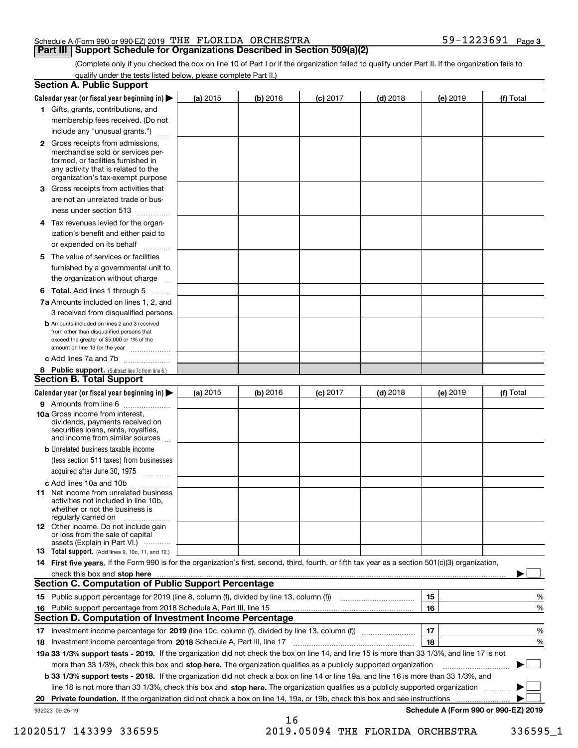#### **Part III** | Support Schedule for Organizations Described in Section 509(a)(2)

**3**

(Complete only if you checked the box on line 10 of Part I or if the organization failed to qualify under Part II. If the organization fails to qualify under the tests listed below, please complete Part II.)

| <b>Section A. Public Support</b>                                                                                                                                                                                               |            |          |            |            |          |                                      |
|--------------------------------------------------------------------------------------------------------------------------------------------------------------------------------------------------------------------------------|------------|----------|------------|------------|----------|--------------------------------------|
| Calendar year (or fiscal year beginning in) $\blacktriangleright$                                                                                                                                                              | (a) 2015   | (b) 2016 | $(c)$ 2017 | $(d)$ 2018 | (e) 2019 | (f) Total                            |
| 1 Gifts, grants, contributions, and                                                                                                                                                                                            |            |          |            |            |          |                                      |
| membership fees received. (Do not                                                                                                                                                                                              |            |          |            |            |          |                                      |
| include any "unusual grants.")                                                                                                                                                                                                 |            |          |            |            |          |                                      |
| 2 Gross receipts from admissions,<br>merchandise sold or services per-<br>formed, or facilities furnished in<br>any activity that is related to the<br>organization's tax-exempt purpose                                       |            |          |            |            |          |                                      |
| 3 Gross receipts from activities that<br>are not an unrelated trade or bus-                                                                                                                                                    |            |          |            |            |          |                                      |
| iness under section 513                                                                                                                                                                                                        |            |          |            |            |          |                                      |
| 4 Tax revenues levied for the organ-<br>ization's benefit and either paid to<br>or expended on its behalf<br>.                                                                                                                 |            |          |            |            |          |                                      |
| 5 The value of services or facilities                                                                                                                                                                                          |            |          |            |            |          |                                      |
| furnished by a governmental unit to<br>the organization without charge                                                                                                                                                         |            |          |            |            |          |                                      |
| <b>6 Total.</b> Add lines 1 through 5                                                                                                                                                                                          |            |          |            |            |          |                                      |
| 7a Amounts included on lines 1, 2, and<br>3 received from disqualified persons                                                                                                                                                 |            |          |            |            |          |                                      |
| <b>b</b> Amounts included on lines 2 and 3 received<br>from other than disqualified persons that<br>exceed the greater of \$5,000 or 1% of the<br>amount on line 13 for the year                                               |            |          |            |            |          |                                      |
| c Add lines 7a and 7b                                                                                                                                                                                                          |            |          |            |            |          |                                      |
| 8 Public support. (Subtract line 7c from line 6.)                                                                                                                                                                              |            |          |            |            |          |                                      |
| <b>Section B. Total Support</b>                                                                                                                                                                                                |            |          |            |            |          |                                      |
| Calendar year (or fiscal year beginning in)                                                                                                                                                                                    | (a) $2015$ | (b) 2016 | $(c)$ 2017 | $(d)$ 2018 | (e) 2019 | (f) Total                            |
| 9 Amounts from line 6                                                                                                                                                                                                          |            |          |            |            |          |                                      |
| 10a Gross income from interest,<br>dividends, payments received on<br>securities loans, rents, royalties,<br>and income from similar sources                                                                                   |            |          |            |            |          |                                      |
| <b>b</b> Unrelated business taxable income<br>(less section 511 taxes) from businesses<br>acquired after June 30, 1975                                                                                                         |            |          |            |            |          |                                      |
| c Add lines 10a and 10b                                                                                                                                                                                                        |            |          |            |            |          |                                      |
| <b>11</b> Net income from unrelated business<br>activities not included in line 10b,<br>whether or not the business is<br>regularly carried on                                                                                 |            |          |            |            |          |                                      |
| <b>12</b> Other income. Do not include gain<br>or loss from the sale of capital<br>assets (Explain in Part VI.)                                                                                                                |            |          |            |            |          |                                      |
| <b>13 Total support.</b> (Add lines 9, 10c, 11, and 12.)                                                                                                                                                                       |            |          |            |            |          |                                      |
| 14 First five years. If the Form 990 is for the organization's first, second, third, fourth, or fifth tax year as a section 501(c)(3) organization,                                                                            |            |          |            |            |          |                                      |
| check this box and stop here with the continuum control to the control of the control of the control of the control of the control of the control of the control of the control of the control of the control of the control o |            |          |            |            |          |                                      |
| <b>Section C. Computation of Public Support Percentage</b>                                                                                                                                                                     |            |          |            |            |          |                                      |
| 15 Public support percentage for 2019 (line 8, column (f), divided by line 13, column (f))                                                                                                                                     |            |          |            |            | 15       | %                                    |
| 16 Public support percentage from 2018 Schedule A, Part III, line 15                                                                                                                                                           |            |          |            |            | 16       | %                                    |
| <b>Section D. Computation of Investment Income Percentage</b>                                                                                                                                                                  |            |          |            |            |          |                                      |
| 17 Investment income percentage for 2019 (line 10c, column (f), divided by line 13, column (f))                                                                                                                                |            |          |            |            | 17       | %                                    |
| 18 Investment income percentage from 2018 Schedule A, Part III, line 17                                                                                                                                                        |            |          |            |            | 18       | %                                    |
| 19a 33 1/3% support tests - 2019. If the organization did not check the box on line 14, and line 15 is more than 33 1/3%, and line 17 is not                                                                                   |            |          |            |            |          |                                      |
| more than 33 1/3%, check this box and stop here. The organization qualifies as a publicly supported organization                                                                                                               |            |          |            |            |          | ▶                                    |
| b 33 1/3% support tests - 2018. If the organization did not check a box on line 14 or line 19a, and line 16 is more than 33 1/3%, and                                                                                          |            |          |            |            |          |                                      |
| line 18 is not more than 33 1/3%, check this box and stop here. The organization qualifies as a publicly supported organization                                                                                                |            |          |            |            |          |                                      |
| 20 Private foundation. If the organization did not check a box on line 14, 19a, or 19b, check this box and see instructions                                                                                                    |            |          |            |            |          |                                      |
| 932023 09-25-19                                                                                                                                                                                                                |            | 16       |            |            |          | Schedule A (Form 990 or 990-EZ) 2019 |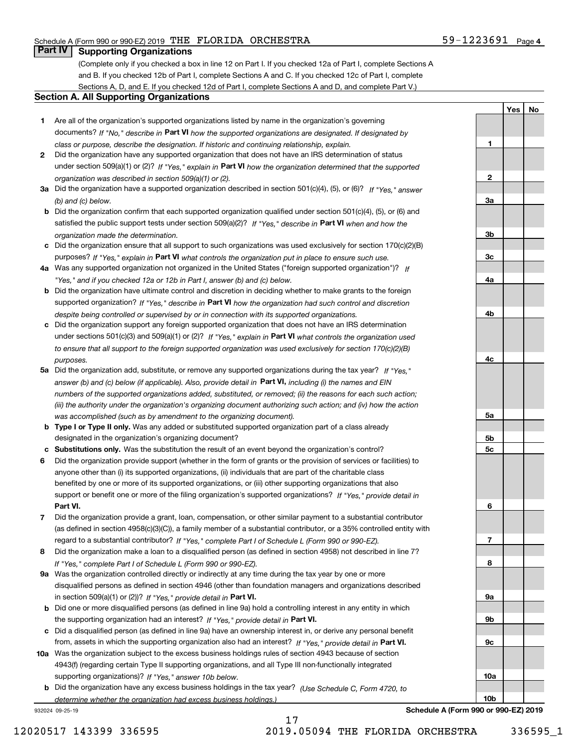**1**

**2**

**3a**

**3b**

**3c**

**4a**

**Yes No**

#### **Part IV Supporting Organizations**

(Complete only if you checked a box in line 12 on Part I. If you checked 12a of Part I, complete Sections A and B. If you checked 12b of Part I, complete Sections A and C. If you checked 12c of Part I, complete Sections A, D, and E. If you checked 12d of Part I, complete Sections A and D, and complete Part V.)

#### **Section A. All Supporting Organizations**

- **1** Are all of the organization's supported organizations listed by name in the organization's governing documents? If "No," describe in **Part VI** how the supported organizations are designated. If designated by *class or purpose, describe the designation. If historic and continuing relationship, explain.*
- **2** Did the organization have any supported organization that does not have an IRS determination of status under section 509(a)(1) or (2)? If "Yes," explain in Part VI how the organization determined that the supported *organization was described in section 509(a)(1) or (2).*
- **3a** Did the organization have a supported organization described in section 501(c)(4), (5), or (6)? If "Yes," answer *(b) and (c) below.*
- **b** Did the organization confirm that each supported organization qualified under section 501(c)(4), (5), or (6) and satisfied the public support tests under section 509(a)(2)? If "Yes," describe in **Part VI** when and how the *organization made the determination.*
- **c**Did the organization ensure that all support to such organizations was used exclusively for section 170(c)(2)(B) purposes? If "Yes," explain in **Part VI** what controls the organization put in place to ensure such use.
- **4a***If* Was any supported organization not organized in the United States ("foreign supported organization")? *"Yes," and if you checked 12a or 12b in Part I, answer (b) and (c) below.*
- **b** Did the organization have ultimate control and discretion in deciding whether to make grants to the foreign supported organization? If "Yes," describe in **Part VI** how the organization had such control and discretion *despite being controlled or supervised by or in connection with its supported organizations.*
- **c** Did the organization support any foreign supported organization that does not have an IRS determination under sections 501(c)(3) and 509(a)(1) or (2)? If "Yes," explain in **Part VI** what controls the organization used *to ensure that all support to the foreign supported organization was used exclusively for section 170(c)(2)(B) purposes.*
- **5a** Did the organization add, substitute, or remove any supported organizations during the tax year? If "Yes," answer (b) and (c) below (if applicable). Also, provide detail in **Part VI,** including (i) the names and EIN *numbers of the supported organizations added, substituted, or removed; (ii) the reasons for each such action; (iii) the authority under the organization's organizing document authorizing such action; and (iv) how the action was accomplished (such as by amendment to the organizing document).*
- **b** Type I or Type II only. Was any added or substituted supported organization part of a class already designated in the organization's organizing document?
- **cSubstitutions only.**  Was the substitution the result of an event beyond the organization's control?
- **6** Did the organization provide support (whether in the form of grants or the provision of services or facilities) to **Part VI.** *If "Yes," provide detail in* support or benefit one or more of the filing organization's supported organizations? anyone other than (i) its supported organizations, (ii) individuals that are part of the charitable class benefited by one or more of its supported organizations, or (iii) other supporting organizations that also
- **7**Did the organization provide a grant, loan, compensation, or other similar payment to a substantial contributor *If "Yes," complete Part I of Schedule L (Form 990 or 990-EZ).* regard to a substantial contributor? (as defined in section 4958(c)(3)(C)), a family member of a substantial contributor, or a 35% controlled entity with
- **8** Did the organization make a loan to a disqualified person (as defined in section 4958) not described in line 7? *If "Yes," complete Part I of Schedule L (Form 990 or 990-EZ).*
- **9a** Was the organization controlled directly or indirectly at any time during the tax year by one or more in section 509(a)(1) or (2))? If "Yes," *provide detail in* <code>Part VI.</code> disqualified persons as defined in section 4946 (other than foundation managers and organizations described
- **b** Did one or more disqualified persons (as defined in line 9a) hold a controlling interest in any entity in which the supporting organization had an interest? If "Yes," provide detail in P**art VI**.
- **c**Did a disqualified person (as defined in line 9a) have an ownership interest in, or derive any personal benefit from, assets in which the supporting organization also had an interest? If "Yes," provide detail in P**art VI.**
- **10a** Was the organization subject to the excess business holdings rules of section 4943 because of section supporting organizations)? If "Yes," answer 10b below. 4943(f) (regarding certain Type II supporting organizations, and all Type III non-functionally integrated
- **b** Did the organization have any excess business holdings in the tax year? (Use Schedule C, Form 4720, to *determine whether the organization had excess business holdings.)*

932024 09-25-19



17 12020517 143399 336595 2019.05094 THE FLORIDA ORCHESTRA 336595\_1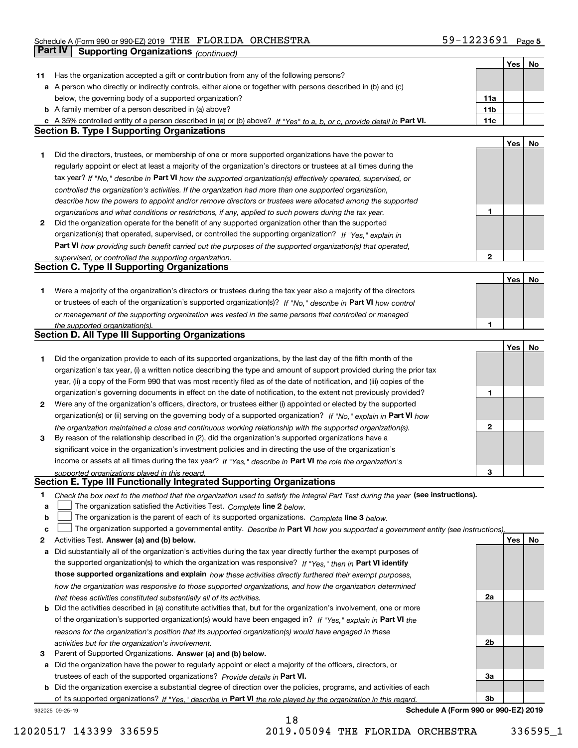|    |                                                                                                                                                                                                             |                                | Yes | No |
|----|-------------------------------------------------------------------------------------------------------------------------------------------------------------------------------------------------------------|--------------------------------|-----|----|
| 11 | Has the organization accepted a gift or contribution from any of the following persons?                                                                                                                     |                                |     |    |
|    | a A person who directly or indirectly controls, either alone or together with persons described in (b) and (c)                                                                                              |                                |     |    |
|    | below, the governing body of a supported organization?                                                                                                                                                      | 11a                            |     |    |
|    | <b>b</b> A family member of a person described in (a) above?                                                                                                                                                | 11b                            |     |    |
|    | c A 35% controlled entity of a person described in (a) or (b) above? If "Yes" to a, b, or c, provide detail in Part VI.                                                                                     | 11c                            |     |    |
|    | <b>Section B. Type I Supporting Organizations</b>                                                                                                                                                           |                                |     |    |
|    |                                                                                                                                                                                                             |                                | Yes | No |
| 1  | Did the directors, trustees, or membership of one or more supported organizations have the power to                                                                                                         |                                |     |    |
|    | regularly appoint or elect at least a majority of the organization's directors or trustees at all times during the                                                                                          |                                |     |    |
|    | tax year? If "No," describe in Part VI how the supported organization(s) effectively operated, supervised, or                                                                                               |                                |     |    |
|    | controlled the organization's activities. If the organization had more than one supported organization,                                                                                                     |                                |     |    |
|    | describe how the powers to appoint and/or remove directors or trustees were allocated among the supported                                                                                                   |                                |     |    |
|    | organizations and what conditions or restrictions, if any, applied to such powers during the tax year.                                                                                                      | 1                              |     |    |
| 2  | Did the organization operate for the benefit of any supported organization other than the supported                                                                                                         |                                |     |    |
|    | organization(s) that operated, supervised, or controlled the supporting organization? If "Yes," explain in                                                                                                  |                                |     |    |
|    | Part VI how providing such benefit carried out the purposes of the supported organization(s) that operated,                                                                                                 |                                |     |    |
|    | supervised, or controlled the supporting organization.                                                                                                                                                      | 2                              |     |    |
|    | <b>Section C. Type II Supporting Organizations</b>                                                                                                                                                          |                                |     |    |
|    |                                                                                                                                                                                                             |                                | Yes | No |
| 1  | Were a majority of the organization's directors or trustees during the tax year also a majority of the directors                                                                                            |                                |     |    |
|    | or trustees of each of the organization's supported organization(s)? If "No," describe in Part VI how control                                                                                               |                                |     |    |
|    | or management of the supporting organization was vested in the same persons that controlled or managed                                                                                                      |                                |     |    |
|    | the supported organization(s).                                                                                                                                                                              | 1                              |     |    |
|    | <b>Section D. All Type III Supporting Organizations</b>                                                                                                                                                     |                                |     |    |
|    |                                                                                                                                                                                                             |                                | Yes | No |
| 1  | Did the organization provide to each of its supported organizations, by the last day of the fifth month of the                                                                                              |                                |     |    |
|    | organization's tax year, (i) a written notice describing the type and amount of support provided during the prior tax                                                                                       |                                |     |    |
|    | year, (ii) a copy of the Form 990 that was most recently filed as of the date of notification, and (iii) copies of the                                                                                      |                                |     |    |
|    | organization's governing documents in effect on the date of notification, to the extent not previously provided?                                                                                            | 1                              |     |    |
| 2  | Were any of the organization's officers, directors, or trustees either (i) appointed or elected by the supported                                                                                            |                                |     |    |
|    | organization(s) or (ii) serving on the governing body of a supported organization? If "No," explain in Part VI how                                                                                          |                                |     |    |
|    | the organization maintained a close and continuous working relationship with the supported organization(s).                                                                                                 | 2                              |     |    |
| 3  | By reason of the relationship described in (2), did the organization's supported organizations have a                                                                                                       |                                |     |    |
|    | significant voice in the organization's investment policies and in directing the use of the organization's                                                                                                  |                                |     |    |
|    |                                                                                                                                                                                                             |                                |     |    |
|    | income or assets at all times during the tax year? If "Yes," describe in Part VI the role the organization's                                                                                                | З                              |     |    |
|    | supported organizations played in this regard.<br>Section E. Type III Functionally Integrated Supporting Organizations                                                                                      |                                |     |    |
| 1  |                                                                                                                                                                                                             |                                |     |    |
| a  | Check the box next to the method that the organization used to satisfy the Integral Part Test during the year (see instructions).<br>The organization satisfied the Activities Test. Complete line 2 below. |                                |     |    |
| b  | The organization is the parent of each of its supported organizations. Complete line 3 below.                                                                                                               |                                |     |    |
| c  | The organization supported a governmental entity. Describe in Part VI how you supported a government entity (see instructions)                                                                              |                                |     |    |
| 2  | Activities Test. Answer (a) and (b) below.                                                                                                                                                                  |                                | Yes | No |
|    |                                                                                                                                                                                                             |                                |     |    |
| а  | Did substantially all of the organization's activities during the tax year directly further the exempt purposes of                                                                                          |                                |     |    |
|    | the supported organization(s) to which the organization was responsive? If "Yes," then in Part VI identify                                                                                                  |                                |     |    |
|    | those supported organizations and explain how these activities directly furthered their exempt purposes,                                                                                                    |                                |     |    |
|    | how the organization was responsive to those supported organizations, and how the organization determined                                                                                                   |                                |     |    |
|    | that these activities constituted substantially all of its activities.                                                                                                                                      | 2a                             |     |    |
| b  | Did the activities described in (a) constitute activities that, but for the organization's involvement, one or more                                                                                         |                                |     |    |
|    | of the organization's supported organization(s) would have been engaged in? If "Yes," explain in Part VI the                                                                                                |                                |     |    |
|    | reasons for the organization's position that its supported organization(s) would have engaged in these                                                                                                      |                                |     |    |
|    | activities but for the organization's involvement.                                                                                                                                                          | 2b                             |     |    |
| з  | Parent of Supported Organizations. Answer (a) and (b) below.                                                                                                                                                |                                |     |    |
| а  | Did the organization have the power to regularly appoint or elect a majority of the officers, directors, or                                                                                                 |                                |     |    |
|    | trustees of each of the supported organizations? Provide details in Part VI.                                                                                                                                | За                             |     |    |
|    | <b>b</b> Did the organization exercise a substantial degree of direction over the policies, programs, and activities of each                                                                                |                                |     |    |
|    | of its supported organizations? If "Yes," describe in Part VI the role played by the organization in this regard                                                                                            | Зb                             |     |    |
|    |                                                                                                                                                                                                             | $A$ (Faxes 000 as 000 EZ) 0040 |     |    |

18

932025 09-25-19

**Schedule A (Form 990 or 990-EZ) 2019**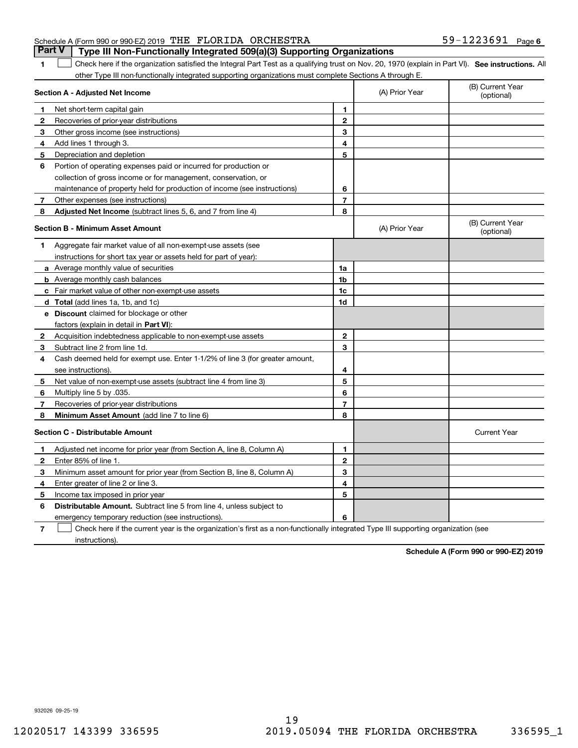#### Schedule A (Form 990 or 990-EZ) 2019 「THE FLORIDA ORCHESTRA ファンドレートコンピュータのコンピュータのコンピュータのコンピュータ **Part V Type III Non-Functionally Integrated 509(a)(3) Supporting Organizations**

1 Check here if the organization satisfied the Integral Part Test as a qualifying trust on Nov. 20, 1970 (explain in Part VI). See instructions. All other Type III non-functionally integrated supporting organizations must complete Sections A through E.

|   | Section A - Adjusted Net Income                                                                                                   |                | (A) Prior Year | (B) Current Year<br>(optional) |
|---|-----------------------------------------------------------------------------------------------------------------------------------|----------------|----------------|--------------------------------|
| 1 | Net short-term capital gain                                                                                                       | 1              |                |                                |
| 2 | Recoveries of prior-year distributions                                                                                            | $\overline{2}$ |                |                                |
| з | Other gross income (see instructions)                                                                                             | 3              |                |                                |
| 4 | Add lines 1 through 3.                                                                                                            | 4              |                |                                |
| 5 | Depreciation and depletion                                                                                                        | 5              |                |                                |
| 6 | Portion of operating expenses paid or incurred for production or                                                                  |                |                |                                |
|   | collection of gross income or for management, conservation, or                                                                    |                |                |                                |
|   | maintenance of property held for production of income (see instructions)                                                          | 6              |                |                                |
| 7 | Other expenses (see instructions)                                                                                                 | $\overline{7}$ |                |                                |
| 8 | Adjusted Net Income (subtract lines 5, 6, and 7 from line 4)                                                                      | 8              |                |                                |
|   | <b>Section B - Minimum Asset Amount</b>                                                                                           |                | (A) Prior Year | (B) Current Year<br>(optional) |
| 1 | Aggregate fair market value of all non-exempt-use assets (see                                                                     |                |                |                                |
|   | instructions for short tax year or assets held for part of year):                                                                 |                |                |                                |
|   | a Average monthly value of securities                                                                                             | 1a             |                |                                |
|   | <b>b</b> Average monthly cash balances                                                                                            | 1b             |                |                                |
|   | <b>c</b> Fair market value of other non-exempt-use assets                                                                         | 1c             |                |                                |
|   | d Total (add lines 1a, 1b, and 1c)                                                                                                | 1d             |                |                                |
|   | <b>e</b> Discount claimed for blockage or other                                                                                   |                |                |                                |
|   | factors (explain in detail in Part VI):                                                                                           |                |                |                                |
| 2 | Acquisition indebtedness applicable to non-exempt-use assets                                                                      | $\mathbf{2}$   |                |                                |
| 3 | Subtract line 2 from line 1d.                                                                                                     | 3              |                |                                |
| 4 | Cash deemed held for exempt use. Enter 1-1/2% of line 3 (for greater amount,                                                      |                |                |                                |
|   | see instructions)                                                                                                                 | 4              |                |                                |
| 5 | Net value of non-exempt-use assets (subtract line 4 from line 3)                                                                  | 5              |                |                                |
| 6 | Multiply line 5 by .035.                                                                                                          | 6              |                |                                |
| 7 | Recoveries of prior-year distributions                                                                                            | $\overline{7}$ |                |                                |
| 8 | Minimum Asset Amount (add line 7 to line 6)                                                                                       | 8              |                |                                |
|   | <b>Section C - Distributable Amount</b>                                                                                           |                |                | <b>Current Year</b>            |
| 1 | Adjusted net income for prior year (from Section A, line 8, Column A)                                                             | 1              |                |                                |
| 2 | Enter 85% of line 1.                                                                                                              | $\overline{2}$ |                |                                |
| з | Minimum asset amount for prior year (from Section B, line 8, Column A)                                                            | 3              |                |                                |
| 4 | Enter greater of line 2 or line 3.                                                                                                | 4              |                |                                |
| 5 | Income tax imposed in prior year                                                                                                  | 5              |                |                                |
| 6 | <b>Distributable Amount.</b> Subtract line 5 from line 4, unless subject to                                                       |                |                |                                |
|   | emergency temporary reduction (see instructions).                                                                                 | 6              |                |                                |
| 7 | Check here if the current year is the organization's first as a non-functionally integrated Type III supporting organization (see |                |                |                                |

instructions).

**1**

**Schedule A (Form 990 or 990-EZ) 2019**

932026 09-25-19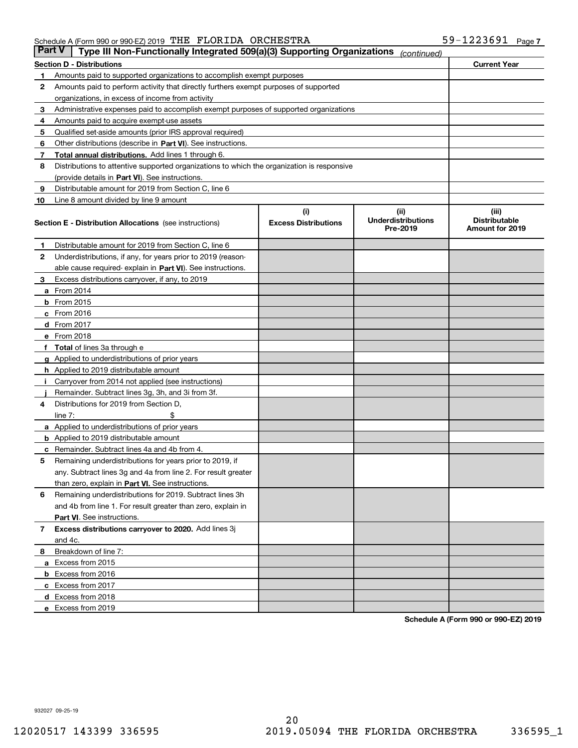| <b>Part V</b> | Type III Non-Functionally Integrated 509(a)(3) Supporting Organizations                    |                                    | (continued)                                    |                                                  |  |  |  |  |  |
|---------------|--------------------------------------------------------------------------------------------|------------------------------------|------------------------------------------------|--------------------------------------------------|--|--|--|--|--|
|               | <b>Current Year</b><br><b>Section D - Distributions</b>                                    |                                    |                                                |                                                  |  |  |  |  |  |
| 1             | Amounts paid to supported organizations to accomplish exempt purposes                      |                                    |                                                |                                                  |  |  |  |  |  |
| 2             | Amounts paid to perform activity that directly furthers exempt purposes of supported       |                                    |                                                |                                                  |  |  |  |  |  |
|               | organizations, in excess of income from activity                                           |                                    |                                                |                                                  |  |  |  |  |  |
| з             | Administrative expenses paid to accomplish exempt purposes of supported organizations      |                                    |                                                |                                                  |  |  |  |  |  |
| 4             | Amounts paid to acquire exempt-use assets                                                  |                                    |                                                |                                                  |  |  |  |  |  |
| 5             | Qualified set-aside amounts (prior IRS approval required)                                  |                                    |                                                |                                                  |  |  |  |  |  |
| 6             | Other distributions (describe in Part VI). See instructions.                               |                                    |                                                |                                                  |  |  |  |  |  |
| 7             | Total annual distributions. Add lines 1 through 6.                                         |                                    |                                                |                                                  |  |  |  |  |  |
| 8             | Distributions to attentive supported organizations to which the organization is responsive |                                    |                                                |                                                  |  |  |  |  |  |
|               | (provide details in Part VI). See instructions.                                            |                                    |                                                |                                                  |  |  |  |  |  |
| 9             | Distributable amount for 2019 from Section C, line 6                                       |                                    |                                                |                                                  |  |  |  |  |  |
| 10            | Line 8 amount divided by line 9 amount                                                     |                                    |                                                |                                                  |  |  |  |  |  |
|               | <b>Section E - Distribution Allocations</b> (see instructions)                             | (i)<br><b>Excess Distributions</b> | (iii)<br><b>Underdistributions</b><br>Pre-2019 | (iii)<br><b>Distributable</b><br>Amount for 2019 |  |  |  |  |  |
| 1             | Distributable amount for 2019 from Section C, line 6                                       |                                    |                                                |                                                  |  |  |  |  |  |
| 2             | Underdistributions, if any, for years prior to 2019 (reason-                               |                                    |                                                |                                                  |  |  |  |  |  |
|               | able cause required- explain in Part VI). See instructions.                                |                                    |                                                |                                                  |  |  |  |  |  |
| з             | Excess distributions carryover, if any, to 2019                                            |                                    |                                                |                                                  |  |  |  |  |  |
|               | <b>a</b> From 2014                                                                         |                                    |                                                |                                                  |  |  |  |  |  |
|               | <b>b</b> From $2015$                                                                       |                                    |                                                |                                                  |  |  |  |  |  |
|               | $c$ From 2016                                                                              |                                    |                                                |                                                  |  |  |  |  |  |
|               | <b>d</b> From 2017                                                                         |                                    |                                                |                                                  |  |  |  |  |  |
|               | e From 2018                                                                                |                                    |                                                |                                                  |  |  |  |  |  |
|               | Total of lines 3a through e                                                                |                                    |                                                |                                                  |  |  |  |  |  |
|               | <b>g</b> Applied to underdistributions of prior years                                      |                                    |                                                |                                                  |  |  |  |  |  |
|               | <b>h</b> Applied to 2019 distributable amount                                              |                                    |                                                |                                                  |  |  |  |  |  |
|               | Carryover from 2014 not applied (see instructions)                                         |                                    |                                                |                                                  |  |  |  |  |  |
|               | Remainder. Subtract lines 3g, 3h, and 3i from 3f.                                          |                                    |                                                |                                                  |  |  |  |  |  |
| 4             | Distributions for 2019 from Section D,                                                     |                                    |                                                |                                                  |  |  |  |  |  |
|               | line $7:$                                                                                  |                                    |                                                |                                                  |  |  |  |  |  |
|               | <b>a</b> Applied to underdistributions of prior years                                      |                                    |                                                |                                                  |  |  |  |  |  |
|               | <b>b</b> Applied to 2019 distributable amount                                              |                                    |                                                |                                                  |  |  |  |  |  |
| c             | Remainder. Subtract lines 4a and 4b from 4.                                                |                                    |                                                |                                                  |  |  |  |  |  |
| 5             | Remaining underdistributions for years prior to 2019, if                                   |                                    |                                                |                                                  |  |  |  |  |  |
|               | any. Subtract lines 3g and 4a from line 2. For result greater                              |                                    |                                                |                                                  |  |  |  |  |  |
|               | than zero, explain in Part VI. See instructions.                                           |                                    |                                                |                                                  |  |  |  |  |  |
| 6             | Remaining underdistributions for 2019. Subtract lines 3h                                   |                                    |                                                |                                                  |  |  |  |  |  |
|               | and 4b from line 1. For result greater than zero, explain in                               |                                    |                                                |                                                  |  |  |  |  |  |
|               | Part VI. See instructions.                                                                 |                                    |                                                |                                                  |  |  |  |  |  |
| 7             | Excess distributions carryover to 2020. Add lines 3j                                       |                                    |                                                |                                                  |  |  |  |  |  |
|               | and 4c.                                                                                    |                                    |                                                |                                                  |  |  |  |  |  |
| 8             | Breakdown of line 7:                                                                       |                                    |                                                |                                                  |  |  |  |  |  |
|               | a Excess from 2015                                                                         |                                    |                                                |                                                  |  |  |  |  |  |
|               | <b>b</b> Excess from 2016                                                                  |                                    |                                                |                                                  |  |  |  |  |  |
|               | c Excess from 2017                                                                         |                                    |                                                |                                                  |  |  |  |  |  |
|               | d Excess from 2018                                                                         |                                    |                                                |                                                  |  |  |  |  |  |
|               | e Excess from 2019                                                                         |                                    |                                                |                                                  |  |  |  |  |  |

**Schedule A (Form 990 or 990-EZ) 2019**

932027 09-25-19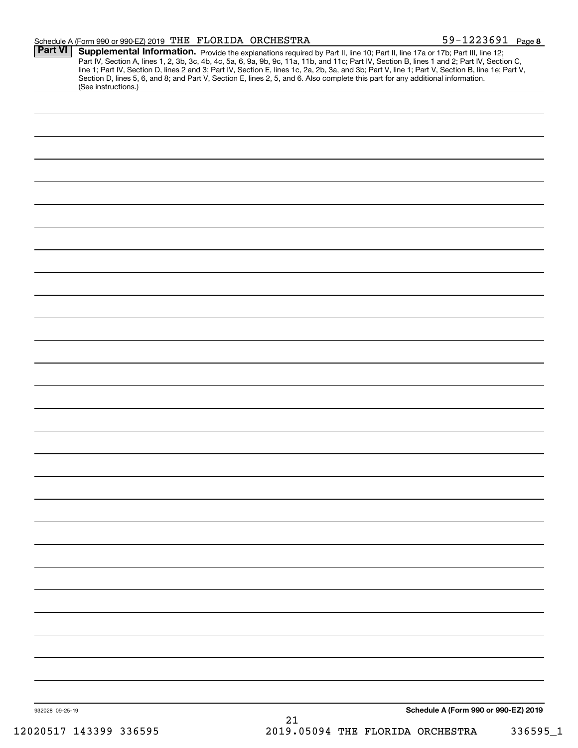| Schedule A (Form 990 or 990-EZ) 2019 THE FLORIDA ORCHESTRA |  | 59-1223691 | Page 8 |
|------------------------------------------------------------|--|------------|--------|
|                                                            |  |            |        |

| Part VI         | Supplemental Information. Provide the explanations required by Part II, line 10; Part II, line 17a or 17b; Part III, line 12;<br>Part IV, Section A, lines 1, 2, 3b, 3c, 4b, 4c, 5a, 6, 9a, 9b, 9c, 11a, 11b, and 11c; Part IV, Section B, lines 1 and 2; Part IV, Section C,<br>line 1; Part IV, Section D, lines 2 and 3; Part IV, Section E, lines 1c, 2a, 2b, 3a, and 3b; Part V, line 1; Part V, Section B, line 1e; Part V,<br>Section D, lines 5, 6, and 8; and Part V, Section E, lines 2, 5, and 6. Also complete this part for any additional information.<br>(See instructions.) |
|-----------------|---------------------------------------------------------------------------------------------------------------------------------------------------------------------------------------------------------------------------------------------------------------------------------------------------------------------------------------------------------------------------------------------------------------------------------------------------------------------------------------------------------------------------------------------------------------------------------------------|
|                 |                                                                                                                                                                                                                                                                                                                                                                                                                                                                                                                                                                                             |
|                 |                                                                                                                                                                                                                                                                                                                                                                                                                                                                                                                                                                                             |
|                 |                                                                                                                                                                                                                                                                                                                                                                                                                                                                                                                                                                                             |
|                 |                                                                                                                                                                                                                                                                                                                                                                                                                                                                                                                                                                                             |
|                 |                                                                                                                                                                                                                                                                                                                                                                                                                                                                                                                                                                                             |
|                 |                                                                                                                                                                                                                                                                                                                                                                                                                                                                                                                                                                                             |
|                 |                                                                                                                                                                                                                                                                                                                                                                                                                                                                                                                                                                                             |
|                 |                                                                                                                                                                                                                                                                                                                                                                                                                                                                                                                                                                                             |
|                 |                                                                                                                                                                                                                                                                                                                                                                                                                                                                                                                                                                                             |
|                 |                                                                                                                                                                                                                                                                                                                                                                                                                                                                                                                                                                                             |
|                 |                                                                                                                                                                                                                                                                                                                                                                                                                                                                                                                                                                                             |
|                 |                                                                                                                                                                                                                                                                                                                                                                                                                                                                                                                                                                                             |
|                 |                                                                                                                                                                                                                                                                                                                                                                                                                                                                                                                                                                                             |
|                 |                                                                                                                                                                                                                                                                                                                                                                                                                                                                                                                                                                                             |
|                 |                                                                                                                                                                                                                                                                                                                                                                                                                                                                                                                                                                                             |
|                 |                                                                                                                                                                                                                                                                                                                                                                                                                                                                                                                                                                                             |
|                 |                                                                                                                                                                                                                                                                                                                                                                                                                                                                                                                                                                                             |
|                 |                                                                                                                                                                                                                                                                                                                                                                                                                                                                                                                                                                                             |
|                 |                                                                                                                                                                                                                                                                                                                                                                                                                                                                                                                                                                                             |
|                 |                                                                                                                                                                                                                                                                                                                                                                                                                                                                                                                                                                                             |
|                 |                                                                                                                                                                                                                                                                                                                                                                                                                                                                                                                                                                                             |
|                 |                                                                                                                                                                                                                                                                                                                                                                                                                                                                                                                                                                                             |
|                 |                                                                                                                                                                                                                                                                                                                                                                                                                                                                                                                                                                                             |
|                 |                                                                                                                                                                                                                                                                                                                                                                                                                                                                                                                                                                                             |
|                 |                                                                                                                                                                                                                                                                                                                                                                                                                                                                                                                                                                                             |
|                 |                                                                                                                                                                                                                                                                                                                                                                                                                                                                                                                                                                                             |
|                 |                                                                                                                                                                                                                                                                                                                                                                                                                                                                                                                                                                                             |
|                 |                                                                                                                                                                                                                                                                                                                                                                                                                                                                                                                                                                                             |
|                 |                                                                                                                                                                                                                                                                                                                                                                                                                                                                                                                                                                                             |
|                 |                                                                                                                                                                                                                                                                                                                                                                                                                                                                                                                                                                                             |
|                 |                                                                                                                                                                                                                                                                                                                                                                                                                                                                                                                                                                                             |
|                 |                                                                                                                                                                                                                                                                                                                                                                                                                                                                                                                                                                                             |
| 932028 09-25-19 | Schedule A (Form 990 or 990-EZ) 2019                                                                                                                                                                                                                                                                                                                                                                                                                                                                                                                                                        |
|                 | 21                                                                                                                                                                                                                                                                                                                                                                                                                                                                                                                                                                                          |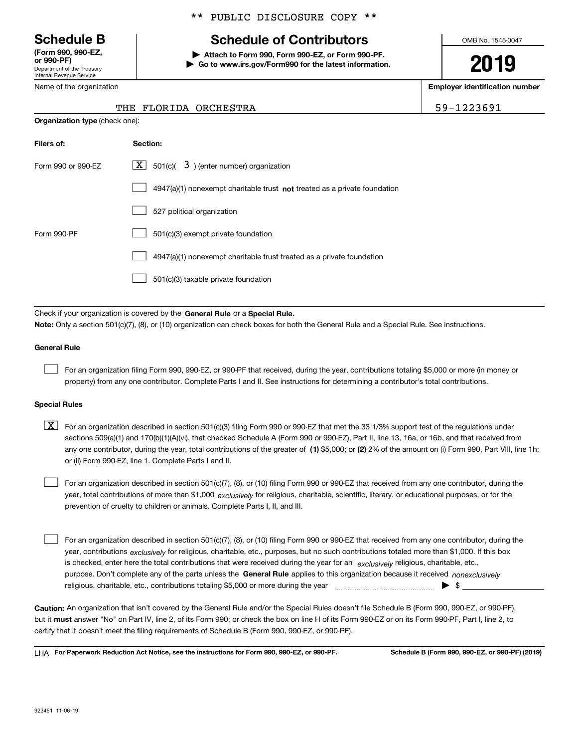Department of the Treasury Internal Revenue Service **(Form 990, 990-EZ, or 990-PF)**

Name of the organization

#### \*\* PUBLIC DISCLOSURE COPY \*\*

## **Schedule B Schedule of Contributors**

**| Attach to Form 990, Form 990-EZ, or Form 990-PF. | Go to www.irs.gov/Form990 for the latest information.** OMB No. 1545-0047

# **2019**

**Employer identification number**

59-1223691

|  | THE FLORIDA ORCHESTRA |
|--|-----------------------|

| <b>Organization type (check one):</b> |                                                                             |  |  |  |  |  |
|---------------------------------------|-----------------------------------------------------------------------------|--|--|--|--|--|
| Filers of:                            | Section:                                                                    |  |  |  |  |  |
| Form 990 or 990-EZ                    | $ \mathbf{X} $ 501(c)( 3) (enter number) organization                       |  |  |  |  |  |
|                                       | $4947(a)(1)$ nonexempt charitable trust not treated as a private foundation |  |  |  |  |  |
|                                       | 527 political organization                                                  |  |  |  |  |  |
| Form 990-PF                           | 501(c)(3) exempt private foundation                                         |  |  |  |  |  |
|                                       | 4947(a)(1) nonexempt charitable trust treated as a private foundation       |  |  |  |  |  |
|                                       | 501(c)(3) taxable private foundation                                        |  |  |  |  |  |
|                                       |                                                                             |  |  |  |  |  |

Check if your organization is covered by the **General Rule** or a **Special Rule.**<br>Nota: Only a section 501(c)(7), (8), or (10) erganization can chock boxes for be **Note:**  Only a section 501(c)(7), (8), or (10) organization can check boxes for both the General Rule and a Special Rule. See instructions.

#### **General Rule**

 $\mathcal{L}^{\text{max}}$ 

For an organization filing Form 990, 990-EZ, or 990-PF that received, during the year, contributions totaling \$5,000 or more (in money or property) from any one contributor. Complete Parts I and II. See instructions for determining a contributor's total contributions.

#### **Special Rules**

any one contributor, during the year, total contributions of the greater of  $\,$  (1) \$5,000; or **(2)** 2% of the amount on (i) Form 990, Part VIII, line 1h;  $\boxed{\textbf{X}}$  For an organization described in section 501(c)(3) filing Form 990 or 990-EZ that met the 33 1/3% support test of the regulations under sections 509(a)(1) and 170(b)(1)(A)(vi), that checked Schedule A (Form 990 or 990-EZ), Part II, line 13, 16a, or 16b, and that received from or (ii) Form 990-EZ, line 1. Complete Parts I and II.

year, total contributions of more than \$1,000 *exclusively* for religious, charitable, scientific, literary, or educational purposes, or for the For an organization described in section 501(c)(7), (8), or (10) filing Form 990 or 990-EZ that received from any one contributor, during the prevention of cruelty to children or animals. Complete Parts I, II, and III.  $\mathcal{L}^{\text{max}}$ 

purpose. Don't complete any of the parts unless the **General Rule** applies to this organization because it received *nonexclusively* year, contributions <sub>exclusively</sub> for religious, charitable, etc., purposes, but no such contributions totaled more than \$1,000. If this box is checked, enter here the total contributions that were received during the year for an  $\;$ exclusively religious, charitable, etc., For an organization described in section 501(c)(7), (8), or (10) filing Form 990 or 990-EZ that received from any one contributor, during the religious, charitable, etc., contributions totaling \$5,000 or more during the year  $\Box$ — $\Box$   $\Box$  $\mathcal{L}^{\text{max}}$ 

**Caution:**  An organization that isn't covered by the General Rule and/or the Special Rules doesn't file Schedule B (Form 990, 990-EZ, or 990-PF), but it **must** answer "No" on Part IV, line 2, of its Form 990; or check the box on line H of its Form 990-EZ or on its Form 990-PF, Part I, line 2, to<br>cortify that it doesn't meet the filipe requirements of Schodule B (Fer certify that it doesn't meet the filing requirements of Schedule B (Form 990, 990-EZ, or 990-PF).

**For Paperwork Reduction Act Notice, see the instructions for Form 990, 990-EZ, or 990-PF. Schedule B (Form 990, 990-EZ, or 990-PF) (2019)** LHA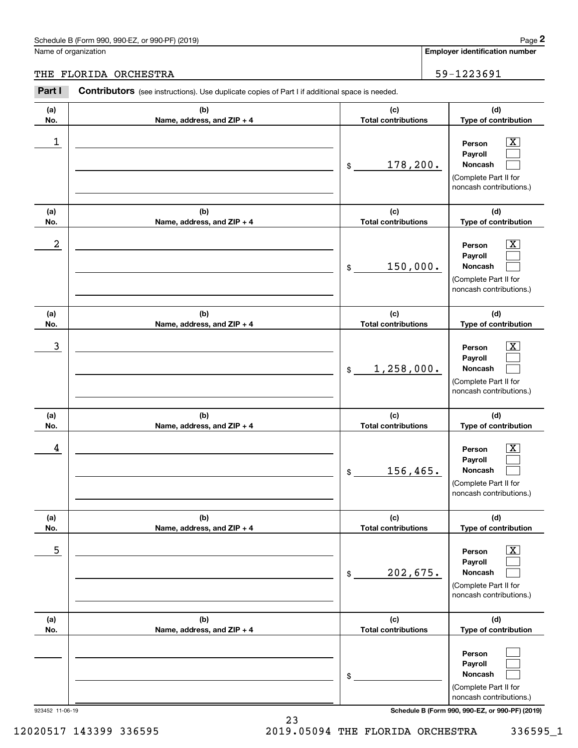#### THE FLORIDA ORCHESTRA 59-1223691

|                  | Schedule B (Form 990, 990-EZ, or 990-PF) (2019)                                                       |                                   | Page 2                                                                                                      |
|------------------|-------------------------------------------------------------------------------------------------------|-----------------------------------|-------------------------------------------------------------------------------------------------------------|
|                  | Name of organization                                                                                  |                                   | <b>Employer identification number</b>                                                                       |
|                  | THE FLORIDA ORCHESTRA                                                                                 |                                   | 59-1223691                                                                                                  |
| Part I           | <b>Contributors</b> (see instructions). Use duplicate copies of Part I if additional space is needed. |                                   |                                                                                                             |
| (a)<br>No.       | (b)<br>Name, address, and ZIP + 4                                                                     | (c)<br><b>Total contributions</b> | (d)<br>Type of contribution                                                                                 |
| 1                |                                                                                                       | 178,200.<br>\$                    | $\overline{\mathbf{X}}$<br>Person<br>Payroll<br>Noncash<br>(Complete Part II for<br>noncash contributions.) |
| (a)<br>No.       | (b)<br>Name, address, and ZIP + 4                                                                     | (c)<br><b>Total contributions</b> | (d)<br>Type of contribution                                                                                 |
| $\boldsymbol{2}$ |                                                                                                       | 150,000.<br>\$                    | $\overline{\mathbf{X}}$<br>Person<br>Payroll<br>Noncash<br>(Complete Part II for<br>noncash contributions.) |
| (a)<br>No.       | (b)<br>Name, address, and ZIP + 4                                                                     | (c)<br><b>Total contributions</b> | (d)<br>Type of contribution                                                                                 |
| $\mathbf{3}$     |                                                                                                       | 1,258,000.<br>\$                  | $\overline{\text{X}}$<br>Person<br>Payroll<br>Noncash<br>(Complete Part II for<br>noncash contributions.)   |
| (a)<br>No.       | (b)<br>Name, address, and ZIP + 4                                                                     | (c)<br><b>Total contributions</b> | (d)<br>Type of contribution                                                                                 |
| 4                |                                                                                                       | 156,465.<br>\$                    | $\mathbf{X}$<br>Person<br>Payroll<br>Noncash<br>(Complete Part II for<br>noncash contributions.)            |
| (a)<br>No.       | (b)<br>Name, address, and ZIP + 4                                                                     | (c)<br><b>Total contributions</b> | (d)<br>Type of contribution                                                                                 |
| 5                |                                                                                                       | 202,675.<br>\$                    | $\boxed{\text{X}}$<br>Person<br>Payroll<br>Noncash<br>(Complete Part II for<br>noncash contributions.)      |
| (a)<br>No.       | (b)<br>Name, address, and ZIP + 4                                                                     | (c)<br><b>Total contributions</b> | (d)<br>Type of contribution                                                                                 |
|                  |                                                                                                       | \$                                | Person<br>Payroll<br>Noncash<br>(Complete Part II for<br>noncash contributions.)                            |

923452 11-06-19 **Schedule B (Form 990, 990-EZ, or 990-PF) (2019)**

12020517 143399 336595 2019.05094 THE FLORIDA ORCHESTRA 336595\_1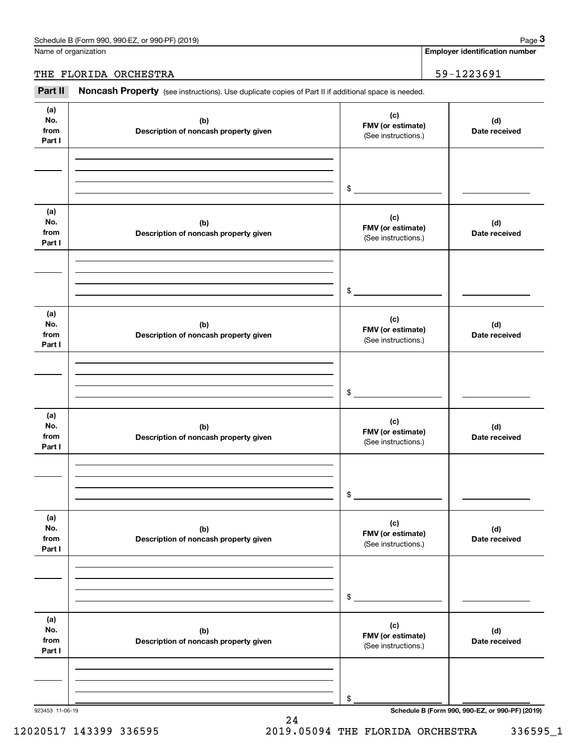#### THE FLORIDA ORCHESTRA 59-1223691

|                              | Schedule B (Form 990, 990-EZ, or 990-PF) (2019)                                                     |                                                 | Page 3                                          |
|------------------------------|-----------------------------------------------------------------------------------------------------|-------------------------------------------------|-------------------------------------------------|
|                              | Name of organization                                                                                |                                                 | <b>Employer identification number</b>           |
|                              | THE FLORIDA ORCHESTRA                                                                               |                                                 | 59-1223691                                      |
| Part II                      | Noncash Property (see instructions). Use duplicate copies of Part II if additional space is needed. |                                                 |                                                 |
| (a)<br>No.<br>from<br>Part I | (b)<br>Description of noncash property given                                                        | (c)<br>FMV (or estimate)<br>(See instructions.) | (d)<br>Date received                            |
|                              |                                                                                                     | \$                                              |                                                 |
| (a)<br>No.<br>from<br>Part I | (b)<br>Description of noncash property given                                                        | (c)<br>FMV (or estimate)<br>(See instructions.) | (d)<br>Date received                            |
|                              |                                                                                                     | \$                                              |                                                 |
| (a)<br>No.<br>from<br>Part I | (b)<br>Description of noncash property given                                                        | (c)<br>FMV (or estimate)<br>(See instructions.) | (d)<br>Date received                            |
|                              |                                                                                                     | \$                                              |                                                 |
| (a)<br>No.<br>from<br>Part I | (b)<br>Description of noncash property given                                                        | (c)<br>FMV (or estimate)<br>(See instructions.) | (d)<br>Date received                            |
|                              |                                                                                                     | \$                                              |                                                 |
| (a)<br>No.<br>from<br>Part I | (b)<br>Description of noncash property given                                                        | (c)<br>FMV (or estimate)<br>(See instructions.) | (d)<br>Date received                            |
|                              |                                                                                                     | \$                                              |                                                 |
| (a)<br>No.<br>from<br>Part I | (b)<br>Description of noncash property given                                                        | (c)<br>FMV (or estimate)<br>(See instructions.) | (d)<br>Date received                            |
|                              |                                                                                                     | \$                                              |                                                 |
| 923453 11-06-19              |                                                                                                     |                                                 | Schedule B (Form 990, 990-EZ, or 990-PF) (2019) |

24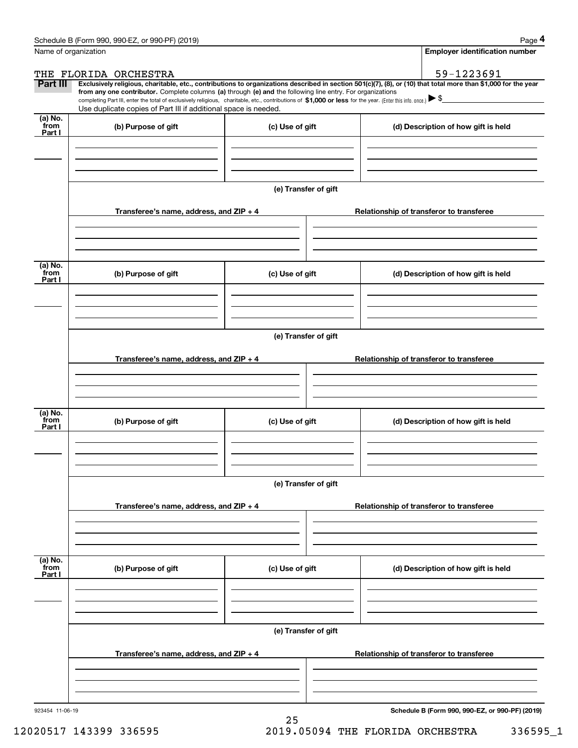|                           | Schedule B (Form 990, 990-EZ, or 990-PF) (2019)                                                                                                                                                                                                                              |                      |  | Page 4                                          |  |  |  |
|---------------------------|------------------------------------------------------------------------------------------------------------------------------------------------------------------------------------------------------------------------------------------------------------------------------|----------------------|--|-------------------------------------------------|--|--|--|
|                           | Name of organization                                                                                                                                                                                                                                                         |                      |  | <b>Employer identification number</b>           |  |  |  |
|                           | THE FLORIDA ORCHESTRA                                                                                                                                                                                                                                                        |                      |  | 59-1223691                                      |  |  |  |
| Part III                  | Exclusively religious, charitable, etc., contributions to organizations described in section 501(c)(7), (8), or (10) that total more than \$1,000 for the year<br>from any one contributor. Complete columns (a) through (e) and the following line entry. For organizations |                      |  |                                                 |  |  |  |
|                           | completing Part III, enter the total of exclusively religious, charitable, etc., contributions of \$1,000 or less for the year. (Enter this info. once.) \\$                                                                                                                 |                      |  |                                                 |  |  |  |
|                           | Use duplicate copies of Part III if additional space is needed.                                                                                                                                                                                                              |                      |  |                                                 |  |  |  |
| (a) No.<br>from<br>Part I | (b) Purpose of gift                                                                                                                                                                                                                                                          | (c) Use of gift      |  | (d) Description of how gift is held             |  |  |  |
|                           |                                                                                                                                                                                                                                                                              |                      |  |                                                 |  |  |  |
|                           |                                                                                                                                                                                                                                                                              | (e) Transfer of gift |  |                                                 |  |  |  |
|                           | Transferee's name, address, and ZIP + 4                                                                                                                                                                                                                                      |                      |  | Relationship of transferor to transferee        |  |  |  |
|                           |                                                                                                                                                                                                                                                                              |                      |  |                                                 |  |  |  |
|                           |                                                                                                                                                                                                                                                                              |                      |  |                                                 |  |  |  |
| (a) No.<br>from<br>Part I | (b) Purpose of gift                                                                                                                                                                                                                                                          | (c) Use of gift      |  | (d) Description of how gift is held             |  |  |  |
|                           |                                                                                                                                                                                                                                                                              |                      |  |                                                 |  |  |  |
|                           |                                                                                                                                                                                                                                                                              | (e) Transfer of gift |  |                                                 |  |  |  |
|                           | Transferee's name, address, and ZIP + 4                                                                                                                                                                                                                                      |                      |  | Relationship of transferor to transferee        |  |  |  |
|                           |                                                                                                                                                                                                                                                                              |                      |  |                                                 |  |  |  |
|                           |                                                                                                                                                                                                                                                                              |                      |  |                                                 |  |  |  |
| (a) No.<br>from<br>Part I | (b) Purpose of gift                                                                                                                                                                                                                                                          | (c) Use of gift      |  | (d) Description of how gift is held             |  |  |  |
|                           |                                                                                                                                                                                                                                                                              |                      |  |                                                 |  |  |  |
|                           |                                                                                                                                                                                                                                                                              | (e) Transfer of gift |  |                                                 |  |  |  |
|                           | Transferee's name, address, and ZIP + 4                                                                                                                                                                                                                                      |                      |  | Relationship of transferor to transferee        |  |  |  |
|                           |                                                                                                                                                                                                                                                                              |                      |  |                                                 |  |  |  |
|                           |                                                                                                                                                                                                                                                                              |                      |  |                                                 |  |  |  |
| (a) No.<br>from<br>Part I | (b) Purpose of gift                                                                                                                                                                                                                                                          | (c) Use of gift      |  | (d) Description of how gift is held             |  |  |  |
|                           |                                                                                                                                                                                                                                                                              |                      |  |                                                 |  |  |  |
|                           |                                                                                                                                                                                                                                                                              |                      |  |                                                 |  |  |  |
|                           | (e) Transfer of gift                                                                                                                                                                                                                                                         |                      |  |                                                 |  |  |  |
|                           | Transferee's name, address, and ZIP + 4                                                                                                                                                                                                                                      |                      |  | Relationship of transferor to transferee        |  |  |  |
|                           |                                                                                                                                                                                                                                                                              |                      |  |                                                 |  |  |  |
| 923454 11-06-19           |                                                                                                                                                                                                                                                                              |                      |  | Schedule B (Form 990, 990-EZ, or 990-PF) (2019) |  |  |  |

25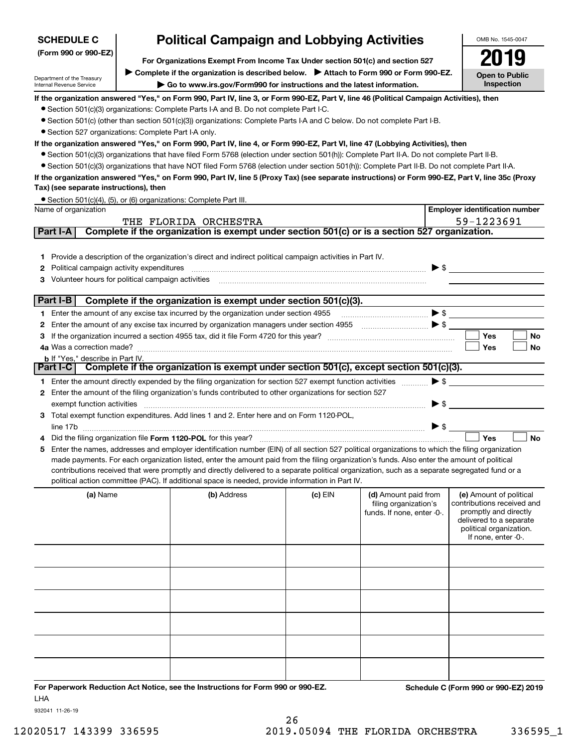| <b>SCHEDULE C</b>                                      |                                                                                                                                                                   | <b>Political Campaign and Lobbying Activities</b>                                                                                                                                                                                                                                                                                                             |         |                                                                                                                                                                                                                                                                                                                                                                             |                          |                                                                                                                                                             |  |  |
|--------------------------------------------------------|-------------------------------------------------------------------------------------------------------------------------------------------------------------------|---------------------------------------------------------------------------------------------------------------------------------------------------------------------------------------------------------------------------------------------------------------------------------------------------------------------------------------------------------------|---------|-----------------------------------------------------------------------------------------------------------------------------------------------------------------------------------------------------------------------------------------------------------------------------------------------------------------------------------------------------------------------------|--------------------------|-------------------------------------------------------------------------------------------------------------------------------------------------------------|--|--|
| (Form 990 or 990-EZ)                                   | For Organizations Exempt From Income Tax Under section 501(c) and section 527                                                                                     |                                                                                                                                                                                                                                                                                                                                                               |         |                                                                                                                                                                                                                                                                                                                                                                             |                          |                                                                                                                                                             |  |  |
| Department of the Treasury<br>Internal Revenue Service | ▶ Complete if the organization is described below. ▶ Attach to Form 990 or Form 990-EZ.<br>Go to www.irs.gov/Form990 for instructions and the latest information. |                                                                                                                                                                                                                                                                                                                                                               |         |                                                                                                                                                                                                                                                                                                                                                                             |                          |                                                                                                                                                             |  |  |
|                                                        |                                                                                                                                                                   | If the organization answered "Yes," on Form 990, Part IV, line 3, or Form 990-EZ, Part V, line 46 (Political Campaign Activities), then<br>• Section 501(c)(3) organizations: Complete Parts I-A and B. Do not complete Part I-C.<br>• Section 501(c) (other than section 501(c)(3)) organizations: Complete Parts I-A and C below. Do not complete Part I-B. |         |                                                                                                                                                                                                                                                                                                                                                                             |                          |                                                                                                                                                             |  |  |
| • Section 527 organizations: Complete Part I-A only.   |                                                                                                                                                                   |                                                                                                                                                                                                                                                                                                                                                               |         |                                                                                                                                                                                                                                                                                                                                                                             |                          |                                                                                                                                                             |  |  |
|                                                        |                                                                                                                                                                   | If the organization answered "Yes," on Form 990, Part IV, line 4, or Form 990-EZ, Part VI, line 47 (Lobbying Activities), then                                                                                                                                                                                                                                |         |                                                                                                                                                                                                                                                                                                                                                                             |                          |                                                                                                                                                             |  |  |
|                                                        |                                                                                                                                                                   | • Section 501(c)(3) organizations that have filed Form 5768 (election under section 501(h)): Complete Part II-A. Do not complete Part II-B.<br>• Section 501(c)(3) organizations that have NOT filed Form 5768 (election under section 501(h)): Complete Part II-B. Do not complete Part II-A.                                                                |         |                                                                                                                                                                                                                                                                                                                                                                             |                          |                                                                                                                                                             |  |  |
|                                                        |                                                                                                                                                                   | If the organization answered "Yes," on Form 990, Part IV, line 5 (Proxy Tax) (see separate instructions) or Form 990-EZ, Part V, line 35c (Proxy                                                                                                                                                                                                              |         |                                                                                                                                                                                                                                                                                                                                                                             |                          |                                                                                                                                                             |  |  |
| Tax) (see separate instructions), then                 |                                                                                                                                                                   |                                                                                                                                                                                                                                                                                                                                                               |         |                                                                                                                                                                                                                                                                                                                                                                             |                          |                                                                                                                                                             |  |  |
|                                                        |                                                                                                                                                                   | • Section 501(c)(4), (5), or (6) organizations: Complete Part III.                                                                                                                                                                                                                                                                                            |         |                                                                                                                                                                                                                                                                                                                                                                             |                          |                                                                                                                                                             |  |  |
| Name of organization                                   |                                                                                                                                                                   |                                                                                                                                                                                                                                                                                                                                                               |         |                                                                                                                                                                                                                                                                                                                                                                             |                          | <b>Employer identification number</b>                                                                                                                       |  |  |
|                                                        |                                                                                                                                                                   | THE FLORIDA ORCHESTRA                                                                                                                                                                                                                                                                                                                                         |         |                                                                                                                                                                                                                                                                                                                                                                             |                          | 59-1223691                                                                                                                                                  |  |  |
| Part I-A                                               |                                                                                                                                                                   | Complete if the organization is exempt under section 501(c) or is a section 527 organization.                                                                                                                                                                                                                                                                 |         |                                                                                                                                                                                                                                                                                                                                                                             |                          |                                                                                                                                                             |  |  |
|                                                        |                                                                                                                                                                   | 1 Provide a description of the organization's direct and indirect political campaign activities in Part IV.                                                                                                                                                                                                                                                   |         |                                                                                                                                                                                                                                                                                                                                                                             |                          |                                                                                                                                                             |  |  |
| <b>2</b> Political campaign activity expenditures      |                                                                                                                                                                   |                                                                                                                                                                                                                                                                                                                                                               |         |                                                                                                                                                                                                                                                                                                                                                                             |                          | $\triangleright$ \$                                                                                                                                         |  |  |
| Volunteer hours for political campaign activities<br>З |                                                                                                                                                                   |                                                                                                                                                                                                                                                                                                                                                               |         |                                                                                                                                                                                                                                                                                                                                                                             |                          |                                                                                                                                                             |  |  |
|                                                        |                                                                                                                                                                   |                                                                                                                                                                                                                                                                                                                                                               |         |                                                                                                                                                                                                                                                                                                                                                                             |                          |                                                                                                                                                             |  |  |
| Part I-B                                               |                                                                                                                                                                   | Complete if the organization is exempt under section 501(c)(3).                                                                                                                                                                                                                                                                                               |         |                                                                                                                                                                                                                                                                                                                                                                             |                          |                                                                                                                                                             |  |  |
|                                                        |                                                                                                                                                                   | 1 Enter the amount of any excise tax incurred by the organization under section 4955                                                                                                                                                                                                                                                                          |         | $\begin{picture}(20,10) \put(0,0){\vector(1,0){10}} \put(15,0){\vector(1,0){10}} \put(15,0){\vector(1,0){10}} \put(15,0){\vector(1,0){10}} \put(15,0){\vector(1,0){10}} \put(15,0){\vector(1,0){10}} \put(15,0){\vector(1,0){10}} \put(15,0){\vector(1,0){10}} \put(15,0){\vector(1,0){10}} \put(15,0){\vector(1,0){10}} \put(15,0){\vector(1,0){10}} \put(15,0){\vector(1$ |                          |                                                                                                                                                             |  |  |
|                                                        |                                                                                                                                                                   | 2 Enter the amount of any excise tax incurred by organization managers under section 4955                                                                                                                                                                                                                                                                     |         |                                                                                                                                                                                                                                                                                                                                                                             |                          |                                                                                                                                                             |  |  |
| З                                                      |                                                                                                                                                                   |                                                                                                                                                                                                                                                                                                                                                               |         |                                                                                                                                                                                                                                                                                                                                                                             |                          | Yes<br>No                                                                                                                                                   |  |  |
| <b>b</b> If "Yes," describe in Part IV.                |                                                                                                                                                                   |                                                                                                                                                                                                                                                                                                                                                               |         |                                                                                                                                                                                                                                                                                                                                                                             |                          | <b>No</b><br>Yes                                                                                                                                            |  |  |
|                                                        |                                                                                                                                                                   | Part I-C Complete if the organization is exempt under section 501(c), except section 501(c)(3).                                                                                                                                                                                                                                                               |         |                                                                                                                                                                                                                                                                                                                                                                             |                          |                                                                                                                                                             |  |  |
|                                                        |                                                                                                                                                                   | 1 Enter the amount directly expended by the filing organization for section 527 exempt function activities                                                                                                                                                                                                                                                    |         |                                                                                                                                                                                                                                                                                                                                                                             |                          | $\blacktriangleright$ \$                                                                                                                                    |  |  |
|                                                        |                                                                                                                                                                   | 2 Enter the amount of the filing organization's funds contributed to other organizations for section 527                                                                                                                                                                                                                                                      |         |                                                                                                                                                                                                                                                                                                                                                                             |                          |                                                                                                                                                             |  |  |
| exempt function activities                             |                                                                                                                                                                   |                                                                                                                                                                                                                                                                                                                                                               |         |                                                                                                                                                                                                                                                                                                                                                                             | $\blacktriangleright$ \$ |                                                                                                                                                             |  |  |
|                                                        |                                                                                                                                                                   | 3 Total exempt function expenditures. Add lines 1 and 2. Enter here and on Form 1120-POL,                                                                                                                                                                                                                                                                     |         |                                                                                                                                                                                                                                                                                                                                                                             |                          |                                                                                                                                                             |  |  |
|                                                        |                                                                                                                                                                   |                                                                                                                                                                                                                                                                                                                                                               |         |                                                                                                                                                                                                                                                                                                                                                                             | $\blacktriangleright$ \$ |                                                                                                                                                             |  |  |
|                                                        |                                                                                                                                                                   | Did the filing organization file Form 1120-POL for this year?                                                                                                                                                                                                                                                                                                 |         |                                                                                                                                                                                                                                                                                                                                                                             |                          | <b>No</b><br>Yes                                                                                                                                            |  |  |
|                                                        |                                                                                                                                                                   | 5 Enter the names, addresses and employer identification number (EIN) of all section 527 political organizations to which the filing organization<br>made payments. For each organization listed, enter the amount paid from the filing organization's funds. Also enter the amount of political                                                              |         |                                                                                                                                                                                                                                                                                                                                                                             |                          |                                                                                                                                                             |  |  |
|                                                        |                                                                                                                                                                   | contributions received that were promptly and directly delivered to a separate political organization, such as a separate segregated fund or a                                                                                                                                                                                                                |         |                                                                                                                                                                                                                                                                                                                                                                             |                          |                                                                                                                                                             |  |  |
|                                                        |                                                                                                                                                                   | political action committee (PAC). If additional space is needed, provide information in Part IV.                                                                                                                                                                                                                                                              |         |                                                                                                                                                                                                                                                                                                                                                                             |                          |                                                                                                                                                             |  |  |
| (a) Name                                               |                                                                                                                                                                   | (b) Address                                                                                                                                                                                                                                                                                                                                                   | (c) EIN | (d) Amount paid from<br>filing organization's<br>funds. If none, enter -0-.                                                                                                                                                                                                                                                                                                 |                          | (e) Amount of political<br>contributions received and<br>promptly and directly<br>delivered to a separate<br>political organization.<br>If none, enter -0-. |  |  |
|                                                        |                                                                                                                                                                   |                                                                                                                                                                                                                                                                                                                                                               |         |                                                                                                                                                                                                                                                                                                                                                                             |                          |                                                                                                                                                             |  |  |
|                                                        |                                                                                                                                                                   |                                                                                                                                                                                                                                                                                                                                                               |         |                                                                                                                                                                                                                                                                                                                                                                             |                          |                                                                                                                                                             |  |  |
|                                                        |                                                                                                                                                                   |                                                                                                                                                                                                                                                                                                                                                               |         |                                                                                                                                                                                                                                                                                                                                                                             |                          |                                                                                                                                                             |  |  |
|                                                        |                                                                                                                                                                   |                                                                                                                                                                                                                                                                                                                                                               |         |                                                                                                                                                                                                                                                                                                                                                                             |                          |                                                                                                                                                             |  |  |
|                                                        |                                                                                                                                                                   |                                                                                                                                                                                                                                                                                                                                                               |         |                                                                                                                                                                                                                                                                                                                                                                             |                          |                                                                                                                                                             |  |  |

**For Paperwork Reduction Act Notice, see the Instructions for Form 990 or 990-EZ. Schedule C (Form 990 or 990-EZ) 2019** LHA

932041 11-26-19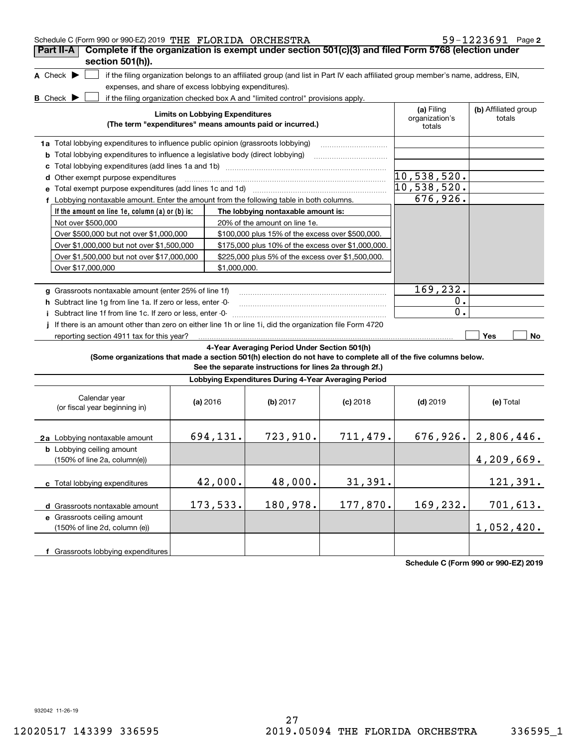| Schedule C (Form 990 or 990-EZ) 2019 THE FLORIDA ORCHESTRA                                                                          |          |                                        |                                                                                  |            |                                                                                                                                   | $59 - 1223691$ Page 2          |
|-------------------------------------------------------------------------------------------------------------------------------------|----------|----------------------------------------|----------------------------------------------------------------------------------|------------|-----------------------------------------------------------------------------------------------------------------------------------|--------------------------------|
| Complete if the organization is exempt under section 501(c)(3) and filed Form 5768 (election under<br>Part II-A<br>section 501(h)). |          |                                        |                                                                                  |            |                                                                                                                                   |                                |
| A Check $\blacktriangleright$                                                                                                       |          |                                        |                                                                                  |            | if the filing organization belongs to an affiliated group (and list in Part IV each affiliated group member's name, address, EIN, |                                |
| expenses, and share of excess lobbying expenditures).                                                                               |          |                                        |                                                                                  |            |                                                                                                                                   |                                |
| <b>B</b> Check $\blacktriangleright$                                                                                                |          |                                        | if the filing organization checked box A and "limited control" provisions apply. |            |                                                                                                                                   |                                |
|                                                                                                                                     |          | <b>Limits on Lobbying Expenditures</b> | (The term "expenditures" means amounts paid or incurred.)                        |            | (a) Filing<br>organization's<br>totals                                                                                            | (b) Affiliated group<br>totals |
| 1a Total lobbying expenditures to influence public opinion (grassroots lobbying)                                                    |          |                                        |                                                                                  |            |                                                                                                                                   |                                |
| <b>b</b> Total lobbying expenditures to influence a legislative body (direct lobbying)                                              |          |                                        |                                                                                  |            |                                                                                                                                   |                                |
| с                                                                                                                                   |          |                                        |                                                                                  |            |                                                                                                                                   |                                |
| d Other exempt purpose expenditures                                                                                                 |          |                                        |                                                                                  |            | 10,538,520.                                                                                                                       |                                |
|                                                                                                                                     |          |                                        |                                                                                  |            | 10,538,520.                                                                                                                       |                                |
| f Lobbying nontaxable amount. Enter the amount from the following table in both columns.                                            |          |                                        |                                                                                  |            | 676,926.                                                                                                                          |                                |
| If the amount on line 1e, column (a) or (b) is:                                                                                     |          |                                        | The lobbying nontaxable amount is:                                               |            |                                                                                                                                   |                                |
| Not over \$500,000                                                                                                                  |          |                                        | 20% of the amount on line 1e.                                                    |            |                                                                                                                                   |                                |
| Over \$500,000 but not over \$1,000,000                                                                                             |          |                                        | \$100,000 plus 15% of the excess over \$500,000.                                 |            |                                                                                                                                   |                                |
| Over \$1,000,000 but not over \$1,500,000                                                                                           |          |                                        | \$175,000 plus 10% of the excess over \$1,000,000.                               |            |                                                                                                                                   |                                |
| Over \$1,500,000 but not over \$17,000,000                                                                                          |          |                                        | \$225,000 plus 5% of the excess over \$1,500,000.                                |            |                                                                                                                                   |                                |
| Over \$17,000,000                                                                                                                   |          | \$1,000,000.                           |                                                                                  |            |                                                                                                                                   |                                |
|                                                                                                                                     |          |                                        |                                                                                  |            |                                                                                                                                   |                                |
| g Grassroots nontaxable amount (enter 25% of line 1f)                                                                               |          |                                        |                                                                                  |            | 169,232.                                                                                                                          |                                |
| h Subtract line 1q from line 1a. If zero or less, enter -0-                                                                         |          |                                        |                                                                                  |            | $0$ .                                                                                                                             |                                |
| i Subtract line 1f from line 1c. If zero or less, enter -0-                                                                         |          |                                        |                                                                                  |            | 0.                                                                                                                                |                                |
| If there is an amount other than zero on either line 1h or line 1i, did the organization file Form 4720                             |          |                                        |                                                                                  |            |                                                                                                                                   |                                |
| reporting section 4911 tax for this year?                                                                                           |          |                                        |                                                                                  |            |                                                                                                                                   | Yes<br>No                      |
|                                                                                                                                     |          |                                        | 4-Year Averaging Period Under Section 501(h)                                     |            |                                                                                                                                   |                                |
| (Some organizations that made a section 501(h) election do not have to complete all of the five columns below.                      |          |                                        | See the separate instructions for lines 2a through 2f.)                          |            |                                                                                                                                   |                                |
|                                                                                                                                     |          |                                        | Lobbying Expenditures During 4-Year Averaging Period                             |            |                                                                                                                                   |                                |
| Calendar year<br>(or fiscal year beginning in)                                                                                      | (a) 2016 |                                        | (b) $2017$                                                                       | $(c)$ 2018 | $(d)$ 2019                                                                                                                        | (e) Total                      |
| 2a Lobbying nontaxable amount                                                                                                       |          | 694,131.                               | 723,910.                                                                         | 711,479.   |                                                                                                                                   | 676, 926.   2, 806, 446.       |
| <b>b</b> Lobbying ceiling amount<br>(150% of line 2a, column(e))                                                                    |          |                                        |                                                                                  |            |                                                                                                                                   | 4,209,669.                     |
| c Total lobbying expenditures                                                                                                       |          | 42,000.                                | 48,000.                                                                          | 31,391.    |                                                                                                                                   | 121,391.                       |
| d Grassroots nontaxable amount                                                                                                      |          | 173,533.                               | 180,978.                                                                         | 177,870.   | 169,232.                                                                                                                          | 701,613.                       |
| e Grassroots ceiling amount<br>(150% of line 2d, column (e))                                                                        |          |                                        |                                                                                  |            |                                                                                                                                   | 1,052,420.                     |
| f Grassroots lobbying expenditures                                                                                                  |          |                                        |                                                                                  |            |                                                                                                                                   |                                |

**Schedule C (Form 990 or 990-EZ) 2019**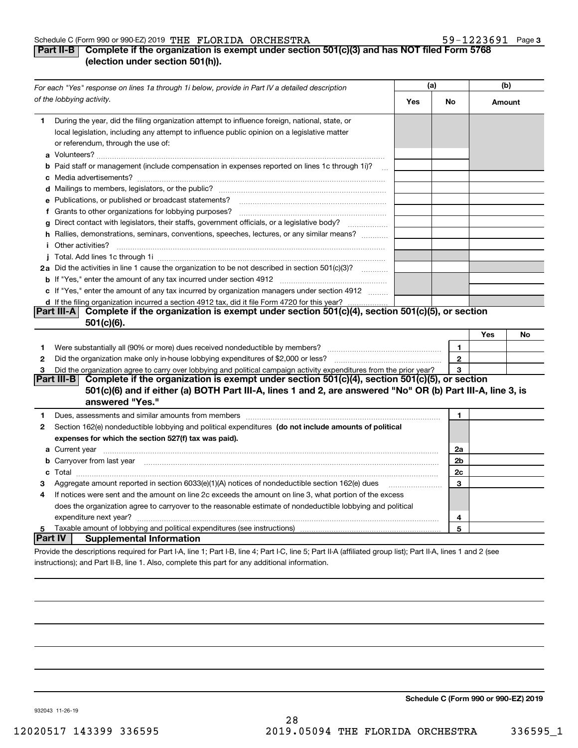#### Schedule C (Form 990 or 990-EZ) 2019 「THE FLORIDA ORCHESTRA THE STANDALL SAMELL SAMELL Page SCHORIDA

#### **Part II-B Complete if the organization is exempt under section 501(c)(3) and has NOT filed Form 5768 (election under section 501(h)).**

| For each "Yes" response on lines 1a through 1i below, provide in Part IV a detailed description |                                                                                                                                                                                                                                      |     | (a)          |        | (b) |  |
|-------------------------------------------------------------------------------------------------|--------------------------------------------------------------------------------------------------------------------------------------------------------------------------------------------------------------------------------------|-----|--------------|--------|-----|--|
|                                                                                                 | of the lobbying activity.                                                                                                                                                                                                            | Yes | No           | Amount |     |  |
| 1.                                                                                              | During the year, did the filing organization attempt to influence foreign, national, state, or<br>local legislation, including any attempt to influence public opinion on a legislative matter<br>or referendum, through the use of: |     |              |        |     |  |
|                                                                                                 | <b>b</b> Paid staff or management (include compensation in expenses reported on lines 1c through 1i)?                                                                                                                                |     |              |        |     |  |
|                                                                                                 |                                                                                                                                                                                                                                      |     |              |        |     |  |
|                                                                                                 | e Publications, or published or broadcast statements?                                                                                                                                                                                |     |              |        |     |  |
|                                                                                                 |                                                                                                                                                                                                                                      |     |              |        |     |  |
|                                                                                                 | g Direct contact with legislators, their staffs, government officials, or a legislative body?<br>.                                                                                                                                   |     |              |        |     |  |
|                                                                                                 | h Rallies, demonstrations, seminars, conventions, speeches, lectures, or any similar means?                                                                                                                                          |     |              |        |     |  |
|                                                                                                 | <i>i</i> Other activities?                                                                                                                                                                                                           |     |              |        |     |  |
|                                                                                                 |                                                                                                                                                                                                                                      |     |              |        |     |  |
|                                                                                                 | 2a Did the activities in line 1 cause the organization to be not described in section 501(c)(3)?                                                                                                                                     |     |              |        |     |  |
|                                                                                                 |                                                                                                                                                                                                                                      |     |              |        |     |  |
|                                                                                                 | c If "Yes," enter the amount of any tax incurred by organization managers under section 4912                                                                                                                                         |     |              |        |     |  |
|                                                                                                 | d If the filing organization incurred a section 4912 tax, did it file Form 4720 for this year?                                                                                                                                       |     |              |        |     |  |
|                                                                                                 | Complete if the organization is exempt under section 501(c)(4), section 501(c)(5), or section<br> Part III-A <br>$501(c)(6)$ .                                                                                                       |     |              |        |     |  |
|                                                                                                 |                                                                                                                                                                                                                                      |     |              | Yes    | No  |  |
| 1                                                                                               |                                                                                                                                                                                                                                      |     | 1            |        |     |  |
| $\mathbf{2}$                                                                                    |                                                                                                                                                                                                                                      |     | $\mathbf{2}$ |        |     |  |
| 3                                                                                               | Did the organization agree to carry over lobbying and political campaign activity expenditures from the prior year?                                                                                                                  |     | 3            |        |     |  |
|                                                                                                 | Part III-B Complete if the organization is exempt under section 501(c)(4), section 501(c)(5), or section<br>501(c)(6) and if either (a) BOTH Part III-A, lines 1 and 2, are answered "No" OR (b) Part III-A, line 3, is              |     |              |        |     |  |
|                                                                                                 | answered "Yes."                                                                                                                                                                                                                      |     |              |        |     |  |
| 1                                                                                               | Dues, assessments and similar amounts from members [11] matter continuum matter assessments and similar amounts from members [11] matter continuum matter and similar amounts from members [11] matter and the state of the st       |     | 1.           |        |     |  |
| 2                                                                                               | Section 162(e) nondeductible lobbying and political expenditures (do not include amounts of political                                                                                                                                |     |              |        |     |  |
|                                                                                                 | expenses for which the section 527(f) tax was paid).                                                                                                                                                                                 |     |              |        |     |  |
|                                                                                                 | a Current year                                                                                                                                                                                                                       |     | 2a           |        |     |  |
|                                                                                                 | <b>b</b> Carryover from last year                                                                                                                                                                                                    |     | 2b           |        |     |  |
|                                                                                                 |                                                                                                                                                                                                                                      |     | 2c           |        |     |  |
| з                                                                                               | Aggregate amount reported in section 6033(e)(1)(A) notices of nondeductible section 162(e) dues                                                                                                                                      |     | 3            |        |     |  |
| 4                                                                                               | If notices were sent and the amount on line 2c exceeds the amount on line 3, what portion of the excess                                                                                                                              |     |              |        |     |  |
|                                                                                                 | does the organization agree to carryover to the reasonable estimate of nondeductible lobbying and political                                                                                                                          |     |              |        |     |  |
|                                                                                                 | expenditure next year?                                                                                                                                                                                                               |     | 4            |        |     |  |
| 5                                                                                               | Taxable amount of lobbying and political expenditures (see instructions)                                                                                                                                                             |     | 5            |        |     |  |
| <b>Part IV</b>                                                                                  | <b>Supplemental Information</b>                                                                                                                                                                                                      |     |              |        |     |  |
|                                                                                                 | Provide the descriptions required for Part I-A, line 1; Part I-B, line 4; Part I-C, line 5; Part II-A (affiliated group list); Part II-A, lines 1 and 2 (see                                                                         |     |              |        |     |  |

instructions); and Part II-B, line 1. Also, complete this part for any additional information.

**Schedule C (Form 990 or 990-EZ) 2019**

932043 11-26-19

**3**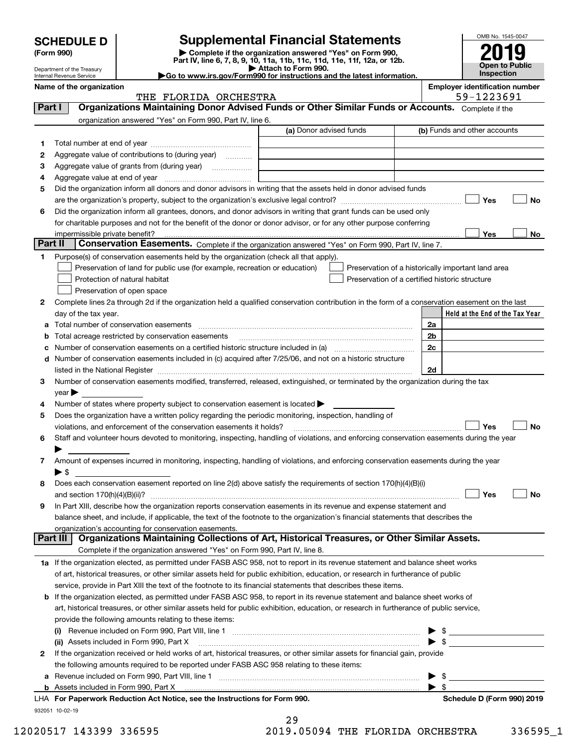|                                                                                                                                                                                                |                                                                                                                                                |                       |                                                                                                   |  |                                                | OMB No. 1545-0047                                  |    |
|------------------------------------------------------------------------------------------------------------------------------------------------------------------------------------------------|------------------------------------------------------------------------------------------------------------------------------------------------|-----------------------|---------------------------------------------------------------------------------------------------|--|------------------------------------------------|----------------------------------------------------|----|
| <b>Supplemental Financial Statements</b><br><b>SCHEDULE D</b><br>Complete if the organization answered "Yes" on Form 990,<br>(Form 990)                                                        |                                                                                                                                                |                       |                                                                                                   |  |                                                |                                                    |    |
|                                                                                                                                                                                                |                                                                                                                                                |                       | Part IV, line 6, 7, 8, 9, 10, 11a, 11b, 11c, 11d, 11e, 11f, 12a, or 12b.                          |  |                                                |                                                    |    |
| Open to Public<br>Attach to Form 990.<br>Department of the Treasury<br><b>Inspection</b><br>Go to www.irs.gov/Form990 for instructions and the latest information.<br>Internal Revenue Service |                                                                                                                                                |                       |                                                                                                   |  |                                                |                                                    |    |
|                                                                                                                                                                                                | Name of the organization                                                                                                                       |                       |                                                                                                   |  |                                                | <b>Employer identification number</b>              |    |
|                                                                                                                                                                                                |                                                                                                                                                | THE FLORIDA ORCHESTRA |                                                                                                   |  |                                                | 59-1223691                                         |    |
| Part I                                                                                                                                                                                         |                                                                                                                                                |                       | Organizations Maintaining Donor Advised Funds or Other Similar Funds or Accounts. Complete if the |  |                                                |                                                    |    |
|                                                                                                                                                                                                | organization answered "Yes" on Form 990, Part IV, line 6.                                                                                      |                       |                                                                                                   |  |                                                |                                                    |    |
|                                                                                                                                                                                                |                                                                                                                                                |                       | (a) Donor advised funds                                                                           |  |                                                | (b) Funds and other accounts                       |    |
| 1                                                                                                                                                                                              |                                                                                                                                                |                       |                                                                                                   |  |                                                |                                                    |    |
| 2                                                                                                                                                                                              | Aggregate value of contributions to (during year)                                                                                              |                       |                                                                                                   |  |                                                |                                                    |    |
| з<br>4                                                                                                                                                                                         | Aggregate value at end of year                                                                                                                 |                       |                                                                                                   |  |                                                |                                                    |    |
| 5                                                                                                                                                                                              | Did the organization inform all donors and donor advisors in writing that the assets held in donor advised funds                               |                       |                                                                                                   |  |                                                |                                                    |    |
|                                                                                                                                                                                                |                                                                                                                                                |                       |                                                                                                   |  |                                                | Yes                                                | No |
| 6                                                                                                                                                                                              | Did the organization inform all grantees, donors, and donor advisors in writing that grant funds can be used only                              |                       |                                                                                                   |  |                                                |                                                    |    |
|                                                                                                                                                                                                | for charitable purposes and not for the benefit of the donor or donor advisor, or for any other purpose conferring                             |                       |                                                                                                   |  |                                                |                                                    |    |
|                                                                                                                                                                                                | impermissible private benefit?                                                                                                                 |                       |                                                                                                   |  |                                                | Yes                                                | No |
| Part II                                                                                                                                                                                        |                                                                                                                                                |                       | Conservation Easements. Complete if the organization answered "Yes" on Form 990, Part IV, line 7. |  |                                                |                                                    |    |
| 1                                                                                                                                                                                              | Purpose(s) of conservation easements held by the organization (check all that apply).                                                          |                       |                                                                                                   |  |                                                |                                                    |    |
|                                                                                                                                                                                                | Preservation of land for public use (for example, recreation or education)                                                                     |                       |                                                                                                   |  |                                                | Preservation of a historically important land area |    |
|                                                                                                                                                                                                | Protection of natural habitat                                                                                                                  |                       |                                                                                                   |  | Preservation of a certified historic structure |                                                    |    |
|                                                                                                                                                                                                | Preservation of open space                                                                                                                     |                       |                                                                                                   |  |                                                |                                                    |    |
| 2                                                                                                                                                                                              | Complete lines 2a through 2d if the organization held a qualified conservation contribution in the form of a conservation easement on the last |                       |                                                                                                   |  |                                                |                                                    |    |
|                                                                                                                                                                                                | day of the tax year.                                                                                                                           |                       |                                                                                                   |  |                                                | Held at the End of the Tax Year                    |    |
| а                                                                                                                                                                                              | Total number of conservation easements                                                                                                         |                       |                                                                                                   |  | 2a                                             |                                                    |    |
|                                                                                                                                                                                                | Total acreage restricted by conservation easements                                                                                             |                       |                                                                                                   |  | 2 <sub>b</sub>                                 |                                                    |    |
|                                                                                                                                                                                                | Number of conservation easements on a certified historic structure included in (a) manufacture of conservation                                 |                       |                                                                                                   |  | 2c                                             |                                                    |    |
| d                                                                                                                                                                                              | Number of conservation easements included in (c) acquired after 7/25/06, and not on a historic structure                                       |                       |                                                                                                   |  |                                                |                                                    |    |
|                                                                                                                                                                                                | listed in the National Register [111] March 1999 State of March 1999 State of March 1999 State of March 1999 St                                |                       |                                                                                                   |  | 2d                                             |                                                    |    |
| 3                                                                                                                                                                                              | Number of conservation easements modified, transferred, released, extinguished, or terminated by the organization during the tax               |                       |                                                                                                   |  |                                                |                                                    |    |
| 4                                                                                                                                                                                              | $\vee$ ear<br>Number of states where property subject to conservation easement is located $\blacktriangleright$                                |                       |                                                                                                   |  |                                                |                                                    |    |
| 5                                                                                                                                                                                              | Does the organization have a written policy regarding the periodic monitoring, inspection, handling of                                         |                       |                                                                                                   |  |                                                |                                                    |    |
|                                                                                                                                                                                                | violations, and enforcement of the conservation easements it holds?                                                                            |                       |                                                                                                   |  |                                                | Yes                                                | No |
| 6                                                                                                                                                                                              | Staff and volunteer hours devoted to monitoring, inspecting, handling of violations, and enforcing conservation easements during the year      |                       |                                                                                                   |  |                                                |                                                    |    |
|                                                                                                                                                                                                |                                                                                                                                                |                       |                                                                                                   |  |                                                |                                                    |    |
| 7                                                                                                                                                                                              | Amount of expenses incurred in monitoring, inspecting, handling of violations, and enforcing conservation easements during the year            |                       |                                                                                                   |  |                                                |                                                    |    |
|                                                                                                                                                                                                | $\blacktriangleright$ \$                                                                                                                       |                       |                                                                                                   |  |                                                |                                                    |    |
| 8                                                                                                                                                                                              | Does each conservation easement reported on line 2(d) above satisfy the requirements of section 170(h)(4)(B)(i)                                |                       |                                                                                                   |  |                                                |                                                    |    |
|                                                                                                                                                                                                |                                                                                                                                                |                       |                                                                                                   |  |                                                | Yes                                                | No |
| 9                                                                                                                                                                                              | In Part XIII, describe how the organization reports conservation easements in its revenue and expense statement and                            |                       |                                                                                                   |  |                                                |                                                    |    |
|                                                                                                                                                                                                | balance sheet, and include, if applicable, the text of the footnote to the organization's financial statements that describes the              |                       |                                                                                                   |  |                                                |                                                    |    |
|                                                                                                                                                                                                | organization's accounting for conservation easements.                                                                                          |                       |                                                                                                   |  |                                                |                                                    |    |
|                                                                                                                                                                                                | Part III                                                                                                                                       |                       | Organizations Maintaining Collections of Art, Historical Treasures, or Other Similar Assets.      |  |                                                |                                                    |    |
|                                                                                                                                                                                                | Complete if the organization answered "Yes" on Form 990, Part IV, line 8.                                                                      |                       |                                                                                                   |  |                                                |                                                    |    |
|                                                                                                                                                                                                | 1a If the organization elected, as permitted under FASB ASC 958, not to report in its revenue statement and balance sheet works                |                       |                                                                                                   |  |                                                |                                                    |    |
|                                                                                                                                                                                                | of art, historical treasures, or other similar assets held for public exhibition, education, or research in furtherance of public              |                       |                                                                                                   |  |                                                |                                                    |    |
|                                                                                                                                                                                                | service, provide in Part XIII the text of the footnote to its financial statements that describes these items.                                 |                       |                                                                                                   |  |                                                |                                                    |    |
|                                                                                                                                                                                                | <b>b</b> If the organization elected, as permitted under FASB ASC 958, to report in its revenue statement and balance sheet works of           |                       |                                                                                                   |  |                                                |                                                    |    |
|                                                                                                                                                                                                | art, historical treasures, or other similar assets held for public exhibition, education, or research in furtherance of public service,        |                       |                                                                                                   |  |                                                |                                                    |    |
|                                                                                                                                                                                                | provide the following amounts relating to these items:                                                                                         |                       |                                                                                                   |  |                                                |                                                    |    |
|                                                                                                                                                                                                | (ii) Assets included in Form 990, Part X                                                                                                       |                       |                                                                                                   |  |                                                |                                                    |    |
| 2                                                                                                                                                                                              | If the organization received or held works of art, historical treasures, or other similar assets for financial gain, provide                   |                       |                                                                                                   |  |                                                |                                                    |    |

| 12020517 143399 336595 | 2019.05094 THE FLORIDA ORCHESTRA | 336595 |  |
|------------------------|----------------------------------|--------|--|

Assets included in Form 990, Part X

932051 10-02-19

**b**

| 29 |        |           |
|----|--------|-----------|
|    | 0.0501 | $- - - -$ |

**For Paperwork Reduction Act Notice, see the Instructions for Form 990. Schedule D (Form 990) 2019** LHA

**a**Revenue included on Form 990, Part VIII, line 1 ~~~~~~~~~~~~~~~~~~~~~~~~~~~~~~

the following amounts required to be reported under FASB ASC 958 relating to these items:

 $\begin{array}{c}\n\blacktriangleright & \text{``} \\
\blacktriangleright & \text{``} \\
\blacktriangleright & \text{``}\n\end{array}$ 

Schedule D (Form 990) 2019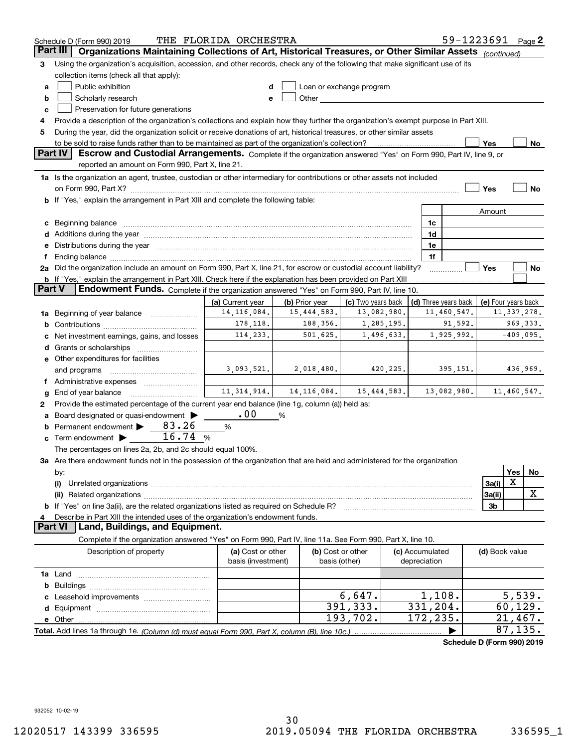|          | 59-1223691 Page 2<br>THE FLORIDA ORCHESTRA<br>Schedule D (Form 990) 2019                                                                                                                                             |                    |                |                                                                                                                                                                                                                               |                 |                      |                            |     |               |
|----------|----------------------------------------------------------------------------------------------------------------------------------------------------------------------------------------------------------------------|--------------------|----------------|-------------------------------------------------------------------------------------------------------------------------------------------------------------------------------------------------------------------------------|-----------------|----------------------|----------------------------|-----|---------------|
| Part III | Organizations Maintaining Collections of Art, Historical Treasures, or Other Similar Assets (continued)                                                                                                              |                    |                |                                                                                                                                                                                                                               |                 |                      |                            |     |               |
| 3        | Using the organization's acquisition, accession, and other records, check any of the following that make significant use of its                                                                                      |                    |                |                                                                                                                                                                                                                               |                 |                      |                            |     |               |
|          | collection items (check all that apply):                                                                                                                                                                             |                    |                |                                                                                                                                                                                                                               |                 |                      |                            |     |               |
| a        | Public exhibition                                                                                                                                                                                                    |                    |                | Loan or exchange program                                                                                                                                                                                                      |                 |                      |                            |     |               |
| b        | Scholarly research                                                                                                                                                                                                   | e                  |                | Other and the contract of the contract of the contract of the contract of the contract of the contract of the contract of the contract of the contract of the contract of the contract of the contract of the contract of the |                 |                      |                            |     |               |
| c        | Preservation for future generations                                                                                                                                                                                  |                    |                |                                                                                                                                                                                                                               |                 |                      |                            |     |               |
| 4        | Provide a description of the organization's collections and explain how they further the organization's exempt purpose in Part XIII.                                                                                 |                    |                |                                                                                                                                                                                                                               |                 |                      |                            |     |               |
| 5        | During the year, did the organization solicit or receive donations of art, historical treasures, or other similar assets                                                                                             |                    |                |                                                                                                                                                                                                                               |                 |                      |                            |     |               |
|          | to be sold to raise funds rather than to be maintained as part of the organization's collection?                                                                                                                     |                    |                |                                                                                                                                                                                                                               |                 |                      | Yes                        |     | No            |
|          | <b>Part IV</b><br>Escrow and Custodial Arrangements. Complete if the organization answered "Yes" on Form 990, Part IV, line 9, or                                                                                    |                    |                |                                                                                                                                                                                                                               |                 |                      |                            |     |               |
|          | reported an amount on Form 990, Part X, line 21.                                                                                                                                                                     |                    |                |                                                                                                                                                                                                                               |                 |                      |                            |     |               |
|          | 1a Is the organization an agent, trustee, custodian or other intermediary for contributions or other assets not included                                                                                             |                    |                |                                                                                                                                                                                                                               |                 |                      |                            |     |               |
|          |                                                                                                                                                                                                                      |                    |                |                                                                                                                                                                                                                               |                 |                      | Yes                        |     | No            |
|          | <b>b</b> If "Yes," explain the arrangement in Part XIII and complete the following table:                                                                                                                            |                    |                |                                                                                                                                                                                                                               |                 |                      |                            |     |               |
|          |                                                                                                                                                                                                                      |                    |                |                                                                                                                                                                                                                               |                 |                      | Amount                     |     |               |
|          |                                                                                                                                                                                                                      |                    |                |                                                                                                                                                                                                                               |                 |                      |                            |     |               |
| c        | Beginning balance <b>contract to the contract of the contract of the contract of the contract of the contract of t</b>                                                                                               |                    |                |                                                                                                                                                                                                                               |                 | 1c                   |                            |     |               |
|          |                                                                                                                                                                                                                      |                    |                |                                                                                                                                                                                                                               |                 | 1d                   |                            |     |               |
| е        | Distributions during the year manufactured and continuum and contact the year manufactured and contact the year                                                                                                      |                    |                |                                                                                                                                                                                                                               |                 | 1e                   |                            |     |               |
|          |                                                                                                                                                                                                                      |                    |                |                                                                                                                                                                                                                               |                 | 1f                   |                            |     |               |
|          | 2a Did the organization include an amount on Form 990, Part X, line 21, for escrow or custodial account liability?                                                                                                   |                    |                |                                                                                                                                                                                                                               |                 |                      | Yes                        |     | No            |
| Part V   | <b>b</b> If "Yes," explain the arrangement in Part XIII. Check here if the explanation has been provided on Part XIII<br>Endowment Funds. Complete if the organization answered "Yes" on Form 990, Part IV, line 10. |                    |                |                                                                                                                                                                                                                               |                 |                      |                            |     |               |
|          |                                                                                                                                                                                                                      |                    |                |                                                                                                                                                                                                                               |                 |                      |                            |     |               |
|          |                                                                                                                                                                                                                      | (a) Current year   | (b) Prior year | (c) Two years back                                                                                                                                                                                                            |                 | (d) Three years back | (e) Four years back        |     |               |
| 1a       | Beginning of year balance                                                                                                                                                                                            | 14, 116, 084.      | 15, 444, 583.  | 13,082,980.                                                                                                                                                                                                                   |                 | 11,460,547.          |                            |     | 11, 337, 278. |
| b        |                                                                                                                                                                                                                      | 178,118.           | 188,356.       | 1,285,195.                                                                                                                                                                                                                    |                 | 91,592.              |                            |     | 969, 333.     |
|          | Net investment earnings, gains, and losses                                                                                                                                                                           | 114,233.           | 501,625.       | 1,496,633.                                                                                                                                                                                                                    |                 | 1,925,992.           |                            |     | $-409,095.$   |
| d        |                                                                                                                                                                                                                      |                    |                |                                                                                                                                                                                                                               |                 |                      |                            |     |               |
|          | e Other expenditures for facilities                                                                                                                                                                                  |                    |                |                                                                                                                                                                                                                               |                 |                      |                            |     |               |
|          | and programs                                                                                                                                                                                                         | 3,093,521.         | 2,018,480.     | 420,225.                                                                                                                                                                                                                      |                 | 395,151.             |                            |     | 436,969.      |
|          |                                                                                                                                                                                                                      |                    |                |                                                                                                                                                                                                                               |                 |                      |                            |     |               |
| g        | End of year balance                                                                                                                                                                                                  | 11, 314, 914.      | 14, 116, 084.  | 15,444,583.                                                                                                                                                                                                                   |                 | 13,082,980.          |                            |     | 11,460,547.   |
| 2        | Provide the estimated percentage of the current year end balance (line 1g, column (a)) held as:                                                                                                                      |                    |                |                                                                                                                                                                                                                               |                 |                      |                            |     |               |
|          | Board designated or quasi-endowment                                                                                                                                                                                  | .00                | %              |                                                                                                                                                                                                                               |                 |                      |                            |     |               |
|          | Permanent endowment > 83.26                                                                                                                                                                                          | %                  |                |                                                                                                                                                                                                                               |                 |                      |                            |     |               |
| c        | 16.74%<br>Term endowment >                                                                                                                                                                                           |                    |                |                                                                                                                                                                                                                               |                 |                      |                            |     |               |
|          | The percentages on lines 2a, 2b, and 2c should equal 100%.                                                                                                                                                           |                    |                |                                                                                                                                                                                                                               |                 |                      |                            |     |               |
|          | 3a Are there endowment funds not in the possession of the organization that are held and administered for the organization                                                                                           |                    |                |                                                                                                                                                                                                                               |                 |                      |                            |     |               |
|          | by:                                                                                                                                                                                                                  |                    |                |                                                                                                                                                                                                                               |                 |                      |                            | Yes | No            |
|          | (i)                                                                                                                                                                                                                  |                    |                |                                                                                                                                                                                                                               |                 |                      | 3a(i)                      | Х   |               |
|          |                                                                                                                                                                                                                      |                    |                |                                                                                                                                                                                                                               |                 |                      | 3a(ii)                     |     | х             |
|          |                                                                                                                                                                                                                      |                    |                |                                                                                                                                                                                                                               |                 |                      | 3b                         |     |               |
|          | Describe in Part XIII the intended uses of the organization's endowment funds.                                                                                                                                       |                    |                |                                                                                                                                                                                                                               |                 |                      |                            |     |               |
|          | Land, Buildings, and Equipment.<br>Part VI                                                                                                                                                                           |                    |                |                                                                                                                                                                                                                               |                 |                      |                            |     |               |
|          | Complete if the organization answered "Yes" on Form 990, Part IV, line 11a. See Form 990, Part X, line 10.                                                                                                           |                    |                |                                                                                                                                                                                                                               |                 |                      |                            |     |               |
|          | Description of property                                                                                                                                                                                              | (a) Cost or other  |                | (b) Cost or other                                                                                                                                                                                                             | (c) Accumulated |                      | (d) Book value             |     |               |
|          |                                                                                                                                                                                                                      | basis (investment) |                | basis (other)                                                                                                                                                                                                                 | depreciation    |                      |                            |     |               |
|          |                                                                                                                                                                                                                      |                    |                |                                                                                                                                                                                                                               |                 |                      |                            |     |               |
| b        |                                                                                                                                                                                                                      |                    |                |                                                                                                                                                                                                                               |                 |                      |                            |     |               |
|          |                                                                                                                                                                                                                      |                    |                | 6,647.                                                                                                                                                                                                                        |                 | 1,108.               |                            |     | 5,539.        |
| d        |                                                                                                                                                                                                                      |                    |                | 391,333.                                                                                                                                                                                                                      |                 | 331,204.             |                            |     | 60, 129.      |
|          | e Other                                                                                                                                                                                                              |                    |                | 193,702.                                                                                                                                                                                                                      |                 | 172,235.             |                            |     | 21,467.       |
|          | Total. Add lines 1a through 1e. (Column (d) must equal Form 990. Part X, column (B), line 10c.)                                                                                                                      |                    |                |                                                                                                                                                                                                                               |                 |                      |                            |     | 87,135.       |
|          |                                                                                                                                                                                                                      |                    |                |                                                                                                                                                                                                                               |                 |                      | Schedule D (Form 990) 2019 |     |               |
|          |                                                                                                                                                                                                                      |                    |                |                                                                                                                                                                                                                               |                 |                      |                            |     |               |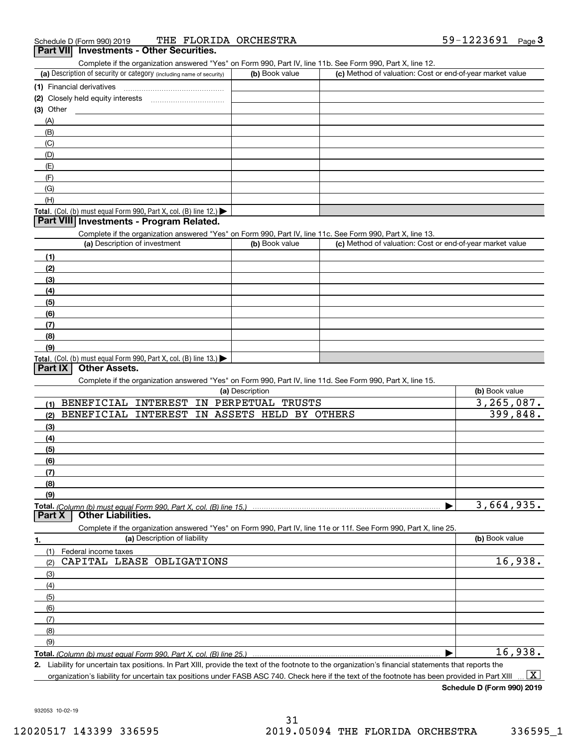## (a) Description of security or category (including name of security)  $\vert$  (b) Book value  $\vert$  (c) ichedule D (Form 990) 2019 THE FLORIDA ORCHESTRA<br>**Part VII Investments - Other Securities.**<br>Complete if the organization answered "Yes" on Form 990, Part IV, line 11b. See Form 990, Part X, line 12. (b) Book value (c) Method of valuation: Cost or end-of-year market value

|     | (1) Financial derivatives                                                              |  |
|-----|----------------------------------------------------------------------------------------|--|
|     | (2) Closely held equity interests                                                      |  |
|     | (3) Other                                                                              |  |
| (A) |                                                                                        |  |
|     | (B)                                                                                    |  |
| (C) |                                                                                        |  |
| (D) |                                                                                        |  |
| (E) |                                                                                        |  |
| (F) |                                                                                        |  |
|     | (G)                                                                                    |  |
|     | (H)                                                                                    |  |
|     | Total. (Col. (b) must equal Form 990, Part X, col. (B) line 12.) $\blacktriangleright$ |  |

#### **Part VIII Investments - Program Related.**

Complete if the organization answered "Yes" on Form 990, Part IV, line 11c. See Form 990, Part X, line 13.

| (a) Description of investment                                    | (b) Book value | (c) Method of valuation: Cost or end-of-year market value |
|------------------------------------------------------------------|----------------|-----------------------------------------------------------|
| (1)                                                              |                |                                                           |
| (2)                                                              |                |                                                           |
| (3)                                                              |                |                                                           |
| (4)                                                              |                |                                                           |
| $\frac{1}{2}$                                                    |                |                                                           |
| (6)                                                              |                |                                                           |
| (7)                                                              |                |                                                           |
| (8)                                                              |                |                                                           |
| (9)                                                              |                |                                                           |
| Total. (Col. (b) must equal Form 990, Part X, col. (B) line 13.) |                |                                                           |

#### **Part IX Other Assets.**

Complete if the organization answered "Yes" on Form 990, Part IV, line 11d. See Form 990, Part X, line 15.

| (a) Description                                             |                                                                                                                   | (b) Book value |
|-------------------------------------------------------------|-------------------------------------------------------------------------------------------------------------------|----------------|
| <b>BENEFICIAL</b><br>INTEREST<br>PERPETUAL<br>IN<br>(1)     | TRUSTS                                                                                                            | 3, 265, 087.   |
| <b>BENEFICIAL</b><br>ASSETS<br><b>INTEREST</b><br>IN<br>(2) | HELD BY<br>OTHERS                                                                                                 | 399,848.       |
| (3)                                                         |                                                                                                                   |                |
| (4)                                                         |                                                                                                                   |                |
| (5)                                                         |                                                                                                                   |                |
| (6)                                                         |                                                                                                                   |                |
| (7)                                                         |                                                                                                                   |                |
| (8)                                                         |                                                                                                                   |                |
| (9)                                                         |                                                                                                                   |                |
|                                                             |                                                                                                                   | 3,664,935.     |
| <b>Other Liabilities.</b><br>Part X                         |                                                                                                                   |                |
|                                                             |                                                                                                                   |                |
|                                                             | Complete if the organization answered "Yes" on Form 990, Part IV, line 11e or 11f. See Form 990, Part X, line 25. |                |
| (a) Description of liability<br>1.                          |                                                                                                                   | (b) Book value |
| (1)<br>Federal income taxes                                 |                                                                                                                   |                |
| OBLIGATIONS<br>CAPITAL LEASE<br>(2)                         |                                                                                                                   | 16,938.        |
| (3)                                                         |                                                                                                                   |                |
| (4)                                                         |                                                                                                                   |                |
| (5)                                                         |                                                                                                                   |                |
| (6)                                                         |                                                                                                                   |                |
| (7)                                                         |                                                                                                                   |                |
| (8)                                                         |                                                                                                                   |                |
| (9)                                                         |                                                                                                                   | 16,938.        |

| Liability for uncertain tax positions. In Part XIII, provide the text of the footnote to the organization's financial statements that reports the

**2.**organization's liability for uncertain tax positions under FASB ASC 740. Check here if the text of the footnote has been provided in Part XIII  $\boxed{\text{X}}$ 

**Schedule D (Form 990) 2019**

932053 10-02-19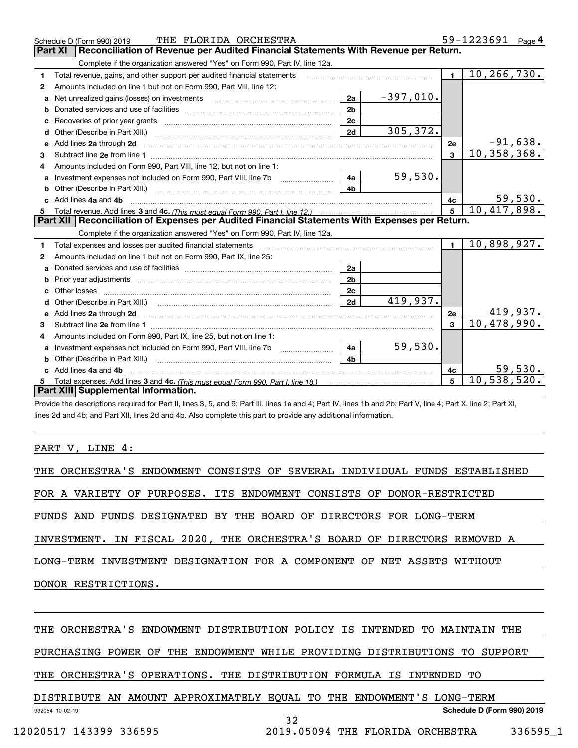|                                                                                                                                                                | THE FLORIDA ORCHESTRA<br>Schedule D (Form 990) 2019                                                                                                                                                                                  |                |             |                | 59-1223691 Page 4           |  |  |
|----------------------------------------------------------------------------------------------------------------------------------------------------------------|--------------------------------------------------------------------------------------------------------------------------------------------------------------------------------------------------------------------------------------|----------------|-------------|----------------|-----------------------------|--|--|
|                                                                                                                                                                | <b>Part XI</b><br>Reconciliation of Revenue per Audited Financial Statements With Revenue per Return.                                                                                                                                |                |             |                |                             |  |  |
|                                                                                                                                                                | Complete if the organization answered "Yes" on Form 990, Part IV, line 12a.                                                                                                                                                          |                |             |                |                             |  |  |
| 1                                                                                                                                                              | Total revenue, gains, and other support per audited financial statements                                                                                                                                                             |                |             | $\blacksquare$ | $\overline{10}$ , 266, 730. |  |  |
| 2                                                                                                                                                              | Amounts included on line 1 but not on Form 990, Part VIII, line 12:                                                                                                                                                                  |                |             |                |                             |  |  |
| a                                                                                                                                                              | Net unrealized gains (losses) on investments [11] matter contracts and the unrealized gains (losses) on investments                                                                                                                  | 2a             | $-397,010.$ |                |                             |  |  |
| b                                                                                                                                                              |                                                                                                                                                                                                                                      | 2 <sub>b</sub> |             |                |                             |  |  |
|                                                                                                                                                                |                                                                                                                                                                                                                                      | 2c             |             |                |                             |  |  |
| d                                                                                                                                                              |                                                                                                                                                                                                                                      | 2d             | 305, 372.   |                |                             |  |  |
| e                                                                                                                                                              | Add lines 2a through 2d                                                                                                                                                                                                              |                |             | 2e             | $-91,638.$                  |  |  |
| 3                                                                                                                                                              |                                                                                                                                                                                                                                      |                |             | $\overline{3}$ | 10, 358, 368.               |  |  |
| 4                                                                                                                                                              | Amounts included on Form 990, Part VIII, line 12, but not on line 1:                                                                                                                                                                 |                |             |                |                             |  |  |
| a                                                                                                                                                              |                                                                                                                                                                                                                                      | 4a             | 59,530.     |                |                             |  |  |
|                                                                                                                                                                | Other (Describe in Part XIII.) <b>Construction Contract Construction</b> Chemistry Chemistry Chemistry Chemistry Chemistry                                                                                                           | 4b             |             |                |                             |  |  |
|                                                                                                                                                                | Add lines 4a and 4b                                                                                                                                                                                                                  |                |             | 4c             | $\frac{59,530}{10,417,898}$ |  |  |
| 5                                                                                                                                                              |                                                                                                                                                                                                                                      |                |             |                |                             |  |  |
|                                                                                                                                                                | Part XII   Reconciliation of Expenses per Audited Financial Statements With Expenses per Return.                                                                                                                                     |                |             |                |                             |  |  |
|                                                                                                                                                                | Complete if the organization answered "Yes" on Form 990, Part IV, line 12a.                                                                                                                                                          |                |             |                |                             |  |  |
| 1                                                                                                                                                              | Total expenses and losses per audited financial statements [11, 11] manuscription control expenses and losses per audited financial statements [11] manuscription of the statements and the statements and the statements and        |                |             | $\mathbf{1}$   | 10,898,927.                 |  |  |
| 2                                                                                                                                                              | Amounts included on line 1 but not on Form 990, Part IX, line 25:                                                                                                                                                                    |                |             |                |                             |  |  |
| a                                                                                                                                                              |                                                                                                                                                                                                                                      | 2a             |             |                |                             |  |  |
|                                                                                                                                                                |                                                                                                                                                                                                                                      | 2 <sub>b</sub> |             |                |                             |  |  |
|                                                                                                                                                                |                                                                                                                                                                                                                                      | 2c             |             |                |                             |  |  |
| d                                                                                                                                                              | Other (Describe in Part XIII.) (2000) (2000) (2000) (2000) (2000) (2000) (2000) (2000) (2000) (2000) (2000) (2000) (2000) (2000) (2000) (2000) (2000) (2000) (2000) (2000) (2000) (2000) (2000) (2000) (2000) (2000) (2000) (2       | 2d             | 419,937.    |                |                             |  |  |
| е                                                                                                                                                              | Add lines 2a through 2d <b>continuum contract and all contract and all contract and all contract and all contract and all contract and all contract and all contract and all contract and all contract and all contract and all </b> |                |             | 2e             | 419,937.                    |  |  |
| 3                                                                                                                                                              |                                                                                                                                                                                                                                      |                |             | $\overline{3}$ | 10,478,990.                 |  |  |
| 4                                                                                                                                                              | Amounts included on Form 990, Part IX, line 25, but not on line 1:                                                                                                                                                                   |                |             |                |                             |  |  |
| a                                                                                                                                                              |                                                                                                                                                                                                                                      | 4a             | 59,530.     |                |                             |  |  |
| b                                                                                                                                                              |                                                                                                                                                                                                                                      | 4 <sub>h</sub> |             |                |                             |  |  |
|                                                                                                                                                                | Add lines 4a and 4b                                                                                                                                                                                                                  |                |             | 4c             | 59,530.                     |  |  |
| 5                                                                                                                                                              |                                                                                                                                                                                                                                      |                |             | 5              | 10,538,520.                 |  |  |
|                                                                                                                                                                | Part XIII Supplemental Information.                                                                                                                                                                                                  |                |             |                |                             |  |  |
| Provide the descriptions required for Part II, lines 3, 5, and 9; Part III, lines 1a and 4; Part IV, lines 1b and 2b; Part V, line 4; Part X, line 2; Part XI, |                                                                                                                                                                                                                                      |                |             |                |                             |  |  |

lines 2d and 4b; and Part XII, lines 2d and 4b. Also complete this part to provide any additional information.

PART V, LINE 4:

THE ORCHESTRA'S ENDOWMENT CONSISTS OF SEVERAL INDIVIDUAL FUNDS ESTABLISHED FOR A VARIETY OF PURPOSES. ITS ENDOWMENT CONSISTS OF DONOR-RESTRICTED FUNDS AND FUNDS DESIGNATED BY THE BOARD OF DIRECTORS FOR LONG-TERM INVESTMENT. IN FISCAL 2020, THE ORCHESTRA'S BOARD OF DIRECTORS REMOVED A LONG-TERM INVESTMENT DESIGNATION FOR A COMPONENT OF NET ASSETS WITHOUT DONOR RESTRICTIONS. THE ORCHESTRA'S ENDOWMENT DISTRIBUTION POLICY IS INTENDED TO MAINTAIN THE

PURCHASING POWER OF THE ENDOWMENT WHILE PROVIDING DISTRIBUTIONS TO SUPPORT

THE ORCHESTRA'S OPERATIONS. THE DISTRIBUTION FORMULA IS INTENDED TO

932054 10-02-19 **Schedule D (Form 990) 2019** DISTRIBUTE AN AMOUNT APPROXIMATELY EQUAL TO THE ENDOWMENT'S LONG-TERM

32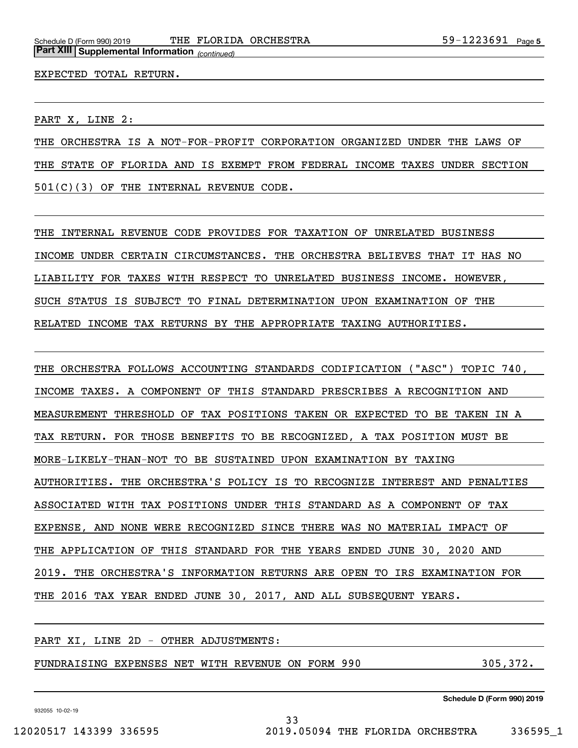#### EXPECTED TOTAL RETURN.

PART X, LINE 2:

THE ORCHESTRA IS A NOT-FOR-PROFIT CORPORATION ORGANIZED UNDER THE LAWS OF THE STATE OF FLORIDA AND IS EXEMPT FROM FEDERAL INCOME TAXES UNDER SECTION 501(C)(3) OF THE INTERNAL REVENUE CODE.

THE INTERNAL REVENUE CODE PROVIDES FOR TAXATION OF UNRELATED BUSINESS INCOME UNDER CERTAIN CIRCUMSTANCES. THE ORCHESTRA BELIEVES THAT IT HAS NO LIABILITY FOR TAXES WITH RESPECT TO UNRELATED BUSINESS INCOME. HOWEVER, SUCH STATUS IS SUBJECT TO FINAL DETERMINATION UPON EXAMINATION OF THE RELATED INCOME TAX RETURNS BY THE APPROPRIATE TAXING AUTHORITIES.

THE ORCHESTRA FOLLOWS ACCOUNTING STANDARDS CODIFICATION ("ASC") TOPIC 740, INCOME TAXES. A COMPONENT OF THIS STANDARD PRESCRIBES A RECOGNITION AND MEASUREMENT THRESHOLD OF TAX POSITIONS TAKEN OR EXPECTED TO BE TAKEN IN A TAX RETURN. FOR THOSE BENEFITS TO BE RECOGNIZED, A TAX POSITION MUST BE MORE-LIKELY-THAN-NOT TO BE SUSTAINED UPON EXAMINATION BY TAXING AUTHORITIES. THE ORCHESTRA'S POLICY IS TO RECOGNIZE INTEREST AND PENALTIES ASSOCIATED WITH TAX POSITIONS UNDER THIS STANDARD AS A COMPONENT OF TAX EXPENSE, AND NONE WERE RECOGNIZED SINCE THERE WAS NO MATERIAL IMPACT OF THE APPLICATION OF THIS STANDARD FOR THE YEARS ENDED JUNE 30, 2020 AND 2019. THE ORCHESTRA'S INFORMATION RETURNS ARE OPEN TO IRS EXAMINATION FOR THE 2016 TAX YEAR ENDED JUNE 30, 2017, AND ALL SUBSEQUENT YEARS.

#### PART XI, LINE 2D - OTHER ADJUSTMENTS:

FUNDRAISING EXPENSES NET WITH REVENUE ON FORM 990 305,372.

932055 10-02-19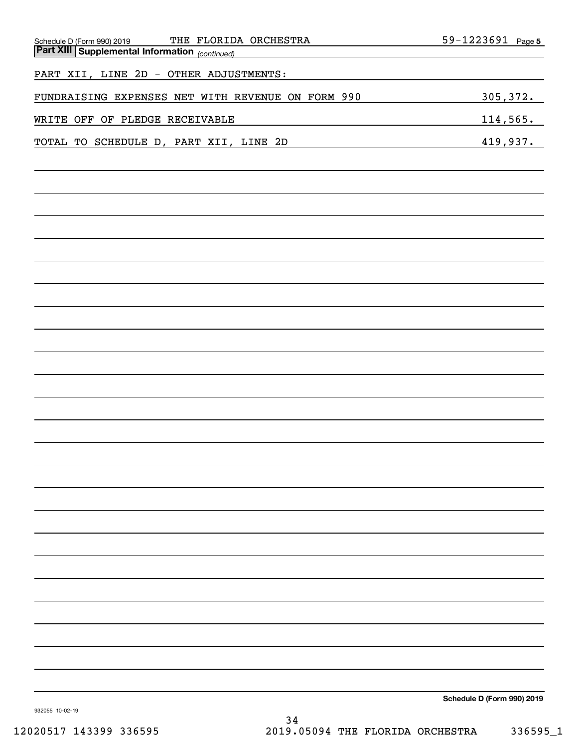| THE FLORIDA ORCHESTRA<br>Schedule D (Form 990) 2019   | 59-1223691 Page 5          |
|-------------------------------------------------------|----------------------------|
| <b>Part XIII Supplemental Information</b> (continued) |                            |
| PART XII, LINE 2D - OTHER ADJUSTMENTS:                |                            |
| FUNDRAISING EXPENSES NET WITH REVENUE ON FORM 990     | 305, 372.                  |
| WRITE OFF OF PLEDGE RECEIVABLE                        | <u>114,565.</u>            |
| TOTAL TO SCHEDULE D, PART XII, LINE 2D                | 419,937.                   |
|                                                       |                            |
|                                                       |                            |
|                                                       |                            |
|                                                       |                            |
|                                                       |                            |
|                                                       |                            |
|                                                       |                            |
|                                                       |                            |
|                                                       |                            |
|                                                       |                            |
|                                                       |                            |
|                                                       |                            |
|                                                       |                            |
|                                                       |                            |
|                                                       |                            |
|                                                       |                            |
|                                                       |                            |
|                                                       |                            |
|                                                       |                            |
|                                                       |                            |
|                                                       |                            |
|                                                       |                            |
|                                                       |                            |
| 932055 10-02-19                                       | Schedule D (Form 990) 2019 |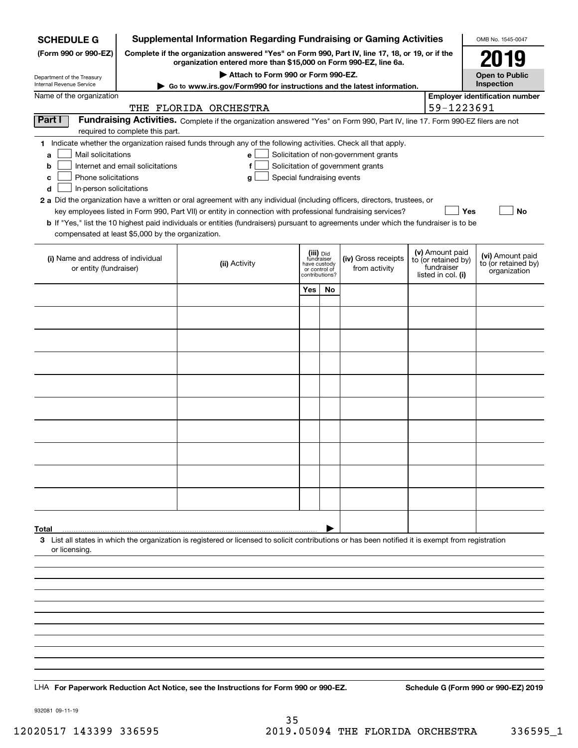| <b>SCHEDULE G</b>                                            | <b>Supplemental Information Regarding Fundraising or Gaming Activities</b>                                                                                          |                                                                                                                                                    |                                                                            |    |                                       |  | OMB No. 1545-0047                                                          |                                                         |  |
|--------------------------------------------------------------|---------------------------------------------------------------------------------------------------------------------------------------------------------------------|----------------------------------------------------------------------------------------------------------------------------------------------------|----------------------------------------------------------------------------|----|---------------------------------------|--|----------------------------------------------------------------------------|---------------------------------------------------------|--|
| (Form 990 or 990-EZ)                                         | Complete if the organization answered "Yes" on Form 990, Part IV, line 17, 18, or 19, or if the<br>organization entered more than \$15,000 on Form 990-EZ, line 6a. |                                                                                                                                                    | 2019                                                                       |    |                                       |  |                                                                            |                                                         |  |
| Department of the Treasury<br>Internal Revenue Service       |                                                                                                                                                                     | Attach to Form 990 or Form 990-EZ.<br>► Go to www.irs.gov/Form990 for instructions and the latest information.                                     |                                                                            |    |                                       |  |                                                                            |                                                         |  |
| Name of the organization                                     |                                                                                                                                                                     |                                                                                                                                                    |                                                                            |    |                                       |  |                                                                            | Inspection<br><b>Employer identification number</b>     |  |
|                                                              |                                                                                                                                                                     | THE FLORIDA ORCHESTRA                                                                                                                              |                                                                            |    |                                       |  | 59-1223691                                                                 |                                                         |  |
| Part I                                                       | required to complete this part.                                                                                                                                     | Fundraising Activities. Complete if the organization answered "Yes" on Form 990, Part IV, line 17. Form 990-EZ filers are not                      |                                                                            |    |                                       |  |                                                                            |                                                         |  |
|                                                              |                                                                                                                                                                     | 1 Indicate whether the organization raised funds through any of the following activities. Check all that apply.                                    |                                                                            |    |                                       |  |                                                                            |                                                         |  |
| Mail solicitations<br>a                                      |                                                                                                                                                                     | e                                                                                                                                                  |                                                                            |    | Solicitation of non-government grants |  |                                                                            |                                                         |  |
| b                                                            | Internet and email solicitations                                                                                                                                    | f                                                                                                                                                  |                                                                            |    | Solicitation of government grants     |  |                                                                            |                                                         |  |
| Phone solicitations<br>c<br>In-person solicitations<br>d     |                                                                                                                                                                     | Special fundraising events<br>g                                                                                                                    |                                                                            |    |                                       |  |                                                                            |                                                         |  |
|                                                              |                                                                                                                                                                     | 2 a Did the organization have a written or oral agreement with any individual (including officers, directors, trustees, or                         |                                                                            |    |                                       |  |                                                                            |                                                         |  |
|                                                              |                                                                                                                                                                     | key employees listed in Form 990, Part VII) or entity in connection with professional fundraising services?                                        |                                                                            |    |                                       |  | Yes                                                                        | No                                                      |  |
| compensated at least \$5,000 by the organization.            |                                                                                                                                                                     | <b>b</b> If "Yes," list the 10 highest paid individuals or entities (fundraisers) pursuant to agreements under which the fundraiser is to be       |                                                                            |    |                                       |  |                                                                            |                                                         |  |
|                                                              |                                                                                                                                                                     |                                                                                                                                                    |                                                                            |    |                                       |  |                                                                            |                                                         |  |
| (i) Name and address of individual<br>or entity (fundraiser) |                                                                                                                                                                     | (ii) Activity                                                                                                                                      | (iii) Did<br>fundraiser<br>have custody<br>or control of<br>contributions? |    | (iv) Gross receipts<br>from activity  |  | (v) Amount paid<br>to (or retained by)<br>fundraiser<br>listed in col. (i) | (vi) Amount paid<br>to (or retained by)<br>organization |  |
|                                                              |                                                                                                                                                                     |                                                                                                                                                    | Yes                                                                        | No |                                       |  |                                                                            |                                                         |  |
|                                                              |                                                                                                                                                                     |                                                                                                                                                    |                                                                            |    |                                       |  |                                                                            |                                                         |  |
|                                                              |                                                                                                                                                                     |                                                                                                                                                    |                                                                            |    |                                       |  |                                                                            |                                                         |  |
|                                                              |                                                                                                                                                                     |                                                                                                                                                    |                                                                            |    |                                       |  |                                                                            |                                                         |  |
|                                                              |                                                                                                                                                                     |                                                                                                                                                    |                                                                            |    |                                       |  |                                                                            |                                                         |  |
|                                                              |                                                                                                                                                                     |                                                                                                                                                    |                                                                            |    |                                       |  |                                                                            |                                                         |  |
|                                                              |                                                                                                                                                                     |                                                                                                                                                    |                                                                            |    |                                       |  |                                                                            |                                                         |  |
|                                                              |                                                                                                                                                                     |                                                                                                                                                    |                                                                            |    |                                       |  |                                                                            |                                                         |  |
|                                                              |                                                                                                                                                                     |                                                                                                                                                    |                                                                            |    |                                       |  |                                                                            |                                                         |  |
|                                                              |                                                                                                                                                                     |                                                                                                                                                    |                                                                            |    |                                       |  |                                                                            |                                                         |  |
|                                                              |                                                                                                                                                                     |                                                                                                                                                    |                                                                            |    |                                       |  |                                                                            |                                                         |  |
|                                                              |                                                                                                                                                                     |                                                                                                                                                    |                                                                            |    |                                       |  |                                                                            |                                                         |  |
|                                                              |                                                                                                                                                                     |                                                                                                                                                    |                                                                            |    |                                       |  |                                                                            |                                                         |  |
|                                                              |                                                                                                                                                                     |                                                                                                                                                    |                                                                            |    |                                       |  |                                                                            |                                                         |  |
|                                                              |                                                                                                                                                                     |                                                                                                                                                    |                                                                            |    |                                       |  |                                                                            |                                                         |  |
|                                                              |                                                                                                                                                                     |                                                                                                                                                    |                                                                            |    |                                       |  |                                                                            |                                                         |  |
| Total                                                        |                                                                                                                                                                     |                                                                                                                                                    |                                                                            |    |                                       |  |                                                                            |                                                         |  |
| or licensing.                                                |                                                                                                                                                                     | 3 List all states in which the organization is registered or licensed to solicit contributions or has been notified it is exempt from registration |                                                                            |    |                                       |  |                                                                            |                                                         |  |
|                                                              |                                                                                                                                                                     |                                                                                                                                                    |                                                                            |    |                                       |  |                                                                            |                                                         |  |
|                                                              |                                                                                                                                                                     |                                                                                                                                                    |                                                                            |    |                                       |  |                                                                            |                                                         |  |
|                                                              |                                                                                                                                                                     |                                                                                                                                                    |                                                                            |    |                                       |  |                                                                            |                                                         |  |
|                                                              |                                                                                                                                                                     |                                                                                                                                                    |                                                                            |    |                                       |  |                                                                            |                                                         |  |
|                                                              |                                                                                                                                                                     |                                                                                                                                                    |                                                                            |    |                                       |  |                                                                            |                                                         |  |
|                                                              |                                                                                                                                                                     |                                                                                                                                                    |                                                                            |    |                                       |  |                                                                            |                                                         |  |
|                                                              |                                                                                                                                                                     |                                                                                                                                                    |                                                                            |    |                                       |  |                                                                            |                                                         |  |
|                                                              |                                                                                                                                                                     |                                                                                                                                                    |                                                                            |    |                                       |  |                                                                            |                                                         |  |
|                                                              |                                                                                                                                                                     |                                                                                                                                                    |                                                                            |    |                                       |  |                                                                            |                                                         |  |
|                                                              |                                                                                                                                                                     | LHA For Paperwork Reduction Act Notice, see the Instructions for Form 990 or 990-EZ.                                                               |                                                                            |    |                                       |  |                                                                            | Schedule G (Form 990 or 990-EZ) 2019                    |  |

932081 09-11-19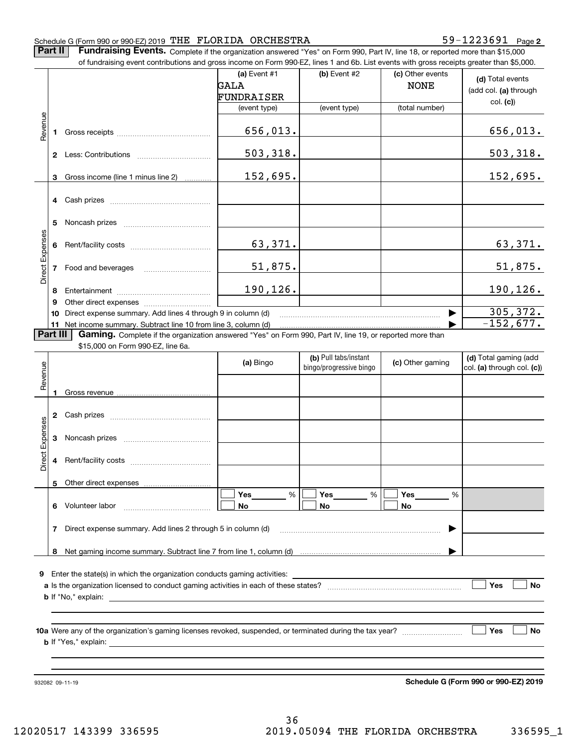#### Schedule G (Form 990 or 990-EZ) 2019 Page THE FLORIDA ORCHESTRA 59-1223691

**2**

**Part II Fundraising Events.** Complete if the organization answered "Yes" on Form 990, Part IV, line 18, or reported more than \$15,000<br>15.000 of fundraising event contributions and gross income on Form 990-EZ. lines 1 an of fundraising event contributions and gross income on Form 990-EZ, lines 1 and 6b. List events with gross receipts greater than \$5,000.

|                 |                | or iunuralsing event contributions and gross income on Form 990-EZ, lines T and 6D. Elst events with gross receipts greater than \$5,000. |                |                         |                  |                            |
|-----------------|----------------|-------------------------------------------------------------------------------------------------------------------------------------------|----------------|-------------------------|------------------|----------------------------|
|                 |                |                                                                                                                                           | (a) Event $#1$ | $(b)$ Event #2          | (c) Other events | (d) Total events           |
|                 |                |                                                                                                                                           | GALA           |                         | <b>NONE</b>      |                            |
|                 |                |                                                                                                                                           | FUNDRAISER     |                         |                  | (add col. (a) through      |
|                 |                |                                                                                                                                           | (event type)   | (event type)            | (total number)   | col. (c)                   |
|                 |                |                                                                                                                                           |                |                         |                  |                            |
| Revenue         | 1              |                                                                                                                                           | 656,013.       |                         |                  | 656,013.                   |
|                 |                |                                                                                                                                           |                |                         |                  |                            |
|                 |                |                                                                                                                                           | 503, 318.      |                         |                  | 503, 318.                  |
|                 |                |                                                                                                                                           |                |                         |                  |                            |
|                 |                |                                                                                                                                           | 152,695.       |                         |                  | 152,695.                   |
|                 | 3              | Gross income (line 1 minus line 2)                                                                                                        |                |                         |                  |                            |
|                 |                |                                                                                                                                           |                |                         |                  |                            |
|                 | 4              | Cash prizes                                                                                                                               |                |                         |                  |                            |
|                 |                |                                                                                                                                           |                |                         |                  |                            |
|                 | 5              |                                                                                                                                           |                |                         |                  |                            |
|                 |                |                                                                                                                                           |                |                         |                  |                            |
|                 | 6              |                                                                                                                                           | 63,371.        |                         |                  | 63,371.                    |
| Direct Expenses |                |                                                                                                                                           |                |                         |                  |                            |
|                 | $\overline{7}$ | Food and beverages                                                                                                                        | 51,875.        |                         |                  | 51,875.                    |
|                 |                |                                                                                                                                           |                |                         |                  |                            |
|                 | 8              |                                                                                                                                           | 190,126.       |                         |                  | 190,126.                   |
|                 | 9              |                                                                                                                                           |                |                         |                  |                            |
|                 | 10             | Direct expense summary. Add lines 4 through 9 in column (d)                                                                               |                |                         | ▶                | 305, 372.                  |
|                 |                | 11 Net income summary. Subtract line 10 from line 3, column (d)                                                                           |                |                         |                  | $-152,677.$                |
|                 | Part III       | Gaming. Complete if the organization answered "Yes" on Form 990, Part IV, line 19, or reported more than                                  |                |                         |                  |                            |
|                 |                | \$15,000 on Form 990-EZ, line 6a.                                                                                                         |                |                         |                  |                            |
|                 |                |                                                                                                                                           | (a) Bingo      | (b) Pull tabs/instant   | (c) Other gaming | (d) Total gaming (add      |
|                 |                |                                                                                                                                           |                | bingo/progressive bingo |                  | col. (a) through col. (c)) |
| Revenue         |                |                                                                                                                                           |                |                         |                  |                            |
|                 | 1              |                                                                                                                                           |                |                         |                  |                            |
|                 |                |                                                                                                                                           |                |                         |                  |                            |
|                 | 2              |                                                                                                                                           |                |                         |                  |                            |
|                 |                |                                                                                                                                           |                |                         |                  |                            |
|                 | 3              |                                                                                                                                           |                |                         |                  |                            |
| Direct Expenses |                |                                                                                                                                           |                |                         |                  |                            |
|                 | 4              |                                                                                                                                           |                |                         |                  |                            |
|                 |                |                                                                                                                                           |                |                         |                  |                            |
|                 |                | 5 Other direct expenses                                                                                                                   |                |                         |                  |                            |
|                 |                |                                                                                                                                           |                |                         |                  |                            |
|                 |                |                                                                                                                                           | Yes<br>%       | Yes<br>%                | Yes<br>%         |                            |
|                 | 6              | Volunteer labor                                                                                                                           | No             | No                      | No               |                            |
|                 |                |                                                                                                                                           |                |                         |                  |                            |
|                 |                |                                                                                                                                           |                |                         |                  |                            |
|                 | 7              | Direct expense summary. Add lines 2 through 5 in column (d)                                                                               |                |                         |                  |                            |
|                 |                |                                                                                                                                           |                |                         |                  |                            |
|                 | 8              |                                                                                                                                           |                |                         |                  |                            |
|                 |                |                                                                                                                                           |                |                         |                  |                            |
| 9               |                | Enter the state(s) in which the organization conducts gaming activities:                                                                  |                |                         |                  |                            |
|                 |                |                                                                                                                                           |                |                         |                  | Yes<br>No                  |
|                 |                | <b>b</b> If "No," explain:                                                                                                                |                |                         |                  |                            |
|                 |                |                                                                                                                                           |                |                         |                  |                            |
|                 |                |                                                                                                                                           |                |                         |                  |                            |
|                 |                |                                                                                                                                           |                |                         |                  | Yes<br>No                  |
|                 |                |                                                                                                                                           |                |                         |                  |                            |
|                 |                | <b>b</b> If "Yes," explain:                                                                                                               |                |                         |                  |                            |
|                 |                |                                                                                                                                           |                |                         |                  |                            |
|                 |                |                                                                                                                                           |                |                         |                  |                            |

**Schedule G (Form 990 or 990-EZ) 2019**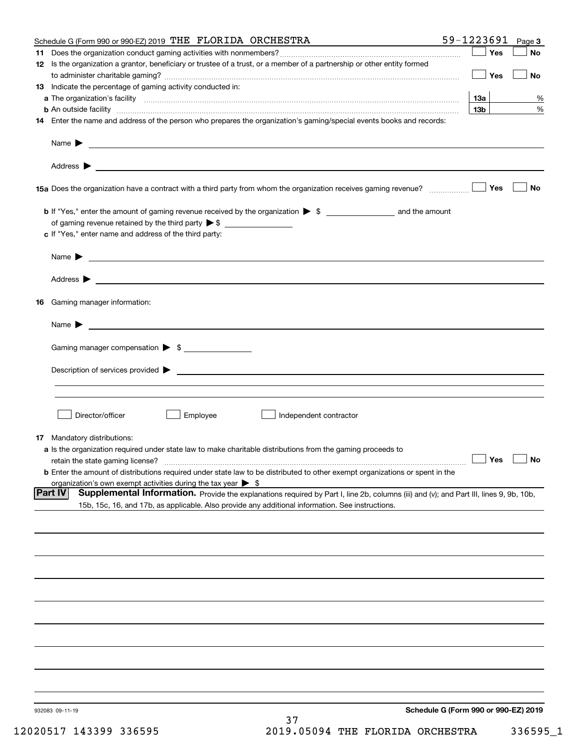|     | Schedule G (Form 990 or 990-EZ) 2019 THE FLORIDA ORCHESTRA                                                                                                              | 59-1223691 Page 3                    |                      |
|-----|-------------------------------------------------------------------------------------------------------------------------------------------------------------------------|--------------------------------------|----------------------|
| 11. |                                                                                                                                                                         | Yes                                  | No                   |
|     | 12 Is the organization a grantor, beneficiary or trustee of a trust, or a member of a partnership or other entity formed                                                | $\vert$ Yes                          | No                   |
|     | 13 Indicate the percentage of gaming activity conducted in:                                                                                                             |                                      |                      |
|     |                                                                                                                                                                         | 1За                                  | %                    |
|     | <b>b</b> An outside facility <i>www.communicality www.communicality.communicality www.communicality www.communicality.communicality www.communicality.com</i>           | 13 <sub>b</sub>                      | %                    |
|     | 14 Enter the name and address of the person who prepares the organization's gaming/special events books and records:                                                    |                                      |                      |
|     | Name $\triangleright$ $\square$                                                                                                                                         |                                      |                      |
|     |                                                                                                                                                                         |                                      |                      |
|     | 15a Does the organization have a contract with a third party from whom the organization receives gaming revenue?                                                        | Yes                                  | <b>No</b>            |
|     |                                                                                                                                                                         |                                      |                      |
|     | of gaming revenue retained by the third party $\triangleright$ \$                                                                                                       |                                      |                      |
|     | c If "Yes," enter name and address of the third party:                                                                                                                  |                                      |                      |
|     |                                                                                                                                                                         |                                      |                      |
|     |                                                                                                                                                                         |                                      |                      |
|     |                                                                                                                                                                         |                                      |                      |
| 16  | Gaming manager information:                                                                                                                                             |                                      |                      |
|     | Name $\blacktriangleright$                                                                                                                                              |                                      |                      |
|     | Gaming manager compensation > \$                                                                                                                                        |                                      |                      |
|     |                                                                                                                                                                         |                                      |                      |
|     | $Description of services provided$ $\triangleright$                                                                                                                     |                                      |                      |
|     |                                                                                                                                                                         |                                      |                      |
|     | Director/officer<br>Employee<br>Independent contractor                                                                                                                  |                                      |                      |
|     |                                                                                                                                                                         |                                      |                      |
|     | <b>17</b> Mandatory distributions:                                                                                                                                      |                                      |                      |
|     | a Is the organization required under state law to make charitable distributions from the gaming proceeds to                                                             |                                      | $\Box$ Yes $\Box$ No |
|     | retain the state gaming license?<br><b>b</b> Enter the amount of distributions required under state law to be distributed to other exempt organizations or spent in the |                                      |                      |
|     | organization's own exempt activities during the tax year $\triangleright$ \$                                                                                            |                                      |                      |
|     | Supplemental Information. Provide the explanations required by Part I, line 2b, columns (iii) and (v); and Part III, lines 9, 9b, 10b,<br> Part IV                      |                                      |                      |
|     | 15b, 15c, 16, and 17b, as applicable. Also provide any additional information. See instructions.                                                                        |                                      |                      |
|     |                                                                                                                                                                         |                                      |                      |
|     |                                                                                                                                                                         |                                      |                      |
|     |                                                                                                                                                                         |                                      |                      |
|     |                                                                                                                                                                         |                                      |                      |
|     |                                                                                                                                                                         |                                      |                      |
|     |                                                                                                                                                                         |                                      |                      |
|     |                                                                                                                                                                         |                                      |                      |
|     |                                                                                                                                                                         |                                      |                      |
|     |                                                                                                                                                                         |                                      |                      |
|     |                                                                                                                                                                         |                                      |                      |
|     | 932083 09-11-19<br>37                                                                                                                                                   | Schedule G (Form 990 or 990-EZ) 2019 |                      |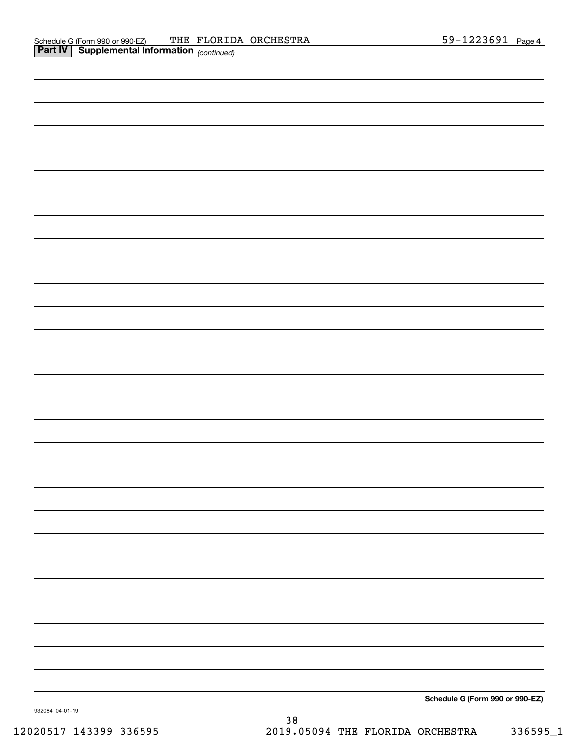|                                                                                                                                                                      | <u> 1989 - Johann Barnett, fransk politiker (</u> |  |
|----------------------------------------------------------------------------------------------------------------------------------------------------------------------|---------------------------------------------------|--|
| <u> 1989 - Andrea Santana, amerikana menyebagi bagian bagian dalam berasal dalam berasal dalam berasal dalam bera</u>                                                |                                                   |  |
|                                                                                                                                                                      |                                                   |  |
| <u> 1989 - Andrea Andrew Maria (h. 1989).</u>                                                                                                                        |                                                   |  |
| <u> 1989 - Andrea Santa Alemania, amerikana amerikana amerikana amerikana amerikana amerikana amerikana amerikan</u>                                                 |                                                   |  |
|                                                                                                                                                                      |                                                   |  |
|                                                                                                                                                                      |                                                   |  |
| ,我们也不会有一个人的事情。""我们的人们,我们也不会有一个人的人,我们也不会有一个人的人,我们也不会有一个人的人,我们也不会有一个人的人,我们也不会有一个人的<br>第一百一十一章 我们的人,我们的人们的人们,我们的人们的人们的人们,我们的人们的人们的人们,我们的人们的人们,我们的人们的人们,我们的人们的人们,我们的人们的人 |                                                   |  |

**Schedule G (Form 990 or 990-EZ)**

932084 04-01-19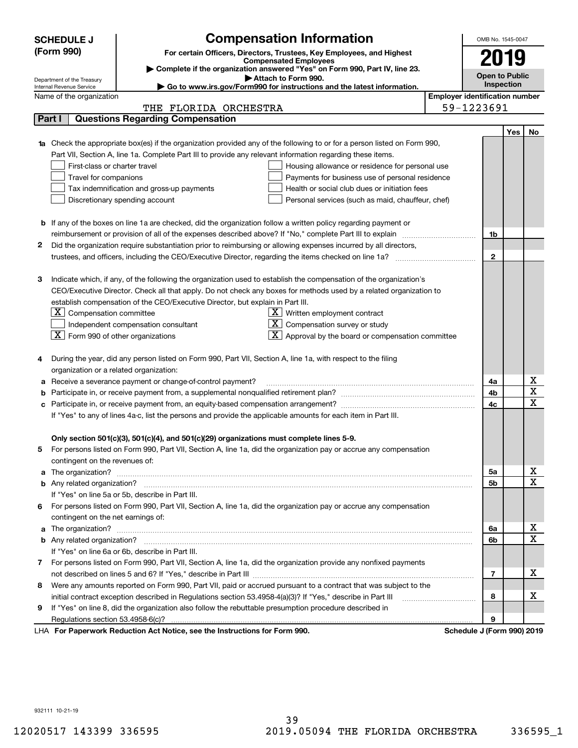|    | <b>SCHEDULE J</b>                                                                                                                                                                                                                                                                                                                                                                                                                                                        | <b>Compensation Information</b>                                                                                                                                                                               |                                       | OMB No. 1545-0047          |            |             |
|----|--------------------------------------------------------------------------------------------------------------------------------------------------------------------------------------------------------------------------------------------------------------------------------------------------------------------------------------------------------------------------------------------------------------------------------------------------------------------------|---------------------------------------------------------------------------------------------------------------------------------------------------------------------------------------------------------------|---------------------------------------|----------------------------|------------|-------------|
|    | (Form 990)                                                                                                                                                                                                                                                                                                                                                                                                                                                               | For certain Officers, Directors, Trustees, Key Employees, and Highest                                                                                                                                         |                                       |                            |            |             |
|    |                                                                                                                                                                                                                                                                                                                                                                                                                                                                          | <b>Compensated Employees</b>                                                                                                                                                                                  |                                       | 2019                       |            |             |
|    |                                                                                                                                                                                                                                                                                                                                                                                                                                                                          | Complete if the organization answered "Yes" on Form 990, Part IV, line 23.<br>Attach to Form 990.                                                                                                             |                                       | <b>Open to Public</b>      |            |             |
|    | Department of the Treasury<br>Internal Revenue Service                                                                                                                                                                                                                                                                                                                                                                                                                   | Go to www.irs.gov/Form990 for instructions and the latest information.                                                                                                                                        |                                       |                            | Inspection |             |
|    | Name of the organization                                                                                                                                                                                                                                                                                                                                                                                                                                                 |                                                                                                                                                                                                               | <b>Employer identification number</b> |                            |            |             |
|    |                                                                                                                                                                                                                                                                                                                                                                                                                                                                          | THE FLORIDA ORCHESTRA                                                                                                                                                                                         |                                       | 59-1223691                 |            |             |
|    | Part I                                                                                                                                                                                                                                                                                                                                                                                                                                                                   | <b>Questions Regarding Compensation</b>                                                                                                                                                                       |                                       |                            |            |             |
|    |                                                                                                                                                                                                                                                                                                                                                                                                                                                                          |                                                                                                                                                                                                               |                                       |                            | Yes        | No          |
|    |                                                                                                                                                                                                                                                                                                                                                                                                                                                                          | Check the appropriate box(es) if the organization provided any of the following to or for a person listed on Form 990,                                                                                        |                                       |                            |            |             |
|    |                                                                                                                                                                                                                                                                                                                                                                                                                                                                          | Part VII, Section A, line 1a. Complete Part III to provide any relevant information regarding these items.                                                                                                    |                                       |                            |            |             |
|    | First-class or charter travel                                                                                                                                                                                                                                                                                                                                                                                                                                            | Housing allowance or residence for personal use                                                                                                                                                               |                                       |                            |            |             |
|    | Travel for companions                                                                                                                                                                                                                                                                                                                                                                                                                                                    | Payments for business use of personal residence                                                                                                                                                               |                                       |                            |            |             |
|    |                                                                                                                                                                                                                                                                                                                                                                                                                                                                          | Tax indemnification and gross-up payments<br>Health or social club dues or initiation fees                                                                                                                    |                                       |                            |            |             |
|    |                                                                                                                                                                                                                                                                                                                                                                                                                                                                          | Discretionary spending account<br>Personal services (such as maid, chauffeur, chef)                                                                                                                           |                                       |                            |            |             |
|    |                                                                                                                                                                                                                                                                                                                                                                                                                                                                          |                                                                                                                                                                                                               |                                       |                            |            |             |
|    |                                                                                                                                                                                                                                                                                                                                                                                                                                                                          | <b>b</b> If any of the boxes on line 1a are checked, did the organization follow a written policy regarding payment or                                                                                        |                                       |                            |            |             |
|    |                                                                                                                                                                                                                                                                                                                                                                                                                                                                          |                                                                                                                                                                                                               |                                       | 1b                         |            |             |
| 2  |                                                                                                                                                                                                                                                                                                                                                                                                                                                                          | Did the organization require substantiation prior to reimbursing or allowing expenses incurred by all directors,                                                                                              |                                       |                            |            |             |
|    |                                                                                                                                                                                                                                                                                                                                                                                                                                                                          |                                                                                                                                                                                                               |                                       | $\mathbf{2}$               |            |             |
|    |                                                                                                                                                                                                                                                                                                                                                                                                                                                                          |                                                                                                                                                                                                               |                                       |                            |            |             |
| з  |                                                                                                                                                                                                                                                                                                                                                                                                                                                                          | Indicate which, if any, of the following the organization used to establish the compensation of the organization's                                                                                            |                                       |                            |            |             |
|    |                                                                                                                                                                                                                                                                                                                                                                                                                                                                          | CEO/Executive Director. Check all that apply. Do not check any boxes for methods used by a related organization to                                                                                            |                                       |                            |            |             |
|    |                                                                                                                                                                                                                                                                                                                                                                                                                                                                          | establish compensation of the CEO/Executive Director, but explain in Part III.                                                                                                                                |                                       |                            |            |             |
|    |                                                                                                                                                                                                                                                                                                                                                                                                                                                                          | $\underline{X}$ Written employment contract                                                                                                                                                                   |                                       |                            |            |             |
|    |                                                                                                                                                                                                                                                                                                                                                                                                                                                                          |                                                                                                                                                                                                               |                                       |                            |            |             |
|    |                                                                                                                                                                                                                                                                                                                                                                                                                                                                          |                                                                                                                                                                                                               |                                       |                            |            |             |
|    |                                                                                                                                                                                                                                                                                                                                                                                                                                                                          |                                                                                                                                                                                                               |                                       |                            |            |             |
| 4  |                                                                                                                                                                                                                                                                                                                                                                                                                                                                          |                                                                                                                                                                                                               |                                       |                            |            |             |
|    |                                                                                                                                                                                                                                                                                                                                                                                                                                                                          |                                                                                                                                                                                                               |                                       |                            |            |             |
| а  |                                                                                                                                                                                                                                                                                                                                                                                                                                                                          |                                                                                                                                                                                                               |                                       | 4a                         |            | х<br>X      |
| b  | $ \mathbf{X} $ Compensation committee<br>$X$ Compensation survey or study<br>Independent compensation consultant<br>$\boxed{\textbf{X}}$ Form 990 of other organizations<br>$\boxed{\textbf{X}}$ Approval by the board or compensation committee<br>During the year, did any person listed on Form 990, Part VII, Section A, line 1a, with respect to the filing<br>organization or a related organization:<br>Receive a severance payment or change-of-control payment? |                                                                                                                                                                                                               |                                       | 4b                         |            | X           |
| c  |                                                                                                                                                                                                                                                                                                                                                                                                                                                                          |                                                                                                                                                                                                               |                                       | 4c                         |            |             |
|    |                                                                                                                                                                                                                                                                                                                                                                                                                                                                          | If "Yes" to any of lines 4a-c, list the persons and provide the applicable amounts for each item in Part III.                                                                                                 |                                       |                            |            |             |
|    |                                                                                                                                                                                                                                                                                                                                                                                                                                                                          |                                                                                                                                                                                                               |                                       |                            |            |             |
|    |                                                                                                                                                                                                                                                                                                                                                                                                                                                                          | Only section 501(c)(3), 501(c)(4), and 501(c)(29) organizations must complete lines 5-9.<br>For persons listed on Form 990, Part VII, Section A, line 1a, did the organization pay or accrue any compensation |                                       |                            |            |             |
|    |                                                                                                                                                                                                                                                                                                                                                                                                                                                                          |                                                                                                                                                                                                               |                                       |                            |            |             |
| a  | contingent on the revenues of:                                                                                                                                                                                                                                                                                                                                                                                                                                           |                                                                                                                                                                                                               |                                       | 5а                         |            | X           |
|    |                                                                                                                                                                                                                                                                                                                                                                                                                                                                          |                                                                                                                                                                                                               |                                       | 5b                         |            | $\mathbf X$ |
|    |                                                                                                                                                                                                                                                                                                                                                                                                                                                                          | If "Yes" on line 5a or 5b, describe in Part III.                                                                                                                                                              |                                       |                            |            |             |
| 6. |                                                                                                                                                                                                                                                                                                                                                                                                                                                                          | For persons listed on Form 990, Part VII, Section A, line 1a, did the organization pay or accrue any compensation                                                                                             |                                       |                            |            |             |
|    | contingent on the net earnings of:                                                                                                                                                                                                                                                                                                                                                                                                                                       |                                                                                                                                                                                                               |                                       |                            |            |             |
| a  |                                                                                                                                                                                                                                                                                                                                                                                                                                                                          |                                                                                                                                                                                                               |                                       | 6а                         |            | X           |
|    |                                                                                                                                                                                                                                                                                                                                                                                                                                                                          |                                                                                                                                                                                                               |                                       | 6b                         |            | $\mathbf X$ |
|    |                                                                                                                                                                                                                                                                                                                                                                                                                                                                          | If "Yes" on line 6a or 6b, describe in Part III.                                                                                                                                                              |                                       |                            |            |             |
|    |                                                                                                                                                                                                                                                                                                                                                                                                                                                                          | 7 For persons listed on Form 990, Part VII, Section A, line 1a, did the organization provide any nonfixed payments                                                                                            |                                       |                            |            |             |
|    |                                                                                                                                                                                                                                                                                                                                                                                                                                                                          |                                                                                                                                                                                                               |                                       | 7                          |            | х           |
| 8  |                                                                                                                                                                                                                                                                                                                                                                                                                                                                          | Were any amounts reported on Form 990, Part VII, paid or accrued pursuant to a contract that was subject to the                                                                                               |                                       |                            |            |             |
|    |                                                                                                                                                                                                                                                                                                                                                                                                                                                                          | initial contract exception described in Regulations section 53.4958-4(a)(3)? If "Yes," describe in Part III                                                                                                   |                                       | 8                          |            | х           |
| 9  |                                                                                                                                                                                                                                                                                                                                                                                                                                                                          | If "Yes" on line 8, did the organization also follow the rebuttable presumption procedure described in                                                                                                        |                                       |                            |            |             |
|    | Regulations section 53.4958-6(c)?                                                                                                                                                                                                                                                                                                                                                                                                                                        |                                                                                                                                                                                                               |                                       | 9                          |            |             |
|    |                                                                                                                                                                                                                                                                                                                                                                                                                                                                          | LHA For Paperwork Reduction Act Notice, see the Instructions for Form 990.                                                                                                                                    |                                       | Schedule J (Form 990) 2019 |            |             |

932111 10-21-19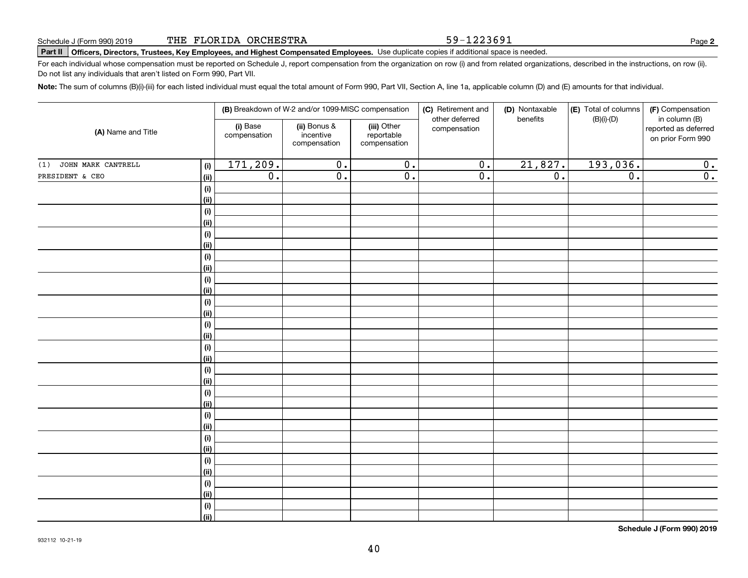59-1223691

# **Part II Officers, Directors, Trustees, Key Employees, and Highest Compensated Employees.**  Schedule J (Form 990) 2019 Page Use duplicate copies if additional space is needed.

For each individual whose compensation must be reported on Schedule J, report compensation from the organization on row (i) and from related organizations, described in the instructions, on row (ii). Do not list any individuals that aren't listed on Form 990, Part VII.

**Note:**  The sum of columns (B)(i)-(iii) for each listed individual must equal the total amount of Form 990, Part VII, Section A, line 1a, applicable column (D) and (E) amounts for that individual.

| (A) Name and Title        |                | (B) Breakdown of W-2 and/or 1099-MISC compensation |                                           |                                           | (C) Retirement and<br>other deferred | (D) Nontaxable<br>benefits | (E) Total of columns<br>$(B)(i)-(D)$ | (F) Compensation<br>in column (B)         |
|---------------------------|----------------|----------------------------------------------------|-------------------------------------------|-------------------------------------------|--------------------------------------|----------------------------|--------------------------------------|-------------------------------------------|
|                           |                | (i) Base<br>compensation                           | (ii) Bonus &<br>incentive<br>compensation | (iii) Other<br>reportable<br>compensation | compensation                         |                            |                                      | reported as deferred<br>on prior Form 990 |
| JOHN MARK CANTRELL<br>(1) | (i)            | 171,209.                                           | $\overline{0}$ .                          | $\overline{0}$ .                          | $\overline{0}$ .                     | 21,827.                    | 193,036.                             | 0.                                        |
| PRESIDENT & CEO           | <u>(ii)</u>    | $\overline{0}$ .                                   | $\overline{0}$ .                          | $\overline{0}$ .                          | $\overline{0}$ .                     | $\overline{0}$ .           | $\overline{0}$ .                     | $\overline{0}$ .                          |
|                           | (i)            |                                                    |                                           |                                           |                                      |                            |                                      |                                           |
|                           | <u>(ii)</u>    |                                                    |                                           |                                           |                                      |                            |                                      |                                           |
|                           | (i)            |                                                    |                                           |                                           |                                      |                            |                                      |                                           |
|                           | <u>(ii)</u>    |                                                    |                                           |                                           |                                      |                            |                                      |                                           |
|                           | (i)            |                                                    |                                           |                                           |                                      |                            |                                      |                                           |
|                           | <u>(ii)</u>    |                                                    |                                           |                                           |                                      |                            |                                      |                                           |
|                           | (i)            |                                                    |                                           |                                           |                                      |                            |                                      |                                           |
|                           | <u>(ii)</u>    |                                                    |                                           |                                           |                                      |                            |                                      |                                           |
|                           | (i)            |                                                    |                                           |                                           |                                      |                            |                                      |                                           |
|                           | <u>(ii)</u>    |                                                    |                                           |                                           |                                      |                            |                                      |                                           |
|                           | (i)            |                                                    |                                           |                                           |                                      |                            |                                      |                                           |
|                           | (ii)           |                                                    |                                           |                                           |                                      |                            |                                      |                                           |
|                           | (i)<br>(ii)    |                                                    |                                           |                                           |                                      |                            |                                      |                                           |
|                           | (i)            |                                                    |                                           |                                           |                                      |                            |                                      |                                           |
|                           | (ii)           |                                                    |                                           |                                           |                                      |                            |                                      |                                           |
|                           | (i)            |                                                    |                                           |                                           |                                      |                            |                                      |                                           |
|                           | (ii)           |                                                    |                                           |                                           |                                      |                            |                                      |                                           |
|                           | (i)            |                                                    |                                           |                                           |                                      |                            |                                      |                                           |
|                           | <u>(ii)</u>    |                                                    |                                           |                                           |                                      |                            |                                      |                                           |
|                           | (i)            |                                                    |                                           |                                           |                                      |                            |                                      |                                           |
|                           | <u>(ii)</u>    |                                                    |                                           |                                           |                                      |                            |                                      |                                           |
|                           | (i)            |                                                    |                                           |                                           |                                      |                            |                                      |                                           |
|                           | <u>(ii)</u>    |                                                    |                                           |                                           |                                      |                            |                                      |                                           |
|                           | (i)            |                                                    |                                           |                                           |                                      |                            |                                      |                                           |
|                           | (ii)           |                                                    |                                           |                                           |                                      |                            |                                      |                                           |
|                           | (i)            |                                                    |                                           |                                           |                                      |                            |                                      |                                           |
|                           | <u>(ii)</u>    |                                                    |                                           |                                           |                                      |                            |                                      |                                           |
|                           | (i)            |                                                    |                                           |                                           |                                      |                            |                                      |                                           |
|                           | $\overline{}}$ |                                                    |                                           |                                           |                                      |                            |                                      |                                           |

**Schedule J (Form 990) 2019**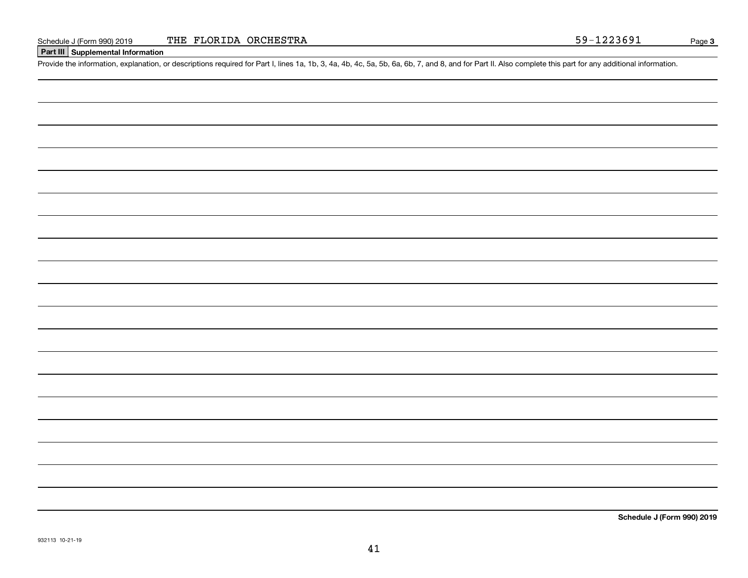#### **Part III Supplemental Information**

Schedule J (Form 990) 2019 THE FLORIDA ORCHESTRA<br>
Part III Supplemental Information<br>
Provide the information, explanation, or descriptions required for Part I, lines 1a, 1b, 3, 4a, 4b, 4c, 5a, 5b, 6a, 6b, 7, and 8, and for

**Schedule J (Form 990) 2019**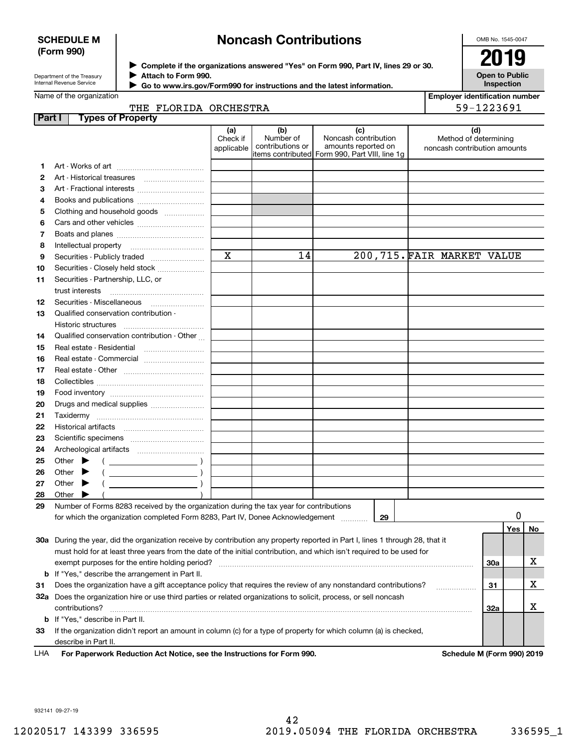#### **SCHEDULE M (Form 990)**

# **Noncash Contributions**

OMB No. 1545-0047

| Department of the Treasury      |  |
|---------------------------------|--|
| <b>Internal Revenue Service</b> |  |

**Complete if the organizations answered "Yes" on Form 990, Part IV, lines 29 or 30.** <sup>J</sup>**2019 Attach to Form 990.** J

**Open to Public Inspection**

| Go to www.irs.gov/Form990 for instructions and the latest information. |  |
|------------------------------------------------------------------------|--|
|------------------------------------------------------------------------|--|

| <b>Employer identification number</b> |
|---------------------------------------|
| 59-1223691                            |

Name of the organization

 $\blacktriangleright$ 

|        | THE FLORIDA ORCHESTRA                                                                                                          |                               |                                      |                                                                                                       | 59-1223691                                                   |     |     |    |
|--------|--------------------------------------------------------------------------------------------------------------------------------|-------------------------------|--------------------------------------|-------------------------------------------------------------------------------------------------------|--------------------------------------------------------------|-----|-----|----|
| Part I | <b>Types of Property</b>                                                                                                       |                               |                                      |                                                                                                       |                                                              |     |     |    |
|        |                                                                                                                                | (a)<br>Check if<br>applicable | (b)<br>Number of<br>contributions or | (c)<br>Noncash contribution<br>amounts reported on<br>litems contributed Form 990, Part VIII, line 1q | (d)<br>Method of determining<br>noncash contribution amounts |     |     |    |
| 1      |                                                                                                                                |                               |                                      |                                                                                                       |                                                              |     |     |    |
| 2      |                                                                                                                                |                               |                                      |                                                                                                       |                                                              |     |     |    |
| 3      |                                                                                                                                |                               |                                      |                                                                                                       |                                                              |     |     |    |
| 4      |                                                                                                                                |                               |                                      |                                                                                                       |                                                              |     |     |    |
| 5      | Clothing and household goods                                                                                                   |                               |                                      |                                                                                                       |                                                              |     |     |    |
| 6      |                                                                                                                                |                               |                                      |                                                                                                       |                                                              |     |     |    |
| 7      |                                                                                                                                |                               |                                      |                                                                                                       |                                                              |     |     |    |
| 8      |                                                                                                                                |                               |                                      |                                                                                                       |                                                              |     |     |    |
| 9      |                                                                                                                                | X                             | 14                                   | 200,715. FAIR MARKET VALUE                                                                            |                                                              |     |     |    |
| 10     | Securities - Closely held stock                                                                                                |                               |                                      |                                                                                                       |                                                              |     |     |    |
| 11     | Securities - Partnership, LLC, or                                                                                              |                               |                                      |                                                                                                       |                                                              |     |     |    |
|        | trust interests                                                                                                                |                               |                                      |                                                                                                       |                                                              |     |     |    |
| 12     |                                                                                                                                |                               |                                      |                                                                                                       |                                                              |     |     |    |
| 13     | Qualified conservation contribution -                                                                                          |                               |                                      |                                                                                                       |                                                              |     |     |    |
|        | Historic structures                                                                                                            |                               |                                      |                                                                                                       |                                                              |     |     |    |
| 14     | Qualified conservation contribution - Other                                                                                    |                               |                                      |                                                                                                       |                                                              |     |     |    |
| 15     |                                                                                                                                |                               |                                      |                                                                                                       |                                                              |     |     |    |
| 16     | Real estate - Commercial                                                                                                       |                               |                                      |                                                                                                       |                                                              |     |     |    |
| 17     |                                                                                                                                |                               |                                      |                                                                                                       |                                                              |     |     |    |
| 18     |                                                                                                                                |                               |                                      |                                                                                                       |                                                              |     |     |    |
| 19     |                                                                                                                                |                               |                                      |                                                                                                       |                                                              |     |     |    |
| 20     | Drugs and medical supplies                                                                                                     |                               |                                      |                                                                                                       |                                                              |     |     |    |
| 21     |                                                                                                                                |                               |                                      |                                                                                                       |                                                              |     |     |    |
| 22     |                                                                                                                                |                               |                                      |                                                                                                       |                                                              |     |     |    |
| 23     |                                                                                                                                |                               |                                      |                                                                                                       |                                                              |     |     |    |
| 24     |                                                                                                                                |                               |                                      |                                                                                                       |                                                              |     |     |    |
| 25     | Other $\blacktriangleright$                                                                                                    |                               |                                      |                                                                                                       |                                                              |     |     |    |
| 26     | Other $\blacktriangleright$                                                                                                    |                               |                                      |                                                                                                       |                                                              |     |     |    |
| 27     | Other $\blacktriangleright$                                                                                                    |                               |                                      |                                                                                                       |                                                              |     |     |    |
| 28     | Other<br>▶                                                                                                                     |                               |                                      |                                                                                                       |                                                              |     |     |    |
| 29     | Number of Forms 8283 received by the organization during the tax year for contributions                                        |                               |                                      |                                                                                                       |                                                              |     |     |    |
|        | for which the organization completed Form 8283, Part IV, Donee Acknowledgement                                                 |                               |                                      | 29                                                                                                    |                                                              |     | 0   |    |
|        |                                                                                                                                |                               |                                      |                                                                                                       |                                                              |     | Yes | No |
|        | 30a During the year, did the organization receive by contribution any property reported in Part I, lines 1 through 28, that it |                               |                                      |                                                                                                       |                                                              |     |     |    |
|        | must hold for at least three years from the date of the initial contribution, and which isn't required to be used for          |                               |                                      |                                                                                                       |                                                              |     |     |    |
|        |                                                                                                                                |                               |                                      |                                                                                                       |                                                              | 30a |     | X  |
|        | <b>b</b> If "Yes," describe the arrangement in Part II.                                                                        |                               |                                      |                                                                                                       |                                                              |     |     |    |
| 31     | Does the organization have a gift acceptance policy that requires the review of any nonstandard contributions?                 |                               |                                      |                                                                                                       | .                                                            | 31  |     | X  |
|        | 32a Does the organization hire or use third parties or related organizations to solicit, process, or sell noncash              |                               |                                      |                                                                                                       |                                                              |     |     |    |
|        | contributions?                                                                                                                 |                               |                                      |                                                                                                       |                                                              | 32a |     | X  |
|        | <b>b</b> If "Yes," describe in Part II.                                                                                        |                               |                                      |                                                                                                       |                                                              |     |     |    |
| 33     | If the organization didn't report an amount in column (c) for a type of property for which column (a) is checked,              |                               |                                      |                                                                                                       |                                                              |     |     |    |
|        | describe in Part II.                                                                                                           |                               |                                      |                                                                                                       |                                                              |     |     |    |

For Paperwork Reduction Act Notice, see the Instructions for Form 990. **Schedule M** (Form 990) 2019 LHA

932141 09-27-19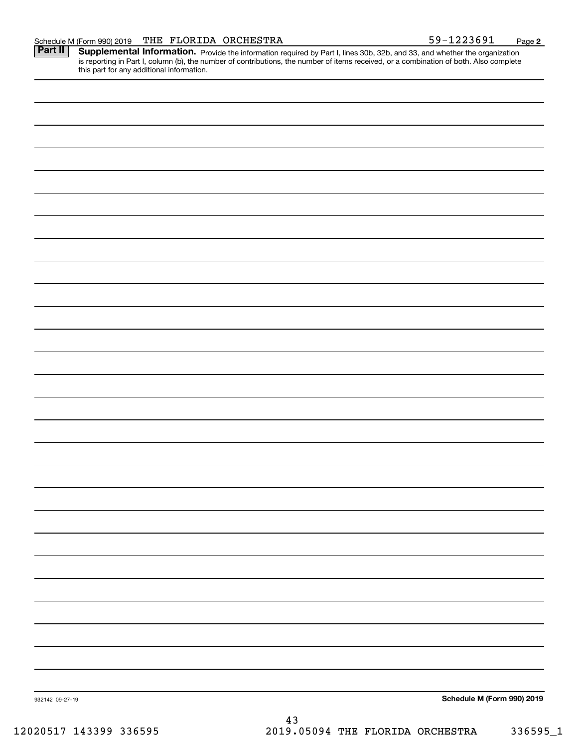Part II | Supplemental Information. Provide the information required by Part I, lines 30b, 32b, and 33, and whether the organization is reporting in Part I, column (b), the number of contributions, the number of items received, or a combination of both. Also complete this part for any additional information.

**2**

932142 09-27-19 **Schedule M (Form 990) 2019** 43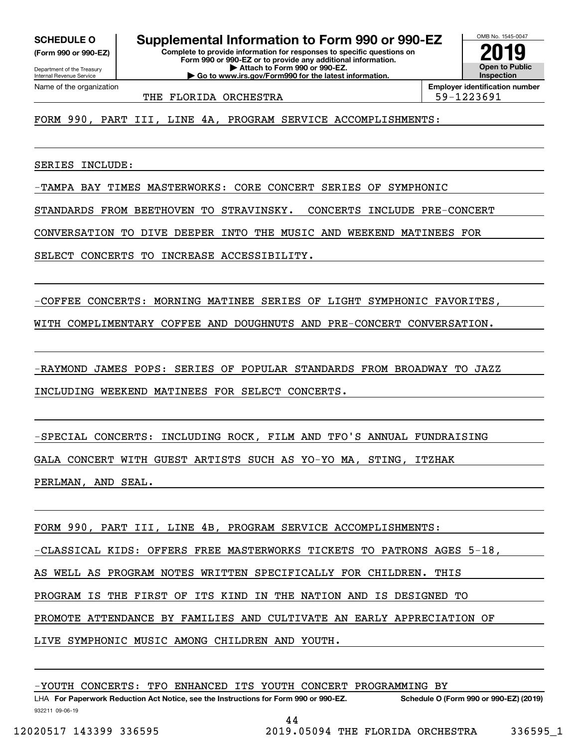**(Form 990 or 990-EZ)**

Department of the Treasury Internal Revenue Service Name of the organization

**Complete to provide information for responses to specific questions on Form 990 or 990-EZ or to provide any additional information. SCHEDULE O Supplemental Information to Form 990 or 990-EZ**

**| Attach to Form 990 or 990-EZ. | Go to www.irs.gov/Form990 for the latest information.**

**Employer identification number** THE FLORIDA ORCHESTRA 1990 1990 1223691

OMB No. 1545-0047

**Open to Public Inspection**

**2019**

FORM 990, PART III, LINE 4A, PROGRAM SERVICE ACCOMPLISHMENTS:

SERIES INCLUDE:

-TAMPA BAY TIMES MASTERWORKS: CORE CONCERT SERIES OF SYMPHONIC

STANDARDS FROM BEETHOVEN TO STRAVINSKY. CONCERTS INCLUDE PRE-CONCERT

CONVERSATION TO DIVE DEEPER INTO THE MUSIC AND WEEKEND MATINEES FOR

SELECT CONCERTS TO INCREASE ACCESSIBILITY.

-COFFEE CONCERTS: MORNING MATINEE SERIES OF LIGHT SYMPHONIC FAVORITES,

WITH COMPLIMENTARY COFFEE AND DOUGHNUTS AND PRE-CONCERT CONVERSATION.

-RAYMOND JAMES POPS: SERIES OF POPULAR STANDARDS FROM BROADWAY TO JAZZ INCLUDING WEEKEND MATINEES FOR SELECT CONCERTS.

-SPECIAL CONCERTS: INCLUDING ROCK, FILM AND TFO'S ANNUAL FUNDRAISING GALA CONCERT WITH GUEST ARTISTS SUCH AS YO-YO MA, STING, ITZHAK PERLMAN, AND SEAL.

FORM 990, PART III, LINE 4B, PROGRAM SERVICE ACCOMPLISHMENTS: -CLASSICAL KIDS: OFFERS FREE MASTERWORKS TICKETS TO PATRONS AGES 5-18, AS WELL AS PROGRAM NOTES WRITTEN SPECIFICALLY FOR CHILDREN. THIS PROGRAM IS THE FIRST OF ITS KIND IN THE NATION AND IS DESIGNED TO PROMOTE ATTENDANCE BY FAMILIES AND CULTIVATE AN EARLY APPRECIATION OF LIVE SYMPHONIC MUSIC AMONG CHILDREN AND YOUTH.

-YOUTH CONCERTS: TFO ENHANCED ITS YOUTH CONCERT PROGRAMMING BY

932211 09-06-19 LHA For Paperwork Reduction Act Notice, see the Instructions for Form 990 or 990-EZ. Schedule O (Form 990 or 990-EZ) (2019)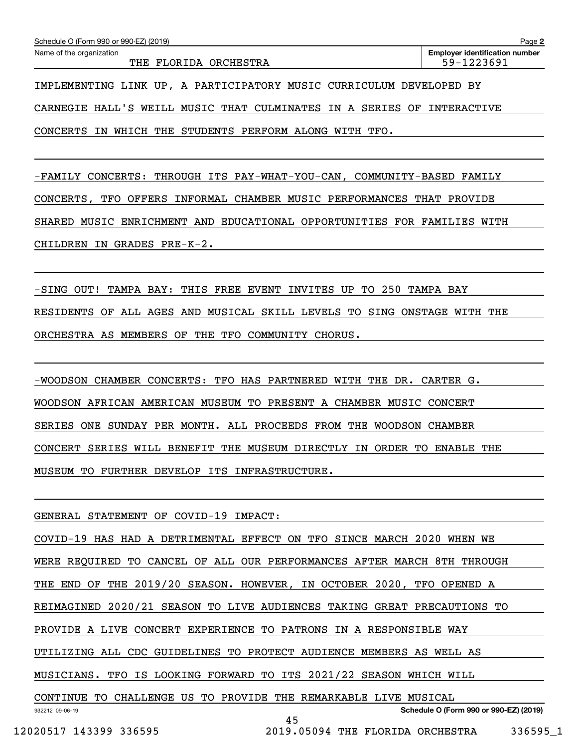| Schedule O (Form 990 or 990-EZ) (2019)                              | Page 2                                |
|---------------------------------------------------------------------|---------------------------------------|
| Name of the organization                                            | <b>Employer identification number</b> |
| THE FLORIDA ORCHESTRA                                               | 59-1223691                            |
|                                                                     |                                       |
| IMPLEMENTING LINK UP, A PARTICIPATORY MUSIC CURRICULUM DEVELOPED BY |                                       |

CARNEGIE HALL'S WEILL MUSIC THAT CULMINATES IN A SERIES OF INTERACTIVE

CONCERTS IN WHICH THE STUDENTS PERFORM ALONG WITH TFO.

-FAMILY CONCERTS: THROUGH ITS PAY-WHAT-YOU-CAN, COMMUNITY-BASED FAMILY CONCERTS, TFO OFFERS INFORMAL CHAMBER MUSIC PERFORMANCES THAT PROVIDE SHARED MUSIC ENRICHMENT AND EDUCATIONAL OPPORTUNITIES FOR FAMILIES WITH CHILDREN IN GRADES PRE-K-2.

-SING OUT! TAMPA BAY: THIS FREE EVENT INVITES UP TO 250 TAMPA BAY RESIDENTS OF ALL AGES AND MUSICAL SKILL LEVELS TO SING ONSTAGE WITH THE ORCHESTRA AS MEMBERS OF THE TFO COMMUNITY CHORUS.

-WOODSON CHAMBER CONCERTS: TFO HAS PARTNERED WITH THE DR. CARTER G. WOODSON AFRICAN AMERICAN MUSEUM TO PRESENT A CHAMBER MUSIC CONCERT SERIES ONE SUNDAY PER MONTH. ALL PROCEEDS FROM THE WOODSON CHAMBER CONCERT SERIES WILL BENEFIT THE MUSEUM DIRECTLY IN ORDER TO ENABLE THE MUSEUM TO FURTHER DEVELOP ITS INFRASTRUCTURE.

GENERAL STATEMENT OF COVID-19 IMPACT:

932212 09-06-19 **Schedule O (Form 990 or 990-EZ) (2019)** COVID-19 HAS HAD A DETRIMENTAL EFFECT ON TFO SINCE MARCH 2020 WHEN WE WERE REQUIRED TO CANCEL OF ALL OUR PERFORMANCES AFTER MARCH 8TH THROUGH THE END OF THE 2019/20 SEASON. HOWEVER, IN OCTOBER 2020, TFO OPENED A REIMAGINED 2020/21 SEASON TO LIVE AUDIENCES TAKING GREAT PRECAUTIONS TO PROVIDE A LIVE CONCERT EXPERIENCE TO PATRONS IN A RESPONSIBLE WAY UTILIZING ALL CDC GUIDELINES TO PROTECT AUDIENCE MEMBERS AS WELL AS MUSICIANS. TFO IS LOOKING FORWARD TO ITS 2021/22 SEASON WHICH WILL CONTINUE TO CHALLENGE US TO PROVIDE THE REMARKABLE LIVE MUSICAL

12020517 143399 336595 2019.05094 THE FLORIDA ORCHESTRA 336595\_1

45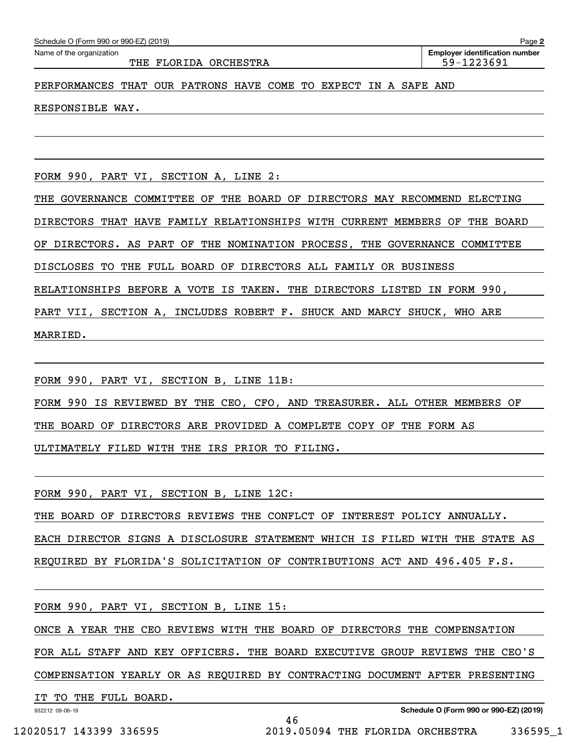THE FLORIDA ORCHESTRA  $\vert$  59-1223691

**2**Echedule O (Form 990 or 990-EZ) (2019)<br>Name of the organization **number** Name of the organization **page Name of the organization number** 

#### PERFORMANCES THAT OUR PATRONS HAVE COME TO EXPECT IN A SAFE AND

RESPONSIBLE WAY.

FORM 990, PART VI, SECTION A, LINE 2:

THE GOVERNANCE COMMITTEE OF THE BOARD OF DIRECTORS MAY RECOMMEND ELECTING

DIRECTORS THAT HAVE FAMILY RELATIONSHIPS WITH CURRENT MEMBERS OF THE BOARD

OF DIRECTORS. AS PART OF THE NOMINATION PROCESS, THE GOVERNANCE COMMITTEE

DISCLOSES TO THE FULL BOARD OF DIRECTORS ALL FAMILY OR BUSINESS

RELATIONSHIPS BEFORE A VOTE IS TAKEN. THE DIRECTORS LISTED IN FORM 990,

PART VII, SECTION A, INCLUDES ROBERT F. SHUCK AND MARCY SHUCK, WHO ARE

MARRIED.

FORM 990, PART VI, SECTION B, LINE 11B:

FORM 990 IS REVIEWED BY THE CEO, CFO, AND TREASURER. ALL OTHER MEMBERS OF

THE BOARD OF DIRECTORS ARE PROVIDED A COMPLETE COPY OF THE FORM AS

ULTIMATELY FILED WITH THE IRS PRIOR TO FILING.

FORM 990, PART VI, SECTION B, LINE 12C:

THE BOARD OF DIRECTORS REVIEWS THE CONFLCT OF INTEREST POLICY ANNUALLY. EACH DIRECTOR SIGNS A DISCLOSURE STATEMENT WHICH IS FILED WITH THE STATE AS REQUIRED BY FLORIDA'S SOLICITATION OF CONTRIBUTIONS ACT AND 496.405 F.S.

FORM 990, PART VI, SECTION B, LINE 15:

ONCE A YEAR THE CEO REVIEWS WITH THE BOARD OF DIRECTORS THE COMPENSATION

FOR ALL STAFF AND KEY OFFICERS. THE BOARD EXECUTIVE GROUP REVIEWS THE CEO'S

COMPENSATION YEARLY OR AS REQUIRED BY CONTRACTING DOCUMENT AFTER PRESENTING

46

IT TO THE FULL BOARD.

932212 09-06-19

**Schedule O (Form 990 or 990-EZ) (2019)**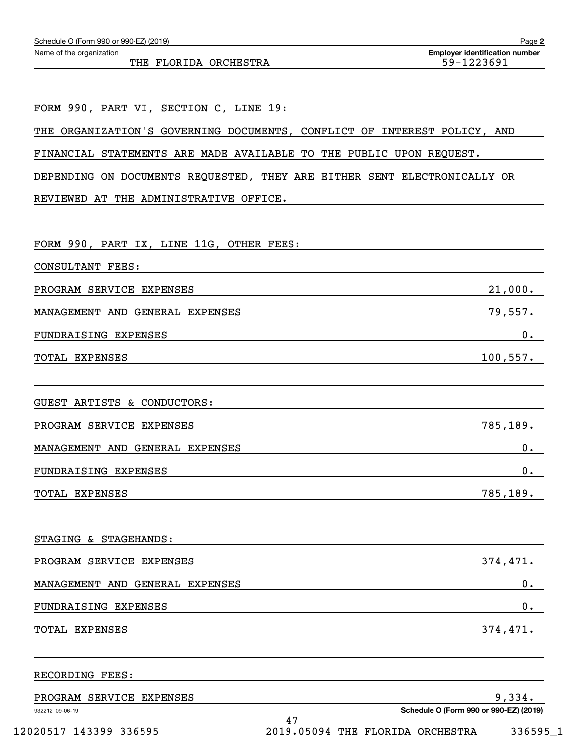| Schedule O (Form 990 or 990-EZ) (2019)                                   | Page 2                                              |
|--------------------------------------------------------------------------|-----------------------------------------------------|
| Name of the organization<br>THE FLORIDA ORCHESTRA                        | <b>Employer identification number</b><br>59-1223691 |
|                                                                          |                                                     |
| FORM 990, PART VI, SECTION C, LINE 19:                                   |                                                     |
| THE ORGANIZATION'S GOVERNING DOCUMENTS, CONFLICT OF INTEREST POLICY, AND |                                                     |
| FINANCIAL STATEMENTS ARE MADE AVAILABLE TO THE PUBLIC UPON REQUEST.      |                                                     |
| DEPENDING ON DOCUMENTS REQUESTED, THEY ARE EITHER SENT ELECTRONICALLY OR |                                                     |
| REVIEWED AT THE ADMINISTRATIVE OFFICE.                                   |                                                     |
| FORM 990, PART IX, LINE 11G, OTHER FEES:                                 |                                                     |
| CONSULTANT FEES:                                                         |                                                     |
| PROGRAM SERVICE EXPENSES                                                 | 21,000.                                             |
| MANAGEMENT AND GENERAL EXPENSES                                          | 79,557.                                             |
| FUNDRAISING EXPENSES                                                     | 0.                                                  |
| TOTAL EXPENSES                                                           | 100, 557.                                           |
|                                                                          |                                                     |
| GUEST ARTISTS & CONDUCTORS:                                              |                                                     |
| PROGRAM SERVICE EXPENSES                                                 | 785,189.                                            |
| MANAGEMENT AND GENERAL EXPENSES                                          | $0$ .                                               |
| FUNDRAISING EXPENSES                                                     | 0.                                                  |
| TOTAL EXPENSES                                                           | 785, 189.                                           |
|                                                                          |                                                     |
| STAGING & STAGEHANDS:                                                    |                                                     |
| PROGRAM SERVICE EXPENSES                                                 | 374,471.                                            |
| MANAGEMENT AND GENERAL EXPENSES                                          | 0.                                                  |
| FUNDRAISING EXPENSES                                                     | $0$ .                                               |
| TOTAL EXPENSES                                                           | 374,471.                                            |
| RECORDING FEES:                                                          |                                                     |
| PROGRAM SERVICE EXPENSES                                                 | 9,334.                                              |
| 932212 09-06-19<br>47                                                    | Schedule O (Form 990 or 990-EZ) (2019)              |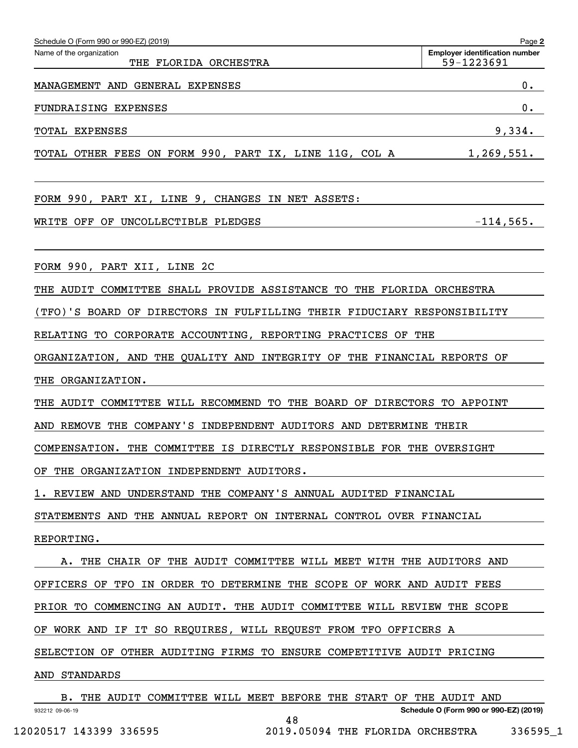| Schedule O (Form 990 or 990-EZ) (2019)                                                | Page 2                                              |
|---------------------------------------------------------------------------------------|-----------------------------------------------------|
| Name of the organization<br>THE FLORIDA ORCHESTRA                                     | <b>Employer identification number</b><br>59-1223691 |
| MANAGEMENT AND GENERAL EXPENSES                                                       | 0.                                                  |
| <b>FUNDRAISING EXPENSES</b>                                                           | 0.                                                  |
| TOTAL EXPENSES                                                                        | 9,334.                                              |
| TOTAL OTHER FEES ON FORM 990, PART IX, LINE 11G, COL A 1,269,551.                     |                                                     |
| FORM 990, PART XI, LINE 9, CHANGES IN NET ASSETS:                                     |                                                     |
| WRITE OFF OF UNCOLLECTIBLE PLEDGES                                                    | $-114,565.$                                         |
| FORM 990, PART XII, LINE 2C                                                           |                                                     |
| THE AUDIT COMMITTEE SHALL PROVIDE ASSISTANCE TO THE FLORIDA ORCHESTRA                 |                                                     |
| (TFO)'S BOARD OF DIRECTORS IN FULFILLING THEIR FIDUCIARY RESPONSIBILITY               |                                                     |
| RELATING TO CORPORATE ACCOUNTING, REPORTING PRACTICES OF THE                          |                                                     |
| ORGANIZATION, AND THE QUALITY AND INTEGRITY OF THE FINANCIAL REPORTS OF               |                                                     |
| THE ORGANIZATION.                                                                     |                                                     |
| THE AUDIT COMMITTEE WILL RECOMMEND TO THE BOARD OF DIRECTORS TO APPOINT               |                                                     |
| AND REMOVE THE COMPANY'S INDEPENDENT AUDITORS AND DETERMINE THEIR                     |                                                     |
| COMPENSATION. THE COMMITTEE IS DIRECTLY RESPONSIBLE FOR THE OVERSIGHT                 |                                                     |
| OF THE ORGANIZATION INDEPENDENT AUDITORS.                                             |                                                     |
| 1. REVIEW AND UNDERSTAND THE COMPANY'S ANNUAL AUDITED FINANCIAL                       |                                                     |
| STATEMENTS AND THE ANNUAL REPORT ON INTERNAL CONTROL OVER FINANCIAL                   |                                                     |
| REPORTING.                                                                            |                                                     |
| A. THE CHAIR OF THE AUDIT COMMITTEE WILL MEET WITH THE AUDITORS AND                   |                                                     |
| OFFICERS OF TFO IN ORDER TO DETERMINE THE SCOPE OF WORK AND AUDIT FEES                |                                                     |
| PRIOR TO COMMENCING AN AUDIT. THE AUDIT COMMITTEE WILL REVIEW THE SCOPE               |                                                     |
| OF WORK AND IF IT SO REQUIRES, WILL REQUEST FROM TFO OFFICERS A                       |                                                     |
| SELECTION OF OTHER AUDITING FIRMS TO ENSURE COMPETITIVE AUDIT PRICING                 |                                                     |
| AND STANDARDS                                                                         |                                                     |
| B. THE AUDIT COMMITTEE WILL MEET BEFORE THE START OF THE AUDIT AND<br>932212 09-06-19 | Schedule O (Form 990 or 990-EZ) (2019)              |

48 12020517 143399 336595 2019.05094 THE FLORIDA ORCHESTRA 336595\_1

**Schedule O (Form 990 or 990-EZ) (2019)**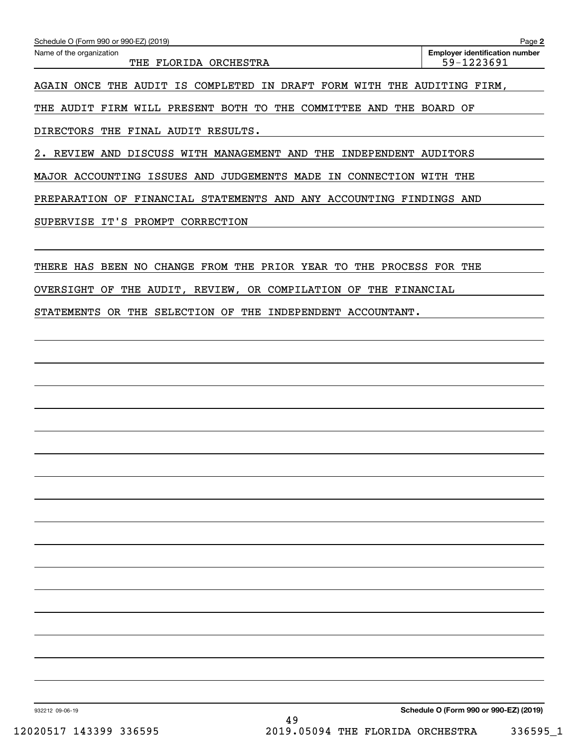| Schedule O (Form 990 or 990-EZ) (2019)                                             | Page 2                                              |
|------------------------------------------------------------------------------------|-----------------------------------------------------|
| Name of the organization<br>THE FLORIDA ORCHESTRA                                  | <b>Employer identification number</b><br>59-1223691 |
| AGAIN ONCE<br>THE<br>AUDIT<br>COMPLETED IN<br><b>DRAFT</b><br>FORM WITH<br>IS      | THE AUDITING FIRM.                                  |
| AUDIT FIRM WILL PRESENT BOTH TO<br>THE COMMITTEE AND<br>THE                        | THE BOARD OF                                        |
| <b>DIRECTORS</b><br>FINAL AUDIT RESULTS.<br>THE                                    |                                                     |
| REVIEW AND DISCUSS WITH MANAGEMENT AND<br>THE<br>INDEPENDENT AUDITORS<br>2.        |                                                     |
| MAJOR ACCOUNTING ISSUES AND<br><b>JUDGEMENTS MADE</b><br>CONNECTION WITH THE<br>IN |                                                     |
| PREPARATION OF FINANCIAL STATEMENTS AND ANY ACCOUNTING FINDINGS AND                |                                                     |
| SUPERVISE IT'S PROMPT CORRECTION                                                   |                                                     |
|                                                                                    |                                                     |
| BEEN<br>CHANGE FROM THE PRIOR YEAR TO<br>THE PROCESS FOR THE<br>THERE HAS<br>NO.   |                                                     |
| THE AUDIT, REVIEW, OR COMPILATION OF THE FINANCIAL<br>OVERSIGHT<br>OF              |                                                     |
| <b>STATEMENTS</b><br>OR THE<br>SELECTION OF<br>THE<br>INDEPENDENT ACCOUNTANT.      |                                                     |
|                                                                                    |                                                     |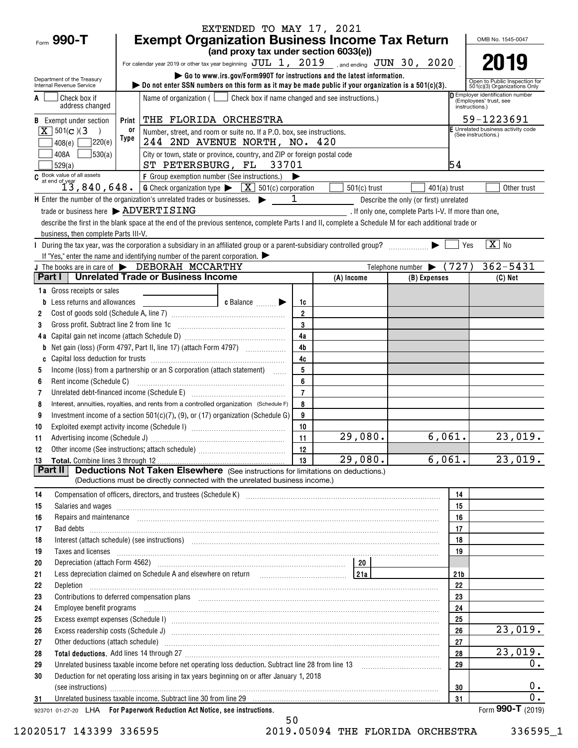| <b>Exempt Organization Business Income Tax Return</b><br>(and proxy tax under section 6033(e))<br>2019<br>For calendar year 2019 or other tax year beginning $JUL$ 1, $2019$ , and ending $JUN$ 30, $2020$<br>Go to www.irs.gov/Form990T for instructions and the latest information.<br>Department of the Treasury<br>Open to Public Inspection for<br>bo not enter SSN numbers on this form as it may be made public if your organization is a $501(c)(3)$ .<br>Internal Revenue Service<br>501(c)(3) Organizations Only<br>Employer identification number<br>Name of organization $($ $\Box$ Check box if name changed and see instructions.)<br>Check box if<br>(Employees' trust, see<br>address changed<br>instructions.)<br>59-1223691<br>THE FLORIDA ORCHESTRA<br><b>B</b> Exempt under section<br>Print<br>E Unrelated business activity code<br>$\sqrt{X}$ 501(c)(3)<br>0r<br>Number, street, and room or suite no. If a P.O. box, see instructions.<br>(See instructions.)<br>Type<br>7220(e)<br>244 2ND AVENUE NORTH, NO. 420<br>408(e)<br>530(a)<br>City or town, state or province, country, and ZIP or foreign postal code<br>408A<br>54<br>ST PETERSBURG, FL 33701<br>529(a)<br>C Book value of all assets<br>$f$ Group exemption number (See instructions.)<br>$f$ Group exemption number (See instructions.)<br>$501(c)$ trust<br>Other trust<br>$401(a)$ trust<br><b>H</b> Enter the number of the organization's unrelated trades or businesses. $\triangleright$ $\blacksquare$<br>Describe the only (or first) unrelated<br>trade or business here > ADVERTISING<br>. If only one, complete Parts I-V. If more than one,<br>describe the first in the blank space at the end of the previous sentence, complete Parts I and II, complete a Schedule M for each additional trade or<br>business, then complete Parts III-V.<br>$\boxed{\text{X}}$ No<br>During the tax year, was the corporation a subsidiary in an affiliated group or a parent-subsidiary controlled group?<br>  Yes<br>If "Yes," enter the name and identifying number of the parent corporation. $\blacktriangleright$<br>Telephone number $\blacktriangleright$ (727)<br>$362 - 5431$<br>J The books are in care of $\blacktriangleright$ DEBORAH MCCARTHY<br><b>Unrelated Trade or Business Income</b><br>Part I<br>(A) Income<br>$(C)$ Net<br>(B) Expenses<br>1a Gross receipts or sales<br>c Balance $\ldots$<br><b>b</b> Less returns and allowances<br>1c<br>$\overline{2}$<br>2<br>$\mathbf 3$<br>Gross profit. Subtract line 2 from line 1c<br>3<br>4a<br>4 <sub>b</sub><br>b<br>4c<br>5<br>Income (loss) from a partnership or an S corporation (attach statement)<br>5<br>6<br>Rent income (Schedule C)<br>6<br>$\overline{7}$<br>Unrelated debt-financed income (Schedule E) [11] [2010] [2010] [2010] [2010] [2010] [2010] [2010] [2010] [2010<br>7<br>Interest, annuities, royalties, and rents from a controlled organization (Schedule F)<br>8<br>8<br>Investment income of a section 501(c)(7), (9), or (17) organization (Schedule G)<br>9<br>9<br>10<br>10<br>29,080.<br>6,061.]<br>23,019.<br>11<br>11<br>12<br>12<br>$\overline{29}$ ,080.<br>6,061.<br>13<br>23,019.<br><b>Deductions Not Taken Elsewhere</b> (See instructions for limitations on deductions.)<br>Part II<br>(Deductions must be directly connected with the unrelated business income.)<br>Compensation of officers, directors, and trustees (Schedule K) [11] [2000] [2000] [2000] [2000] [2000] [2000] [<br>14<br>14<br>15<br>Salaries and wages informational contracts and wages in the same contracts of the set of the set of the set of the set of the set of the set of the set of the set of the set of the set of the set of the set of the set of t<br>15<br>16<br>Repairs and maintenance <i>[1] [1] [1] [1] [1] [1] [1] [1] [1] [1]</i> [1] <b>[1]</b> [1] <b>[1]</b> [1] <b>[1] [1] [1] [1] [1] [1] [1] [1] [1] [1] [1] [1] [1] [1] [1] [1] [1] [1] [1] [1] [1] [1]</b><br>16<br>17<br>17<br>18<br>18<br>19<br>Taxes and licenses <b>contract the contract of the contract of the contract of the contract of the contract of the contract of the contract of the contract of the contract of the contract of the contract of the contract of t</b><br>19<br>20<br>Less depreciation claimed on Schedule A and elsewhere on return with all contains the settled and all all the s<br>21 <sub>b</sub><br>21<br>22<br>22<br>23<br>23<br>24<br>24<br>25<br>25<br>Excess exempt expenses (Schedule I) machineral contract contract and contract and contract and contract and contract and contract and contract and contract and contract and contract and contract and contract and contract a<br>26<br>26<br>27<br>27<br>28<br>28<br>0.<br>29<br>29<br>Deduction for net operating loss arising in tax years beginning on or after January 1, 2018<br>30<br>0.<br>30<br>(see instructions) www.communications.com/inductions/inductions/inductions/inductions/inductions/inductions/inductions/inductions/inductions/inductions/inductions/inductions/inductions/inductions/inductions/inductions/indu<br>0.<br>31<br>31<br>Form 990-T (2019)<br>923701 01-27-20 LHA For Paperwork Reduction Act Notice, see instructions. |            |  | EXTENDED TO MAY 17, 2021 |  |  |  |  | OMB No. 1545-0047 |  |  |  |
|--------------------------------------------------------------------------------------------------------------------------------------------------------------------------------------------------------------------------------------------------------------------------------------------------------------------------------------------------------------------------------------------------------------------------------------------------------------------------------------------------------------------------------------------------------------------------------------------------------------------------------------------------------------------------------------------------------------------------------------------------------------------------------------------------------------------------------------------------------------------------------------------------------------------------------------------------------------------------------------------------------------------------------------------------------------------------------------------------------------------------------------------------------------------------------------------------------------------------------------------------------------------------------------------------------------------------------------------------------------------------------------------------------------------------------------------------------------------------------------------------------------------------------------------------------------------------------------------------------------------------------------------------------------------------------------------------------------------------------------------------------------------------------------------------------------------------------------------------------------------------------------------------------------------------------------------------------------------------------------------------------------------------------------------------------------------------------------------------------------------------------------------------------------------------------------------------------------------------------------------------------------------------------------------------------------------------------------------------------------------------------------------------------------------------------------------------------------------------------------------------------------------------------------------------------------------------------------------------------------------------------------------------------------------------------------------------------------------------------------------------------------------------------------------------------------------------------------------------------------------------------------------------------------------------------------------------------------------------------------------------------------------------------------------------------------------------------------------------------------------------------------------------------------------------------------------------------------------------------------------------------------------------------------------------------------------------------------------------------------------------------------------------------------------------------------------------------------------------------------------------------------------------------------------------------------------------------------------------------------------------------------------------------------------------------------------------------------------------------------------------------------------------------------------------------------------------------------------------------------------------------------------------------------------------------------------------------------------------------------------------------------------------------------------------------------------------------------------------------------------------------------------------------------------------------------------------------------------------------------------------------------------------------------------------------------------------------------------------------------------------------------------------------------------------------------------------------------------------------------------------------------------------------------------------------------------------------------------------------------------------------------------------------------------------------------------------------------------------------------------------------------------------------------------------------------------------------------------------------------------------------------------------------------------------------------------------------------------------------------------------------------------------------------------------------------------------------------------------------------------------------------------------------------------------------------------------------------------------|------------|--|--------------------------|--|--|--|--|-------------------|--|--|--|
|                                                                                                                                                                                                                                                                                                                                                                                                                                                                                                                                                                                                                                                                                                                                                                                                                                                                                                                                                                                                                                                                                                                                                                                                                                                                                                                                                                                                                                                                                                                                                                                                                                                                                                                                                                                                                                                                                                                                                                                                                                                                                                                                                                                                                                                                                                                                                                                                                                                                                                                                                                                                                                                                                                                                                                                                                                                                                                                                                                                                                                                                                                                                                                                                                                                                                                                                                                                                                                                                                                                                                                                                                                                                                                                                                                                                                                                                                                                                                                                                                                                                                                                                                                                                                                                                                                                                                                                                                                                                                                                                                                                                                                                                                                                                                                                                                                                                                                                                                                                                                                                                                                                                                                                                                          | Form 990-T |  |                          |  |  |  |  |                   |  |  |  |
|                                                                                                                                                                                                                                                                                                                                                                                                                                                                                                                                                                                                                                                                                                                                                                                                                                                                                                                                                                                                                                                                                                                                                                                                                                                                                                                                                                                                                                                                                                                                                                                                                                                                                                                                                                                                                                                                                                                                                                                                                                                                                                                                                                                                                                                                                                                                                                                                                                                                                                                                                                                                                                                                                                                                                                                                                                                                                                                                                                                                                                                                                                                                                                                                                                                                                                                                                                                                                                                                                                                                                                                                                                                                                                                                                                                                                                                                                                                                                                                                                                                                                                                                                                                                                                                                                                                                                                                                                                                                                                                                                                                                                                                                                                                                                                                                                                                                                                                                                                                                                                                                                                                                                                                                                          |            |  |                          |  |  |  |  |                   |  |  |  |
|                                                                                                                                                                                                                                                                                                                                                                                                                                                                                                                                                                                                                                                                                                                                                                                                                                                                                                                                                                                                                                                                                                                                                                                                                                                                                                                                                                                                                                                                                                                                                                                                                                                                                                                                                                                                                                                                                                                                                                                                                                                                                                                                                                                                                                                                                                                                                                                                                                                                                                                                                                                                                                                                                                                                                                                                                                                                                                                                                                                                                                                                                                                                                                                                                                                                                                                                                                                                                                                                                                                                                                                                                                                                                                                                                                                                                                                                                                                                                                                                                                                                                                                                                                                                                                                                                                                                                                                                                                                                                                                                                                                                                                                                                                                                                                                                                                                                                                                                                                                                                                                                                                                                                                                                                          |            |  |                          |  |  |  |  |                   |  |  |  |
|                                                                                                                                                                                                                                                                                                                                                                                                                                                                                                                                                                                                                                                                                                                                                                                                                                                                                                                                                                                                                                                                                                                                                                                                                                                                                                                                                                                                                                                                                                                                                                                                                                                                                                                                                                                                                                                                                                                                                                                                                                                                                                                                                                                                                                                                                                                                                                                                                                                                                                                                                                                                                                                                                                                                                                                                                                                                                                                                                                                                                                                                                                                                                                                                                                                                                                                                                                                                                                                                                                                                                                                                                                                                                                                                                                                                                                                                                                                                                                                                                                                                                                                                                                                                                                                                                                                                                                                                                                                                                                                                                                                                                                                                                                                                                                                                                                                                                                                                                                                                                                                                                                                                                                                                                          |            |  |                          |  |  |  |  |                   |  |  |  |
|                                                                                                                                                                                                                                                                                                                                                                                                                                                                                                                                                                                                                                                                                                                                                                                                                                                                                                                                                                                                                                                                                                                                                                                                                                                                                                                                                                                                                                                                                                                                                                                                                                                                                                                                                                                                                                                                                                                                                                                                                                                                                                                                                                                                                                                                                                                                                                                                                                                                                                                                                                                                                                                                                                                                                                                                                                                                                                                                                                                                                                                                                                                                                                                                                                                                                                                                                                                                                                                                                                                                                                                                                                                                                                                                                                                                                                                                                                                                                                                                                                                                                                                                                                                                                                                                                                                                                                                                                                                                                                                                                                                                                                                                                                                                                                                                                                                                                                                                                                                                                                                                                                                                                                                                                          |            |  |                          |  |  |  |  |                   |  |  |  |
|                                                                                                                                                                                                                                                                                                                                                                                                                                                                                                                                                                                                                                                                                                                                                                                                                                                                                                                                                                                                                                                                                                                                                                                                                                                                                                                                                                                                                                                                                                                                                                                                                                                                                                                                                                                                                                                                                                                                                                                                                                                                                                                                                                                                                                                                                                                                                                                                                                                                                                                                                                                                                                                                                                                                                                                                                                                                                                                                                                                                                                                                                                                                                                                                                                                                                                                                                                                                                                                                                                                                                                                                                                                                                                                                                                                                                                                                                                                                                                                                                                                                                                                                                                                                                                                                                                                                                                                                                                                                                                                                                                                                                                                                                                                                                                                                                                                                                                                                                                                                                                                                                                                                                                                                                          |            |  |                          |  |  |  |  |                   |  |  |  |
|                                                                                                                                                                                                                                                                                                                                                                                                                                                                                                                                                                                                                                                                                                                                                                                                                                                                                                                                                                                                                                                                                                                                                                                                                                                                                                                                                                                                                                                                                                                                                                                                                                                                                                                                                                                                                                                                                                                                                                                                                                                                                                                                                                                                                                                                                                                                                                                                                                                                                                                                                                                                                                                                                                                                                                                                                                                                                                                                                                                                                                                                                                                                                                                                                                                                                                                                                                                                                                                                                                                                                                                                                                                                                                                                                                                                                                                                                                                                                                                                                                                                                                                                                                                                                                                                                                                                                                                                                                                                                                                                                                                                                                                                                                                                                                                                                                                                                                                                                                                                                                                                                                                                                                                                                          |            |  |                          |  |  |  |  |                   |  |  |  |
|                                                                                                                                                                                                                                                                                                                                                                                                                                                                                                                                                                                                                                                                                                                                                                                                                                                                                                                                                                                                                                                                                                                                                                                                                                                                                                                                                                                                                                                                                                                                                                                                                                                                                                                                                                                                                                                                                                                                                                                                                                                                                                                                                                                                                                                                                                                                                                                                                                                                                                                                                                                                                                                                                                                                                                                                                                                                                                                                                                                                                                                                                                                                                                                                                                                                                                                                                                                                                                                                                                                                                                                                                                                                                                                                                                                                                                                                                                                                                                                                                                                                                                                                                                                                                                                                                                                                                                                                                                                                                                                                                                                                                                                                                                                                                                                                                                                                                                                                                                                                                                                                                                                                                                                                                          |            |  |                          |  |  |  |  |                   |  |  |  |
|                                                                                                                                                                                                                                                                                                                                                                                                                                                                                                                                                                                                                                                                                                                                                                                                                                                                                                                                                                                                                                                                                                                                                                                                                                                                                                                                                                                                                                                                                                                                                                                                                                                                                                                                                                                                                                                                                                                                                                                                                                                                                                                                                                                                                                                                                                                                                                                                                                                                                                                                                                                                                                                                                                                                                                                                                                                                                                                                                                                                                                                                                                                                                                                                                                                                                                                                                                                                                                                                                                                                                                                                                                                                                                                                                                                                                                                                                                                                                                                                                                                                                                                                                                                                                                                                                                                                                                                                                                                                                                                                                                                                                                                                                                                                                                                                                                                                                                                                                                                                                                                                                                                                                                                                                          |            |  |                          |  |  |  |  |                   |  |  |  |
|                                                                                                                                                                                                                                                                                                                                                                                                                                                                                                                                                                                                                                                                                                                                                                                                                                                                                                                                                                                                                                                                                                                                                                                                                                                                                                                                                                                                                                                                                                                                                                                                                                                                                                                                                                                                                                                                                                                                                                                                                                                                                                                                                                                                                                                                                                                                                                                                                                                                                                                                                                                                                                                                                                                                                                                                                                                                                                                                                                                                                                                                                                                                                                                                                                                                                                                                                                                                                                                                                                                                                                                                                                                                                                                                                                                                                                                                                                                                                                                                                                                                                                                                                                                                                                                                                                                                                                                                                                                                                                                                                                                                                                                                                                                                                                                                                                                                                                                                                                                                                                                                                                                                                                                                                          |            |  |                          |  |  |  |  |                   |  |  |  |
|                                                                                                                                                                                                                                                                                                                                                                                                                                                                                                                                                                                                                                                                                                                                                                                                                                                                                                                                                                                                                                                                                                                                                                                                                                                                                                                                                                                                                                                                                                                                                                                                                                                                                                                                                                                                                                                                                                                                                                                                                                                                                                                                                                                                                                                                                                                                                                                                                                                                                                                                                                                                                                                                                                                                                                                                                                                                                                                                                                                                                                                                                                                                                                                                                                                                                                                                                                                                                                                                                                                                                                                                                                                                                                                                                                                                                                                                                                                                                                                                                                                                                                                                                                                                                                                                                                                                                                                                                                                                                                                                                                                                                                                                                                                                                                                                                                                                                                                                                                                                                                                                                                                                                                                                                          |            |  |                          |  |  |  |  |                   |  |  |  |
|                                                                                                                                                                                                                                                                                                                                                                                                                                                                                                                                                                                                                                                                                                                                                                                                                                                                                                                                                                                                                                                                                                                                                                                                                                                                                                                                                                                                                                                                                                                                                                                                                                                                                                                                                                                                                                                                                                                                                                                                                                                                                                                                                                                                                                                                                                                                                                                                                                                                                                                                                                                                                                                                                                                                                                                                                                                                                                                                                                                                                                                                                                                                                                                                                                                                                                                                                                                                                                                                                                                                                                                                                                                                                                                                                                                                                                                                                                                                                                                                                                                                                                                                                                                                                                                                                                                                                                                                                                                                                                                                                                                                                                                                                                                                                                                                                                                                                                                                                                                                                                                                                                                                                                                                                          |            |  |                          |  |  |  |  |                   |  |  |  |
|                                                                                                                                                                                                                                                                                                                                                                                                                                                                                                                                                                                                                                                                                                                                                                                                                                                                                                                                                                                                                                                                                                                                                                                                                                                                                                                                                                                                                                                                                                                                                                                                                                                                                                                                                                                                                                                                                                                                                                                                                                                                                                                                                                                                                                                                                                                                                                                                                                                                                                                                                                                                                                                                                                                                                                                                                                                                                                                                                                                                                                                                                                                                                                                                                                                                                                                                                                                                                                                                                                                                                                                                                                                                                                                                                                                                                                                                                                                                                                                                                                                                                                                                                                                                                                                                                                                                                                                                                                                                                                                                                                                                                                                                                                                                                                                                                                                                                                                                                                                                                                                                                                                                                                                                                          |            |  |                          |  |  |  |  |                   |  |  |  |
|                                                                                                                                                                                                                                                                                                                                                                                                                                                                                                                                                                                                                                                                                                                                                                                                                                                                                                                                                                                                                                                                                                                                                                                                                                                                                                                                                                                                                                                                                                                                                                                                                                                                                                                                                                                                                                                                                                                                                                                                                                                                                                                                                                                                                                                                                                                                                                                                                                                                                                                                                                                                                                                                                                                                                                                                                                                                                                                                                                                                                                                                                                                                                                                                                                                                                                                                                                                                                                                                                                                                                                                                                                                                                                                                                                                                                                                                                                                                                                                                                                                                                                                                                                                                                                                                                                                                                                                                                                                                                                                                                                                                                                                                                                                                                                                                                                                                                                                                                                                                                                                                                                                                                                                                                          |            |  |                          |  |  |  |  |                   |  |  |  |
|                                                                                                                                                                                                                                                                                                                                                                                                                                                                                                                                                                                                                                                                                                                                                                                                                                                                                                                                                                                                                                                                                                                                                                                                                                                                                                                                                                                                                                                                                                                                                                                                                                                                                                                                                                                                                                                                                                                                                                                                                                                                                                                                                                                                                                                                                                                                                                                                                                                                                                                                                                                                                                                                                                                                                                                                                                                                                                                                                                                                                                                                                                                                                                                                                                                                                                                                                                                                                                                                                                                                                                                                                                                                                                                                                                                                                                                                                                                                                                                                                                                                                                                                                                                                                                                                                                                                                                                                                                                                                                                                                                                                                                                                                                                                                                                                                                                                                                                                                                                                                                                                                                                                                                                                                          |            |  |                          |  |  |  |  |                   |  |  |  |
|                                                                                                                                                                                                                                                                                                                                                                                                                                                                                                                                                                                                                                                                                                                                                                                                                                                                                                                                                                                                                                                                                                                                                                                                                                                                                                                                                                                                                                                                                                                                                                                                                                                                                                                                                                                                                                                                                                                                                                                                                                                                                                                                                                                                                                                                                                                                                                                                                                                                                                                                                                                                                                                                                                                                                                                                                                                                                                                                                                                                                                                                                                                                                                                                                                                                                                                                                                                                                                                                                                                                                                                                                                                                                                                                                                                                                                                                                                                                                                                                                                                                                                                                                                                                                                                                                                                                                                                                                                                                                                                                                                                                                                                                                                                                                                                                                                                                                                                                                                                                                                                                                                                                                                                                                          |            |  |                          |  |  |  |  |                   |  |  |  |
|                                                                                                                                                                                                                                                                                                                                                                                                                                                                                                                                                                                                                                                                                                                                                                                                                                                                                                                                                                                                                                                                                                                                                                                                                                                                                                                                                                                                                                                                                                                                                                                                                                                                                                                                                                                                                                                                                                                                                                                                                                                                                                                                                                                                                                                                                                                                                                                                                                                                                                                                                                                                                                                                                                                                                                                                                                                                                                                                                                                                                                                                                                                                                                                                                                                                                                                                                                                                                                                                                                                                                                                                                                                                                                                                                                                                                                                                                                                                                                                                                                                                                                                                                                                                                                                                                                                                                                                                                                                                                                                                                                                                                                                                                                                                                                                                                                                                                                                                                                                                                                                                                                                                                                                                                          |            |  |                          |  |  |  |  |                   |  |  |  |
|                                                                                                                                                                                                                                                                                                                                                                                                                                                                                                                                                                                                                                                                                                                                                                                                                                                                                                                                                                                                                                                                                                                                                                                                                                                                                                                                                                                                                                                                                                                                                                                                                                                                                                                                                                                                                                                                                                                                                                                                                                                                                                                                                                                                                                                                                                                                                                                                                                                                                                                                                                                                                                                                                                                                                                                                                                                                                                                                                                                                                                                                                                                                                                                                                                                                                                                                                                                                                                                                                                                                                                                                                                                                                                                                                                                                                                                                                                                                                                                                                                                                                                                                                                                                                                                                                                                                                                                                                                                                                                                                                                                                                                                                                                                                                                                                                                                                                                                                                                                                                                                                                                                                                                                                                          |            |  |                          |  |  |  |  |                   |  |  |  |
|                                                                                                                                                                                                                                                                                                                                                                                                                                                                                                                                                                                                                                                                                                                                                                                                                                                                                                                                                                                                                                                                                                                                                                                                                                                                                                                                                                                                                                                                                                                                                                                                                                                                                                                                                                                                                                                                                                                                                                                                                                                                                                                                                                                                                                                                                                                                                                                                                                                                                                                                                                                                                                                                                                                                                                                                                                                                                                                                                                                                                                                                                                                                                                                                                                                                                                                                                                                                                                                                                                                                                                                                                                                                                                                                                                                                                                                                                                                                                                                                                                                                                                                                                                                                                                                                                                                                                                                                                                                                                                                                                                                                                                                                                                                                                                                                                                                                                                                                                                                                                                                                                                                                                                                                                          |            |  |                          |  |  |  |  |                   |  |  |  |
|                                                                                                                                                                                                                                                                                                                                                                                                                                                                                                                                                                                                                                                                                                                                                                                                                                                                                                                                                                                                                                                                                                                                                                                                                                                                                                                                                                                                                                                                                                                                                                                                                                                                                                                                                                                                                                                                                                                                                                                                                                                                                                                                                                                                                                                                                                                                                                                                                                                                                                                                                                                                                                                                                                                                                                                                                                                                                                                                                                                                                                                                                                                                                                                                                                                                                                                                                                                                                                                                                                                                                                                                                                                                                                                                                                                                                                                                                                                                                                                                                                                                                                                                                                                                                                                                                                                                                                                                                                                                                                                                                                                                                                                                                                                                                                                                                                                                                                                                                                                                                                                                                                                                                                                                                          |            |  |                          |  |  |  |  |                   |  |  |  |
|                                                                                                                                                                                                                                                                                                                                                                                                                                                                                                                                                                                                                                                                                                                                                                                                                                                                                                                                                                                                                                                                                                                                                                                                                                                                                                                                                                                                                                                                                                                                                                                                                                                                                                                                                                                                                                                                                                                                                                                                                                                                                                                                                                                                                                                                                                                                                                                                                                                                                                                                                                                                                                                                                                                                                                                                                                                                                                                                                                                                                                                                                                                                                                                                                                                                                                                                                                                                                                                                                                                                                                                                                                                                                                                                                                                                                                                                                                                                                                                                                                                                                                                                                                                                                                                                                                                                                                                                                                                                                                                                                                                                                                                                                                                                                                                                                                                                                                                                                                                                                                                                                                                                                                                                                          |            |  |                          |  |  |  |  |                   |  |  |  |
|                                                                                                                                                                                                                                                                                                                                                                                                                                                                                                                                                                                                                                                                                                                                                                                                                                                                                                                                                                                                                                                                                                                                                                                                                                                                                                                                                                                                                                                                                                                                                                                                                                                                                                                                                                                                                                                                                                                                                                                                                                                                                                                                                                                                                                                                                                                                                                                                                                                                                                                                                                                                                                                                                                                                                                                                                                                                                                                                                                                                                                                                                                                                                                                                                                                                                                                                                                                                                                                                                                                                                                                                                                                                                                                                                                                                                                                                                                                                                                                                                                                                                                                                                                                                                                                                                                                                                                                                                                                                                                                                                                                                                                                                                                                                                                                                                                                                                                                                                                                                                                                                                                                                                                                                                          |            |  |                          |  |  |  |  |                   |  |  |  |
|                                                                                                                                                                                                                                                                                                                                                                                                                                                                                                                                                                                                                                                                                                                                                                                                                                                                                                                                                                                                                                                                                                                                                                                                                                                                                                                                                                                                                                                                                                                                                                                                                                                                                                                                                                                                                                                                                                                                                                                                                                                                                                                                                                                                                                                                                                                                                                                                                                                                                                                                                                                                                                                                                                                                                                                                                                                                                                                                                                                                                                                                                                                                                                                                                                                                                                                                                                                                                                                                                                                                                                                                                                                                                                                                                                                                                                                                                                                                                                                                                                                                                                                                                                                                                                                                                                                                                                                                                                                                                                                                                                                                                                                                                                                                                                                                                                                                                                                                                                                                                                                                                                                                                                                                                          |            |  |                          |  |  |  |  |                   |  |  |  |
|                                                                                                                                                                                                                                                                                                                                                                                                                                                                                                                                                                                                                                                                                                                                                                                                                                                                                                                                                                                                                                                                                                                                                                                                                                                                                                                                                                                                                                                                                                                                                                                                                                                                                                                                                                                                                                                                                                                                                                                                                                                                                                                                                                                                                                                                                                                                                                                                                                                                                                                                                                                                                                                                                                                                                                                                                                                                                                                                                                                                                                                                                                                                                                                                                                                                                                                                                                                                                                                                                                                                                                                                                                                                                                                                                                                                                                                                                                                                                                                                                                                                                                                                                                                                                                                                                                                                                                                                                                                                                                                                                                                                                                                                                                                                                                                                                                                                                                                                                                                                                                                                                                                                                                                                                          |            |  |                          |  |  |  |  |                   |  |  |  |
|                                                                                                                                                                                                                                                                                                                                                                                                                                                                                                                                                                                                                                                                                                                                                                                                                                                                                                                                                                                                                                                                                                                                                                                                                                                                                                                                                                                                                                                                                                                                                                                                                                                                                                                                                                                                                                                                                                                                                                                                                                                                                                                                                                                                                                                                                                                                                                                                                                                                                                                                                                                                                                                                                                                                                                                                                                                                                                                                                                                                                                                                                                                                                                                                                                                                                                                                                                                                                                                                                                                                                                                                                                                                                                                                                                                                                                                                                                                                                                                                                                                                                                                                                                                                                                                                                                                                                                                                                                                                                                                                                                                                                                                                                                                                                                                                                                                                                                                                                                                                                                                                                                                                                                                                                          |            |  |                          |  |  |  |  |                   |  |  |  |
|                                                                                                                                                                                                                                                                                                                                                                                                                                                                                                                                                                                                                                                                                                                                                                                                                                                                                                                                                                                                                                                                                                                                                                                                                                                                                                                                                                                                                                                                                                                                                                                                                                                                                                                                                                                                                                                                                                                                                                                                                                                                                                                                                                                                                                                                                                                                                                                                                                                                                                                                                                                                                                                                                                                                                                                                                                                                                                                                                                                                                                                                                                                                                                                                                                                                                                                                                                                                                                                                                                                                                                                                                                                                                                                                                                                                                                                                                                                                                                                                                                                                                                                                                                                                                                                                                                                                                                                                                                                                                                                                                                                                                                                                                                                                                                                                                                                                                                                                                                                                                                                                                                                                                                                                                          |            |  |                          |  |  |  |  |                   |  |  |  |
|                                                                                                                                                                                                                                                                                                                                                                                                                                                                                                                                                                                                                                                                                                                                                                                                                                                                                                                                                                                                                                                                                                                                                                                                                                                                                                                                                                                                                                                                                                                                                                                                                                                                                                                                                                                                                                                                                                                                                                                                                                                                                                                                                                                                                                                                                                                                                                                                                                                                                                                                                                                                                                                                                                                                                                                                                                                                                                                                                                                                                                                                                                                                                                                                                                                                                                                                                                                                                                                                                                                                                                                                                                                                                                                                                                                                                                                                                                                                                                                                                                                                                                                                                                                                                                                                                                                                                                                                                                                                                                                                                                                                                                                                                                                                                                                                                                                                                                                                                                                                                                                                                                                                                                                                                          |            |  |                          |  |  |  |  |                   |  |  |  |
|                                                                                                                                                                                                                                                                                                                                                                                                                                                                                                                                                                                                                                                                                                                                                                                                                                                                                                                                                                                                                                                                                                                                                                                                                                                                                                                                                                                                                                                                                                                                                                                                                                                                                                                                                                                                                                                                                                                                                                                                                                                                                                                                                                                                                                                                                                                                                                                                                                                                                                                                                                                                                                                                                                                                                                                                                                                                                                                                                                                                                                                                                                                                                                                                                                                                                                                                                                                                                                                                                                                                                                                                                                                                                                                                                                                                                                                                                                                                                                                                                                                                                                                                                                                                                                                                                                                                                                                                                                                                                                                                                                                                                                                                                                                                                                                                                                                                                                                                                                                                                                                                                                                                                                                                                          |            |  |                          |  |  |  |  |                   |  |  |  |
|                                                                                                                                                                                                                                                                                                                                                                                                                                                                                                                                                                                                                                                                                                                                                                                                                                                                                                                                                                                                                                                                                                                                                                                                                                                                                                                                                                                                                                                                                                                                                                                                                                                                                                                                                                                                                                                                                                                                                                                                                                                                                                                                                                                                                                                                                                                                                                                                                                                                                                                                                                                                                                                                                                                                                                                                                                                                                                                                                                                                                                                                                                                                                                                                                                                                                                                                                                                                                                                                                                                                                                                                                                                                                                                                                                                                                                                                                                                                                                                                                                                                                                                                                                                                                                                                                                                                                                                                                                                                                                                                                                                                                                                                                                                                                                                                                                                                                                                                                                                                                                                                                                                                                                                                                          |            |  |                          |  |  |  |  |                   |  |  |  |
|                                                                                                                                                                                                                                                                                                                                                                                                                                                                                                                                                                                                                                                                                                                                                                                                                                                                                                                                                                                                                                                                                                                                                                                                                                                                                                                                                                                                                                                                                                                                                                                                                                                                                                                                                                                                                                                                                                                                                                                                                                                                                                                                                                                                                                                                                                                                                                                                                                                                                                                                                                                                                                                                                                                                                                                                                                                                                                                                                                                                                                                                                                                                                                                                                                                                                                                                                                                                                                                                                                                                                                                                                                                                                                                                                                                                                                                                                                                                                                                                                                                                                                                                                                                                                                                                                                                                                                                                                                                                                                                                                                                                                                                                                                                                                                                                                                                                                                                                                                                                                                                                                                                                                                                                                          |            |  |                          |  |  |  |  |                   |  |  |  |
|                                                                                                                                                                                                                                                                                                                                                                                                                                                                                                                                                                                                                                                                                                                                                                                                                                                                                                                                                                                                                                                                                                                                                                                                                                                                                                                                                                                                                                                                                                                                                                                                                                                                                                                                                                                                                                                                                                                                                                                                                                                                                                                                                                                                                                                                                                                                                                                                                                                                                                                                                                                                                                                                                                                                                                                                                                                                                                                                                                                                                                                                                                                                                                                                                                                                                                                                                                                                                                                                                                                                                                                                                                                                                                                                                                                                                                                                                                                                                                                                                                                                                                                                                                                                                                                                                                                                                                                                                                                                                                                                                                                                                                                                                                                                                                                                                                                                                                                                                                                                                                                                                                                                                                                                                          |            |  |                          |  |  |  |  |                   |  |  |  |
|                                                                                                                                                                                                                                                                                                                                                                                                                                                                                                                                                                                                                                                                                                                                                                                                                                                                                                                                                                                                                                                                                                                                                                                                                                                                                                                                                                                                                                                                                                                                                                                                                                                                                                                                                                                                                                                                                                                                                                                                                                                                                                                                                                                                                                                                                                                                                                                                                                                                                                                                                                                                                                                                                                                                                                                                                                                                                                                                                                                                                                                                                                                                                                                                                                                                                                                                                                                                                                                                                                                                                                                                                                                                                                                                                                                                                                                                                                                                                                                                                                                                                                                                                                                                                                                                                                                                                                                                                                                                                                                                                                                                                                                                                                                                                                                                                                                                                                                                                                                                                                                                                                                                                                                                                          |            |  |                          |  |  |  |  |                   |  |  |  |
|                                                                                                                                                                                                                                                                                                                                                                                                                                                                                                                                                                                                                                                                                                                                                                                                                                                                                                                                                                                                                                                                                                                                                                                                                                                                                                                                                                                                                                                                                                                                                                                                                                                                                                                                                                                                                                                                                                                                                                                                                                                                                                                                                                                                                                                                                                                                                                                                                                                                                                                                                                                                                                                                                                                                                                                                                                                                                                                                                                                                                                                                                                                                                                                                                                                                                                                                                                                                                                                                                                                                                                                                                                                                                                                                                                                                                                                                                                                                                                                                                                                                                                                                                                                                                                                                                                                                                                                                                                                                                                                                                                                                                                                                                                                                                                                                                                                                                                                                                                                                                                                                                                                                                                                                                          |            |  |                          |  |  |  |  |                   |  |  |  |
|                                                                                                                                                                                                                                                                                                                                                                                                                                                                                                                                                                                                                                                                                                                                                                                                                                                                                                                                                                                                                                                                                                                                                                                                                                                                                                                                                                                                                                                                                                                                                                                                                                                                                                                                                                                                                                                                                                                                                                                                                                                                                                                                                                                                                                                                                                                                                                                                                                                                                                                                                                                                                                                                                                                                                                                                                                                                                                                                                                                                                                                                                                                                                                                                                                                                                                                                                                                                                                                                                                                                                                                                                                                                                                                                                                                                                                                                                                                                                                                                                                                                                                                                                                                                                                                                                                                                                                                                                                                                                                                                                                                                                                                                                                                                                                                                                                                                                                                                                                                                                                                                                                                                                                                                                          |            |  |                          |  |  |  |  |                   |  |  |  |
|                                                                                                                                                                                                                                                                                                                                                                                                                                                                                                                                                                                                                                                                                                                                                                                                                                                                                                                                                                                                                                                                                                                                                                                                                                                                                                                                                                                                                                                                                                                                                                                                                                                                                                                                                                                                                                                                                                                                                                                                                                                                                                                                                                                                                                                                                                                                                                                                                                                                                                                                                                                                                                                                                                                                                                                                                                                                                                                                                                                                                                                                                                                                                                                                                                                                                                                                                                                                                                                                                                                                                                                                                                                                                                                                                                                                                                                                                                                                                                                                                                                                                                                                                                                                                                                                                                                                                                                                                                                                                                                                                                                                                                                                                                                                                                                                                                                                                                                                                                                                                                                                                                                                                                                                                          |            |  |                          |  |  |  |  |                   |  |  |  |
|                                                                                                                                                                                                                                                                                                                                                                                                                                                                                                                                                                                                                                                                                                                                                                                                                                                                                                                                                                                                                                                                                                                                                                                                                                                                                                                                                                                                                                                                                                                                                                                                                                                                                                                                                                                                                                                                                                                                                                                                                                                                                                                                                                                                                                                                                                                                                                                                                                                                                                                                                                                                                                                                                                                                                                                                                                                                                                                                                                                                                                                                                                                                                                                                                                                                                                                                                                                                                                                                                                                                                                                                                                                                                                                                                                                                                                                                                                                                                                                                                                                                                                                                                                                                                                                                                                                                                                                                                                                                                                                                                                                                                                                                                                                                                                                                                                                                                                                                                                                                                                                                                                                                                                                                                          |            |  |                          |  |  |  |  |                   |  |  |  |
|                                                                                                                                                                                                                                                                                                                                                                                                                                                                                                                                                                                                                                                                                                                                                                                                                                                                                                                                                                                                                                                                                                                                                                                                                                                                                                                                                                                                                                                                                                                                                                                                                                                                                                                                                                                                                                                                                                                                                                                                                                                                                                                                                                                                                                                                                                                                                                                                                                                                                                                                                                                                                                                                                                                                                                                                                                                                                                                                                                                                                                                                                                                                                                                                                                                                                                                                                                                                                                                                                                                                                                                                                                                                                                                                                                                                                                                                                                                                                                                                                                                                                                                                                                                                                                                                                                                                                                                                                                                                                                                                                                                                                                                                                                                                                                                                                                                                                                                                                                                                                                                                                                                                                                                                                          |            |  |                          |  |  |  |  |                   |  |  |  |
|                                                                                                                                                                                                                                                                                                                                                                                                                                                                                                                                                                                                                                                                                                                                                                                                                                                                                                                                                                                                                                                                                                                                                                                                                                                                                                                                                                                                                                                                                                                                                                                                                                                                                                                                                                                                                                                                                                                                                                                                                                                                                                                                                                                                                                                                                                                                                                                                                                                                                                                                                                                                                                                                                                                                                                                                                                                                                                                                                                                                                                                                                                                                                                                                                                                                                                                                                                                                                                                                                                                                                                                                                                                                                                                                                                                                                                                                                                                                                                                                                                                                                                                                                                                                                                                                                                                                                                                                                                                                                                                                                                                                                                                                                                                                                                                                                                                                                                                                                                                                                                                                                                                                                                                                                          |            |  |                          |  |  |  |  |                   |  |  |  |
|                                                                                                                                                                                                                                                                                                                                                                                                                                                                                                                                                                                                                                                                                                                                                                                                                                                                                                                                                                                                                                                                                                                                                                                                                                                                                                                                                                                                                                                                                                                                                                                                                                                                                                                                                                                                                                                                                                                                                                                                                                                                                                                                                                                                                                                                                                                                                                                                                                                                                                                                                                                                                                                                                                                                                                                                                                                                                                                                                                                                                                                                                                                                                                                                                                                                                                                                                                                                                                                                                                                                                                                                                                                                                                                                                                                                                                                                                                                                                                                                                                                                                                                                                                                                                                                                                                                                                                                                                                                                                                                                                                                                                                                                                                                                                                                                                                                                                                                                                                                                                                                                                                                                                                                                                          |            |  |                          |  |  |  |  |                   |  |  |  |
|                                                                                                                                                                                                                                                                                                                                                                                                                                                                                                                                                                                                                                                                                                                                                                                                                                                                                                                                                                                                                                                                                                                                                                                                                                                                                                                                                                                                                                                                                                                                                                                                                                                                                                                                                                                                                                                                                                                                                                                                                                                                                                                                                                                                                                                                                                                                                                                                                                                                                                                                                                                                                                                                                                                                                                                                                                                                                                                                                                                                                                                                                                                                                                                                                                                                                                                                                                                                                                                                                                                                                                                                                                                                                                                                                                                                                                                                                                                                                                                                                                                                                                                                                                                                                                                                                                                                                                                                                                                                                                                                                                                                                                                                                                                                                                                                                                                                                                                                                                                                                                                                                                                                                                                                                          |            |  |                          |  |  |  |  |                   |  |  |  |
|                                                                                                                                                                                                                                                                                                                                                                                                                                                                                                                                                                                                                                                                                                                                                                                                                                                                                                                                                                                                                                                                                                                                                                                                                                                                                                                                                                                                                                                                                                                                                                                                                                                                                                                                                                                                                                                                                                                                                                                                                                                                                                                                                                                                                                                                                                                                                                                                                                                                                                                                                                                                                                                                                                                                                                                                                                                                                                                                                                                                                                                                                                                                                                                                                                                                                                                                                                                                                                                                                                                                                                                                                                                                                                                                                                                                                                                                                                                                                                                                                                                                                                                                                                                                                                                                                                                                                                                                                                                                                                                                                                                                                                                                                                                                                                                                                                                                                                                                                                                                                                                                                                                                                                                                                          |            |  |                          |  |  |  |  |                   |  |  |  |
|                                                                                                                                                                                                                                                                                                                                                                                                                                                                                                                                                                                                                                                                                                                                                                                                                                                                                                                                                                                                                                                                                                                                                                                                                                                                                                                                                                                                                                                                                                                                                                                                                                                                                                                                                                                                                                                                                                                                                                                                                                                                                                                                                                                                                                                                                                                                                                                                                                                                                                                                                                                                                                                                                                                                                                                                                                                                                                                                                                                                                                                                                                                                                                                                                                                                                                                                                                                                                                                                                                                                                                                                                                                                                                                                                                                                                                                                                                                                                                                                                                                                                                                                                                                                                                                                                                                                                                                                                                                                                                                                                                                                                                                                                                                                                                                                                                                                                                                                                                                                                                                                                                                                                                                                                          |            |  |                          |  |  |  |  |                   |  |  |  |
|                                                                                                                                                                                                                                                                                                                                                                                                                                                                                                                                                                                                                                                                                                                                                                                                                                                                                                                                                                                                                                                                                                                                                                                                                                                                                                                                                                                                                                                                                                                                                                                                                                                                                                                                                                                                                                                                                                                                                                                                                                                                                                                                                                                                                                                                                                                                                                                                                                                                                                                                                                                                                                                                                                                                                                                                                                                                                                                                                                                                                                                                                                                                                                                                                                                                                                                                                                                                                                                                                                                                                                                                                                                                                                                                                                                                                                                                                                                                                                                                                                                                                                                                                                                                                                                                                                                                                                                                                                                                                                                                                                                                                                                                                                                                                                                                                                                                                                                                                                                                                                                                                                                                                                                                                          |            |  |                          |  |  |  |  |                   |  |  |  |
|                                                                                                                                                                                                                                                                                                                                                                                                                                                                                                                                                                                                                                                                                                                                                                                                                                                                                                                                                                                                                                                                                                                                                                                                                                                                                                                                                                                                                                                                                                                                                                                                                                                                                                                                                                                                                                                                                                                                                                                                                                                                                                                                                                                                                                                                                                                                                                                                                                                                                                                                                                                                                                                                                                                                                                                                                                                                                                                                                                                                                                                                                                                                                                                                                                                                                                                                                                                                                                                                                                                                                                                                                                                                                                                                                                                                                                                                                                                                                                                                                                                                                                                                                                                                                                                                                                                                                                                                                                                                                                                                                                                                                                                                                                                                                                                                                                                                                                                                                                                                                                                                                                                                                                                                                          |            |  |                          |  |  |  |  |                   |  |  |  |
|                                                                                                                                                                                                                                                                                                                                                                                                                                                                                                                                                                                                                                                                                                                                                                                                                                                                                                                                                                                                                                                                                                                                                                                                                                                                                                                                                                                                                                                                                                                                                                                                                                                                                                                                                                                                                                                                                                                                                                                                                                                                                                                                                                                                                                                                                                                                                                                                                                                                                                                                                                                                                                                                                                                                                                                                                                                                                                                                                                                                                                                                                                                                                                                                                                                                                                                                                                                                                                                                                                                                                                                                                                                                                                                                                                                                                                                                                                                                                                                                                                                                                                                                                                                                                                                                                                                                                                                                                                                                                                                                                                                                                                                                                                                                                                                                                                                                                                                                                                                                                                                                                                                                                                                                                          |            |  |                          |  |  |  |  |                   |  |  |  |
|                                                                                                                                                                                                                                                                                                                                                                                                                                                                                                                                                                                                                                                                                                                                                                                                                                                                                                                                                                                                                                                                                                                                                                                                                                                                                                                                                                                                                                                                                                                                                                                                                                                                                                                                                                                                                                                                                                                                                                                                                                                                                                                                                                                                                                                                                                                                                                                                                                                                                                                                                                                                                                                                                                                                                                                                                                                                                                                                                                                                                                                                                                                                                                                                                                                                                                                                                                                                                                                                                                                                                                                                                                                                                                                                                                                                                                                                                                                                                                                                                                                                                                                                                                                                                                                                                                                                                                                                                                                                                                                                                                                                                                                                                                                                                                                                                                                                                                                                                                                                                                                                                                                                                                                                                          |            |  |                          |  |  |  |  | 23,019.           |  |  |  |
|                                                                                                                                                                                                                                                                                                                                                                                                                                                                                                                                                                                                                                                                                                                                                                                                                                                                                                                                                                                                                                                                                                                                                                                                                                                                                                                                                                                                                                                                                                                                                                                                                                                                                                                                                                                                                                                                                                                                                                                                                                                                                                                                                                                                                                                                                                                                                                                                                                                                                                                                                                                                                                                                                                                                                                                                                                                                                                                                                                                                                                                                                                                                                                                                                                                                                                                                                                                                                                                                                                                                                                                                                                                                                                                                                                                                                                                                                                                                                                                                                                                                                                                                                                                                                                                                                                                                                                                                                                                                                                                                                                                                                                                                                                                                                                                                                                                                                                                                                                                                                                                                                                                                                                                                                          |            |  |                          |  |  |  |  |                   |  |  |  |
|                                                                                                                                                                                                                                                                                                                                                                                                                                                                                                                                                                                                                                                                                                                                                                                                                                                                                                                                                                                                                                                                                                                                                                                                                                                                                                                                                                                                                                                                                                                                                                                                                                                                                                                                                                                                                                                                                                                                                                                                                                                                                                                                                                                                                                                                                                                                                                                                                                                                                                                                                                                                                                                                                                                                                                                                                                                                                                                                                                                                                                                                                                                                                                                                                                                                                                                                                                                                                                                                                                                                                                                                                                                                                                                                                                                                                                                                                                                                                                                                                                                                                                                                                                                                                                                                                                                                                                                                                                                                                                                                                                                                                                                                                                                                                                                                                                                                                                                                                                                                                                                                                                                                                                                                                          |            |  |                          |  |  |  |  | 23,019.           |  |  |  |
|                                                                                                                                                                                                                                                                                                                                                                                                                                                                                                                                                                                                                                                                                                                                                                                                                                                                                                                                                                                                                                                                                                                                                                                                                                                                                                                                                                                                                                                                                                                                                                                                                                                                                                                                                                                                                                                                                                                                                                                                                                                                                                                                                                                                                                                                                                                                                                                                                                                                                                                                                                                                                                                                                                                                                                                                                                                                                                                                                                                                                                                                                                                                                                                                                                                                                                                                                                                                                                                                                                                                                                                                                                                                                                                                                                                                                                                                                                                                                                                                                                                                                                                                                                                                                                                                                                                                                                                                                                                                                                                                                                                                                                                                                                                                                                                                                                                                                                                                                                                                                                                                                                                                                                                                                          |            |  |                          |  |  |  |  |                   |  |  |  |
|                                                                                                                                                                                                                                                                                                                                                                                                                                                                                                                                                                                                                                                                                                                                                                                                                                                                                                                                                                                                                                                                                                                                                                                                                                                                                                                                                                                                                                                                                                                                                                                                                                                                                                                                                                                                                                                                                                                                                                                                                                                                                                                                                                                                                                                                                                                                                                                                                                                                                                                                                                                                                                                                                                                                                                                                                                                                                                                                                                                                                                                                                                                                                                                                                                                                                                                                                                                                                                                                                                                                                                                                                                                                                                                                                                                                                                                                                                                                                                                                                                                                                                                                                                                                                                                                                                                                                                                                                                                                                                                                                                                                                                                                                                                                                                                                                                                                                                                                                                                                                                                                                                                                                                                                                          |            |  |                          |  |  |  |  |                   |  |  |  |
|                                                                                                                                                                                                                                                                                                                                                                                                                                                                                                                                                                                                                                                                                                                                                                                                                                                                                                                                                                                                                                                                                                                                                                                                                                                                                                                                                                                                                                                                                                                                                                                                                                                                                                                                                                                                                                                                                                                                                                                                                                                                                                                                                                                                                                                                                                                                                                                                                                                                                                                                                                                                                                                                                                                                                                                                                                                                                                                                                                                                                                                                                                                                                                                                                                                                                                                                                                                                                                                                                                                                                                                                                                                                                                                                                                                                                                                                                                                                                                                                                                                                                                                                                                                                                                                                                                                                                                                                                                                                                                                                                                                                                                                                                                                                                                                                                                                                                                                                                                                                                                                                                                                                                                                                                          |            |  |                          |  |  |  |  |                   |  |  |  |
|                                                                                                                                                                                                                                                                                                                                                                                                                                                                                                                                                                                                                                                                                                                                                                                                                                                                                                                                                                                                                                                                                                                                                                                                                                                                                                                                                                                                                                                                                                                                                                                                                                                                                                                                                                                                                                                                                                                                                                                                                                                                                                                                                                                                                                                                                                                                                                                                                                                                                                                                                                                                                                                                                                                                                                                                                                                                                                                                                                                                                                                                                                                                                                                                                                                                                                                                                                                                                                                                                                                                                                                                                                                                                                                                                                                                                                                                                                                                                                                                                                                                                                                                                                                                                                                                                                                                                                                                                                                                                                                                                                                                                                                                                                                                                                                                                                                                                                                                                                                                                                                                                                                                                                                                                          |            |  |                          |  |  |  |  |                   |  |  |  |

12020517 143399 336595 2019.05094 THE FLORIDA ORCHESTRA 336595\_1

50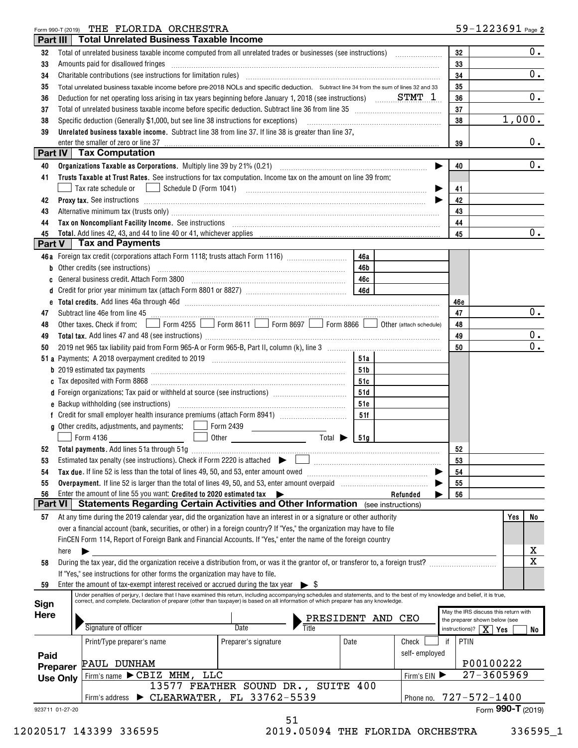#### Form 990-T (2019) Page THE FLORIDA ORCHESTRA

|                | Part III        | <b>Total Unrelated Business Taxable Income</b>                                                                                                                                                                                                                                                                            |                                    |                              |            |               |    |                                         |                                      |       |
|----------------|-----------------|---------------------------------------------------------------------------------------------------------------------------------------------------------------------------------------------------------------------------------------------------------------------------------------------------------------------------|------------------------------------|------------------------------|------------|---------------|----|-----------------------------------------|--------------------------------------|-------|
| 32             |                 |                                                                                                                                                                                                                                                                                                                           |                                    |                              |            |               |    | 32                                      |                                      | 0.    |
| 33             |                 | Amounts paid for disallowed fringes encourance and container and an amount of the same and the disaling contains                                                                                                                                                                                                          |                                    |                              |            |               |    | 33                                      |                                      |       |
| 34             |                 | Charitable contributions (see instructions for limitation rules) [11] manufacture in the contributions (see instructions for limitation rules) [11] manufacture in the contributions (see instructions for limitation rules) [                                                                                            | 34                                 |                              | 0.         |               |    |                                         |                                      |       |
| 35             |                 | Total unrelated business taxable income before pre-2018 NOLs and specific deduction. Subtract line 34 from the sum of lines 32 and 33                                                                                                                                                                                     |                                    | 35                           |            |               |    |                                         |                                      |       |
| 36             |                 | Deduction for net operating loss arising in tax years beginning before January 1, 2018 (see instructions) $S TMT$ 1                                                                                                                                                                                                       |                                    |                              |            |               |    | 36                                      |                                      | 0.    |
| 37             |                 |                                                                                                                                                                                                                                                                                                                           |                                    |                              |            |               |    | 37                                      | 1,000.                               |       |
| 38             |                 | Unrelated business taxable income. Subtract line 38 from line 37. If line 38 is greater than line 37,                                                                                                                                                                                                                     |                                    |                              |            |               |    | 38                                      |                                      |       |
| 39             |                 | enter the smaller of zero or line 37                                                                                                                                                                                                                                                                                      |                                    |                              |            |               |    | 39                                      |                                      | $0$ . |
|                |                 | Part IV   Tax Computation                                                                                                                                                                                                                                                                                                 |                                    |                              |            |               |    |                                         |                                      |       |
| 40             |                 |                                                                                                                                                                                                                                                                                                                           |                                    |                              |            |               | ▶  | 40                                      |                                      | 0.    |
| 41             |                 | Trusts Taxable at Trust Rates. See instructions for tax computation. Income tax on the amount on line 39 from:                                                                                                                                                                                                            |                                    |                              |            |               |    |                                         |                                      |       |
|                |                 | Tax rate schedule or <u>Internal Schedule D</u> (Form 1041) <b>Constantine Constantine Constantine Constantine Constantine Constantine Constantine Constantine Constantine Constantine Constantine Constantine Constantine Constantin</b>                                                                                 |                                    |                              |            |               | ▶  | 41                                      |                                      |       |
| 42             |                 |                                                                                                                                                                                                                                                                                                                           |                                    |                              |            |               |    | 42                                      |                                      |       |
| 43             |                 | Alternative minimum tax (trusts only) manufactured and an according term of the state of the state of the state of the state of the state of the state of the state of the state of the state of the state of the state of the                                                                                            |                                    |                              |            |               |    | 43                                      |                                      |       |
| 44             |                 | Tax on Noncompliant Facility Income. See instructions [11] All and the content of the set of the content of the set of the set of the set of the set of the set of the set of the set of the set of the set of the set of the                                                                                             |                                    |                              |            |               |    | 44                                      |                                      |       |
| 45             |                 |                                                                                                                                                                                                                                                                                                                           |                                    |                              |            |               |    | 45                                      |                                      | 0.    |
|                |                 | Part $V$   Tax and Payments                                                                                                                                                                                                                                                                                               |                                    |                              |            |               |    |                                         |                                      |       |
|                |                 | 46a Foreign tax credit (corporations attach Form 1118; trusts attach Form 1116) [                                                                                                                                                                                                                                         |                                    |                              | 46a        |               |    |                                         |                                      |       |
| b              |                 | Other credits (see instructions) www.communically.communically.communically                                                                                                                                                                                                                                               |                                    |                              | 46b        |               |    |                                         |                                      |       |
|                |                 |                                                                                                                                                                                                                                                                                                                           |                                    |                              | 46c        |               |    |                                         |                                      |       |
| d              |                 |                                                                                                                                                                                                                                                                                                                           |                                    |                              |            |               |    |                                         |                                      |       |
| e              |                 | Total credits. Add lines 46a through 46d [111] [12] Martin March 2014 (13) Total credits. Add lines 46a through 46d                                                                                                                                                                                                       |                                    |                              |            |               |    | 46e                                     |                                      |       |
| 47             |                 | Subtract line 46e from line 45 <b>manual contract of the 45</b> manual contract line 46e from line 45                                                                                                                                                                                                                     |                                    |                              |            |               |    | 47                                      |                                      | 0.    |
| 48             |                 | Other taxes. Check if from: Form 4255 Form 8611 Form 8697 Form 8866 Ober (attach schedule)                                                                                                                                                                                                                                |                                    |                              |            |               |    | 48                                      |                                      |       |
| 49             |                 |                                                                                                                                                                                                                                                                                                                           |                                    |                              |            |               |    | 49                                      |                                      | 0.    |
| 50             |                 |                                                                                                                                                                                                                                                                                                                           |                                    |                              |            |               |    | 50                                      |                                      | 0.    |
|                |                 |                                                                                                                                                                                                                                                                                                                           |                                    |                              | 51a        |               |    |                                         |                                      |       |
|                |                 |                                                                                                                                                                                                                                                                                                                           |                                    |                              | 51b        |               |    |                                         |                                      |       |
|                |                 |                                                                                                                                                                                                                                                                                                                           |                                    |                              | 51c        |               |    |                                         |                                      |       |
|                |                 | d Foreign organizations: Tax paid or withheld at source (see instructions) [1000111111111111111111111111111111                                                                                                                                                                                                            |                                    |                              | 51d<br>51e |               |    |                                         |                                      |       |
|                |                 |                                                                                                                                                                                                                                                                                                                           |                                    |                              | 51f        |               |    |                                         |                                      |       |
|                |                 |                                                                                                                                                                                                                                                                                                                           |                                    |                              |            |               |    |                                         |                                      |       |
|                |                 | <b>Contract Contract Contract</b><br>Form 4136                                                                                                                                                                                                                                                                            |                                    | Total $\triangleright$   51g |            |               |    |                                         |                                      |       |
| 52             |                 |                                                                                                                                                                                                                                                                                                                           |                                    |                              |            |               |    | 52                                      |                                      |       |
|                |                 |                                                                                                                                                                                                                                                                                                                           |                                    |                              |            |               |    | 53                                      |                                      |       |
| 54             |                 |                                                                                                                                                                                                                                                                                                                           |                                    |                              |            |               |    | 54                                      |                                      |       |
| 55             |                 |                                                                                                                                                                                                                                                                                                                           |                                    |                              |            |               |    | 55                                      |                                      |       |
| 56             |                 | Enter the amount of line 55 you want: Credited to 2020 estimated tax                                                                                                                                                                                                                                                      |                                    |                              |            | Refunded      |    | 56                                      |                                      |       |
| <b>Part VI</b> |                 | Statements Regarding Certain Activities and Other Information (see instructions)                                                                                                                                                                                                                                          |                                    |                              |            |               |    |                                         |                                      |       |
| 57             |                 | At any time during the 2019 calendar year, did the organization have an interest in or a signature or other authority                                                                                                                                                                                                     |                                    |                              |            |               |    |                                         | Yes                                  | No    |
|                |                 | over a financial account (bank, securities, or other) in a foreign country? If "Yes," the organization may have to file                                                                                                                                                                                                   |                                    |                              |            |               |    |                                         |                                      |       |
|                |                 | FinCEN Form 114, Report of Foreign Bank and Financial Accounts. If "Yes," enter the name of the foreign country                                                                                                                                                                                                           |                                    |                              |            |               |    |                                         |                                      |       |
|                | here            |                                                                                                                                                                                                                                                                                                                           |                                    |                              |            |               |    |                                         |                                      | X     |
| 58             |                 | During the tax year, did the organization receive a distribution from, or was it the grantor of, or transferor to, a foreign trust?                                                                                                                                                                                       |                                    |                              |            |               |    |                                         |                                      | X     |
|                |                 | If "Yes," see instructions for other forms the organization may have to file.                                                                                                                                                                                                                                             |                                    |                              |            |               |    |                                         |                                      |       |
| 59             |                 | Enter the amount of tax-exempt interest received or accrued during the tax year $\triangleright$ \$                                                                                                                                                                                                                       |                                    |                              |            |               |    |                                         |                                      |       |
| Sign           |                 | Under penalties of perjury, I declare that I have examined this return, including accompanying schedules and statements, and to the best of my knowledge and belief, it is true,<br>correct, and complete. Declaration of preparer (other than taxpayer) is based on all information of which preparer has any knowledge. |                                    |                              |            |               |    |                                         |                                      |       |
| <b>Here</b>    |                 |                                                                                                                                                                                                                                                                                                                           |                                    |                              |            |               |    |                                         | May the IRS discuss this return with |       |
|                |                 | Signature of officer                                                                                                                                                                                                                                                                                                      | Date                               | PRESIDENT                    |            | AND<br>CEO    |    |                                         | the preparer shown below (see        |       |
|                |                 |                                                                                                                                                                                                                                                                                                                           |                                    | Title                        |            |               |    | instructions)? $\boxed{\mathbf{X}}$ Yes |                                      | No    |
|                |                 | Print/Type preparer's name                                                                                                                                                                                                                                                                                                | Preparer's signature               |                              | Date       | Check         | if | PTIN                                    |                                      |       |
| Paid           |                 |                                                                                                                                                                                                                                                                                                                           |                                    |                              |            | self-employed |    |                                         |                                      |       |
|                | Preparer        | PAUL DUNHAM                                                                                                                                                                                                                                                                                                               |                                    |                              |            |               |    |                                         | P00100222<br>$27 - 3605969$          |       |
|                | <b>Use Only</b> | Firm's name CBIZ MHM,<br>LLC                                                                                                                                                                                                                                                                                              | 13577 FEATHER SOUND DR., SUITE 400 |                              |            | Firm's EIN    |    |                                         |                                      |       |
|                |                 | $\triangleright$ CLEARWATER, FL 33762-5539                                                                                                                                                                                                                                                                                |                                    |                              |            |               |    |                                         | Phone no. 727-572-1400               |       |
|                |                 | Firm's address                                                                                                                                                                                                                                                                                                            |                                    |                              |            |               |    |                                         |                                      |       |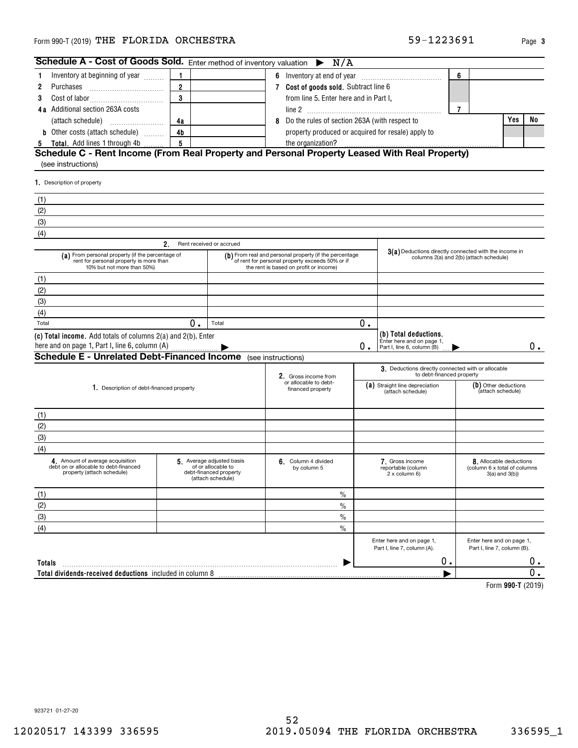#### Form 990-T (2019) Page THE FLORIDA ORCHESTRA 59-1223691

**4a** Additional section 263A costs line 2

**123**

**Schedule A - Cost of Goods Sold.** Enter method of inventory valuation  $\triangleright$ 

**4a**

**3** Cost of labor<sub>.....</sub>.............................

Inventory at beginning of year  $\,\ldots\ldots$ 

(attach schedule) ~~~~~~~~

|                   | Enter here and on page 1,<br>Part I, line 7, column (A). | Enter here and on page 1,<br>Part I, line 7, column (B). |
|-------------------|----------------------------------------------------------|----------------------------------------------------------|
|                   | 0.                                                       | О.                                                       |
| luded in column 8 |                                                          | 0                                                        |
|                   |                                                          | Form 990-T (2019)                                        |
|                   |                                                          |                                                          |
|                   |                                                          |                                                          |
|                   |                                                          |                                                          |
|                   |                                                          |                                                          |
|                   |                                                          |                                                          |
|                   |                                                          |                                                          |
|                   |                                                          |                                                          |
|                   |                                                          |                                                          |
|                   |                                                          |                                                          |
|                   |                                                          |                                                          |
| 52                |                                                          |                                                          |
| .                 | --------<br>-- -<br>--                                   | . . <i>.</i>                                             |

923721 01-27-20

12020517 143399 336595 2019.05094 THE FLORIDA ORCHESTRA 336595\_1

#### **Schedule C - Rent Income (From Real Property and Personal Property Leased With Real Property) 4b5b** Other costs (attach schedule)  $\,\,\ldots\,\,\ldots$ **5 Total.** Add lines 1 through 4b ........ property produced or acquired for resale) apply to the organization? (see instructions)

**7Cost of goods sold.** ~~~~~~~~~~~ Subtract line 6

**1 6** Inventory at end of year  $\frac{1}{2}$ 

from line 5. Enter here and in Part I,

N/A

**4a | COVID-10** 8 Do the rules of section 263A (with respect to

Purchases

**12**

| 1. Description of property                                                                                                |    |                                                                                               |                                                                                                                                                    |       |                                                                                  |                                                                                                  |
|---------------------------------------------------------------------------------------------------------------------------|----|-----------------------------------------------------------------------------------------------|----------------------------------------------------------------------------------------------------------------------------------------------------|-------|----------------------------------------------------------------------------------|--------------------------------------------------------------------------------------------------|
| (1)                                                                                                                       |    |                                                                                               |                                                                                                                                                    |       |                                                                                  |                                                                                                  |
| (2)                                                                                                                       |    |                                                                                               |                                                                                                                                                    |       |                                                                                  |                                                                                                  |
| (3)                                                                                                                       |    |                                                                                               |                                                                                                                                                    |       |                                                                                  |                                                                                                  |
| (4)                                                                                                                       |    |                                                                                               |                                                                                                                                                    |       |                                                                                  |                                                                                                  |
|                                                                                                                           | 2. | Rent received or accrued                                                                      |                                                                                                                                                    |       |                                                                                  |                                                                                                  |
| (a) From personal property (if the percentage of<br>rent for personal property is more than<br>10% but not more than 50%) |    |                                                                                               | $(b)$ From real and personal property (if the percentage of rent for personal property exceeds 50% or if<br>the rent is based on profit or income) |       |                                                                                  | 3(a) Deductions directly connected with the income in<br>columns 2(a) and 2(b) (attach schedule) |
| (1)                                                                                                                       |    |                                                                                               |                                                                                                                                                    |       |                                                                                  |                                                                                                  |
| (2)                                                                                                                       |    |                                                                                               |                                                                                                                                                    |       |                                                                                  |                                                                                                  |
| (3)                                                                                                                       |    |                                                                                               |                                                                                                                                                    |       |                                                                                  |                                                                                                  |
| (4)                                                                                                                       |    |                                                                                               |                                                                                                                                                    |       |                                                                                  |                                                                                                  |
| Total                                                                                                                     | 0. | Total                                                                                         |                                                                                                                                                    | 0.    |                                                                                  |                                                                                                  |
| (c) Total income. Add totals of columns 2(a) and 2(b). Enter<br>here and on page 1, Part I, line 6, column (A)            |    |                                                                                               |                                                                                                                                                    | $0$ . | (b) Total deductions.<br>Enter here and on page 1,<br>Part I, line 6, column (B) | 0.                                                                                               |
| <b>Schedule E - Unrelated Debt-Financed Income</b> (see instructions)                                                     |    |                                                                                               |                                                                                                                                                    |       |                                                                                  |                                                                                                  |
|                                                                                                                           |    |                                                                                               | 2. Gross income from                                                                                                                               |       | 3. Deductions directly connected with or allocable<br>to debt-financed property  |                                                                                                  |
| 1. Description of debt-financed property                                                                                  |    |                                                                                               | or allocable to debt-<br>financed property                                                                                                         |       | (a) Straight line depreciation<br>(attach schedule)                              | (b) Other deductions<br>(attach schedule)                                                        |
| (1)                                                                                                                       |    |                                                                                               |                                                                                                                                                    |       |                                                                                  |                                                                                                  |
| (2)                                                                                                                       |    |                                                                                               |                                                                                                                                                    |       |                                                                                  |                                                                                                  |
| (3)                                                                                                                       |    |                                                                                               |                                                                                                                                                    |       |                                                                                  |                                                                                                  |
| (4)                                                                                                                       |    |                                                                                               |                                                                                                                                                    |       |                                                                                  |                                                                                                  |
| 4 Amount of average acquisition<br>debt on or allocable to debt-financed<br>property (attach schedule)                    |    | 5 Average adjusted basis<br>of or allocable to<br>debt-financed property<br>(attach schedule) | 6. Column 4 divided<br>by column 5                                                                                                                 |       | 7. Gross income<br>reportable (column<br>2 x column 6)                           | 8. Allocable deductions<br>(column 6 x total of columns<br>$3(a)$ and $3(b)$                     |
| (1)                                                                                                                       |    |                                                                                               | $\frac{0}{0}$                                                                                                                                      |       |                                                                                  |                                                                                                  |
| (2)                                                                                                                       |    |                                                                                               | $\frac{0}{0}$                                                                                                                                      |       |                                                                                  |                                                                                                  |
| (3)                                                                                                                       |    |                                                                                               | $\frac{0}{0}$                                                                                                                                      |       |                                                                                  |                                                                                                  |
| (4)                                                                                                                       |    |                                                                                               | $\frac{0}{0}$                                                                                                                                      |       |                                                                                  |                                                                                                  |
|                                                                                                                           |    |                                                                                               |                                                                                                                                                    |       | Enter here and on page 1,<br>Part I, line 7, column (A).                         | Enter here and on page 1,<br>Part I, line 7, column (B).                                         |
| Totals                                                                                                                    |    |                                                                                               |                                                                                                                                                    |       | 0.                                                                               | 0.                                                                                               |
| Total dividends-received deductions included in column 8                                                                  |    |                                                                                               |                                                                                                                                                    |       |                                                                                  | $\overline{0}$ .                                                                                 |
|                                                                                                                           |    |                                                                                               |                                                                                                                                                    |       |                                                                                  | Form 990-T (2019)                                                                                |

**6**

**7**

**Yes No**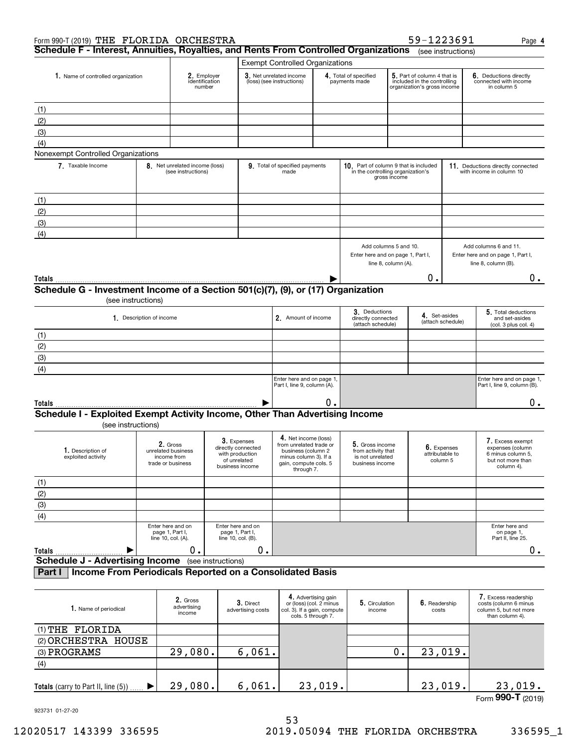| Form 990-T (2019) THE FLORIDA ORCHESTRA                                              |                          |                                                      |                                                                                         |                                                                                                                                       |                                                                                                     |                                                                              |                     | 59-1223691                                                                                |                                            | Page 4                                                                                       |
|--------------------------------------------------------------------------------------|--------------------------|------------------------------------------------------|-----------------------------------------------------------------------------------------|---------------------------------------------------------------------------------------------------------------------------------------|-----------------------------------------------------------------------------------------------------|------------------------------------------------------------------------------|---------------------|-------------------------------------------------------------------------------------------|--------------------------------------------|----------------------------------------------------------------------------------------------|
| Schedule F - Interest, Annuities, Royalties, and Rents From Controlled Organizations |                          |                                                      |                                                                                         |                                                                                                                                       |                                                                                                     |                                                                              |                     |                                                                                           | (see instructions)                         |                                                                                              |
|                                                                                      |                          |                                                      |                                                                                         | <b>Exempt Controlled Organizations</b>                                                                                                |                                                                                                     |                                                                              |                     |                                                                                           |                                            |                                                                                              |
| 1. Name of controlled organization                                                   |                          | 2. Employer<br>identification<br>number              |                                                                                         | 3. Net unrelated income<br>(loss) (see instructions)                                                                                  |                                                                                                     | 4. Total of specified<br>payments made                                       |                     | 5. Part of column 4 that is<br>included in the controlling<br>organization's gross income |                                            | 6. Deductions directly<br>connected with income<br>in column 5                               |
| (1)                                                                                  |                          |                                                      |                                                                                         |                                                                                                                                       |                                                                                                     |                                                                              |                     |                                                                                           |                                            |                                                                                              |
| (2)                                                                                  |                          |                                                      |                                                                                         |                                                                                                                                       |                                                                                                     |                                                                              |                     |                                                                                           |                                            |                                                                                              |
|                                                                                      |                          |                                                      |                                                                                         |                                                                                                                                       |                                                                                                     |                                                                              |                     |                                                                                           |                                            |                                                                                              |
| (3)                                                                                  |                          |                                                      |                                                                                         |                                                                                                                                       |                                                                                                     |                                                                              |                     |                                                                                           |                                            |                                                                                              |
| (4)<br>Nonexempt Controlled Organizations                                            |                          |                                                      |                                                                                         |                                                                                                                                       |                                                                                                     |                                                                              |                     |                                                                                           |                                            |                                                                                              |
| 7. Taxable Income                                                                    |                          | 8. Net unrelated income (loss)<br>(see instructions) |                                                                                         | 9. Total of specified payments<br>made                                                                                                |                                                                                                     | 10. Part of column 9 that is included<br>in the controlling organization's   | gross income        |                                                                                           |                                            | 11. Deductions directly connected<br>with income in column 10                                |
|                                                                                      |                          |                                                      |                                                                                         |                                                                                                                                       |                                                                                                     |                                                                              |                     |                                                                                           |                                            |                                                                                              |
| (1)                                                                                  |                          |                                                      |                                                                                         |                                                                                                                                       |                                                                                                     |                                                                              |                     |                                                                                           |                                            |                                                                                              |
| (2)                                                                                  |                          |                                                      |                                                                                         |                                                                                                                                       |                                                                                                     |                                                                              |                     |                                                                                           |                                            |                                                                                              |
| (3)                                                                                  |                          |                                                      |                                                                                         |                                                                                                                                       |                                                                                                     |                                                                              |                     |                                                                                           |                                            |                                                                                              |
| (4)                                                                                  |                          |                                                      |                                                                                         |                                                                                                                                       |                                                                                                     |                                                                              |                     |                                                                                           |                                            |                                                                                              |
|                                                                                      |                          |                                                      |                                                                                         |                                                                                                                                       |                                                                                                     | Add columns 5 and 10.<br>Enter here and on page 1, Part I,                   | line 8, column (A). |                                                                                           |                                            | Add columns 6 and 11.<br>Enter here and on page 1, Part I,<br>line 8, column (B).            |
| Totals                                                                               |                          |                                                      |                                                                                         |                                                                                                                                       |                                                                                                     |                                                                              |                     | 0.                                                                                        |                                            | 0.                                                                                           |
| Schedule G - Investment Income of a Section 501(c)(7), (9), or (17) Organization     |                          |                                                      |                                                                                         |                                                                                                                                       |                                                                                                     |                                                                              |                     |                                                                                           |                                            |                                                                                              |
| (see instructions)                                                                   |                          |                                                      |                                                                                         |                                                                                                                                       |                                                                                                     |                                                                              |                     |                                                                                           |                                            |                                                                                              |
|                                                                                      | 1. Description of income |                                                      |                                                                                         | 2. Amount of income                                                                                                                   |                                                                                                     | 3. Deductions<br>directly connected<br>(attach schedule)                     |                     | 4. Set-asides                                                                             | (attach schedule)                          | 5. Total deductions<br>and set-asides<br>(col. 3 plus col. 4)                                |
| (1)                                                                                  |                          |                                                      |                                                                                         |                                                                                                                                       |                                                                                                     |                                                                              |                     |                                                                                           |                                            |                                                                                              |
| (2)                                                                                  |                          |                                                      |                                                                                         |                                                                                                                                       |                                                                                                     |                                                                              |                     |                                                                                           |                                            |                                                                                              |
| (3)                                                                                  |                          |                                                      |                                                                                         |                                                                                                                                       |                                                                                                     |                                                                              |                     |                                                                                           |                                            |                                                                                              |
| (4)                                                                                  |                          |                                                      |                                                                                         |                                                                                                                                       |                                                                                                     |                                                                              |                     |                                                                                           |                                            |                                                                                              |
|                                                                                      |                          |                                                      |                                                                                         | Enter here and on page 1                                                                                                              |                                                                                                     |                                                                              |                     |                                                                                           |                                            | Enter here and on page 1,                                                                    |
|                                                                                      |                          |                                                      |                                                                                         | Part I, line 9, column (A).                                                                                                           |                                                                                                     |                                                                              |                     |                                                                                           |                                            | Part I, line 9, column (B).                                                                  |
| Totals                                                                               |                          |                                                      |                                                                                         |                                                                                                                                       | 0.                                                                                                  |                                                                              |                     |                                                                                           |                                            | 0.                                                                                           |
| Schedule I - Exploited Exempt Activity Income, Other Than Advertising Income         |                          |                                                      |                                                                                         |                                                                                                                                       |                                                                                                     |                                                                              |                     |                                                                                           |                                            |                                                                                              |
| (see instructions)                                                                   |                          |                                                      |                                                                                         |                                                                                                                                       |                                                                                                     |                                                                              |                     |                                                                                           |                                            |                                                                                              |
|                                                                                      |                          |                                                      |                                                                                         |                                                                                                                                       |                                                                                                     |                                                                              |                     |                                                                                           |                                            |                                                                                              |
| 1. Description of<br>exploited activity                                              | trade or business        | 2. Gross<br>unrelated business<br>income from        | 3. Expenses<br>directly connected<br>with production<br>of unrelated<br>business income | 4. Net income (loss)<br>from unrelated trade or<br>business (column 2<br>minus column 3). If a<br>gain, compute cols. 5<br>through 7. |                                                                                                     | 5. Gross income<br>from activity that<br>is not unrelated<br>business income |                     |                                                                                           | 6. Expenses<br>attributable to<br>column 5 | 7. Excess exempt<br>expenses (column<br>6 minus column 5,<br>but not more than<br>column 4). |
| (1)                                                                                  |                          |                                                      |                                                                                         |                                                                                                                                       |                                                                                                     |                                                                              |                     |                                                                                           |                                            |                                                                                              |
| (2)                                                                                  |                          |                                                      |                                                                                         |                                                                                                                                       |                                                                                                     |                                                                              |                     |                                                                                           |                                            |                                                                                              |
| (3)                                                                                  |                          |                                                      |                                                                                         |                                                                                                                                       |                                                                                                     |                                                                              |                     |                                                                                           |                                            |                                                                                              |
| (4)                                                                                  |                          |                                                      |                                                                                         |                                                                                                                                       |                                                                                                     |                                                                              |                     |                                                                                           |                                            |                                                                                              |
|                                                                                      | line 10, col. (A).       | Enter here and on<br>page 1, Part I,                 | Enter here and on<br>page 1, Part I,<br>line 10, col. (B).                              |                                                                                                                                       |                                                                                                     |                                                                              |                     |                                                                                           |                                            | Enter here and<br>on page 1,<br>Part II, line 25.                                            |
| Totals<br>▶                                                                          |                          | 0.                                                   | 0.                                                                                      |                                                                                                                                       |                                                                                                     |                                                                              |                     |                                                                                           |                                            | 0.                                                                                           |
| <b>Schedule J - Advertising Income</b>                                               |                          | (see instructions)                                   |                                                                                         |                                                                                                                                       |                                                                                                     |                                                                              |                     |                                                                                           |                                            |                                                                                              |
| Income From Periodicals Reported on a Consolidated Basis<br>Part I                   |                          |                                                      |                                                                                         |                                                                                                                                       |                                                                                                     |                                                                              |                     |                                                                                           |                                            |                                                                                              |
| 1. Name of periodical                                                                |                          | 2. Gross<br>advertising<br>income                    | 3. Direct<br>advertising costs                                                          |                                                                                                                                       | 4. Advertising gain<br>or (loss) (col. 2 minus<br>col. 3). If a gain, compute<br>cols. 5 through 7. | 5. Circulation<br>income                                                     |                     | 6. Readership<br>costs                                                                    |                                            | 7. Excess readership<br>costs (column 6 minus<br>column 5, but not more<br>than column 4).   |
| (1) THE FLORIDA                                                                      |                          |                                                      |                                                                                         |                                                                                                                                       |                                                                                                     |                                                                              |                     |                                                                                           |                                            |                                                                                              |
| (2) ORCHESTRA HOUSE                                                                  |                          |                                                      |                                                                                         |                                                                                                                                       |                                                                                                     |                                                                              |                     |                                                                                           |                                            |                                                                                              |
| (3) PROGRAMS                                                                         |                          | 29,080.                                              | 6,061.                                                                                  |                                                                                                                                       |                                                                                                     |                                                                              | 0.                  |                                                                                           | 23,019.                                    |                                                                                              |
|                                                                                      |                          |                                                      |                                                                                         |                                                                                                                                       |                                                                                                     |                                                                              |                     |                                                                                           |                                            |                                                                                              |

| (4)                                      |            |      |                   |  |                               |
|------------------------------------------|------------|------|-------------------|--|-------------------------------|
|                                          |            |      |                   |  |                               |
| Totals (carry to Part II, line (5))<br>. | 080.<br>29 | 061. | <b>010</b><br>ر ، |  |                               |
|                                          |            |      |                   |  | $F_{\text{arm}}$ 990-T (2010) |

923731 01-27-20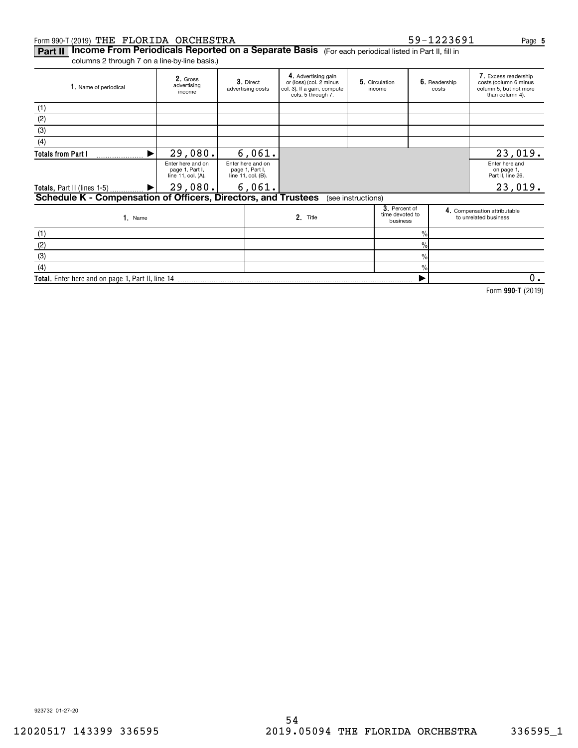#### Form 990-T (2019) Page THE FLORIDA ORCHESTRA 59-1223691

923732 01-27-20

## **Part II | Income From Periodicals Reported on a Separate Basis** (For each periodical listed in Part II, fill in

columns 2 through 7 on a line-by-line basis.)

| 1. Name of periodical                                          | 2. Gross<br>advertising<br>income                          | 3. Direct<br>advertising costs                             | 4. Advertising gain<br>or (loss) (col. 2 minus<br>col. 3). If a gain, compute<br>cols. 5 through 7. | 5. Circulation<br>income                     |                | 6. Readership<br>costs | 7. Excess readership<br>costs (column 6 minus<br>column 5, but not more<br>than column 4). |
|----------------------------------------------------------------|------------------------------------------------------------|------------------------------------------------------------|-----------------------------------------------------------------------------------------------------|----------------------------------------------|----------------|------------------------|--------------------------------------------------------------------------------------------|
| (1)                                                            |                                                            |                                                            |                                                                                                     |                                              |                |                        |                                                                                            |
| (2)                                                            |                                                            |                                                            |                                                                                                     |                                              |                |                        |                                                                                            |
| (3)                                                            |                                                            |                                                            |                                                                                                     |                                              |                |                        |                                                                                            |
| (4)                                                            |                                                            |                                                            |                                                                                                     |                                              |                |                        |                                                                                            |
| <b>Totals from Part I</b>                                      | 29,080.                                                    | 6,061.                                                     |                                                                                                     |                                              |                |                        | 23,019.                                                                                    |
|                                                                | Enter here and on<br>page 1, Part I,<br>line 11, col. (A). | Enter here and on<br>page 1, Part I,<br>line 11, col. (B). |                                                                                                     |                                              |                |                        | Enter here and<br>on page 1,<br>Part II, line 26.                                          |
| <b>Totals, Part II (lines 1-5)</b><br>▶                        | 29,080.                                                    | 6,061.                                                     |                                                                                                     |                                              |                |                        | 23,019.                                                                                    |
| Schedule K - Compensation of Officers, Directors, and Trustees |                                                            |                                                            |                                                                                                     | (see instructions)                           |                |                        |                                                                                            |
| 1. Name                                                        |                                                            |                                                            | 2. Title                                                                                            | 3. Percent of<br>time devoted to<br>business |                |                        | 4. Compensation attributable<br>to unrelated business                                      |
| (1)                                                            |                                                            |                                                            |                                                                                                     |                                              | $\frac{9}{6}$  |                        |                                                                                            |
| (2)                                                            |                                                            |                                                            |                                                                                                     |                                              | $\frac{9}{10}$ |                        |                                                                                            |
| (3)                                                            |                                                            |                                                            |                                                                                                     |                                              | $\%$           |                        |                                                                                            |
| (4)                                                            |                                                            |                                                            |                                                                                                     |                                              | $\%$           |                        |                                                                                            |
| Total. Enter here and on page 1, Part II, line 14              |                                                            |                                                            |                                                                                                     |                                              |                |                        | 0.                                                                                         |

54

**990-T**  Form (2019)

**5**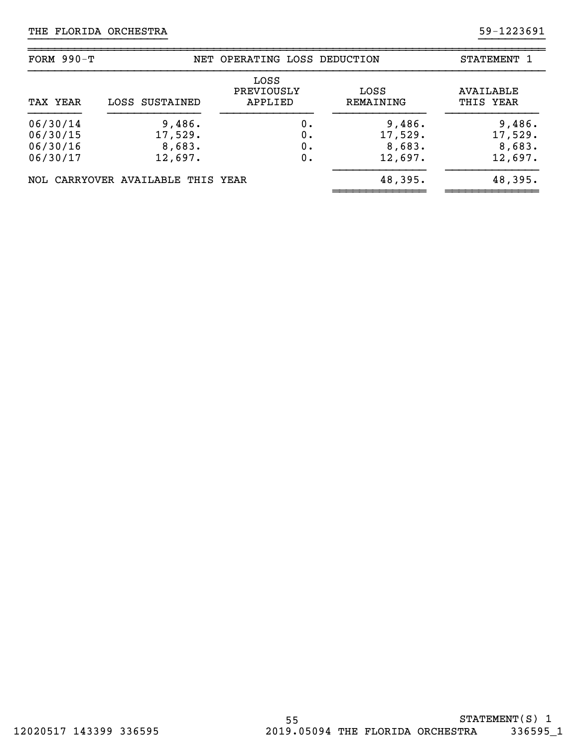| FORM $990-T$                                 |                                        | NET OPERATING LOSS DEDUCTION  |                                        | STATEMENT 1                            |
|----------------------------------------------|----------------------------------------|-------------------------------|----------------------------------------|----------------------------------------|
| TAX YEAR                                     | LOSS SUSTAINED                         | LOSS<br>PREVIOUSLY<br>APPLIED | LOSS<br>REMAINING                      | AVAILABLE<br>THIS YEAR                 |
| 06/30/14<br>06/30/15<br>06/30/16<br>06/30/17 | 9,486.<br>17,529.<br>8,683.<br>12,697. | 0.<br>Ο.<br>0.<br>0.          | 9,486.<br>17,529.<br>8,683.<br>12,697. | 9,486.<br>17,529.<br>8,683.<br>12,697. |
|                                              | NOL CARRYOVER AVAILABLE THIS YEAR      |                               | 48,395.                                | 48,395.                                |

}}}}}}}}}}}}}}}}}}}}} }}}}}}}}}}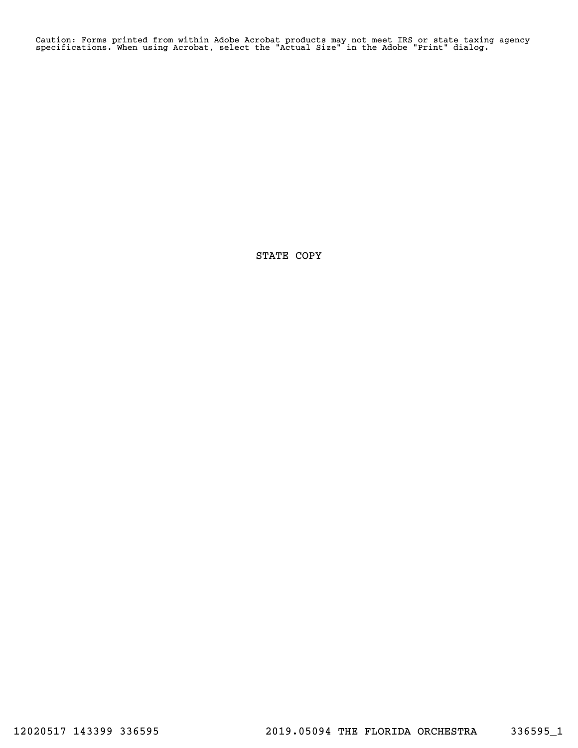Caution: Forms printed from within Adobe Acrobat products may not meet IRS or state taxing agency specifications. When using Acrobat, select the "Actual Size" in the Adobe "Print" dialog.

STATE COPY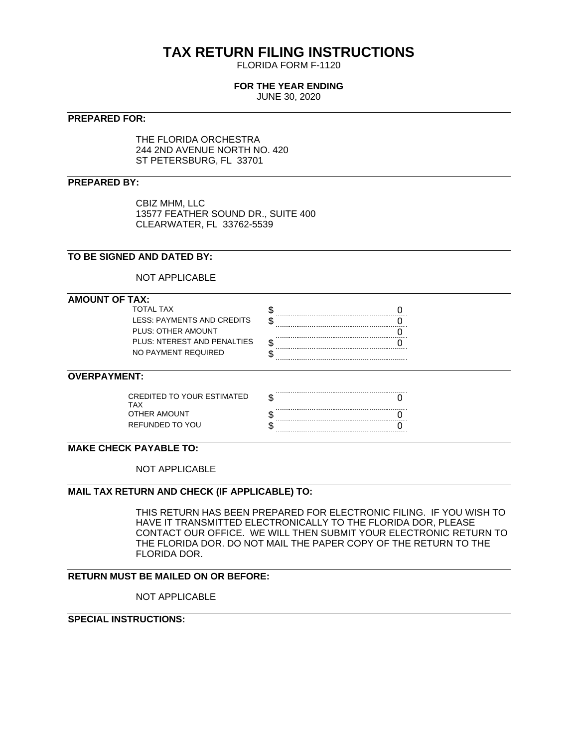# **TAX RETURN FILING INSTRUCTIONS**

FLORIDA FORM F-1120

## **FOR THE YEAR ENDING**

JUNE 30, 2020

#### **PREPARED FOR:**

THE FLORIDA ORCHESTRA 244 2ND AVENUE NORTH NO. 420 ST PETERSBURG, FL 33701

#### **PREPARED BY:**

CBIZ MHM, LLC 13577 FEATHER SOUND DR., SUITE 400 CLEARWATER, FL 33762-5539

#### **TO BE SIGNED AND DATED BY:**

NOT APPLICABLE

#### **AMOUNT OF TAX:**

| TOTAI TAX                   |  |
|-----------------------------|--|
| LESS: PAYMENTS AND CREDITS  |  |
| PLUS: OTHER AMOUNT          |  |
| PLUS: NTEREST AND PENALTIES |  |
| NO PAYMENT REQUIRED         |  |

#### **OVERPAYMENT:**

| CREDITED TO YOUR ESTIMATED |  |
|----------------------------|--|
| OTHER AMOUNT               |  |
| REFUNDED TO YOU            |  |

#### **MAKE CHECK PAYABLE TO:**

NOT APPLICABLE

#### **MAIL TAX RETURN AND CHECK (IF APPLICABLE) TO:**

THIS RETURN HAS BEEN PREPARED FOR ELECTRONIC FILING. IF YOU WISH TO HAVE IT TRANSMITTED ELECTRONICALLY TO THE FLORIDA DOR, PLEASE CONTACT OUR OFFICE. WE WILL THEN SUBMIT YOUR ELECTRONIC RETURN TO THE FLORIDA DOR. DO NOT MAIL THE PAPER COPY OF THE RETURN TO THE FLORIDA DOR.

#### **RETURN MUST BE MAILED ON OR BEFORE:**

NOT APPLICABLE

## **SPECIAL INSTRUCTIONS:**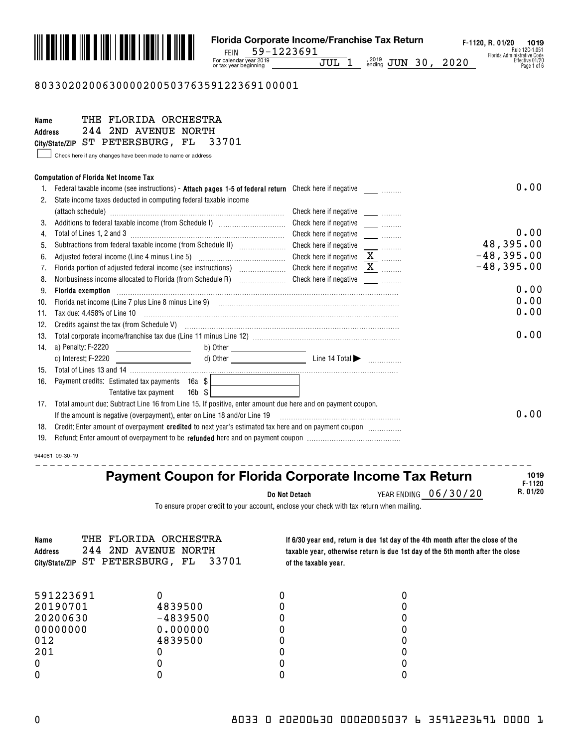

#### 803302020063000020050376359122369100001

| Name           | THE FLORIDA ORCHESTRA                                                                                                                                          |                                                               |              |
|----------------|----------------------------------------------------------------------------------------------------------------------------------------------------------------|---------------------------------------------------------------|--------------|
| <b>Address</b> | 244 2ND AVENUE NORTH                                                                                                                                           |                                                               |              |
|                | City/State/ZIP ST PETERSBURG, FL<br>33701                                                                                                                      |                                                               |              |
|                | Check here if any changes have been made to name or address                                                                                                    |                                                               |              |
|                |                                                                                                                                                                |                                                               |              |
|                | <b>Computation of Florida Net Income Tax</b>                                                                                                                   |                                                               | 0.00         |
| 1.             |                                                                                                                                                                |                                                               |              |
| 2.             | State income taxes deducted in computing federal taxable income                                                                                                |                                                               |              |
|                |                                                                                                                                                                |                                                               |              |
| 3.             | Additions to federal taxable income (from Schedule I) [11] [12] [12] [13] Additions to federal taxable income (from Schedule I)<br>Total of Lines 1, 2 and 3   | Check here if negative <b>Check</b> here if negative          | 0.00         |
| 4.             |                                                                                                                                                                |                                                               | 48,395.00    |
| 5.             |                                                                                                                                                                | Check here if negative                                        | $-48,395.00$ |
| 6.             | Adjusted federal income (Line 4 minus Line 5) [100] [100] [100] [100] [100] [100] [100] [100] [100] [100] [100                                                 | Check here if negative $\underline{\mathbf{X}}$               | $-48,395.00$ |
| 7.             |                                                                                                                                                                | Check here if negative $X$                                    |              |
| 8.             | Nonbusiness income allocated to Florida (from Schedule R) [19] [19] Check here if negative [19] [19] Nonbusiness income allocated to Florida (from Schedule R) |                                                               | 0.00         |
| 9.             | Florida exemption                                                                                                                                              |                                                               | 0.00         |
| 10.            |                                                                                                                                                                |                                                               | 0.00         |
| 11.            | Tax due: 4.458% of Line 10                                                                                                                                     |                                                               |              |
| 12.            | Credits against the tax (from Schedule V) <b>manual construct of the Credits</b> against the tax (from Schedule V)                                             |                                                               | 0.00         |
| 13.            |                                                                                                                                                                |                                                               |              |
| 14.            | a) Penalty: F-2220 _______________________                                                                                                                     |                                                               |              |
|                | c) Interest: F-2220                                                                                                                                            |                                                               |              |
| 15.            |                                                                                                                                                                |                                                               |              |
| 16.            | Payment credits: Estimated tax payments 16a \$                                                                                                                 |                                                               |              |
|                | $16b$ $$$<br>Tentative tax payment                                                                                                                             |                                                               |              |
| 17.            | Total amount due: Subtract Line 16 from Line 15. If positive, enter amount due here and on payment coupon.                                                     |                                                               | 0.00         |
|                | If the amount is negative (overpayment), enter on Line 18 and/or Line 19                                                                                       |                                                               |              |
| 18.            | Credit: Enter amount of overpayment credited to next year's estimated tax here and on payment coupon <i>management</i>                                         |                                                               |              |
| 19.            |                                                                                                                                                                |                                                               |              |
|                | 944081 09-30-19                                                                                                                                                |                                                               |              |
|                |                                                                                                                                                                |                                                               | 1019         |
|                |                                                                                                                                                                | <b>Payment Coupon for Florida Corporate Income Tax Return</b> | E.1190       |

**Do Not Detach**

YEAR ENDING 06/30/20

**F-1120 R. 01/20**

To ensure proper credit to your account, enclose your check with tax return when mailing.

| THE<br>Name<br>244<br><b>Address</b><br>City/State/ZIP | FLORIDA ORCHESTRA<br>2ND AVENUE NORTH<br>33701<br>ST PETERSBURG, FL | of the taxable year. | If 6/30 year end, return is due 1st day of the 4th month after the close of the<br>taxable year, otherwise return is due 1st day of the 5th month after the close |
|--------------------------------------------------------|---------------------------------------------------------------------|----------------------|-------------------------------------------------------------------------------------------------------------------------------------------------------------------|
| 591223691                                              |                                                                     |                      |                                                                                                                                                                   |
| 20190701                                               | 4839500                                                             |                      |                                                                                                                                                                   |
| 20200630                                               | $-4839500$                                                          |                      |                                                                                                                                                                   |
| 00000000                                               | 0.000000                                                            |                      |                                                                                                                                                                   |
| 012                                                    | 4839500                                                             |                      |                                                                                                                                                                   |
| 201                                                    |                                                                     |                      |                                                                                                                                                                   |
|                                                        |                                                                     |                      |                                                                                                                                                                   |
|                                                        |                                                                     |                      |                                                                                                                                                                   |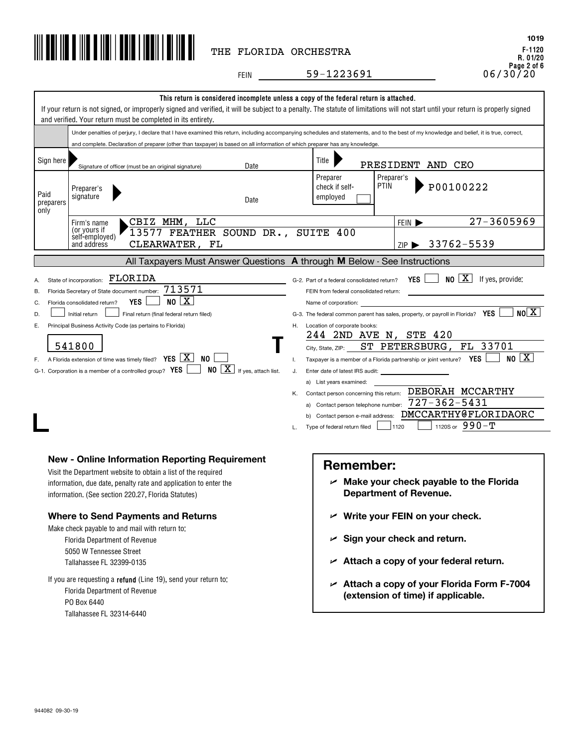

**F-1120 R. 01/20 Page 2 of 6** 06/30/20 **1019**

FEIN \_\_\_\_\_\_\_\_\_\_\_59-1223691

|                                                                                                                                                                                                                                                                                                                                                                                                                                                                                                                                                                                                                                                                                                                                                                                                                                                                                                                                                                                                                                                                                                                                                                                                                                                                                                                            | and verified. Your return must be completed in its entirety.                                                                                                                                                                                                                                                                                                                                                                              | This return is considered incomplete unless a copy of the federal return is attached.<br>If your return is not signed, or improperly signed and verified, it will be subject to a penalty. The statute of limitations will not start until your return is properly signed |  |
|----------------------------------------------------------------------------------------------------------------------------------------------------------------------------------------------------------------------------------------------------------------------------------------------------------------------------------------------------------------------------------------------------------------------------------------------------------------------------------------------------------------------------------------------------------------------------------------------------------------------------------------------------------------------------------------------------------------------------------------------------------------------------------------------------------------------------------------------------------------------------------------------------------------------------------------------------------------------------------------------------------------------------------------------------------------------------------------------------------------------------------------------------------------------------------------------------------------------------------------------------------------------------------------------------------------------------|-------------------------------------------------------------------------------------------------------------------------------------------------------------------------------------------------------------------------------------------------------------------------------------------------------------------------------------------------------------------------------------------------------------------------------------------|---------------------------------------------------------------------------------------------------------------------------------------------------------------------------------------------------------------------------------------------------------------------------|--|
|                                                                                                                                                                                                                                                                                                                                                                                                                                                                                                                                                                                                                                                                                                                                                                                                                                                                                                                                                                                                                                                                                                                                                                                                                                                                                                                            |                                                                                                                                                                                                                                                                                                                                                                                                                                           | Under penalties of perjury, I declare that I have examined this return, including accompanying schedules and statements, and to the best of my knowledge and belief, it is true, correct,                                                                                 |  |
|                                                                                                                                                                                                                                                                                                                                                                                                                                                                                                                                                                                                                                                                                                                                                                                                                                                                                                                                                                                                                                                                                                                                                                                                                                                                                                                            | and complete. Declaration of preparer (other than taxpayer) is based on all information of which preparer has any knowledge.                                                                                                                                                                                                                                                                                                              |                                                                                                                                                                                                                                                                           |  |
| Sign here                                                                                                                                                                                                                                                                                                                                                                                                                                                                                                                                                                                                                                                                                                                                                                                                                                                                                                                                                                                                                                                                                                                                                                                                                                                                                                                  | Date<br>Signature of officer (must be an original signature)                                                                                                                                                                                                                                                                                                                                                                              | Title<br>PRESIDENT AND CEO                                                                                                                                                                                                                                                |  |
| Paid<br>preparers<br>only                                                                                                                                                                                                                                                                                                                                                                                                                                                                                                                                                                                                                                                                                                                                                                                                                                                                                                                                                                                                                                                                                                                                                                                                                                                                                                  | Preparer's<br>signature<br>Date                                                                                                                                                                                                                                                                                                                                                                                                           | Preparer<br>Preparer's<br><b>PTIN</b><br>P00100222<br>check if self-<br>employed                                                                                                                                                                                          |  |
|                                                                                                                                                                                                                                                                                                                                                                                                                                                                                                                                                                                                                                                                                                                                                                                                                                                                                                                                                                                                                                                                                                                                                                                                                                                                                                                            | CBIZ MHM, LLC<br>Firm's name                                                                                                                                                                                                                                                                                                                                                                                                              | 27-3605969<br>FEIN $\blacktriangleright$                                                                                                                                                                                                                                  |  |
|                                                                                                                                                                                                                                                                                                                                                                                                                                                                                                                                                                                                                                                                                                                                                                                                                                                                                                                                                                                                                                                                                                                                                                                                                                                                                                                            | (or yours if<br>13577 FEATHER SOUND DR., SUITE 400<br>self-employed)<br>and address<br>CLEARWATER, FL                                                                                                                                                                                                                                                                                                                                     | ZIP > 33762-5539                                                                                                                                                                                                                                                          |  |
|                                                                                                                                                                                                                                                                                                                                                                                                                                                                                                                                                                                                                                                                                                                                                                                                                                                                                                                                                                                                                                                                                                                                                                                                                                                                                                                            |                                                                                                                                                                                                                                                                                                                                                                                                                                           | All Taxpayers Must Answer Questions A through M Below - See Instructions                                                                                                                                                                                                  |  |
| FLORIDA<br>YES $\Box$ NO $\boxed{X}$<br>If yes, provide:<br>State of incorporation:<br>G-2. Part of a federal consolidated return?<br>713571<br>Florida Secretary of State document number:<br>FEIN from federal consolidated return:<br>В.<br>NO X<br><b>YES</b><br>Florida consolidated return?<br>C.<br>Name of corporation:<br>NO[X]<br>G-3. The federal common parent has sales, property, or payroll in Florida? YES<br>D.<br>Initial return<br>Final return (final federal return filed)<br>Principal Business Activity Code (as pertains to Florida)<br>H. Location of corporate books:<br>Е.<br>244 2ND AVE N, STE 420<br>541800<br>ST PETERSBURG, FL 33701<br>City, State, ZIP:<br>NO   X  <br>F. A Florida extension of time was timely filed? $YES \perp X$ NO<br>Taxpayer is a member of a Florida partnership or joint venture? $YES$<br>Τ.<br>$NO \left[\frac{\text{X}}{\text{M}}\right]$ If yes, attach list.<br>G-1. Corporation is a member of a controlled group? $YES$<br>J.<br>Enter date of latest IRS audit:<br>a) List years examined:<br>Contact person concerning this return: DEBORAH MCCARTHY<br>Κ.<br>$727 - 362 - 5431$<br>a) Contact person telephone number:<br>b) Contact person e-mail address: DMCCARTHY@FLORIDAORC<br>1120S or $990 - T$<br>1120<br>Type of federal return filed<br>L. |                                                                                                                                                                                                                                                                                                                                                                                                                                           |                                                                                                                                                                                                                                                                           |  |
|                                                                                                                                                                                                                                                                                                                                                                                                                                                                                                                                                                                                                                                                                                                                                                                                                                                                                                                                                                                                                                                                                                                                                                                                                                                                                                                            | <b>New - Online Information Reporting Requirement</b><br>Visit the Department website to obtain a list of the required<br>information, due date, penalty rate and application to enter the<br>information. (See section 220.27, Florida Statutes)<br><b>Where to Send Payments and Returns</b><br>Make check payable to and mail with return to:<br>Florida Department of Revenue<br>5050 W Tennessee Street<br>Tallahassee FL 32399-0135 | <b>Remember:</b><br>$\mathcal{L}$ Make your check payable to the Florida<br><b>Department of Revenue.</b><br>$\nu$ Write your FEIN on your check.<br>$\mathcal{L}$ Sign your check and return.<br>$\angle$ Attach a copy of your federal return.                          |  |
|                                                                                                                                                                                                                                                                                                                                                                                                                                                                                                                                                                                                                                                                                                                                                                                                                                                                                                                                                                                                                                                                                                                                                                                                                                                                                                                            | If you are requesting a refund (Line 19), send your return to:<br>Florida Department of Revenue<br>PO Box 6440<br>Tallahassee FL 32314-6440                                                                                                                                                                                                                                                                                               | $\sim$ Attach a copy of your Florida Form F-7004<br>(extension of time) if applicable.                                                                                                                                                                                    |  |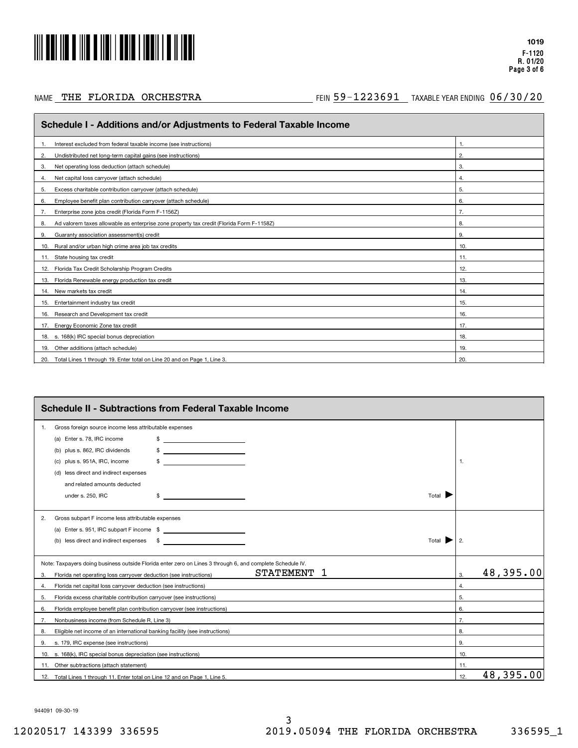

#### NAME THE FLORIDA ORCHESTRA

#### AE THE FLORIDA ORCHESTRA **1999 1223691 TAXABLE YEAR ENDING 06/30/20**

| Schedule I - Additions and/or Adjustments to Federal Taxable Income                            |     |  |  |
|------------------------------------------------------------------------------------------------|-----|--|--|
| Interest excluded from federal taxable income (see instructions)                               | 1.  |  |  |
| Undistributed net long-term capital gains (see instructions)<br>2.                             | 2.  |  |  |
| Net operating loss deduction (attach schedule)<br>3.                                           | 3.  |  |  |
| Net capital loss carryover (attach schedule)<br>4.                                             | 4.  |  |  |
| Excess charitable contribution carryover (attach schedule)<br>5.                               | 5.  |  |  |
| Employee benefit plan contribution carryover (attach schedule)<br>6.                           | 6.  |  |  |
| Enterprise zone jobs credit (Florida Form F-1156Z)<br>7.                                       | 7.  |  |  |
| Ad valorem taxes allowable as enterprise zone property tax credit (Florida Form F-1158Z)<br>8. | 8.  |  |  |
| Guaranty association assessment(s) credit<br>9.                                                | 9.  |  |  |
| 10. Rural and/or urban high crime area job tax credits                                         | 10. |  |  |
| 11. State housing tax credit                                                                   | 11. |  |  |
| 12. Florida Tax Credit Scholarship Program Credits                                             | 12. |  |  |
| 13. Florida Renewable energy production tax credit                                             | 13. |  |  |
| 14. New markets tax credit                                                                     | 14. |  |  |
| Entertainment industry tax credit<br>15.                                                       | 15. |  |  |
| Research and Development tax credit<br>16.                                                     | 16. |  |  |
| 17. Energy Economic Zone tax credit                                                            | 17. |  |  |
| 18. s. 168(k) IRC special bonus depreciation                                                   | 18. |  |  |
| 19. Other additions (attach schedule)                                                          | 19. |  |  |
| 20. Total Lines 1 through 19. Enter total on Line 20 and on Page 1, Line 3.                    | 20. |  |  |

|     | <b>Schedule II - Subtractions from Federal Taxable Income</b>                                             |     |           |  |  |
|-----|-----------------------------------------------------------------------------------------------------------|-----|-----------|--|--|
| 1.  | Gross foreign source income less attributable expenses                                                    |     |           |  |  |
|     | (a) Enter s. 78, IRC income                                                                               |     |           |  |  |
|     | (b) plus s. 862, IRC dividends                                                                            |     |           |  |  |
|     | <u> 1986 - John Stein, Amerikaansk kan</u><br>plus s. 951A, IRC, income                                   | 1.  |           |  |  |
|     | (d) less direct and indirect expenses                                                                     |     |           |  |  |
|     | and related amounts deducted                                                                              |     |           |  |  |
|     | Total<br>under s. 250, IRC<br><u> 1990 - Johann Barbara, martin a</u><br>\$                               |     |           |  |  |
| 2.  | Gross subpart F income less attributable expenses                                                         |     |           |  |  |
|     |                                                                                                           |     |           |  |  |
|     | less direct and indirect expenses<br><u> 1989 - Alexandr Alexandr III (</u><br>- \$<br>Total<br>(b)       | 2.  |           |  |  |
|     | Note: Taxpayers doing business outside Florida enter zero on Lines 3 through 6, and complete Schedule IV. |     |           |  |  |
| 3.  | <b>STATEMENT</b><br>1<br>Florida net operating loss carryover deduction (see instructions)                | 3.  | 48,395.00 |  |  |
| 4.  | Florida net capital loss carryover deduction (see instructions)                                           | 4.  |           |  |  |
| 5.  | Florida excess charitable contribution carryover (see instructions)                                       | 5.  |           |  |  |
| 6.  | Florida employee benefit plan contribution carryover (see instructions)                                   | 6.  |           |  |  |
| 7.  | Nonbusiness income (from Schedule R, Line 3)                                                              | 7.  |           |  |  |
| 8.  | Eligible net income of an international banking facility (see instructions)                               | 8.  |           |  |  |
| 9.  | s. 179, IRC expense (see instructions)                                                                    | 9.  |           |  |  |
| 10. | s. 168(k), IRC special bonus depreciation (see instructions)                                              | 10. |           |  |  |
|     | 11. Other subtractions (attach statement)                                                                 | 11. |           |  |  |
|     | 12. Total Lines 1 through 11. Enter total on Line 12 and on Page 1, Line 5.                               | 12. | 48,395.00 |  |  |

944091 09-30-19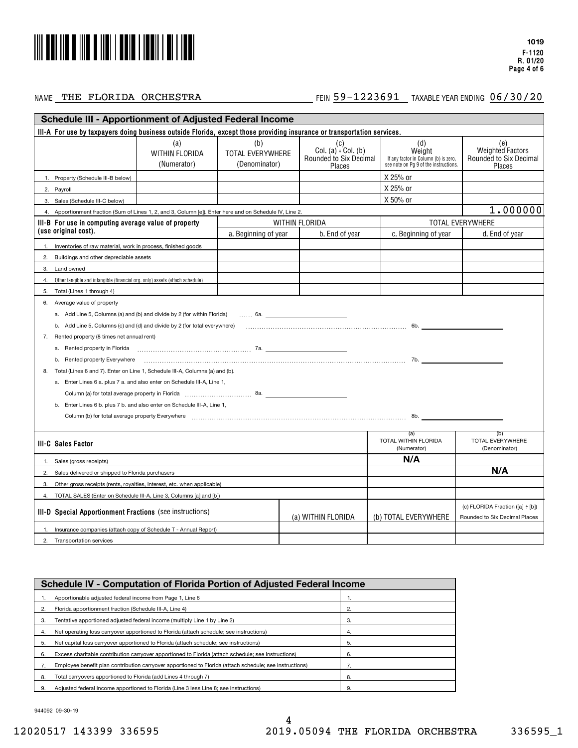

#### NAME THE FLORIDA ORCHESTRA

#### AE THE FLORIDA ORCHESTRA **1999 1223691 TAXABLE YEAR ENDING 06/30/20**

|              | <b>Schedule III - Apportionment of Adjusted Federal Income</b>                                                                                                                     |                                                                                                                                                                                                                                |                                                 |                                                                     |                                                                                                |                                                             |
|--------------|------------------------------------------------------------------------------------------------------------------------------------------------------------------------------------|--------------------------------------------------------------------------------------------------------------------------------------------------------------------------------------------------------------------------------|-------------------------------------------------|---------------------------------------------------------------------|------------------------------------------------------------------------------------------------|-------------------------------------------------------------|
|              | III-A For use by taxpayers doing business outside Florida, except those providing insurance or transportation services.                                                            |                                                                                                                                                                                                                                |                                                 |                                                                     |                                                                                                |                                                             |
|              |                                                                                                                                                                                    | (a)<br><b>WITHIN FLORIDA</b><br>(Numerator)                                                                                                                                                                                    | (b)<br><b>TOTAL EVERYWHERE</b><br>(Denominator) | (c)<br>Col. (a) $\div$ Col. (b)<br>Rounded to Six Decimal<br>Places | (d)<br>Weight<br>If any factor in Column (b) is zero,<br>see note on Pg 9 of the instructions. | (e)<br>Weighted Factors<br>Rounded to Six Decimal<br>Places |
|              | 1. Property (Schedule III-B below)                                                                                                                                                 |                                                                                                                                                                                                                                |                                                 |                                                                     | X 25% or                                                                                       |                                                             |
|              | 2. Payroll                                                                                                                                                                         |                                                                                                                                                                                                                                |                                                 |                                                                     | X 25% or                                                                                       |                                                             |
|              | 3. Sales (Schedule III-C below)                                                                                                                                                    |                                                                                                                                                                                                                                |                                                 |                                                                     | X 50% or                                                                                       |                                                             |
|              | 4. Apportionment fraction (Sum of Lines 1, 2, and 3, Column [e]). Enter here and on Schedule IV, Line 2.                                                                           |                                                                                                                                                                                                                                |                                                 |                                                                     |                                                                                                | 1.000000                                                    |
|              | III-B For use in computing average value of property                                                                                                                               |                                                                                                                                                                                                                                |                                                 | WITHIN FLORIDA                                                      |                                                                                                | <b>TOTAL EVERYWHERE</b>                                     |
|              | (use original cost).                                                                                                                                                               |                                                                                                                                                                                                                                | a. Beginning of year                            | b. End of year                                                      | c. Beginning of year                                                                           | d. End of year                                              |
| $\mathbf{1}$ | Inventories of raw material, work in process, finished goods                                                                                                                       |                                                                                                                                                                                                                                |                                                 |                                                                     |                                                                                                |                                                             |
| 2.           | Buildings and other depreciable assets                                                                                                                                             |                                                                                                                                                                                                                                |                                                 |                                                                     |                                                                                                |                                                             |
| 3.           | Land owned                                                                                                                                                                         |                                                                                                                                                                                                                                |                                                 |                                                                     |                                                                                                |                                                             |
|              | Other tangible and intangible (financial org. only) assets (attach schedule)                                                                                                       |                                                                                                                                                                                                                                |                                                 |                                                                     |                                                                                                |                                                             |
| 5.           | Total (Lines 1 through 4)                                                                                                                                                          |                                                                                                                                                                                                                                |                                                 |                                                                     |                                                                                                |                                                             |
| 6.           | Average value of property                                                                                                                                                          |                                                                                                                                                                                                                                |                                                 |                                                                     |                                                                                                |                                                             |
|              | a. Add Line 5, Columns (a) and (b) and divide by 2 (for within Florida)                                                                                                            |                                                                                                                                                                                                                                |                                                 | 6a. <u>____________________________</u> _                           |                                                                                                |                                                             |
|              | b. Add Line 5, Columns (c) and (d) and divide by 2 (for total everywhere)                                                                                                          |                                                                                                                                                                                                                                |                                                 |                                                                     |                                                                                                |                                                             |
| 7.           | Rented property (8 times net annual rent)                                                                                                                                          |                                                                                                                                                                                                                                |                                                 |                                                                     |                                                                                                |                                                             |
|              | a.                                                                                                                                                                                 | Rented property in Florida excessional contracts and the contracts of the contracts of the contracts of the contracts of the contracts of the contracts of the contracts of the contracts of the contracts of the contracts of |                                                 |                                                                     |                                                                                                |                                                             |
|              | b. Rented property Everywhere                                                                                                                                                      |                                                                                                                                                                                                                                |                                                 |                                                                     |                                                                                                |                                                             |
| 8.           | Total (Lines 6 and 7). Enter on Line 1, Schedule III-A, Columns (a) and (b).                                                                                                       |                                                                                                                                                                                                                                |                                                 |                                                                     |                                                                                                |                                                             |
|              | a. Enter Lines 6 a. plus 7 a. and also enter on Schedule III-A, Line 1,                                                                                                            |                                                                                                                                                                                                                                |                                                 |                                                                     |                                                                                                |                                                             |
|              |                                                                                                                                                                                    |                                                                                                                                                                                                                                |                                                 |                                                                     |                                                                                                |                                                             |
|              | b. Enter Lines 6 b. plus 7 b. and also enter on Schedule III-A, Line 1,                                                                                                            |                                                                                                                                                                                                                                |                                                 |                                                                     |                                                                                                |                                                             |
|              |                                                                                                                                                                                    | Column (b) for total average property Everywhere [1, 1, 2008] [1, 2010] Column (b) for total average property Everywhere [1, 1, 2008] [1, 2008] [1, 2008] [1, 2008] [1, 2008] [1, 2008] [1, 2008] [1, 2008] [1, 2008] [1, 2008 |                                                 |                                                                     |                                                                                                |                                                             |
|              |                                                                                                                                                                                    |                                                                                                                                                                                                                                |                                                 |                                                                     | (a)                                                                                            | (b)                                                         |
|              | <b>III-C Sales Factor</b>                                                                                                                                                          |                                                                                                                                                                                                                                |                                                 |                                                                     | TOTAL WITHIN FLORIDA<br>(Numerator)                                                            | TOTAL EVERYWHERE<br>(Denominator)                           |
| $\mathbf{1}$ | Sales (gross receipts)                                                                                                                                                             |                                                                                                                                                                                                                                |                                                 |                                                                     | N/A                                                                                            |                                                             |
| 2.           | Sales delivered or shipped to Florida purchasers                                                                                                                                   |                                                                                                                                                                                                                                |                                                 |                                                                     |                                                                                                | N/A                                                         |
| 3.           | Other gross receipts (rents, royalties, interest, etc. when applicable)                                                                                                            |                                                                                                                                                                                                                                |                                                 |                                                                     |                                                                                                |                                                             |
|              | TOTAL SALES (Enter on Schedule III-A, Line 3, Columns [a] and [b])                                                                                                                 |                                                                                                                                                                                                                                |                                                 |                                                                     |                                                                                                |                                                             |
|              | (c) FLORIDA Fraction ([a] ÷ [b])<br><b>III-D Special Apportionment Fractions</b> (see instructions)<br>(a) WITHIN FLORIDA<br>(b) TOTAL EVERYWHERE<br>Rounded to Six Decimal Places |                                                                                                                                                                                                                                |                                                 |                                                                     |                                                                                                |                                                             |
|              | Insurance companies (attach copy of Schedule T - Annual Report)                                                                                                                    |                                                                                                                                                                                                                                |                                                 |                                                                     |                                                                                                |                                                             |
| 2.           | <b>Transportation services</b>                                                                                                                                                     |                                                                                                                                                                                                                                |                                                 |                                                                     |                                                                                                |                                                             |

|    | <b>Schedule IV - Computation of Florida Portion of Adjusted Federal Income</b>                          |    |  |  |
|----|---------------------------------------------------------------------------------------------------------|----|--|--|
|    | Apportionable adjusted federal income from Page 1, Line 6                                               |    |  |  |
|    | Florida apportionment fraction (Schedule III-A, Line 4)                                                 | 2. |  |  |
| 3. | Tentative apportioned adjusted federal income (multiply Line 1 by Line 2)                               | 3. |  |  |
| 4. | Net operating loss carryover apportioned to Florida (attach schedule; see instructions)                 | 4. |  |  |
| 5. | Net capital loss carryover apportioned to Florida (attach schedule; see instructions)                   | 5. |  |  |
| 6. | Excess charitable contribution carryover apportioned to Florida (attach schedule; see instructions)     | 6. |  |  |
|    | Employee benefit plan contribution carryover apportioned to Florida (attach schedule: see instructions) |    |  |  |
| 8. | Total carryovers apportioned to Florida (add Lines 4 through 7)                                         | 8. |  |  |
| 9  | Adjusted federal income apportioned to Florida (Line 3 less Line 8: see instructions)                   | 9. |  |  |
|    |                                                                                                         |    |  |  |

944092 09-30-19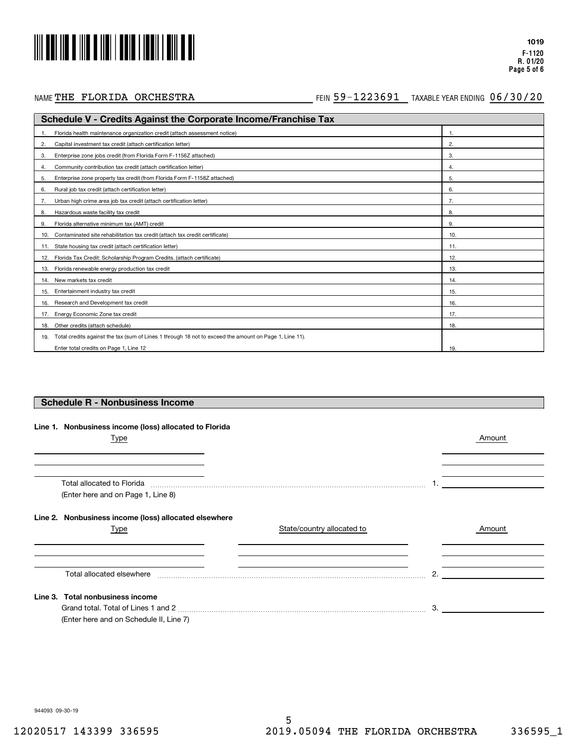# 

#### NAME THE FLORIDA ORCHESTRA

#### FEIN TAXABLE YEAR ENDING THE FLORIDA ORCHESTRA 59-1223691 06/30/20

| <b>Schedule V - Credits Against the Corporate Income/Franchise Tax</b>                                        |     |  |  |
|---------------------------------------------------------------------------------------------------------------|-----|--|--|
| Florida health maintenance organization credit (attach assessment notice)                                     |     |  |  |
| Capital investment tax credit (attach certification letter)<br>2.                                             | 2.  |  |  |
| Enterprise zone jobs credit (from Florida Form F-1156Z attached)<br>3.                                        | 3.  |  |  |
| Community contribution tax credit (attach certification letter)<br>4.                                         | 4.  |  |  |
| Enterprise zone property tax credit (from Florida Form F-1158Z attached)<br>5.                                | 5.  |  |  |
| Rural job tax credit (attach certification letter)<br>6.                                                      | 6.  |  |  |
| Urban high crime area job tax credit (attach certification letter)                                            |     |  |  |
| Hazardous waste facility tax credit<br>8.                                                                     | 8.  |  |  |
| Florida alternative minimum tax (AMT) credit<br>9.                                                            | 9.  |  |  |
| Contaminated site rehabilitation tax credit (attach tax credit certificate)<br>10.                            | 10. |  |  |
| State housing tax credit (attach certification letter)<br>11.                                                 | 11. |  |  |
| Florida Tax Credit: Scholarship Program Credits. (attach certificate)<br>12.                                  | 12. |  |  |
| Florida renewable energy production tax credit<br>13.                                                         | 13. |  |  |
| New markets tax credit<br>14.                                                                                 | 14. |  |  |
| Entertainment industry tax credit<br>15.                                                                      | 15. |  |  |
| Research and Development tax credit<br>16.                                                                    | 16. |  |  |
| Energy Economic Zone tax credit<br>17.                                                                        | 17. |  |  |
| Other credits (attach schedule)<br>18.                                                                        | 18. |  |  |
| Total credits against the tax (sum of Lines 1 through 18 not to exceed the amount on Page 1, Line 11).<br>19. |     |  |  |
| Enter total credits on Page 1, Line 12                                                                        | 19. |  |  |

#### **Schedule R - Nonbusiness Income**

|  | Line 1. Nonbusiness income (loss) allocated to Florida |
|--|--------------------------------------------------------|
|  |                                                        |

| Type                                                                                                                                                                                                                                                                 |                            |    | Amount |
|----------------------------------------------------------------------------------------------------------------------------------------------------------------------------------------------------------------------------------------------------------------------|----------------------------|----|--------|
|                                                                                                                                                                                                                                                                      |                            |    |        |
| Total allocated to Florida [11] manufactured in the set of the set of the set of the set of the set of the set of the set of the set of the set of the set of the set of the set of the set of the set of the set of the set o<br>(Enter here and on Page 1, Line 8) |                            |    |        |
| Line 2. Nonbusiness income (loss) allocated elsewhere                                                                                                                                                                                                                |                            |    |        |
| Type                                                                                                                                                                                                                                                                 | State/country allocated to |    | Amount |
|                                                                                                                                                                                                                                                                      |                            |    |        |
| Total allocated elsewhere                                                                                                                                                                                                                                            |                            | 2. |        |
| Line 3. Total nonbusiness income                                                                                                                                                                                                                                     |                            |    |        |
| (Enter here and on Schedule II, Line 7)                                                                                                                                                                                                                              |                            | 3. |        |

944093 09-30-19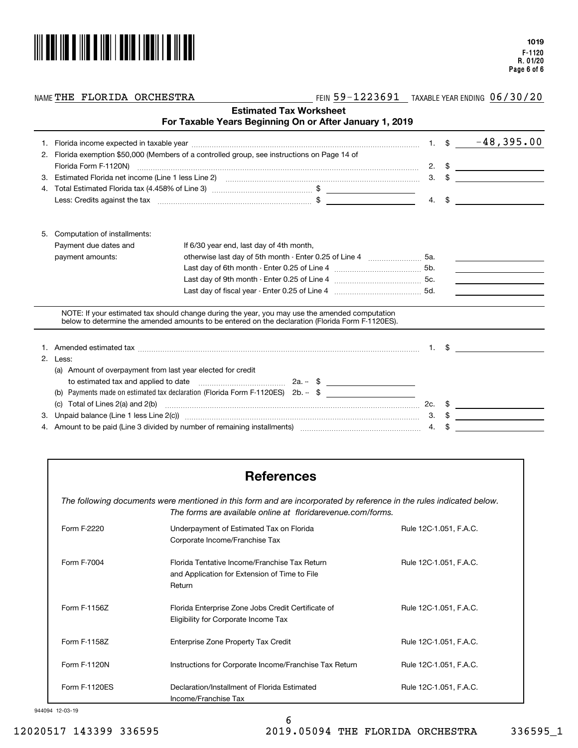

#### NAME THE FLORIDA ORCHESTRA

FEIN TAXABLE YEAR ENDING THE FLORIDA ORCHESTRA 59-1223691 06/30/20

|    |                                                             | For Taxable Years Beginning On or After January 1, 2019                                                                                                                                                                        | <b>Estimated Tax Worksheet</b> |               |                                                                                                                                                                                                                                                                                                                        |
|----|-------------------------------------------------------------|--------------------------------------------------------------------------------------------------------------------------------------------------------------------------------------------------------------------------------|--------------------------------|---------------|------------------------------------------------------------------------------------------------------------------------------------------------------------------------------------------------------------------------------------------------------------------------------------------------------------------------|
|    |                                                             |                                                                                                                                                                                                                                |                                |               | 1. $$ -48,395.00$                                                                                                                                                                                                                                                                                                      |
| 2. |                                                             | Florida exemption \$50,000 (Members of a controlled group, see instructions on Page 14 of                                                                                                                                      |                                |               |                                                                                                                                                                                                                                                                                                                        |
|    |                                                             |                                                                                                                                                                                                                                |                                |               | 2. $\frac{1}{2}$ $\frac{1}{2}$ $\frac{1}{2}$ $\frac{1}{2}$ $\frac{1}{2}$ $\frac{1}{2}$ $\frac{1}{2}$ $\frac{1}{2}$ $\frac{1}{2}$ $\frac{1}{2}$ $\frac{1}{2}$ $\frac{1}{2}$ $\frac{1}{2}$ $\frac{1}{2}$ $\frac{1}{2}$ $\frac{1}{2}$ $\frac{1}{2}$ $\frac{1}{2}$ $\frac{1}{2}$ $\frac{1}{2}$ $\frac{1}{2}$ $\frac{1}{2}$ |
| 3. |                                                             | Estimated Florida net income (Line 1 less Line 2) [11] matter continuum matter of the contract contract the contract of the state of the state of the state of the state of the state of the state of the state of the state o |                                |               | $3. \quad$ $\frac{1}{2}$                                                                                                                                                                                                                                                                                               |
| 4. |                                                             |                                                                                                                                                                                                                                |                                |               |                                                                                                                                                                                                                                                                                                                        |
|    |                                                             |                                                                                                                                                                                                                                |                                |               | 4. $\frac{1}{2}$ $\frac{1}{2}$ $\frac{1}{2}$ $\frac{1}{2}$ $\frac{1}{2}$ $\frac{1}{2}$ $\frac{1}{2}$ $\frac{1}{2}$ $\frac{1}{2}$ $\frac{1}{2}$ $\frac{1}{2}$ $\frac{1}{2}$ $\frac{1}{2}$ $\frac{1}{2}$ $\frac{1}{2}$ $\frac{1}{2}$ $\frac{1}{2}$ $\frac{1}{2}$ $\frac{1}{2}$ $\frac{1}{2}$ $\frac{1}{2}$ $\frac{1}{2}$ |
| 5. | Computation of installments:                                |                                                                                                                                                                                                                                |                                |               |                                                                                                                                                                                                                                                                                                                        |
|    | Payment due dates and                                       | If 6/30 year end, last day of 4th month,                                                                                                                                                                                       |                                |               |                                                                                                                                                                                                                                                                                                                        |
|    | payment amounts:                                            | otherwise last day of 5th month - Enter 0.25 of Line 4 [11, 11, 11, 11, 11, 11, 15a.                                                                                                                                           |                                |               |                                                                                                                                                                                                                                                                                                                        |
|    |                                                             |                                                                                                                                                                                                                                |                                |               | <u> 1980 - Johann Barbara, martxa alemaniar a</u>                                                                                                                                                                                                                                                                      |
|    |                                                             |                                                                                                                                                                                                                                |                                |               |                                                                                                                                                                                                                                                                                                                        |
|    |                                                             |                                                                                                                                                                                                                                |                                |               |                                                                                                                                                                                                                                                                                                                        |
|    |                                                             | NOTE: If your estimated tax should change during the year, you may use the amended computation<br>below to determine the amended amounts to be entered on the declaration (Florida Form F-1120ES).                             |                                |               |                                                                                                                                                                                                                                                                                                                        |
|    |                                                             |                                                                                                                                                                                                                                |                                |               | $1.$ \$                                                                                                                                                                                                                                                                                                                |
| 2. | Less:                                                       |                                                                                                                                                                                                                                |                                |               |                                                                                                                                                                                                                                                                                                                        |
|    | (a) Amount of overpayment from last year elected for credit |                                                                                                                                                                                                                                |                                |               |                                                                                                                                                                                                                                                                                                                        |
|    |                                                             | to estimated tax and applied to date $\ldots$ $\ldots$ $\ldots$ $\ldots$ $\ldots$ $\ldots$ $2a. -$ \$ $\ldots$                                                                                                                 |                                |               |                                                                                                                                                                                                                                                                                                                        |
|    | (b)                                                         | Payments made on estimated tax declaration (Florida Form F-1120ES) $2b - $ \$                                                                                                                                                  |                                |               |                                                                                                                                                                                                                                                                                                                        |
|    | Total of Lines 2(a) and 2(b)<br>(c)                         |                                                                                                                                                                                                                                |                                |               |                                                                                                                                                                                                                                                                                                                        |
| З. |                                                             |                                                                                                                                                                                                                                |                                | $3. \quad$ \$ |                                                                                                                                                                                                                                                                                                                        |
|    |                                                             | 4. Amount to be paid (Line 3 divided by number of remaining installments) manufactured contains an annumental                                                                                                                  |                                | 4.            |                                                                                                                                                                                                                                                                                                                        |

## **References**

*The following documents were mentioned in this form and are incorporated by reference in the rules indicated below. The forms are available online at floridarevenue.com/forms.*

| Form F-2220   | Underpayment of Estimated Tax on Florida<br>Corporate Income/Franchise Tax                               | Rule 12C-1.051, F.A.C. |
|---------------|----------------------------------------------------------------------------------------------------------|------------------------|
| Form F-7004   | Florida Tentative Income/Franchise Tax Return<br>and Application for Extension of Time to File<br>Return | Rule 12C-1.051, F.A.C. |
| Form F-1156Z  | Florida Enterprise Zone Jobs Credit Certificate of<br>Eligibility for Corporate Income Tax               | Rule 12C-1.051, F.A.C. |
| Form F-1158Z  | Enterprise Zone Property Tax Credit                                                                      | Rule 12C-1.051, F.A.C. |
| Form F-1120N  | Instructions for Corporate Income/Franchise Tax Return                                                   | Rule 12C-1.051, F.A.C. |
| Form F-1120ES | Declaration/Installment of Florida Estimated<br>Income/Franchise Tax                                     | Rule 12C-1.051, F.A.C. |

#### 944094 12-03-19

6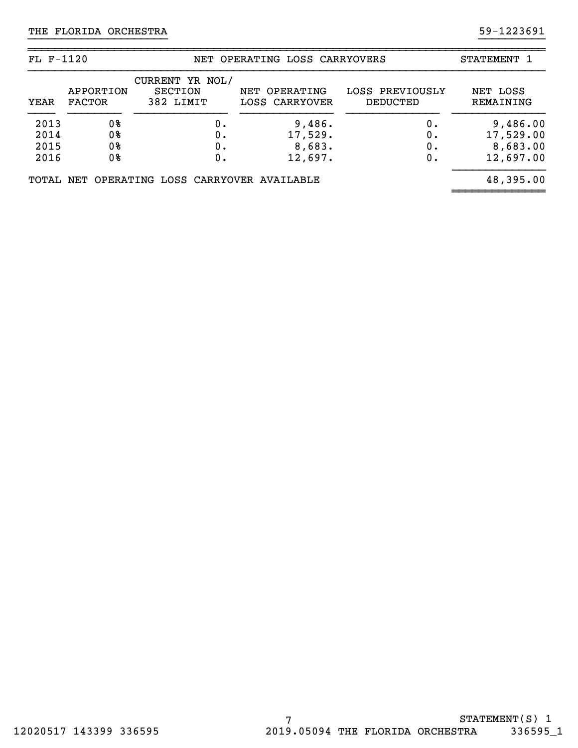| $FL F-1120$                  |                            |                                                | NET OPERATING LOSS CARRYOVERS          | STATEMENT                   |                                                |
|------------------------------|----------------------------|------------------------------------------------|----------------------------------------|-----------------------------|------------------------------------------------|
| YEAR                         | APPORTION<br><b>FACTOR</b> | CURRENT YR NOL/<br><b>SECTION</b><br>382 LIMIT | NET OPERATING<br>LOSS CARRYOVER        | LOSS PREVIOUSLY<br>DEDUCTED | NET LOSS<br>REMAINING                          |
| 2013<br>2014<br>2015<br>2016 | 0%<br>0%<br>0%<br>0%       | ο.<br>ο.<br>Ο.<br>Ο.                           | 9,486.<br>17,529.<br>8,683.<br>12,697. | 0.<br>0.<br>0.<br>0.        | 9,486.00<br>17,529.00<br>8,683.00<br>12,697.00 |
|                              |                            | TOTAL NET OPERATING LOSS CARRYOVER AVAILABLE   |                                        |                             | 48,395.00                                      |

}}}}}}}}}}}}}}}}}}}}} }}}}}}}}}}

~~~~~~~~~~~~~~~~~~~~~~~~~~~~~~~~~~~~~~~~~~~~~~~~~~~~~~~~~~~~~~~~~~~~~~~~~~~~~~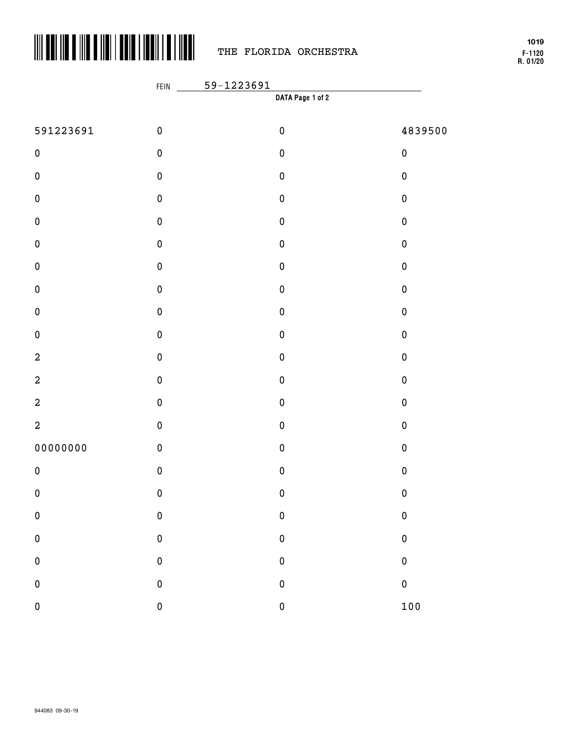

## THE FLORIDA ORCHESTRA

**F-1120 R. 01/20 1019**

|                  | $\frac{1}{2}$ , $\frac{1}{2}$<br>FEIN | <u>59-1223691</u> | the control of the control of the control of |
|------------------|---------------------------------------|-------------------|----------------------------------------------|
|                  |                                       | DATA Page 1 of 2  |                                              |
| 591223691        | $\pmb{0}$                             | $\pmb{0}$         | 4839500                                      |
| $\pmb{0}$        | $\pmb{0}$                             | $\pmb{0}$         | $\pmb{0}$                                    |
| $\pmb{0}$        | $\pmb{0}$                             | $\pmb{0}$         | $\pmb{0}$                                    |
| $\pmb{0}$        | $\pmb{0}$                             | $\pmb{0}$         | $\pmb{0}$                                    |
| $\pmb{0}$        | $\pmb{0}$                             | $\pmb{0}$         | $\pmb{0}$                                    |
| $\pmb{0}$        | $\pmb{0}$                             | $\pmb{0}$         | $\pmb{0}$                                    |
| $\pmb{0}$        | $\pmb{0}$                             | $\pmb{0}$         | $\pmb{0}$                                    |
| $\pmb{0}$        | $\pmb{0}$                             | $\pmb{0}$         | $\pmb{0}$                                    |
| $\pmb{0}$        | $\pmb{0}$                             | $\pmb{0}$         | $\pmb{0}$                                    |
| $\pmb{0}$        | $\pmb{0}$                             | $\pmb{0}$         | $\pmb{0}$                                    |
| $\boldsymbol{2}$ | $\pmb{0}$                             | $\pmb{0}$         | $\pmb{0}$                                    |
| $\boldsymbol{2}$ | $\pmb{0}$                             | $\pmb{0}$         | $\pmb{0}$                                    |
| $\boldsymbol{2}$ | $\pmb{0}$                             | $\pmb{0}$         | $\pmb{0}$                                    |
| $\boldsymbol{2}$ | $\pmb{0}$                             | $\pmb{0}$         | $\pmb{0}$                                    |
| 00000000         | $\pmb{0}$                             | $\pmb{0}$         | $\pmb{0}$                                    |
| $\pmb{0}$        | $\pmb{0}$                             | $\pmb{0}$         | $\pmb{0}$                                    |
| $\pmb{0}$        | $\pmb{0}$                             | $\pmb{0}$         | $\pmb{0}$                                    |
| $\mathbf 0$      | $\bf{0}$                              | $\bf{0}$          | $\bf{0}$                                     |
| $\pmb{0}$        | $\pmb{0}$                             | $\pmb{0}$         | $\bf{0}$                                     |
| $\pmb{0}$        | $\pmb{0}$                             | $\pmb{0}$         | $\bf{0}$                                     |
| $\pmb{0}$        | $\pmb{0}$                             | $\pmb{0}$         | $\pmb{0}$                                    |
| $\mathbf 0$      | $\mathbf 0$                           | $\pmb{0}$         | 100                                          |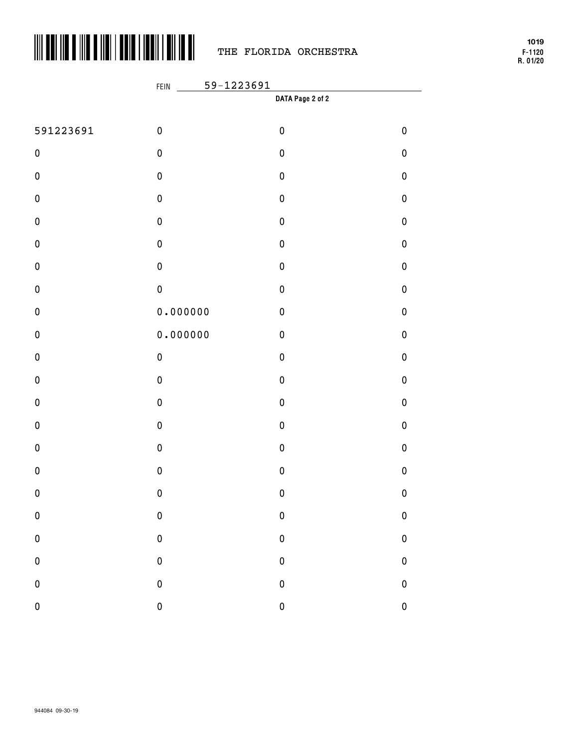

# THE FLORIDA ORCHESTRA

**F-1120 R. 01/20 1019**

|           | 59-1223691<br>FEIN |                  |              |  |  |
|-----------|--------------------|------------------|--------------|--|--|
|           |                    | DATA Page 2 of 2 |              |  |  |
| 591223691 | $\pmb{0}$          | $\pmb{0}$        | $\pmb{0}$    |  |  |
| $\pmb{0}$ | $\pmb{0}$          | $\pmb{0}$        | $\pmb{0}$    |  |  |
| $\pmb{0}$ | $\pmb{0}$          | $\pmb{0}$        | $\pmb{0}$    |  |  |
| $\pmb{0}$ | $\pmb{0}$          | $\pmb{0}$        | $\pmb{0}$    |  |  |
| $\pmb{0}$ | $\pmb{0}$          | $\pmb{0}$        | $\pmb{0}$    |  |  |
| $\pmb{0}$ | $\pmb{0}$          | $\pmb{0}$        | $\pmb{0}$    |  |  |
| $\pmb{0}$ | $\pmb{0}$          | $\pmb{0}$        | $\pmb{0}$    |  |  |
| $\pmb{0}$ | $\pmb{0}$          | $\pmb{0}$        | $\pmb{0}$    |  |  |
| $\pmb{0}$ | 0.000000           | $\pmb{0}$        | $\pmb{0}$    |  |  |
| $\pmb{0}$ | 0.000000           | $\pmb{0}$        | $\pmb{0}$    |  |  |
| $\pmb{0}$ | $\pmb{0}$          | $\pmb{0}$        | $\pmb{0}$    |  |  |
| $\pmb{0}$ | $\pmb{0}$          | $\pmb{0}$        | $\pmb{0}$    |  |  |
| $\pmb{0}$ | $\pmb{0}$          | $\pmb{0}$        | $\pmb{0}$    |  |  |
| $\pmb{0}$ | $\pmb{0}$          | $\pmb{0}$        | $\pmb{0}$    |  |  |
| $\pmb{0}$ | $\pmb{0}$          | $\pmb{0}$        | $\pmb{0}$    |  |  |
| $\pmb{0}$ | $\pmb{0}$          | $\pmb{0}$        | $\pmb{0}$    |  |  |
| $\pmb{0}$ | $\pmb{0}$          | $\pmb{0}$        | $\pmb{0}$    |  |  |
| $\pmb{0}$ | $\pmb{0}$          | $\pmb{0}$        | $\bf{0}$     |  |  |
| $\pmb{0}$ | $\pmb{0}$          | $\pmb{0}$        | $\bf{0}$     |  |  |
| $\pmb{0}$ | $\mathbf 0$        | $\pmb{0}$        | $\mathbf 0$  |  |  |
| ${\bf 0}$ | $\mathbf{0}$       | $\pmb{0}$        | $\mathbf 0$  |  |  |
| $\pmb{0}$ | $\mathbf{0}$       | $\pmb{0}$        | $\mathbf{0}$ |  |  |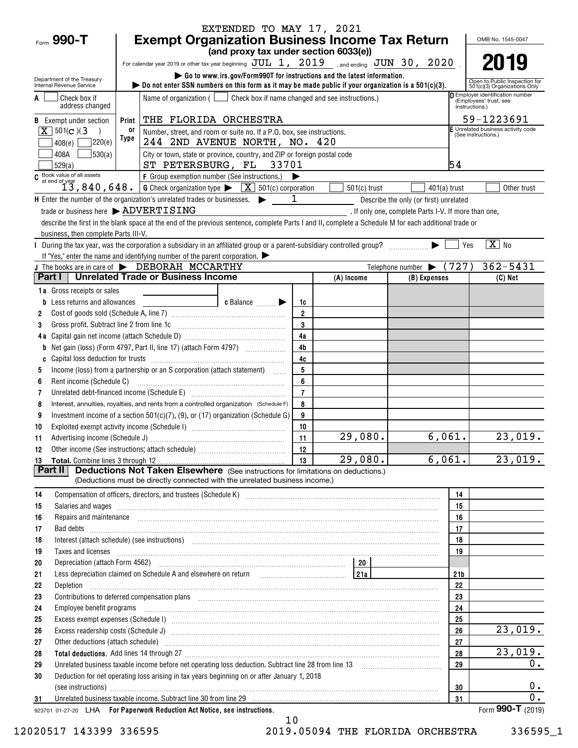| Form $990 - T$                                                                                                                                                                                                                             |                                                                                                                                                                                                   | <b>Exempt Organization Business Income Tax Return</b>                                                                                                                                                                                                                        | EXTENDED TO MAY 17, 2021                                                |                |                        |                                                      |                 | OMB No. 1545-0047                                             |
|--------------------------------------------------------------------------------------------------------------------------------------------------------------------------------------------------------------------------------------------|---------------------------------------------------------------------------------------------------------------------------------------------------------------------------------------------------|------------------------------------------------------------------------------------------------------------------------------------------------------------------------------------------------------------------------------------------------------------------------------|-------------------------------------------------------------------------|----------------|------------------------|------------------------------------------------------|-----------------|---------------------------------------------------------------|
|                                                                                                                                                                                                                                            |                                                                                                                                                                                                   |                                                                                                                                                                                                                                                                              | (and proxy tax under section 6033(e))                                   |                |                        |                                                      |                 |                                                               |
|                                                                                                                                                                                                                                            | For calendar year 2019 or other tax year beginning $JUL$ 1, $2019$ , and ending $JUN$ 30, $2020$ .                                                                                                |                                                                                                                                                                                                                                                                              |                                                                         |                |                        |                                                      | 2019            |                                                               |
|                                                                                                                                                                                                                                            |                                                                                                                                                                                                   |                                                                                                                                                                                                                                                                              | Go to www.irs.gov/Form990T for instructions and the latest information. |                |                        |                                                      |                 |                                                               |
| Department of the Treasury<br>Internal Revenue Service                                                                                                                                                                                     |                                                                                                                                                                                                   | $\triangleright$ Do not enter SSN numbers on this form as it may be made public if your organization is a 501(c)(3).                                                                                                                                                         |                                                                         |                |                        |                                                      |                 | Open to Public Inspection for<br>501(c)(3) Organizations Only |
|                                                                                                                                                                                                                                            | D Employer identification number<br>Name of organization ( $\Box$ Check box if name changed and see instructions.)<br>Check box if<br>(Employees' trust, see<br>address changed<br>instructions.) |                                                                                                                                                                                                                                                                              |                                                                         |                |                        |                                                      |                 |                                                               |
|                                                                                                                                                                                                                                            | THE FLORIDA ORCHESTRA<br><b>B</b> Exempt under section<br>Print                                                                                                                                   |                                                                                                                                                                                                                                                                              |                                                                         |                |                        |                                                      |                 | 59-1223691                                                    |
| $\boxed{\mathbf{X}}$ 501(c)(3                                                                                                                                                                                                              | or<br>Number, street, and room or suite no. If a P.O. box, see instructions.                                                                                                                      |                                                                                                                                                                                                                                                                              |                                                                         |                |                        |                                                      |                 | F Unrelated business activity code<br>(See instructions.)     |
| 408(e)                                                                                                                                                                                                                                     | Type<br>]220(e)<br>244 2ND AVENUE NORTH, NO. 420                                                                                                                                                  |                                                                                                                                                                                                                                                                              |                                                                         |                |                        |                                                      |                 |                                                               |
| 408A<br>529(a)                                                                                                                                                                                                                             | 530(a)<br>City or town, state or province, country, and ZIP or foreign postal code<br>ST PETERSBURG, FL 33701<br>54                                                                               |                                                                                                                                                                                                                                                                              |                                                                         |                |                        |                                                      |                 |                                                               |
| C Book value of all assets                                                                                                                                                                                                                 |                                                                                                                                                                                                   | F Group exemption number (See instructions.)                                                                                                                                                                                                                                 |                                                                         |                |                        |                                                      |                 |                                                               |
|                                                                                                                                                                                                                                            |                                                                                                                                                                                                   | at end of year<br>13, 840, 648.<br><u>6 Check organization type <math>\blacktriangleright</math> [X</u> ] 501(c) corporation                                                                                                                                                 |                                                                         |                | $501(c)$ trust         |                                                      | $401(a)$ trust  | Other trust                                                   |
|                                                                                                                                                                                                                                            |                                                                                                                                                                                                   | H Enter the number of the organization's unrelated trades or businesses.                                                                                                                                                                                                     |                                                                         | $\mathbf{1}$   |                        | Describe the only (or first) unrelated               |                 |                                                               |
|                                                                                                                                                                                                                                            |                                                                                                                                                                                                   | trade or business here > ADVERTISING                                                                                                                                                                                                                                         |                                                                         |                |                        | . If only one, complete Parts I-V. If more than one, |                 |                                                               |
|                                                                                                                                                                                                                                            | business, then complete Parts III-V.                                                                                                                                                              | describe the first in the blank space at the end of the previous sentence, complete Parts I and II, complete a Schedule M for each additional trade or                                                                                                                       |                                                                         |                |                        |                                                      |                 |                                                               |
|                                                                                                                                                                                                                                            |                                                                                                                                                                                                   | During the tax year, was the corporation a subsidiary in an affiliated group or a parent-subsidiary controlled group?                                                                                                                                                        |                                                                         |                |                        |                                                      | Yes             | $\boxed{\text{X}}$ No                                         |
|                                                                                                                                                                                                                                            |                                                                                                                                                                                                   | If "Yes," enter the name and identifying number of the parent corporation. $\blacktriangleright$                                                                                                                                                                             |                                                                         |                |                        |                                                      |                 |                                                               |
|                                                                                                                                                                                                                                            |                                                                                                                                                                                                   | J The books are in care of $\blacktriangleright$ DEBORAH MCCARTHY                                                                                                                                                                                                            |                                                                         |                |                        | Telephone number $\blacktriangleright$               | (727)           | $362 - 5431$                                                  |
| Part I I                                                                                                                                                                                                                                   |                                                                                                                                                                                                   | Unrelated Trade or Business Income                                                                                                                                                                                                                                           |                                                                         |                | (A) Income             | (B) Expenses                                         |                 | $(C)$ Net                                                     |
| <b>1a</b> Gross receipts or sales                                                                                                                                                                                                          |                                                                                                                                                                                                   |                                                                                                                                                                                                                                                                              |                                                                         |                |                        |                                                      |                 |                                                               |
|                                                                                                                                                                                                                                            | <b>b</b> Less returns and allowances                                                                                                                                                              |                                                                                                                                                                                                                                                                              | $\bullet$ Balance $\qquad \qquad \bullet$                               | 1c             |                        |                                                      |                 |                                                               |
| 2                                                                                                                                                                                                                                          |                                                                                                                                                                                                   |                                                                                                                                                                                                                                                                              |                                                                         | $\overline{2}$ |                        |                                                      |                 |                                                               |
| 3                                                                                                                                                                                                                                          | Gross profit. Subtract line 2 from line 1c                                                                                                                                                        |                                                                                                                                                                                                                                                                              |                                                                         | 3              |                        |                                                      |                 |                                                               |
|                                                                                                                                                                                                                                            |                                                                                                                                                                                                   |                                                                                                                                                                                                                                                                              |                                                                         | 4a             |                        |                                                      |                 |                                                               |
| b                                                                                                                                                                                                                                          |                                                                                                                                                                                                   |                                                                                                                                                                                                                                                                              |                                                                         | 4 <sub>b</sub> |                        |                                                      |                 |                                                               |
| C                                                                                                                                                                                                                                          |                                                                                                                                                                                                   |                                                                                                                                                                                                                                                                              |                                                                         | 4c             |                        |                                                      |                 |                                                               |
| 5                                                                                                                                                                                                                                          |                                                                                                                                                                                                   | Income (loss) from a partnership or an S corporation (attach statement)                                                                                                                                                                                                      |                                                                         | 5              |                        |                                                      |                 |                                                               |
| 6                                                                                                                                                                                                                                          |                                                                                                                                                                                                   |                                                                                                                                                                                                                                                                              |                                                                         | 6              |                        |                                                      |                 |                                                               |
| 7                                                                                                                                                                                                                                          |                                                                                                                                                                                                   | Unrelated debt-financed income (Schedule E) [11] [2010] [2010] [2010] [2010] [2010] [2010] [2010] [2010] [2010                                                                                                                                                               |                                                                         | $\overline{7}$ |                        |                                                      |                 |                                                               |
| 8                                                                                                                                                                                                                                          |                                                                                                                                                                                                   | Interest, annuities, royalties, and rents from a controlled organization (Schedule F)                                                                                                                                                                                        |                                                                         | 8              |                        |                                                      |                 |                                                               |
| 9                                                                                                                                                                                                                                          |                                                                                                                                                                                                   | Investment income of a section $501(c)(7)$ , (9), or (17) organization (Schedule G)                                                                                                                                                                                          |                                                                         | 9<br>10        |                        |                                                      |                 |                                                               |
| 10                                                                                                                                                                                                                                         |                                                                                                                                                                                                   |                                                                                                                                                                                                                                                                              |                                                                         | 11             | 29,080.                |                                                      | 6,061.          | 23,019.                                                       |
| 11                                                                                                                                                                                                                                         |                                                                                                                                                                                                   |                                                                                                                                                                                                                                                                              |                                                                         | 12             |                        |                                                      |                 |                                                               |
| 12<br>13                                                                                                                                                                                                                                   |                                                                                                                                                                                                   |                                                                                                                                                                                                                                                                              |                                                                         | 13             | $\overline{29}$ , 080. |                                                      | 6,061.          | 23,019.                                                       |
| Part II                                                                                                                                                                                                                                    |                                                                                                                                                                                                   | <b>Deductions Not Taken Elsewhere</b> (See instructions for limitations on deductions.)                                                                                                                                                                                      |                                                                         |                |                        |                                                      |                 |                                                               |
|                                                                                                                                                                                                                                            |                                                                                                                                                                                                   | (Deductions must be directly connected with the unrelated business income.)                                                                                                                                                                                                  |                                                                         |                |                        |                                                      |                 |                                                               |
| 14                                                                                                                                                                                                                                         |                                                                                                                                                                                                   | Compensation of officers, directors, and trustees (Schedule K) [11] [2010] Compensation of officers, directors, and trustees (Schedule K) [11] [2010] [2010] [2010] [2010] [2010] [2010] [2010] [2010] [2010] [2010] [2010] [2                                               |                                                                         |                |                        |                                                      | 14              |                                                               |
| 15                                                                                                                                                                                                                                         |                                                                                                                                                                                                   | Salaries and wages <b>with a construction of the construction</b> and wages <b>construction</b> and wages <b>construction</b> and <b>construction</b> and <b>construction</b> and <b>construction</b> and <b>construction</b> and <b>construction</b> and <b>constructio</b> |                                                                         |                |                        |                                                      | 15              |                                                               |
| 16                                                                                                                                                                                                                                         |                                                                                                                                                                                                   | Repairs and maintenance <i>[1] [1] [1] [1] [1] [1] [1] [1] [1] [1]</i> [1] <b>[1]</b> [1] <b>[1]</b> [1] <b>[1] [1] [1] [1] [1] [1] [1] [1] [1] [1] [1] [1] [1] [1] [1] [1] [1] [1] [1] [1] [1] [1]</b>                                                                      |                                                                         |                |                        |                                                      | 16              |                                                               |
| 17                                                                                                                                                                                                                                         |                                                                                                                                                                                                   |                                                                                                                                                                                                                                                                              |                                                                         |                |                        |                                                      | 17              |                                                               |
| 18                                                                                                                                                                                                                                         |                                                                                                                                                                                                   | Interest (attach schedule) (see instructions) www.communicalisations.communicalisations.communicalisations.com                                                                                                                                                               |                                                                         |                |                        |                                                      | 18              |                                                               |
| 19                                                                                                                                                                                                                                         |                                                                                                                                                                                                   | Taxes and licenses <b>contract the contract of the contract of the contract of the contract of the contract of the contract of the contract of the contract of the contract of the contract of the contract of the contract of t</b>                                         |                                                                         |                |                        |                                                      | 19              |                                                               |
| 20                                                                                                                                                                                                                                         |                                                                                                                                                                                                   |                                                                                                                                                                                                                                                                              |                                                                         |                |                        |                                                      |                 |                                                               |
| 21                                                                                                                                                                                                                                         |                                                                                                                                                                                                   | Less depreciation claimed on Schedule A and elsewhere on return [1] [114]                                                                                                                                                                                                    |                                                                         |                |                        |                                                      | 21 <sub>b</sub> |                                                               |
| 22                                                                                                                                                                                                                                         |                                                                                                                                                                                                   |                                                                                                                                                                                                                                                                              |                                                                         |                |                        |                                                      | 22              |                                                               |
| 23                                                                                                                                                                                                                                         |                                                                                                                                                                                                   |                                                                                                                                                                                                                                                                              |                                                                         |                |                        |                                                      | 23              |                                                               |
| 24                                                                                                                                                                                                                                         |                                                                                                                                                                                                   | Employee benefit programs in the continuum contract of the contract of the contract of the contract of the contract of the contract of the contract of the contract of the contract of the contract of the contract of the con                                               |                                                                         |                |                        |                                                      | 24              |                                                               |
| 25                                                                                                                                                                                                                                         |                                                                                                                                                                                                   |                                                                                                                                                                                                                                                                              |                                                                         |                |                        |                                                      | 25              | 23,019.                                                       |
| Excess readership costs (Schedule J) <b>Machinese Communication Contract Contract Contract Contract Contract Contract Contract Contract Contract Contract Contract Contract Contract Contract Contract Contract Contract Contrac</b><br>26 |                                                                                                                                                                                                   |                                                                                                                                                                                                                                                                              |                                                                         |                |                        |                                                      | 26              |                                                               |
| Other deductions (attach schedule) www.communications.communications.communications.communications.com<br>27<br>28                                                                                                                         |                                                                                                                                                                                                   |                                                                                                                                                                                                                                                                              |                                                                         |                |                        |                                                      | 27<br>28        | 23,019.                                                       |
| 29                                                                                                                                                                                                                                         |                                                                                                                                                                                                   |                                                                                                                                                                                                                                                                              |                                                                         |                |                        |                                                      | 29              | 0.                                                            |
| 30                                                                                                                                                                                                                                         |                                                                                                                                                                                                   | Deduction for net operating loss arising in tax years beginning on or after January 1, 2018                                                                                                                                                                                  |                                                                         |                |                        |                                                      |                 |                                                               |
|                                                                                                                                                                                                                                            |                                                                                                                                                                                                   |                                                                                                                                                                                                                                                                              |                                                                         |                |                        |                                                      | 30              | 0.                                                            |
| 31                                                                                                                                                                                                                                         |                                                                                                                                                                                                   | Unrelated business taxable income. Subtract line 30 from line 29 [11] manufacture incommunications and the Uni                                                                                                                                                               |                                                                         |                |                        |                                                      | 31              | 0.                                                            |
|                                                                                                                                                                                                                                            |                                                                                                                                                                                                   | 923701 01-27-20 LHA For Paperwork Reduction Act Notice, see instructions.                                                                                                                                                                                                    |                                                                         |                |                        |                                                      |                 | Form 990-T (2019)                                             |

10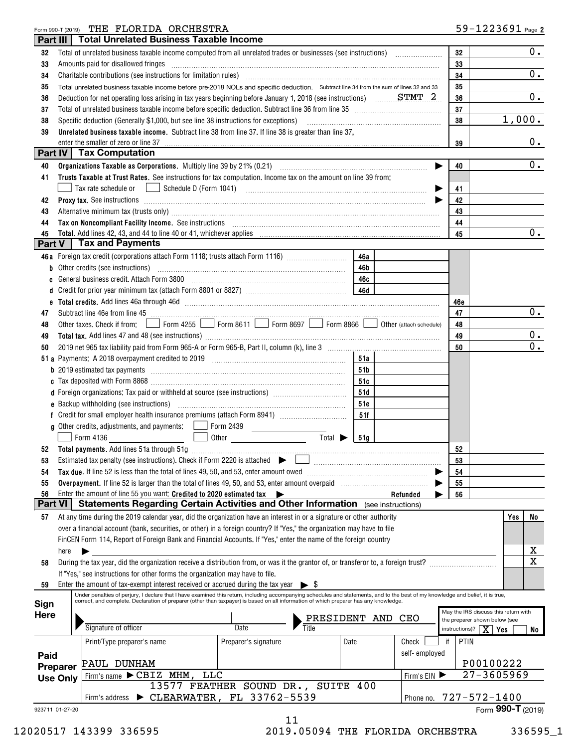| Form 990-T (2019) |                 | THE FLORIDA ORCHESTRA                                                                                                                                                                                                          |                                                                                                                                                                                                                                                                                                                                                                                                                                               |      |               |            | $59 - 1223691$ Page 2                                                 |
|-------------------|-----------------|--------------------------------------------------------------------------------------------------------------------------------------------------------------------------------------------------------------------------------|-----------------------------------------------------------------------------------------------------------------------------------------------------------------------------------------------------------------------------------------------------------------------------------------------------------------------------------------------------------------------------------------------------------------------------------------------|------|---------------|------------|-----------------------------------------------------------------------|
| Part III          |                 | <b>Total Unrelated Business Taxable Income</b>                                                                                                                                                                                 |                                                                                                                                                                                                                                                                                                                                                                                                                                               |      |               |            |                                                                       |
| 32                |                 | Total of unrelated business taxable income computed from all unrelated trades or businesses (see instructions)                                                                                                                 |                                                                                                                                                                                                                                                                                                                                                                                                                                               |      |               | 32         | 0.                                                                    |
| 33                |                 | Amounts paid for disallowed fringes                                                                                                                                                                                            |                                                                                                                                                                                                                                                                                                                                                                                                                                               |      |               | 33         |                                                                       |
| 34                |                 |                                                                                                                                                                                                                                |                                                                                                                                                                                                                                                                                                                                                                                                                                               |      |               |            | 0.                                                                    |
| 35                |                 | Total unrelated business taxable income before pre-2018 NOLs and specific deduction. Subtract line 34 from the sum of lines 32 and 33                                                                                          |                                                                                                                                                                                                                                                                                                                                                                                                                                               |      |               | 35         |                                                                       |
| 36                |                 | Deduction for net operating loss arising in tax years beginning before January 1, 2018 (see instructions) $\ldots$ STMT 2.                                                                                                     |                                                                                                                                                                                                                                                                                                                                                                                                                                               |      |               | 36         | 0.                                                                    |
| 37                |                 | Total of unrelated business taxable income before specific deduction. Subtract line 36 from line 35 [11] [11] Total of unrelated business taxable income before specific deduction. Subtract line 36 [11] $\cdot$              |                                                                                                                                                                                                                                                                                                                                                                                                                                               |      |               | 37         |                                                                       |
| 38                |                 | Specific deduction (Generally \$1,000, but see line 38 instructions for exceptions)                                                                                                                                            |                                                                                                                                                                                                                                                                                                                                                                                                                                               |      |               | 38         | 1,000.                                                                |
| 39                |                 | Unrelated business taxable income. Subtract line 38 from line 37. If line 38 is greater than line 37,                                                                                                                          |                                                                                                                                                                                                                                                                                                                                                                                                                                               |      |               |            |                                                                       |
|                   |                 | enter the smaller of zero or line 37                                                                                                                                                                                           |                                                                                                                                                                                                                                                                                                                                                                                                                                               |      |               | 39         | $0$ .                                                                 |
|                   |                 | Part IV   Tax Computation                                                                                                                                                                                                      |                                                                                                                                                                                                                                                                                                                                                                                                                                               |      |               |            |                                                                       |
| 40                |                 |                                                                                                                                                                                                                                |                                                                                                                                                                                                                                                                                                                                                                                                                                               |      | ▶             | 40         | 0.                                                                    |
| 41                |                 | Trusts Taxable at Trust Rates. See instructions for tax computation. Income tax on the amount on line 39 from:                                                                                                                 |                                                                                                                                                                                                                                                                                                                                                                                                                                               |      |               |            |                                                                       |
|                   |                 | $\Box$ Schedule D (Form 1041)<br>Tax rate schedule or                                                                                                                                                                          | $\begin{minipage}{0.5\textwidth} \begin{tabular}{ l l l } \hline & \multicolumn{1}{ l l } \hline & \multicolumn{1}{ l } \multicolumn{1}{ l } \hline \multicolumn{1}{ l } \multicolumn{1}{ l } \multicolumn{1}{ l } \multicolumn{1}{ l } \multicolumn{1}{ l } \multicolumn{1}{ l } \multicolumn{1}{ l } \multicolumn{1}{ l } \multicolumn{1}{ l } \multicolumn{1}{ l } \multicolumn{1}{ l } \multicolumn{1}{ l } \multicolumn{1}{ l } \multic$ |      |               | 41         |                                                                       |
| 42                |                 |                                                                                                                                                                                                                                |                                                                                                                                                                                                                                                                                                                                                                                                                                               |      |               | 42         |                                                                       |
| 43                |                 | Alternative minimum tax (trusts only) manufactured and an according term of the state of the state of the state of the state of the state of the state of the state of the state of the state of the state of the state of the |                                                                                                                                                                                                                                                                                                                                                                                                                                               |      |               | 43         |                                                                       |
| 44                |                 | Tax on Noncompliant Facility Income. See instructions [11] The Committee of Noncompliant Facility Income. See instructions [11] The Committee of Noncompliant Facility Income.                                                 |                                                                                                                                                                                                                                                                                                                                                                                                                                               |      |               | 44         |                                                                       |
| 45                |                 | Total. Add lines 42, 43, and 44 to line 40 or 41, whichever applies                                                                                                                                                            |                                                                                                                                                                                                                                                                                                                                                                                                                                               |      |               | 45         | 0.                                                                    |
| Part V            |                 | <b>Tax and Payments</b>                                                                                                                                                                                                        |                                                                                                                                                                                                                                                                                                                                                                                                                                               |      |               |            |                                                                       |
|                   |                 | 46a Foreign tax credit (corporations attach Form 1118; trusts attach Form 1116)                                                                                                                                                |                                                                                                                                                                                                                                                                                                                                                                                                                                               | 46a  |               |            |                                                                       |
|                   |                 | <b>b</b> Other credits (see instructions)                                                                                                                                                                                      |                                                                                                                                                                                                                                                                                                                                                                                                                                               | 46b  |               |            |                                                                       |
| C                 |                 | General business credit. Attach Form 3800 [11] [11] Contract the Seneral business credit. Attach Form 3800                                                                                                                     |                                                                                                                                                                                                                                                                                                                                                                                                                                               | 46с  |               |            |                                                                       |
| d                 |                 |                                                                                                                                                                                                                                |                                                                                                                                                                                                                                                                                                                                                                                                                                               |      |               |            |                                                                       |
| е                 |                 |                                                                                                                                                                                                                                |                                                                                                                                                                                                                                                                                                                                                                                                                                               |      |               | 46e        |                                                                       |
| 47                |                 |                                                                                                                                                                                                                                |                                                                                                                                                                                                                                                                                                                                                                                                                                               |      |               | 47         | 0.                                                                    |
| 48                |                 | Other taxes. Check if from: Form 4255 Form 8611 Form 8697 Form 8866 Ober (attach schedule)                                                                                                                                     |                                                                                                                                                                                                                                                                                                                                                                                                                                               |      |               | 48         |                                                                       |
| 49                |                 |                                                                                                                                                                                                                                |                                                                                                                                                                                                                                                                                                                                                                                                                                               |      |               | 49         | 0.                                                                    |
| 50                |                 |                                                                                                                                                                                                                                |                                                                                                                                                                                                                                                                                                                                                                                                                                               |      |               | 50         | 0.                                                                    |
|                   |                 |                                                                                                                                                                                                                                |                                                                                                                                                                                                                                                                                                                                                                                                                                               | 51a  |               |            |                                                                       |
|                   |                 |                                                                                                                                                                                                                                |                                                                                                                                                                                                                                                                                                                                                                                                                                               | 51b  |               |            |                                                                       |
|                   |                 |                                                                                                                                                                                                                                |                                                                                                                                                                                                                                                                                                                                                                                                                                               | 51c  |               |            |                                                                       |
|                   |                 |                                                                                                                                                                                                                                |                                                                                                                                                                                                                                                                                                                                                                                                                                               | 51d  |               |            |                                                                       |
|                   |                 |                                                                                                                                                                                                                                |                                                                                                                                                                                                                                                                                                                                                                                                                                               | 51e  |               |            |                                                                       |
|                   |                 |                                                                                                                                                                                                                                |                                                                                                                                                                                                                                                                                                                                                                                                                                               | 51f  |               |            |                                                                       |
|                   |                 | <b>g</b> Other credits, adjustments, and payments: $\Box$ Form 2439                                                                                                                                                            |                                                                                                                                                                                                                                                                                                                                                                                                                                               |      |               |            |                                                                       |
|                   |                 | <b>Contract Contract Contract Contract</b><br>Form 4136                                                                                                                                                                        | Total $\blacktriangleright$                                                                                                                                                                                                                                                                                                                                                                                                                   | 51g  |               |            |                                                                       |
|                   |                 | 52 Total payments. Add lines 51a through 51g                                                                                                                                                                                   |                                                                                                                                                                                                                                                                                                                                                                                                                                               |      |               | 52         |                                                                       |
| 53                |                 | Estimated tax penalty (see instructions). Check if Form 2220 is attached $\blacktriangleright$                                                                                                                                 |                                                                                                                                                                                                                                                                                                                                                                                                                                               |      |               | 53         |                                                                       |
| 54                |                 | Tax due. If line 52 is less than the total of lines 49, 50, and 53, enter amount owed                                                                                                                                          |                                                                                                                                                                                                                                                                                                                                                                                                                                               |      |               | 54         |                                                                       |
| 55                |                 |                                                                                                                                                                                                                                |                                                                                                                                                                                                                                                                                                                                                                                                                                               |      |               | 55         |                                                                       |
| 56                |                 | Enter the amount of line 55 you want: Credited to 2020 estimated tax                                                                                                                                                           |                                                                                                                                                                                                                                                                                                                                                                                                                                               |      | Refunded      | 56         |                                                                       |
| <b>Part VI</b>    |                 | <b>Statements Regarding Certain Activities and Other Information</b> (see instructions)                                                                                                                                        |                                                                                                                                                                                                                                                                                                                                                                                                                                               |      |               |            |                                                                       |
| 57                |                 | At any time during the 2019 calendar year, did the organization have an interest in or a signature or other authority                                                                                                          |                                                                                                                                                                                                                                                                                                                                                                                                                                               |      |               |            | Yes<br>No                                                             |
|                   |                 | over a financial account (bank, securities, or other) in a foreign country? If "Yes," the organization may have to file                                                                                                        |                                                                                                                                                                                                                                                                                                                                                                                                                                               |      |               |            |                                                                       |
|                   |                 | FinCEN Form 114, Report of Foreign Bank and Financial Accounts. If "Yes," enter the name of the foreign country                                                                                                                |                                                                                                                                                                                                                                                                                                                                                                                                                                               |      |               |            |                                                                       |
|                   | here            |                                                                                                                                                                                                                                |                                                                                                                                                                                                                                                                                                                                                                                                                                               |      |               |            | x                                                                     |
| 58                |                 | During the tax year, did the organization receive a distribution from, or was it the grantor of, or transferor to, a foreign trust?                                                                                            |                                                                                                                                                                                                                                                                                                                                                                                                                                               |      |               |            | $\overline{\mathtt{x}}$                                               |
|                   |                 | If "Yes," see instructions for other forms the organization may have to file.                                                                                                                                                  |                                                                                                                                                                                                                                                                                                                                                                                                                                               |      |               |            |                                                                       |
| 59                |                 | Enter the amount of tax-exempt interest received or accrued during the tax year                                                                                                                                                | $\triangleright$ S                                                                                                                                                                                                                                                                                                                                                                                                                            |      |               |            |                                                                       |
|                   |                 | Under penalties of perjury, I declare that I have examined this return, including accompanying schedules and statements, and to the best of my knowledge and belief, it is true,                                               |                                                                                                                                                                                                                                                                                                                                                                                                                                               |      |               |            |                                                                       |
| Sign              |                 | correct, and complete. Declaration of preparer (other than taxpayer) is based on all information of which preparer has any knowledge.                                                                                          |                                                                                                                                                                                                                                                                                                                                                                                                                                               |      |               |            |                                                                       |
| Here              |                 |                                                                                                                                                                                                                                | PRESIDENT AND                                                                                                                                                                                                                                                                                                                                                                                                                                 |      | CEO           |            | May the IRS discuss this return with<br>the preparer shown below (see |
|                   |                 | Signature of officer                                                                                                                                                                                                           | Date                                                                                                                                                                                                                                                                                                                                                                                                                                          |      |               |            | instructions)? $\boxed{\mathbf{X}}$ Yes<br>No                         |
|                   |                 |                                                                                                                                                                                                                                |                                                                                                                                                                                                                                                                                                                                                                                                                                               | Date | Check         | PTIN<br>if |                                                                       |
|                   |                 | Print/Type preparer's name                                                                                                                                                                                                     | Preparer's signature                                                                                                                                                                                                                                                                                                                                                                                                                          |      |               |            |                                                                       |
| Paid              |                 | PAUL DUNHAM                                                                                                                                                                                                                    |                                                                                                                                                                                                                                                                                                                                                                                                                                               |      | self-employed |            | P00100222                                                             |
|                   | Preparer        | Firm's name $\blacktriangleright$ CBIZ MHM,<br>LLC                                                                                                                                                                             |                                                                                                                                                                                                                                                                                                                                                                                                                                               |      |               |            | $27 - 3605969$                                                        |
|                   | <b>Use Only</b> |                                                                                                                                                                                                                                | 13577 FEATHER SOUND DR., SUITE 400                                                                                                                                                                                                                                                                                                                                                                                                            |      | Firm's $EIN$  |            |                                                                       |
|                   |                 | Firm's address > CLEARWATER, FL 33762-5539                                                                                                                                                                                     |                                                                                                                                                                                                                                                                                                                                                                                                                                               |      | Phone no.     |            | 727-572-1400                                                          |
| 923711 01-27-20   |                 |                                                                                                                                                                                                                                |                                                                                                                                                                                                                                                                                                                                                                                                                                               |      |               |            | Form 990-T (2019)                                                     |
|                   |                 |                                                                                                                                                                                                                                | 11                                                                                                                                                                                                                                                                                                                                                                                                                                            |      |               |            |                                                                       |
|                   |                 |                                                                                                                                                                                                                                |                                                                                                                                                                                                                                                                                                                                                                                                                                               |      |               |            |                                                                       |

12020517 143399 336595 2019.05094 THE FLORIDA ORCHESTRA 336595\_1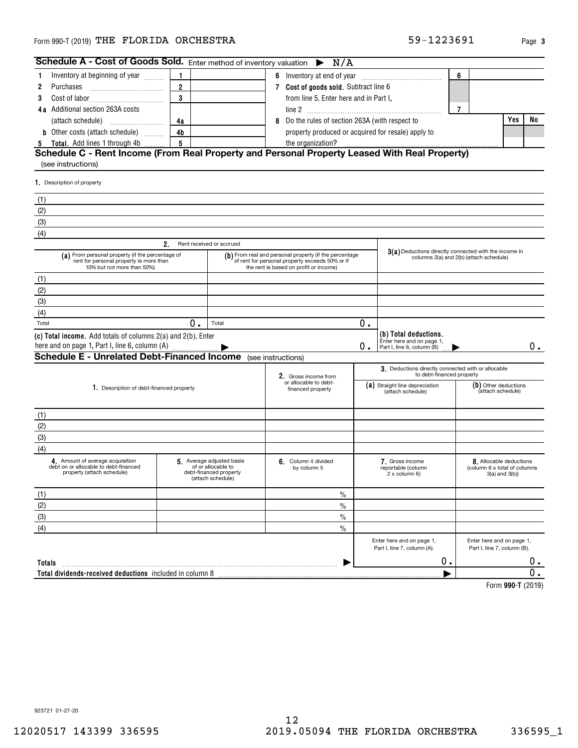## Form 990-T (2019) Page THE FLORIDA ORCHESTRA 59-1223691

Inventory at beginning of year  $\,\ldots\ldots$ 

Cost of labor~~~~~~~~~~~

**4a** Additional section 263A costs line 2

**123**

**Schedule A - Cost of Goods Sold.** Enter method of inventory valuation  $\triangleright$ 

| Totals                                                   |                                  |  | 0 |                   |
|----------------------------------------------------------|----------------------------------|--|---|-------------------|
| Total dividends-received deductions included in column 8 |                                  |  |   |                   |
|                                                          |                                  |  |   | Form 990-T (2019) |
|                                                          |                                  |  |   |                   |
|                                                          |                                  |  |   |                   |
|                                                          |                                  |  |   |                   |
|                                                          |                                  |  |   |                   |
|                                                          |                                  |  |   |                   |
|                                                          |                                  |  |   |                   |
|                                                          |                                  |  |   |                   |
| 923721 01-27-20                                          |                                  |  |   |                   |
|                                                          | 12                               |  |   |                   |
| 12020517 143399 336595                                   | 2019.05094 THE FLORIDA ORCHESTRA |  |   | 336595_1          |

Enter here and on page 1, Part I, line 7, column (A).

Enter here and on page 1, Part I, line 7, column (B).

| (attach schedule)                                                                                       |                                                                                                                           | 4a             |                                                                                               | Yes<br>8 Do the rules of section 263A (with respect to                                                                                              |    |                                                                                                  |                                                         |                     |    |  |
|---------------------------------------------------------------------------------------------------------|---------------------------------------------------------------------------------------------------------------------------|----------------|-----------------------------------------------------------------------------------------------|-----------------------------------------------------------------------------------------------------------------------------------------------------|----|--------------------------------------------------------------------------------------------------|---------------------------------------------------------|---------------------|----|--|
|                                                                                                         | <b>b</b> Other costs (attach schedule)                                                                                    | 4 <sub>b</sub> |                                                                                               | property produced or acquired for resale) apply to                                                                                                  |    |                                                                                                  |                                                         |                     |    |  |
| 5                                                                                                       | Total. Add lines 1 through 4b                                                                                             | 5              |                                                                                               | the organization?                                                                                                                                   |    |                                                                                                  |                                                         |                     |    |  |
|                                                                                                         |                                                                                                                           |                |                                                                                               | Schedule C - Rent Income (From Real Property and Personal Property Leased With Real Property)                                                       |    |                                                                                                  |                                                         |                     |    |  |
| (see instructions)                                                                                      |                                                                                                                           |                |                                                                                               |                                                                                                                                                     |    |                                                                                                  |                                                         |                     |    |  |
| 1. Description of property                                                                              |                                                                                                                           |                |                                                                                               |                                                                                                                                                     |    |                                                                                                  |                                                         |                     |    |  |
| (1)                                                                                                     |                                                                                                                           |                |                                                                                               |                                                                                                                                                     |    |                                                                                                  |                                                         |                     |    |  |
| (2)                                                                                                     |                                                                                                                           |                |                                                                                               |                                                                                                                                                     |    |                                                                                                  |                                                         |                     |    |  |
| (3)                                                                                                     |                                                                                                                           |                |                                                                                               |                                                                                                                                                     |    |                                                                                                  |                                                         |                     |    |  |
| (4)                                                                                                     |                                                                                                                           |                |                                                                                               |                                                                                                                                                     |    |                                                                                                  |                                                         |                     |    |  |
|                                                                                                         |                                                                                                                           | 2.             | Rent received or accrued                                                                      |                                                                                                                                                     |    |                                                                                                  |                                                         |                     |    |  |
|                                                                                                         | (a) From personal property (if the percentage of<br>rent for personal property is more than<br>10% but not more than 50%) |                |                                                                                               | (b) From real and personal property (if the percentage<br>of rent for personal property exceeds 50% or if<br>the rent is based on profit or income) |    | 3(a) Deductions directly connected with the income in<br>columns 2(a) and 2(b) (attach schedule) |                                                         |                     |    |  |
| (1)                                                                                                     |                                                                                                                           |                |                                                                                               |                                                                                                                                                     |    |                                                                                                  |                                                         |                     |    |  |
| (2)                                                                                                     |                                                                                                                           |                |                                                                                               |                                                                                                                                                     |    |                                                                                                  |                                                         |                     |    |  |
| (3)                                                                                                     |                                                                                                                           |                |                                                                                               |                                                                                                                                                     |    |                                                                                                  |                                                         |                     |    |  |
| (4)                                                                                                     |                                                                                                                           |                |                                                                                               |                                                                                                                                                     |    |                                                                                                  |                                                         |                     |    |  |
| Total                                                                                                   |                                                                                                                           | 0.             | Total                                                                                         |                                                                                                                                                     | 0. |                                                                                                  |                                                         |                     |    |  |
|                                                                                                         | (c) Total income. Add totals of columns 2(a) and 2(b). Enter<br>here and on page 1, Part I, line 6, column (A)            |                |                                                                                               |                                                                                                                                                     | 0. | (b) Total deductions.<br>Enter here and on page 1,<br>Part I, line 6, column (B)                 |                                                         |                     | О. |  |
|                                                                                                         | <b>Schedule E - Unrelated Debt-Financed Income</b>                                                                        |                |                                                                                               | (see instructions)                                                                                                                                  |    |                                                                                                  |                                                         |                     |    |  |
|                                                                                                         |                                                                                                                           |                |                                                                                               | 2. Gross income from                                                                                                                                |    | 3. Deductions directly connected with or allocable<br>to debt-financed property                  |                                                         |                     |    |  |
| 1. Description of debt-financed property                                                                |                                                                                                                           |                |                                                                                               | or allocable to debt-<br>financed property                                                                                                          |    | (a) Straight line depreciation<br>(attach schedule)                                              | (b) Other deductions<br>(attach schedule)               |                     |    |  |
| (1)                                                                                                     |                                                                                                                           |                |                                                                                               |                                                                                                                                                     |    |                                                                                                  |                                                         |                     |    |  |
| (2)                                                                                                     |                                                                                                                           |                |                                                                                               |                                                                                                                                                     |    |                                                                                                  |                                                         |                     |    |  |
| (3)                                                                                                     |                                                                                                                           |                |                                                                                               |                                                                                                                                                     |    |                                                                                                  |                                                         |                     |    |  |
| (4)                                                                                                     |                                                                                                                           |                |                                                                                               |                                                                                                                                                     |    |                                                                                                  |                                                         |                     |    |  |
| 4. Amount of average acquisition<br>debt on or allocable to debt-financed<br>property (attach schedule) |                                                                                                                           |                | 5 Average adjusted basis<br>of or allocable to<br>debt-financed property<br>(attach schedule) | 6. Column 4 divided<br>by column 5                                                                                                                  |    | 7. Gross income<br>reportable (column<br>2 x column 6)                                           | 8. Allocable deductions<br>(column 6 x total of columns | $3(a)$ and $3(b)$ ) |    |  |
| (1)                                                                                                     |                                                                                                                           |                |                                                                                               | $\%$                                                                                                                                                |    |                                                                                                  |                                                         |                     |    |  |
| (2)                                                                                                     |                                                                                                                           |                |                                                                                               | $\frac{0}{0}$                                                                                                                                       |    |                                                                                                  |                                                         |                     |    |  |
| (3)                                                                                                     |                                                                                                                           |                |                                                                                               | $\%$                                                                                                                                                |    |                                                                                                  |                                                         |                     |    |  |
| (4)                                                                                                     |                                                                                                                           |                |                                                                                               | $\frac{0}{0}$                                                                                                                                       |    |                                                                                                  |                                                         |                     |    |  |

**7Cost of goods sold.** ~~~~~~~~~~~ Subtract line 6

**1 6** Inventory at end of year  $\frac{1}{2}$ 

from line 5. Enter here and in Part I,

N/A

## $($ see

Purchases

**123** **3**

**6**

**7**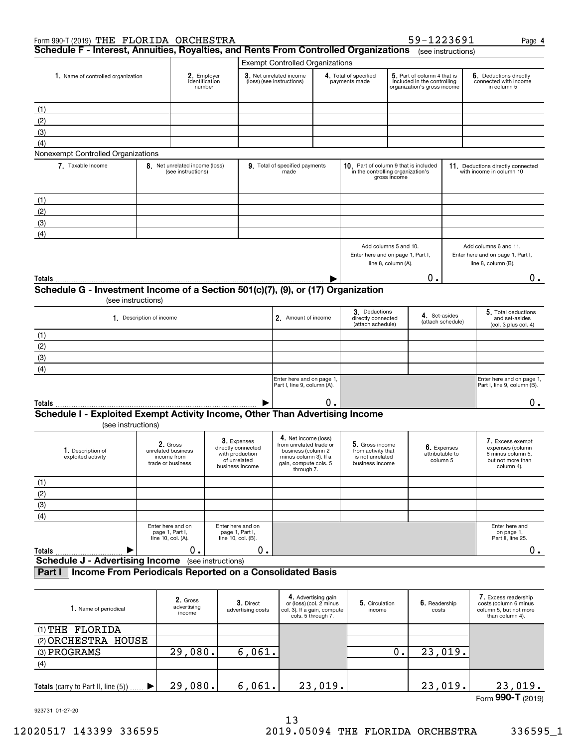| Form 990-T (2019) THE FLORIDA ORCHESTRA                                                            |                                                                               |                                                                    |                    |                                                                      |                                                                                                                                       |                                                                                                     |                                                                              |                                                                                           | 59-1223691             |                                                                | Page 4                                                                                       |
|----------------------------------------------------------------------------------------------------|-------------------------------------------------------------------------------|--------------------------------------------------------------------|--------------------|----------------------------------------------------------------------|---------------------------------------------------------------------------------------------------------------------------------------|-----------------------------------------------------------------------------------------------------|------------------------------------------------------------------------------|-------------------------------------------------------------------------------------------|------------------------|----------------------------------------------------------------|----------------------------------------------------------------------------------------------|
| Schedule F - Interest, Annuities, Royalties, and Rents From Controlled Organizations               |                                                                               |                                                                    |                    |                                                                      |                                                                                                                                       |                                                                                                     |                                                                              |                                                                                           |                        | (see instructions)                                             |                                                                                              |
|                                                                                                    |                                                                               |                                                                    |                    |                                                                      | <b>Exempt Controlled Organizations</b>                                                                                                |                                                                                                     |                                                                              |                                                                                           |                        |                                                                |                                                                                              |
|                                                                                                    | 2. Employer<br>1. Name of controlled organization<br>identification<br>number |                                                                    |                    | $3.$ Net unrelated income<br>(loss) (see instructions)               |                                                                                                                                       | 4. Total of specified<br>payments made                                                              |                                                                              | 5. Part of column 4 that is<br>included in the controlling<br>organization's gross income |                        | 6. Deductions directly<br>connected with income<br>in column 5 |                                                                                              |
| (1)                                                                                                |                                                                               |                                                                    |                    |                                                                      |                                                                                                                                       |                                                                                                     |                                                                              |                                                                                           |                        |                                                                |                                                                                              |
| (2)                                                                                                |                                                                               |                                                                    |                    |                                                                      |                                                                                                                                       |                                                                                                     |                                                                              |                                                                                           |                        |                                                                |                                                                                              |
| (3)                                                                                                |                                                                               |                                                                    |                    |                                                                      |                                                                                                                                       |                                                                                                     |                                                                              |                                                                                           |                        |                                                                |                                                                                              |
| (4)                                                                                                |                                                                               |                                                                    |                    |                                                                      |                                                                                                                                       |                                                                                                     |                                                                              |                                                                                           |                        |                                                                |                                                                                              |
| Nonexempt Controlled Organizations                                                                 |                                                                               |                                                                    |                    |                                                                      |                                                                                                                                       |                                                                                                     |                                                                              |                                                                                           |                        |                                                                |                                                                                              |
| 7. Taxable Income                                                                                  |                                                                               | 8. Net unrelated income (loss)<br>(see instructions)               |                    |                                                                      | 9. Total of specified payments<br>made                                                                                                |                                                                                                     | 10. Part of column 9 that is included<br>in the controlling organization's   | gross income                                                                              |                        |                                                                | 11. Deductions directly connected<br>with income in column 10                                |
| (1)                                                                                                |                                                                               |                                                                    |                    |                                                                      |                                                                                                                                       |                                                                                                     |                                                                              |                                                                                           |                        |                                                                |                                                                                              |
| (2)                                                                                                |                                                                               |                                                                    |                    |                                                                      |                                                                                                                                       |                                                                                                     |                                                                              |                                                                                           |                        |                                                                |                                                                                              |
| (3)                                                                                                |                                                                               |                                                                    |                    |                                                                      |                                                                                                                                       |                                                                                                     |                                                                              |                                                                                           |                        |                                                                |                                                                                              |
| (4)                                                                                                |                                                                               |                                                                    |                    |                                                                      |                                                                                                                                       |                                                                                                     |                                                                              |                                                                                           |                        |                                                                |                                                                                              |
|                                                                                                    |                                                                               |                                                                    |                    |                                                                      |                                                                                                                                       |                                                                                                     |                                                                              |                                                                                           |                        |                                                                |                                                                                              |
|                                                                                                    |                                                                               |                                                                    |                    |                                                                      |                                                                                                                                       |                                                                                                     | Add columns 5 and 10.<br>Enter here and on page 1, Part I,                   | line 8, column (A).                                                                       |                        |                                                                | Add columns 6 and 11.<br>Enter here and on page 1, Part I,<br>line 8, column (B).            |
| Totals                                                                                             |                                                                               |                                                                    |                    |                                                                      |                                                                                                                                       |                                                                                                     |                                                                              |                                                                                           | Ο.                     |                                                                | 0.                                                                                           |
| Schedule G - Investment Income of a Section 501(c)(7), (9), or (17) Organization                   |                                                                               |                                                                    |                    |                                                                      |                                                                                                                                       |                                                                                                     |                                                                              |                                                                                           |                        |                                                                |                                                                                              |
| (see instructions)                                                                                 |                                                                               |                                                                    |                    |                                                                      |                                                                                                                                       |                                                                                                     |                                                                              |                                                                                           |                        |                                                                |                                                                                              |
|                                                                                                    | 1. Description of income                                                      |                                                                    |                    |                                                                      | 2. Amount of income                                                                                                                   |                                                                                                     | 3. Deductions<br>directly connected<br>(attach schedule)                     |                                                                                           | 4. Set-asides          | (attach schedule)                                              | 5. Total deductions<br>and set-asides<br>(col. 3 plus col. 4)                                |
| (1)                                                                                                |                                                                               |                                                                    |                    |                                                                      |                                                                                                                                       |                                                                                                     |                                                                              |                                                                                           |                        |                                                                |                                                                                              |
| (2)                                                                                                |                                                                               |                                                                    |                    |                                                                      |                                                                                                                                       |                                                                                                     |                                                                              |                                                                                           |                        |                                                                |                                                                                              |
| (3)                                                                                                |                                                                               |                                                                    |                    |                                                                      |                                                                                                                                       |                                                                                                     |                                                                              |                                                                                           |                        |                                                                |                                                                                              |
| (4)                                                                                                |                                                                               |                                                                    |                    |                                                                      |                                                                                                                                       |                                                                                                     |                                                                              |                                                                                           |                        |                                                                |                                                                                              |
|                                                                                                    |                                                                               |                                                                    |                    |                                                                      | Enter here and on page 1,<br>Part I, line 9, column (A).                                                                              |                                                                                                     |                                                                              |                                                                                           |                        |                                                                | Enter here and on page 1,<br>Part I, line 9, column (B).                                     |
|                                                                                                    |                                                                               |                                                                    |                    |                                                                      |                                                                                                                                       |                                                                                                     |                                                                              |                                                                                           |                        |                                                                | 0.                                                                                           |
| Totals                                                                                             |                                                                               |                                                                    |                    |                                                                      |                                                                                                                                       | 0.                                                                                                  |                                                                              |                                                                                           |                        |                                                                |                                                                                              |
| Schedule I - Exploited Exempt Activity Income, Other Than Advertising Income<br>(see instructions) |                                                                               |                                                                    |                    |                                                                      |                                                                                                                                       |                                                                                                     |                                                                              |                                                                                           |                        |                                                                |                                                                                              |
| 1. Description of<br>exploited activity                                                            |                                                                               | 2. Gross<br>unrelated business<br>income from<br>trade or business | with production    | 3. Expenses<br>directly connected<br>of unrelated<br>business income | 4. Net income (loss)<br>from unrelated trade or<br>business (column 2<br>minus column 3). If a<br>gain, compute cols. 5<br>through 7. |                                                                                                     | 5. Gross income<br>from activity that<br>is not unrelated<br>business income |                                                                                           | column 5               | 6. Expenses<br>attributable to                                 | 7. Excess exempt<br>expenses (column<br>6 minus column 5,<br>but not more than<br>column 4). |
| (1)                                                                                                |                                                                               |                                                                    |                    |                                                                      |                                                                                                                                       |                                                                                                     |                                                                              |                                                                                           |                        |                                                                |                                                                                              |
| (2)                                                                                                |                                                                               |                                                                    |                    |                                                                      |                                                                                                                                       |                                                                                                     |                                                                              |                                                                                           |                        |                                                                |                                                                                              |
| (3)                                                                                                |                                                                               |                                                                    |                    |                                                                      |                                                                                                                                       |                                                                                                     |                                                                              |                                                                                           |                        |                                                                |                                                                                              |
| (4)                                                                                                |                                                                               |                                                                    |                    |                                                                      |                                                                                                                                       |                                                                                                     |                                                                              |                                                                                           |                        |                                                                |                                                                                              |
|                                                                                                    |                                                                               | Enter here and on<br>page 1, Part I,<br>line 10, col. (A).         | line 10, col. (B). | Enter here and on<br>page 1, Part I,                                 |                                                                                                                                       |                                                                                                     |                                                                              |                                                                                           |                        |                                                                | Enter here and<br>on page 1,<br>Part II, line 25.                                            |
| <b>Totals</b><br>▶                                                                                 |                                                                               | 0.                                                                 |                    | 0.                                                                   |                                                                                                                                       |                                                                                                     |                                                                              |                                                                                           |                        |                                                                | 0.                                                                                           |
| <b>Schedule J - Advertising Income</b>                                                             |                                                                               |                                                                    | (see instructions) |                                                                      |                                                                                                                                       |                                                                                                     |                                                                              |                                                                                           |                        |                                                                |                                                                                              |
| Income From Periodicals Reported on a Consolidated Basis<br>Part I                                 |                                                                               |                                                                    |                    |                                                                      |                                                                                                                                       |                                                                                                     |                                                                              |                                                                                           |                        |                                                                |                                                                                              |
| 1. Name of periodical                                                                              |                                                                               | 2. Gross<br>advertising<br>income                                  |                    | 3. Direct<br>advertising costs                                       |                                                                                                                                       | 4. Advertising gain<br>or (loss) (col. 2 minus<br>col. 3). If a gain, compute<br>cols. 5 through 7. | 5. Circulation<br>income                                                     |                                                                                           | 6. Readership<br>costs |                                                                | 7. Excess readership<br>costs (column 6 minus<br>column 5, but not more<br>than column 4).   |
| (1) THE FLORIDA                                                                                    |                                                                               |                                                                    |                    |                                                                      |                                                                                                                                       |                                                                                                     |                                                                              |                                                                                           |                        |                                                                |                                                                                              |
| (2) ORCHESTRA HOUSE                                                                                |                                                                               |                                                                    |                    |                                                                      |                                                                                                                                       |                                                                                                     |                                                                              |                                                                                           |                        |                                                                |                                                                                              |
| (3) PROGRAMS                                                                                       |                                                                               | 29,080.                                                            |                    | 6,061.                                                               |                                                                                                                                       |                                                                                                     |                                                                              | 0.                                                                                        |                        | 23,019.                                                        |                                                                                              |
|                                                                                                    |                                                                               |                                                                    |                    |                                                                      |                                                                                                                                       |                                                                                                     |                                                                              |                                                                                           |                        |                                                                |                                                                                              |

| (4)                                 |    |      |  |                                  |
|-------------------------------------|----|------|--|----------------------------------|
| Totals (carry to Part II, line (5)) | 29 | 961. |  |                                  |
| .                                   |    |      |  | $T_{\text{max}}$ QQQ_T $(0.010)$ |

923731 01-27-20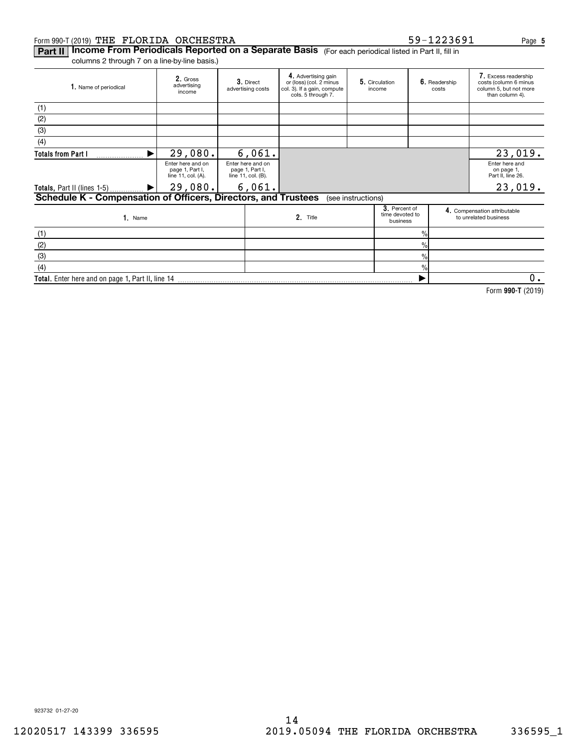## Form 990-T (2019) Page THE FLORIDA ORCHESTRA 59-1223691

923732 01-27-20

## **Part II | Income From Periodicals Reported on a Separate Basis** (For each periodical listed in Part II, fill in

columns 2 through 7 on a line-by-line basis.)

| 1. Name of periodical                                          | 2. Gross<br>advertising<br>income                          | 3. Direct<br>advertising costs                             | 4. Advertising gain<br>or (loss) (col. 2 minus<br>col. 3). If a gain, compute<br>cols. 5 through 7. | 5. Circulation<br>income |                                              | 6. Readership<br>costs | 7. Excess readership<br>costs (column 6 minus<br>column 5, but not more<br>than column 4). |
|----------------------------------------------------------------|------------------------------------------------------------|------------------------------------------------------------|-----------------------------------------------------------------------------------------------------|--------------------------|----------------------------------------------|------------------------|--------------------------------------------------------------------------------------------|
| (1)                                                            |                                                            |                                                            |                                                                                                     |                          |                                              |                        |                                                                                            |
| (2)                                                            |                                                            |                                                            |                                                                                                     |                          |                                              |                        |                                                                                            |
| (3)                                                            |                                                            |                                                            |                                                                                                     |                          |                                              |                        |                                                                                            |
| (4)                                                            |                                                            |                                                            |                                                                                                     |                          |                                              |                        |                                                                                            |
| <b>Totals from Part I</b>                                      | 29,080.                                                    | 6,061.                                                     |                                                                                                     |                          |                                              |                        | 23,019.                                                                                    |
|                                                                | Enter here and on<br>page 1, Part I,<br>line 11, col. (A). | Enter here and on<br>page 1, Part I,<br>line 11, col. (B). |                                                                                                     |                          |                                              |                        | Enter here and<br>on page 1,<br>Part II. line 26.                                          |
| Totals, Part II (lines 1-5)  ▶                                 | 29,080.                                                    | 6,061.                                                     |                                                                                                     |                          |                                              |                        | 23,019.                                                                                    |
| Schedule K - Compensation of Officers, Directors, and Trustees |                                                            |                                                            |                                                                                                     | (see instructions)       |                                              |                        |                                                                                            |
| 1. Name                                                        |                                                            |                                                            | 2. Title                                                                                            |                          | 3. Percent of<br>time devoted to<br>business |                        | 4. Compensation attributable<br>to unrelated business                                      |
| (1)                                                            |                                                            |                                                            |                                                                                                     |                          | $\%$                                         |                        |                                                                                            |
| (2)                                                            |                                                            |                                                            |                                                                                                     |                          | $\%$                                         |                        |                                                                                            |
| (3)                                                            |                                                            |                                                            |                                                                                                     |                          | $\%$                                         |                        |                                                                                            |
| (4)                                                            |                                                            |                                                            |                                                                                                     |                          | $\%$                                         |                        |                                                                                            |
| <b>Total.</b> Enter here and on page 1, Part II, line 14       |                                                            |                                                            |                                                                                                     |                          |                                              |                        | 0.                                                                                         |

14

**990-T**  Form (2019)